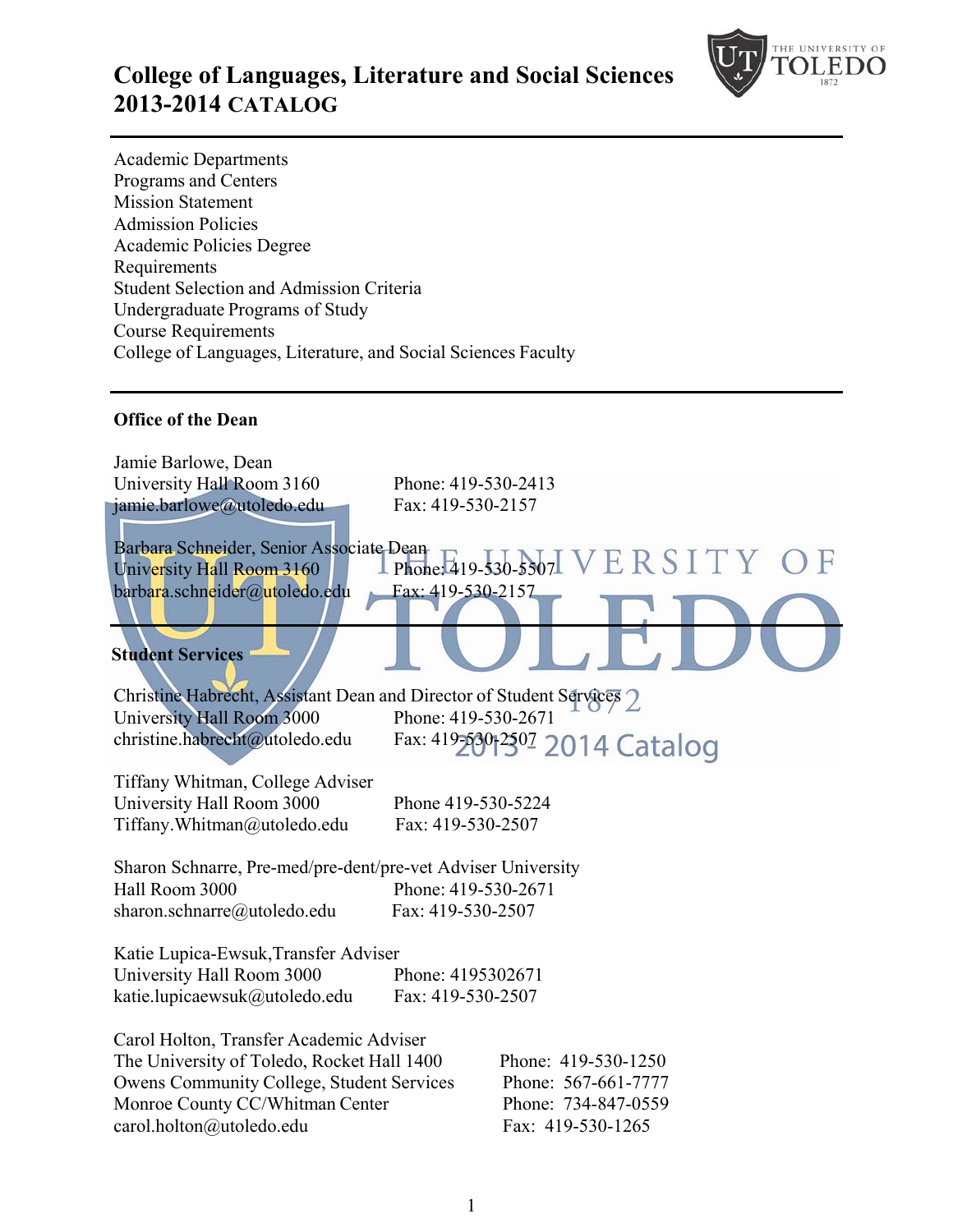

## **College of Languages, Literature and Social Sciences 2013-2014 CATALOG**

Academic Departments Programs and Centers Mission Statement Admission Policies Academic Policies Degree Requirements Student Selection and Admission Criteria Undergraduate Programs of Study Course Requirements College of Languages, Literature, and Social Sciences Faculty

#### **Office of the Dean**

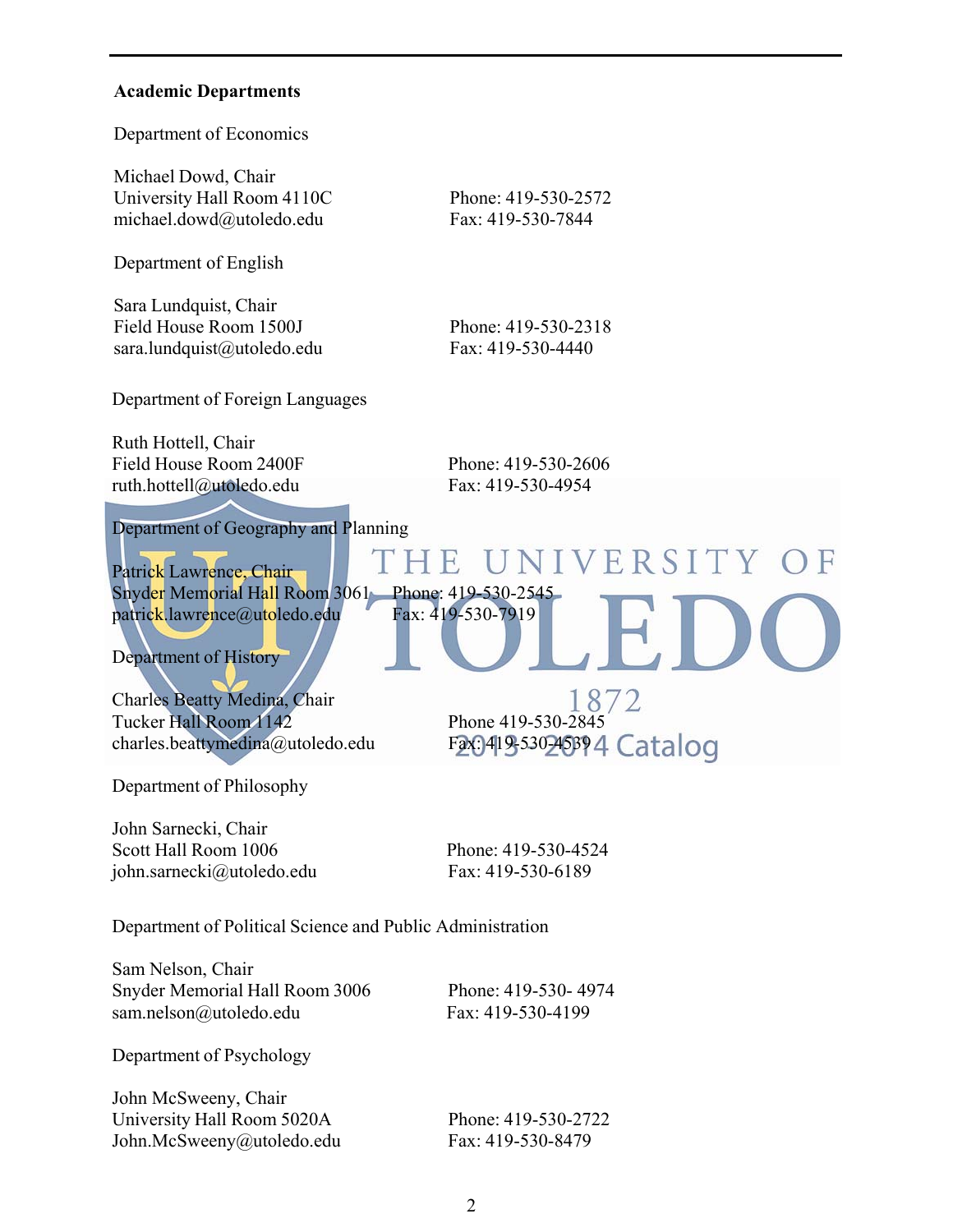#### **Academic Departments**

Department of Economics

Michael Dowd, Chair University Hall Room 4110C Phone: 419-530-2572 michael.dowd@utoledo.edu Fax: 419-530-7844

Department of English

Sara Lundquist, Chair Field House Room 1500J Phone: 419-530-2318 sara.lundquist@utoledo.edu Fax: 419-530-4440

Department of Foreign Languages

Ruth Hottell, Chair Field House Room 2400F Phone: 419-530-2606 ruth.hottell@utoledo.edu Fax: 419-530-4954

ΗE

Department of Geography and Planning

Patrick Lawrence, Chair Snyder Memorial Hall Room 3061 Phone: 419-530-2545 patrick.lawrence@utoledo.edu Fax: 419-530-7919

Department of History

Charles Beatty Medina, Chair Tucker Hall Room 1142 Phone 419-530-2845

1872 charles.beattymedina@utoledo.edu Fax: 419-530-45394 Catalog

UNIVERSITY OF

Department of Philosophy

John Sarnecki, Chair Scott Hall Room 1006 Phone: 419-530-4524 john.sarnecki@utoledo.edu Fax: 419-530-6189

Department of Political Science and Public Administration

Sam Nelson, Chair Snyder Memorial Hall Room 3006 Phone: 419-530- 4974 sam.nelson@utoledo.edu Fax: 419-530-4199

Department of Psychology

John McSweeny, Chair University Hall Room 5020A Phone: 419-530-2722 John.McSweeny@utoledo.edu Fax: 419-530-8479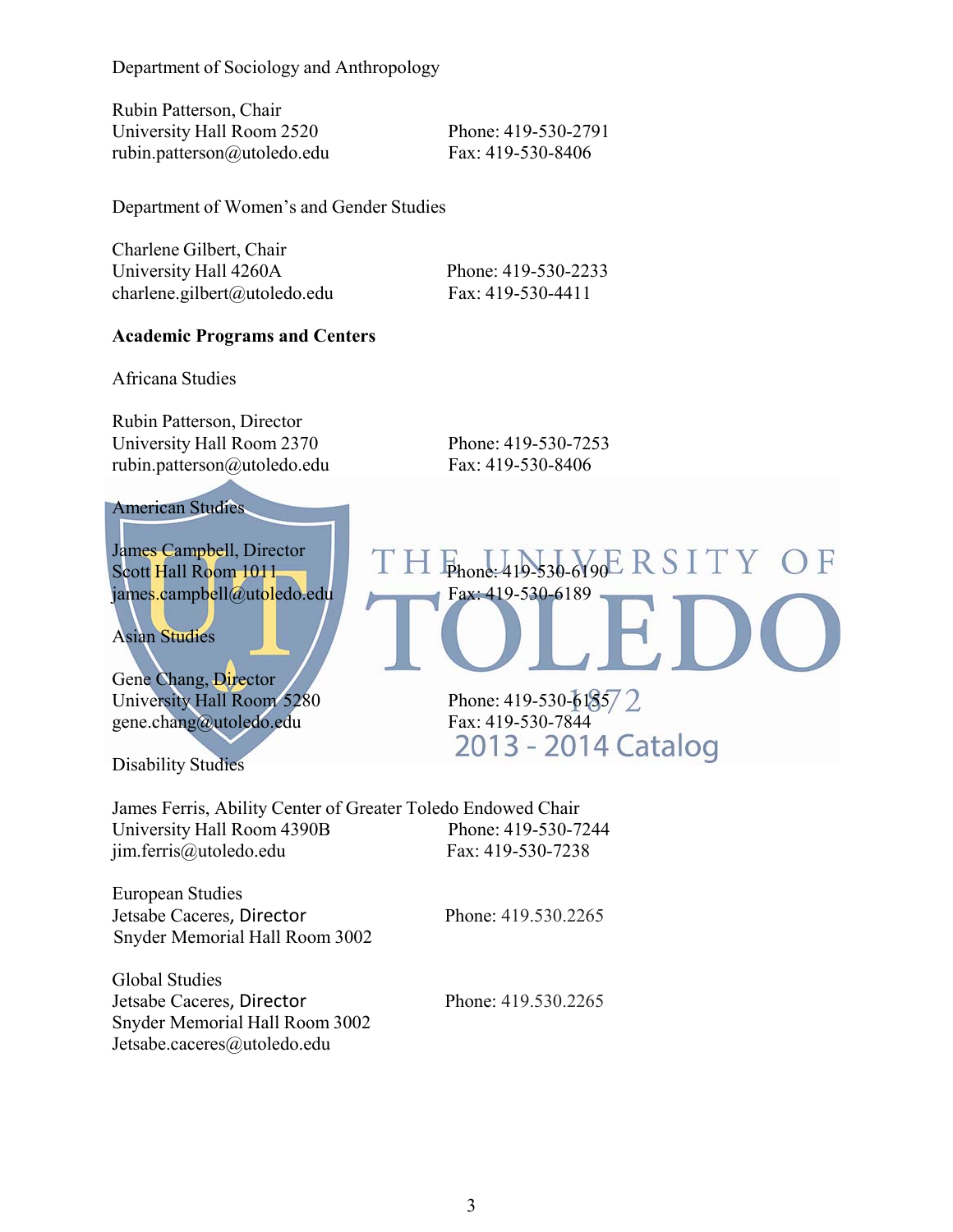Department of Sociology and Anthropology

Rubin Patterson, Chair University Hall Room 2520 Phone: 419-530-2791 rubin.patterson@utoledo.edu Fax: 419-530-8406

Department of Women's and Gender Studies

Charlene Gilbert, Chair University Hall 4260A Phone: 419-530-2233 charlene.gilbert@utoledo.edu Fax: 419-530-4411

#### **Academic Programs and Centers**

Africana Studies

Rubin Patterson, Director University Hall Room 2370 Phone: 419-530-7253 rubin.patterson@utoledo.edu Fax: 419-530-8406

#### American Studies

James Campbell, Director James Campbell, Director<br>Scott Hall Room 1011 | TH  $F_{\text{phone}:419\text{-}530\text{-}6190}$  R S I T Y O F james.campbell@utoledo.edu Fax: 419-530-6189

Asian Studies

Gene Chang, Director University Hall Room 5280<br>
gene chang@utoledo.edu Fax: 419-530-7844 gene.chang@utoledo.edu Fax: 419-530-7844<br>2013 - 2014 Catalog

Disability Studies

James Ferris, Ability Center of Greater Toledo Endowed Chair University Hall Room 4390B Phone: 419-530-7244 jim.ferris@utoledo.edu Fax: 419-530-7238

European Studies Jetsabe Caceres, Director Phone: 419.530.2265 Snyder Memorial Hall Room 3002

Global Studies Jetsabe Caceres, Director Phone: 419.530.2265 Snyder Memorial Hall Room 3002 Jetsabe.caceres@utoledo.edu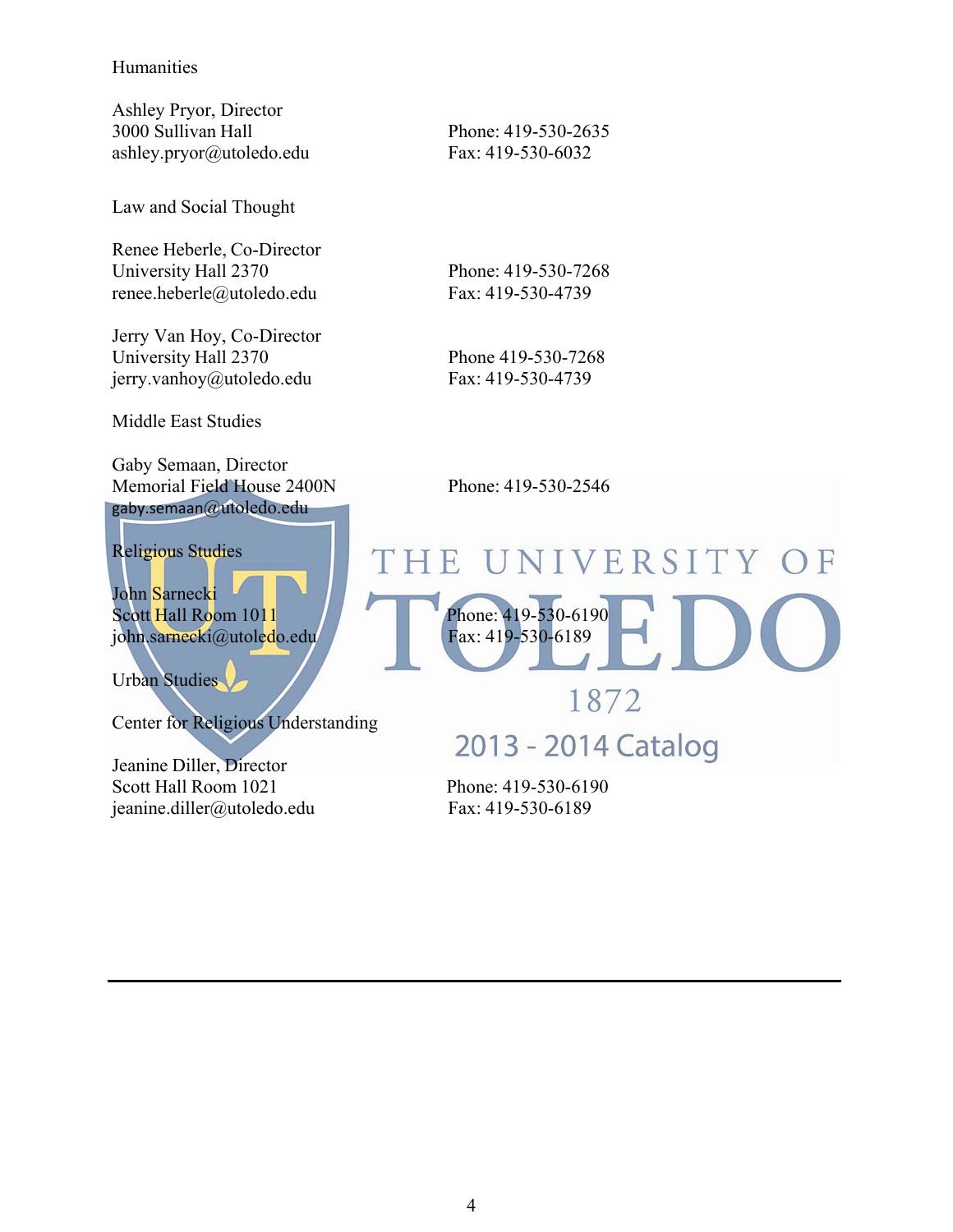#### Humanities

Ashley Pryor, Director 3000 Sullivan Hall Phone: 419-530-2635 ashley.pryor@utoledo.edu Fax: 419-530-6032

Law and Social Thought

Renee Heberle, Co-Director University Hall 2370 Phone: 419-530-7268 renee.heberle@utoledo.edu Fax: 419-530-4739

Jerry Van Hoy, Co-Director University Hall 2370 Phone 419-530-7268 jerry.vanhoy@utoledo.edu Fax: 419-530-4739

Middle East Studies

Gaby Semaan, Director Memorial Field House 2400N Phone: 419-530-2546 gaby.semaan@utoledo.edu

Religious Studies

John Sarnecki

Urban Studies

Center for Religious Understanding

Jeanine Diller, Director Scott Hall Room 1021 Phone: 419-530-6190 jeanine.diller@utoledo.edu Fax: 419-530-6189

## UNIVERSITY OF THE Scott Hall Room 1011 1 Phone: 419-530-6190 john.sarnecki@utoledo.edu Fax: 419-530-6189 1872

2013 - 2014 Catalog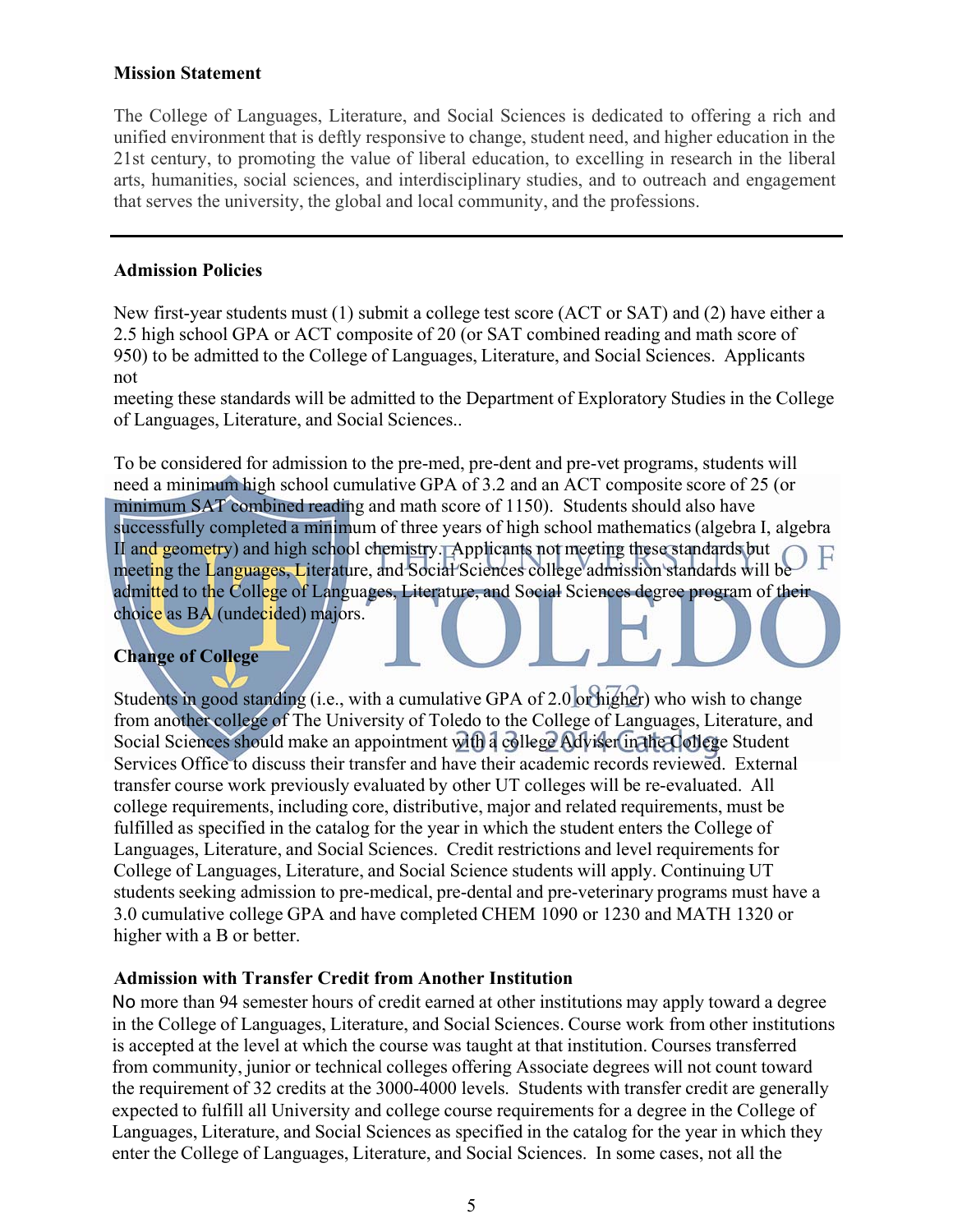#### **Mission Statement**

The College of Languages, Literature, and Social Sciences is dedicated to offering a rich and unified environment that is deftly responsive to change, student need, and higher education in the 21st century, to promoting the value of liberal education, to excelling in research in the liberal arts, humanities, social sciences, and interdisciplinary studies, and to outreach and engagement that serves the university, the global and local community, and the professions.

#### **Admission Policies**

New first-year students must (1) submit a college test score (ACT or SAT) and (2) have either a 2.5 high school GPA or ACT composite of 20 (or SAT combined reading and math score of 950) to be admitted to the College of Languages, Literature, and Social Sciences. Applicants not

meeting these standards will be admitted to the Department of Exploratory Studies in the College of Languages, Literature, and Social Sciences..

To be considered for admission to the pre-med, pre-dent and pre-vet programs, students will need a minimum high school cumulative GPA of 3.2 and an ACT composite score of 25 (or minimum SAT combined reading and math score of 1150). Students should also have successfully completed a minimum of three years of high school mathematics (algebra I, algebra II and geometry) and high school chemistry. Applicants not meeting these standards but meeting the Languages, Literature, and Social Sciences college admission standards will be admitted to the College of Languages, Literature, and Social Sciences degree program of their choice as BA (undecided) majors.

#### **Change of College**

Students in good standing (i.e., with a cumulative GPA of 2.0 or higher) who wish to change from another college of The University of Toledo to the College of Languages, Literature, and Social Sciences should make an appointment with a college Adviser in the College Student Services Office to discuss their transfer and have their academic records reviewed. External transfer course work previously evaluated by other UT colleges will be re-evaluated. All college requirements, including core, distributive, major and related requirements, must be fulfilled as specified in the catalog for the year in which the student enters the College of Languages, Literature, and Social Sciences. Credit restrictions and level requirements for College of Languages, Literature, and Social Science students will apply. Continuing UT students seeking admission to pre-medical, pre-dental and pre-veterinary programs must have a 3.0 cumulative college GPA and have completed CHEM 1090 or 1230 and MATH 1320 or higher with a B or better.

#### **Admission with Transfer Credit from Another Institution**

No more than 94 semester hours of credit earned at other institutions may apply toward a degree in the College of Languages, Literature, and Social Sciences. Course work from other institutions is accepted at the level at which the course was taught at that institution. Courses transferred from community, junior or technical colleges offering Associate degrees will not count toward the requirement of 32 credits at the 3000-4000 levels. Students with transfer credit are generally expected to fulfill all University and college course requirements for a degree in the College of Languages, Literature, and Social Sciences as specified in the catalog for the year in which they enter the College of Languages, Literature, and Social Sciences. In some cases, not all the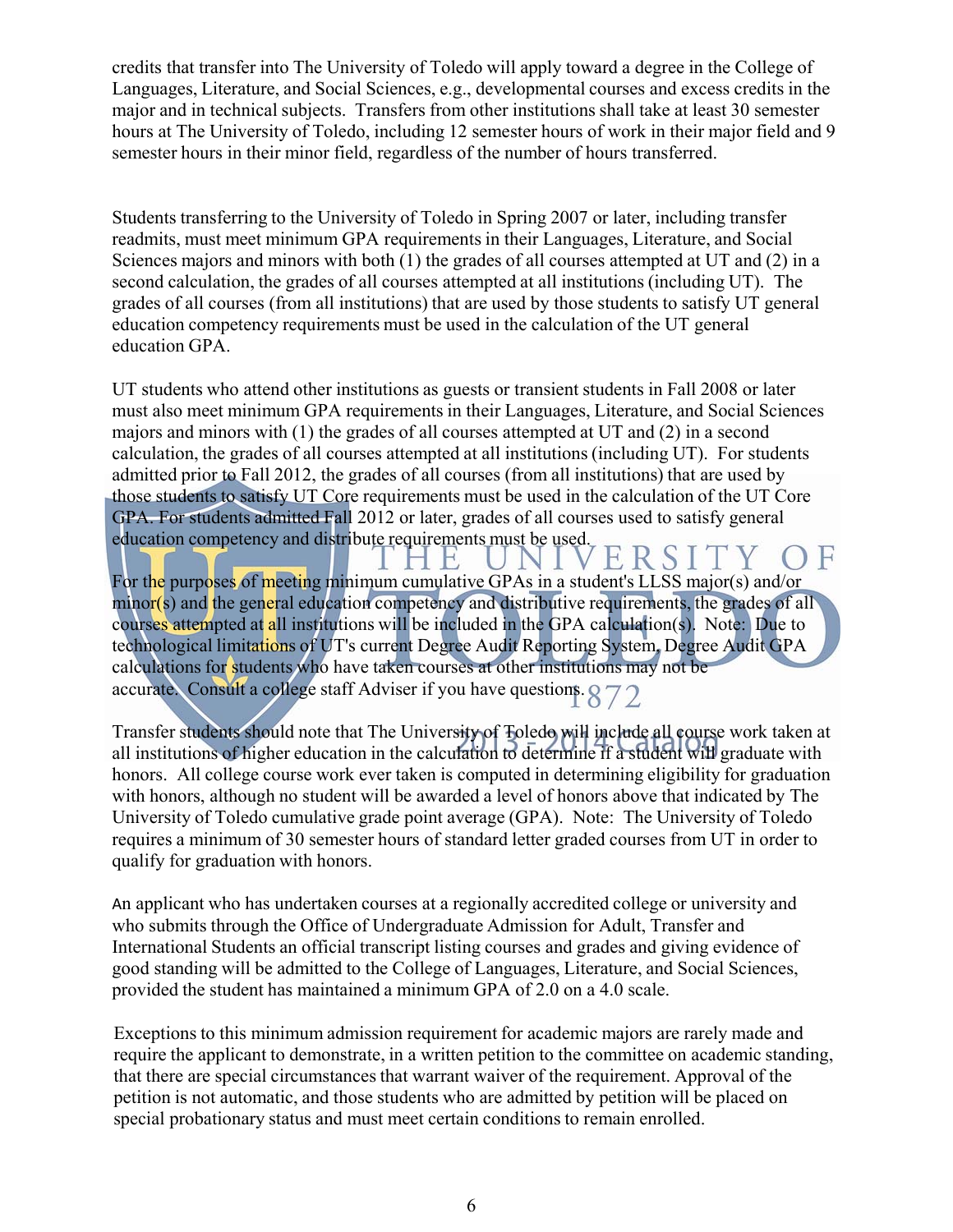credits that transfer into The University of Toledo will apply toward a degree in the College of Languages, Literature, and Social Sciences, e.g., developmental courses and excess credits in the major and in technical subjects. Transfers from other institutions shall take at least 30 semester hours at The University of Toledo, including 12 semester hours of work in their major field and 9 semester hours in their minor field, regardless of the number of hours transferred.

Students transferring to the University of Toledo in Spring 2007 or later, including transfer readmits, must meet minimum GPA requirements in their Languages, Literature, and Social Sciences majors and minors with both (1) the grades of all courses attempted at UT and (2) in a second calculation, the grades of all courses attempted at all institutions (including UT). The grades of all courses (from all institutions) that are used by those students to satisfy UT general education competency requirements must be used in the calculation of the UT general education GPA.

UT students who attend other institutions as guests or transient students in Fall 2008 or later must also meet minimum GPA requirements in their Languages, Literature, and Social Sciences majors and minors with (1) the grades of all courses attempted at UT and (2) in a second calculation, the grades of all courses attempted at all institutions (including UT). For students admitted prior to Fall 2012, the grades of all courses (from all institutions) that are used by those students to satisfy UT Core requirements must be used in the calculation of the UT Core GPA. For students admitted Fall 2012 or later, grades of all courses used to satisfy general education competency and distribute requirements must be used.

ERSI F H, For the purposes of meeting minimum cumulative GPAs in a student's LLSS major(s) and/or minor(s) and the general education competency and distributive requirements, the grades of all courses attempted at all institutions will be included in the GPA calculation(s). Note: Due to technological limitations of UT's current Degree Audit Reporting System, Degree Audit GPA calculations for students who have taken courses at other institutions may not be accurate. Consult a college staff Adviser if you have questions.  $872$ 

Transfer students should note that The University of Toledo will include all course work taken at all institutions of higher education in the calculation to determine if a student will graduate with honors. All college course work ever taken is computed in determining eligibility for graduation with honors, although no student will be awarded a level of honors above that indicated by The University of Toledo cumulative grade point average (GPA). Note: The University of Toledo requires a minimum of 30 semester hours of standard letter graded courses from UT in order to qualify for graduation with honors.

An applicant who has undertaken courses at a regionally accredited college or university and who submits through the Office of Undergraduate Admission for Adult, Transfer and International Students an official transcript listing courses and grades and giving evidence of good standing will be admitted to the College of Languages, Literature, and Social Sciences, provided the student has maintained a minimum GPA of 2.0 on a 4.0 scale.

Exceptions to this minimum admission requirement for academic majors are rarely made and require the applicant to demonstrate, in a written petition to the committee on academic standing, that there are special circumstances that warrant waiver of the requirement. Approval of the petition is not automatic, and those students who are admitted by petition will be placed on special probationary status and must meet certain conditions to remain enrolled.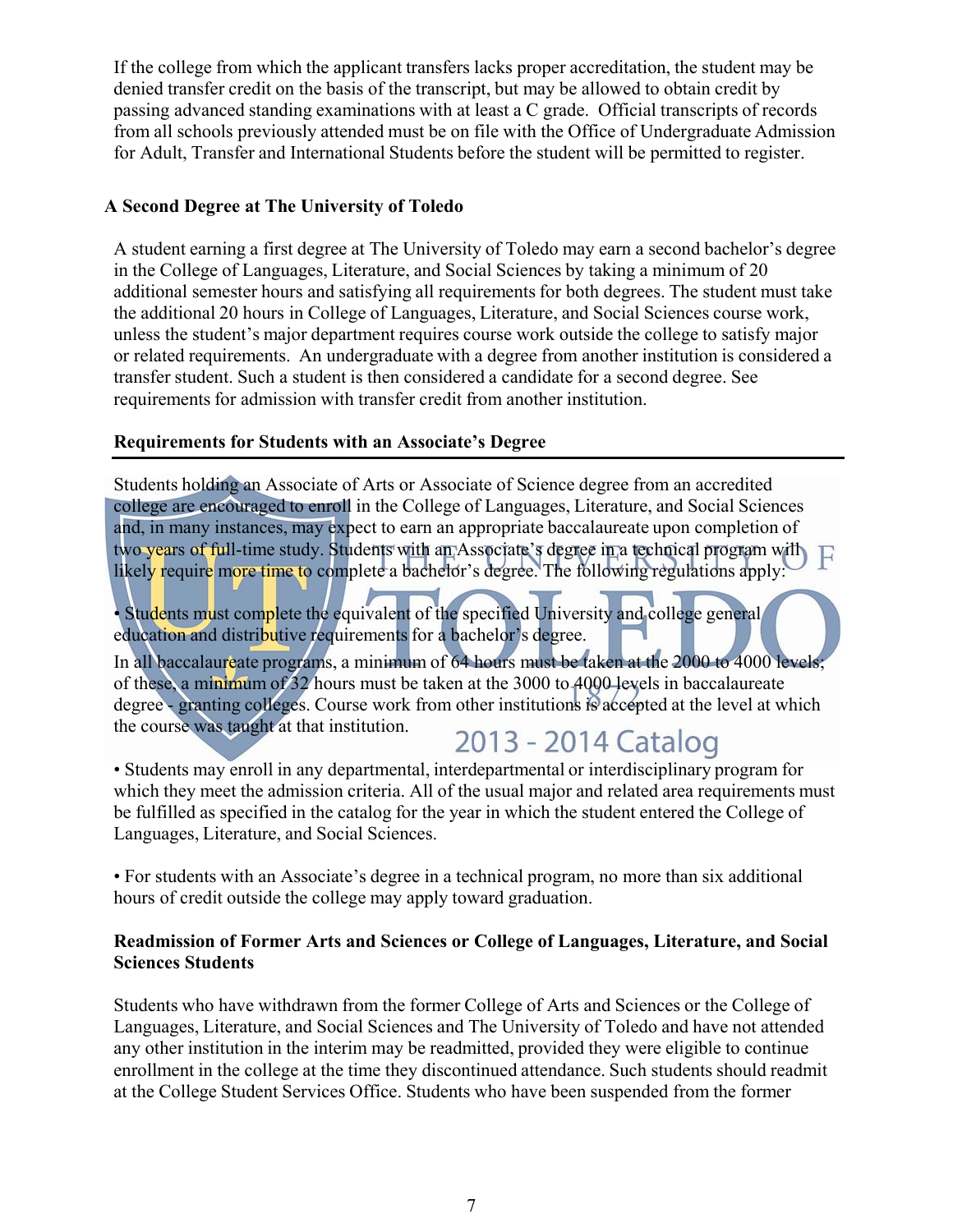If the college from which the applicant transfers lacks proper accreditation, the student may be denied transfer credit on the basis of the transcript, but may be allowed to obtain credit by passing advanced standing examinations with at least a C grade. Official transcripts of records from all schools previously attended must be on file with the Office of Undergraduate Admission for Adult, Transfer and International Students before the student will be permitted to register.

#### **A Second Degree at The University of Toledo**

A student earning a first degree at The University of Toledo may earn a second bachelor's degree in the College of Languages, Literature, and Social Sciences by taking a minimum of 20 additional semester hours and satisfying all requirements for both degrees. The student must take the additional 20 hours in College of Languages, Literature, and Social Sciences course work, unless the student's major department requires course work outside the college to satisfy major or related requirements. An undergraduate with a degree from another institution is considered a transfer student. Such a student is then considered a candidate for a second degree. See requirements for admission with transfer credit from another institution.

#### **Requirements for Students with an Associate's Degree**

Students holding an Associate of Arts or Associate of Science degree from an accredited college are encouraged to enroll in the College of Languages, Literature, and Social Sciences and, in many instances, may expect to earn an appropriate baccalaureate upon completion of two years of full-time study. Students with an Associate's degree in a technical program will likely require more time to complete a bachelor's degree. The following regulations apply:

• Students must complete the equivalent of the specified University and college general education and distributive requirements for a bachelor's degree.

In all baccalaureate programs, a minimum of 64 hours must be taken at the 2000 to 4000 levels; of these, a minimum of 32 hours must be taken at the 3000 to 4000 levels in baccalaureate degree - granting colleges. Course work from other institutions is accepted at the level at which the course was taught at that institution. 2013 - 2014 Catalog

• Students may enroll in any departmental, interdepartmental or interdisciplinary program for which they meet the admission criteria. All of the usual major and related area requirements must be fulfilled as specified in the catalog for the year in which the student entered the College of Languages, Literature, and Social Sciences.

• For students with an Associate's degree in a technical program, no more than six additional hours of credit outside the college may apply toward graduation.

#### **Readmission of Former Arts and Sciences or College of Languages, Literature, and Social Sciences Students**

Students who have withdrawn from the former College of Arts and Sciences or the College of Languages, Literature, and Social Sciences and The University of Toledo and have not attended any other institution in the interim may be readmitted, provided they were eligible to continue enrollment in the college at the time they discontinued attendance. Such students should readmit at the College Student Services Office. Students who have been suspended from the former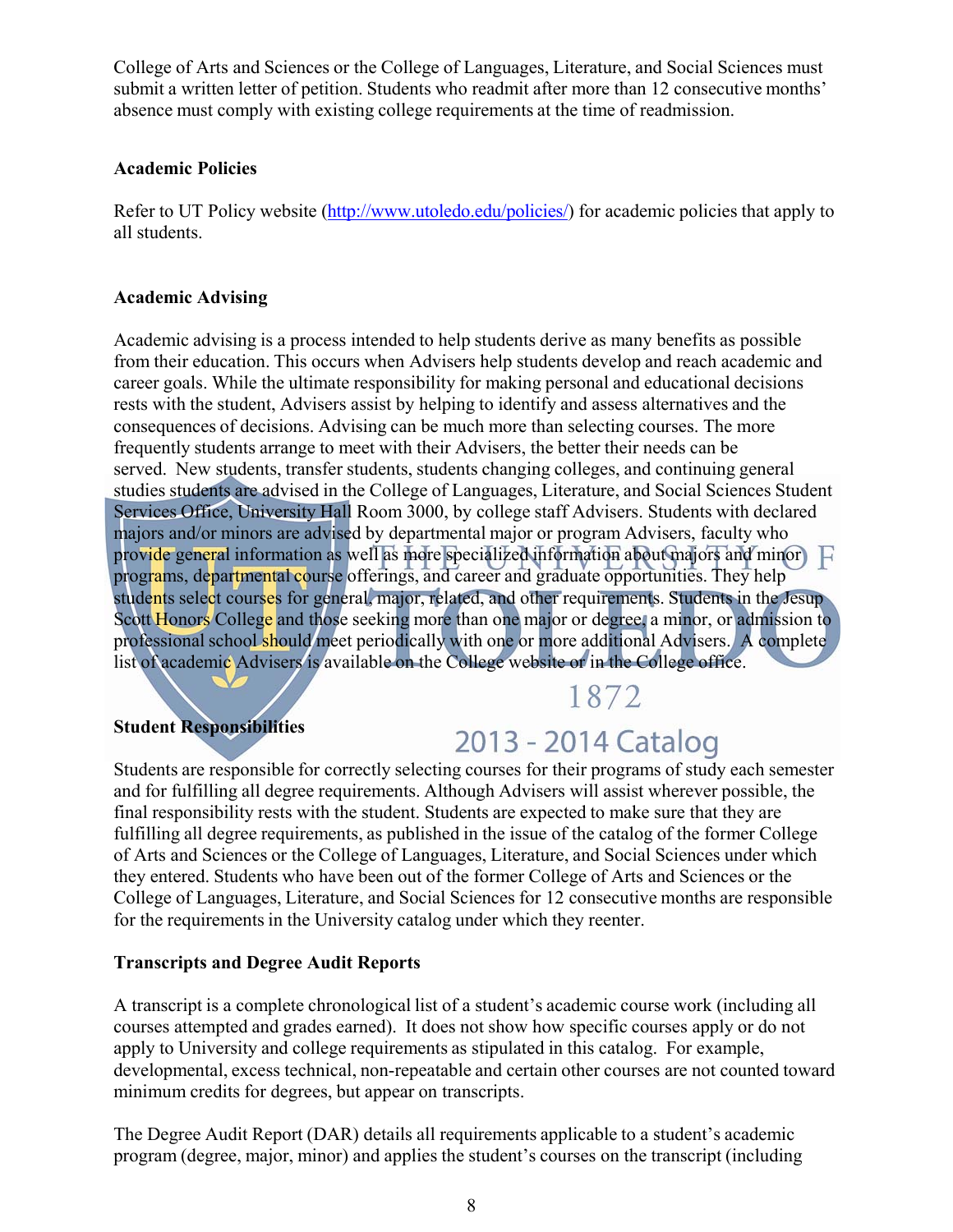College of Arts and Sciences or the College of Languages, Literature, and Social Sciences must submit a written letter of petition. Students who readmit after more than 12 consecutive months' absence must comply with existing college requirements at the time of readmission.

#### **Academic Policies**

Refer to UT Policy website (http://www.utoledo.edu/policies/) for academic policies that apply to all students.

#### **Academic Advising**

Academic advising is a process intended to help students derive as many benefits as possible from their education. This occurs when Advisers help students develop and reach academic and career goals. While the ultimate responsibility for making personal and educational decisions rests with the student, Advisers assist by helping to identify and assess alternatives and the consequences of decisions. Advising can be much more than selecting courses. The more frequently students arrange to meet with their Advisers, the better their needs can be served. New students, transfer students, students changing colleges, and continuing general studies students are advised in the College of Languages, Literature, and Social Sciences Student Services Office, University Hall Room 3000, by college staff Advisers. Students with declared majors and/or minors are advised by departmental major or program Advisers, faculty who provide general information as well as more specialized information about majors and minor programs, departmental course offerings, and career and graduate opportunities. They help students select courses for general, major, related, and other requirements. Students in the Jesup Scott Honors College and those seeking more than one major or degree, a minor, or admission to professional school should meet periodically with one or more additional Advisers. A complete list of academic Advisers is available on the College website or in the College office.

## 1872

#### **Student Responsibilities**

## 2013 - 2014 Catalog

Students are responsible for correctly selecting courses for their programs of study each semester and for fulfilling all degree requirements. Although Advisers will assist wherever possible, the final responsibility rests with the student. Students are expected to make sure that they are fulfilling all degree requirements, as published in the issue of the catalog of the former College of Arts and Sciences or the College of Languages, Literature, and Social Sciences under which they entered. Students who have been out of the former College of Arts and Sciences or the College of Languages, Literature, and Social Sciences for 12 consecutive months are responsible for the requirements in the University catalog under which they reenter.

#### **Transcripts and Degree Audit Reports**

A transcript is a complete chronological list of a student's academic course work (including all courses attempted and grades earned). It does not show how specific courses apply or do not apply to University and college requirements as stipulated in this catalog. For example, developmental, excess technical, non-repeatable and certain other courses are not counted toward minimum credits for degrees, but appear on transcripts.

The Degree Audit Report (DAR) details all requirements applicable to a student's academic program (degree, major, minor) and applies the student's courses on the transcript (including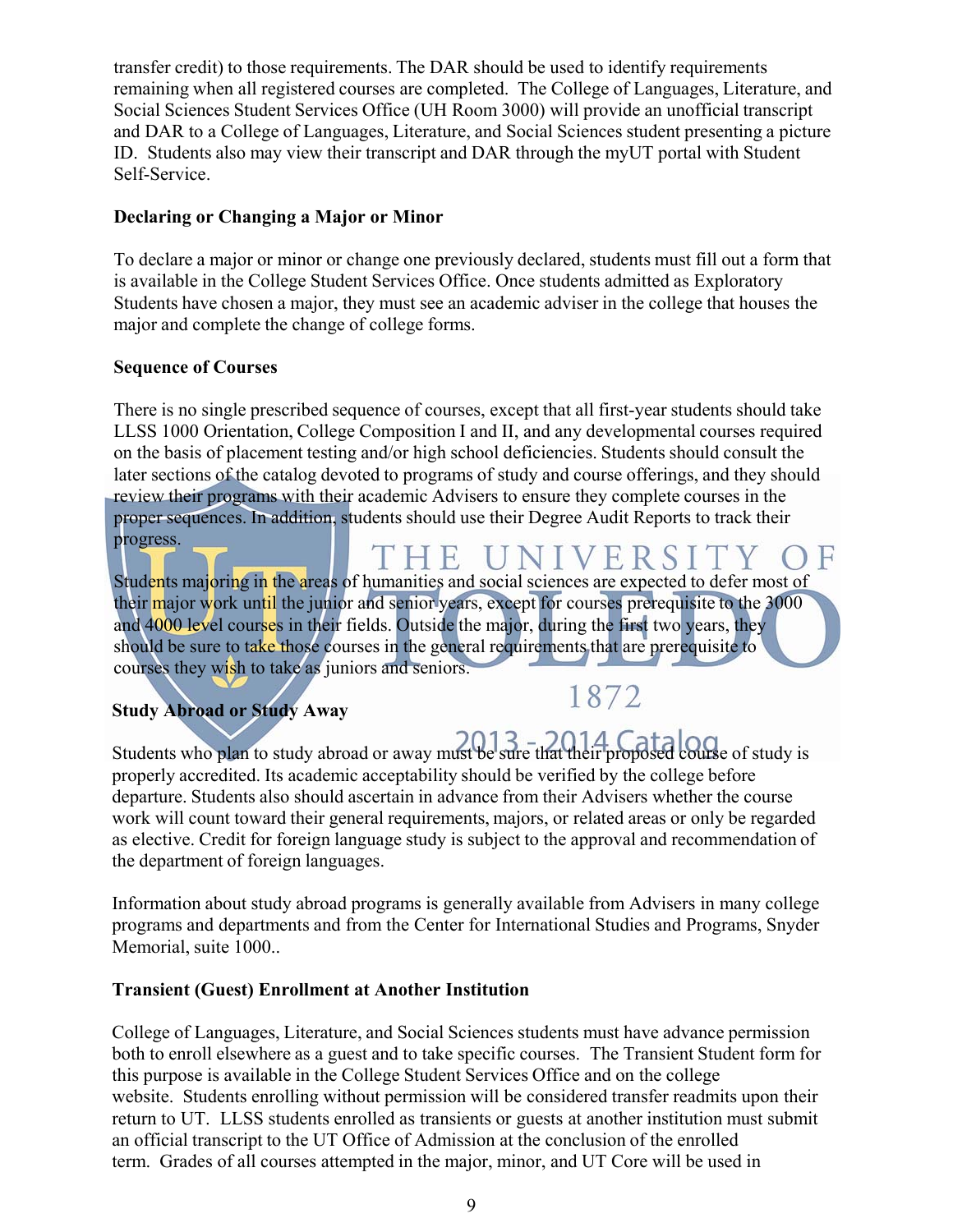transfer credit) to those requirements. The DAR should be used to identify requirements remaining when all registered courses are completed. The College of Languages, Literature, and Social Sciences Student Services Office (UH Room 3000) will provide an unofficial transcript and DAR to a College of Languages, Literature, and Social Sciences student presenting a picture ID. Students also may view their transcript and DAR through the myUT portal with Student Self-Service.

#### **Declaring or Changing a Major or Minor**

To declare a major or minor or change one previously declared, students must fill out a form that is available in the College Student Services Office. Once students admitted as Exploratory Students have chosen a major, they must see an academic adviser in the college that houses the major and complete the change of college forms.

#### **Sequence of Courses**

There is no single prescribed sequence of courses, except that all first-year students should take LLSS 1000 Orientation, College Composition I and II, and any developmental courses required on the basis of placement testing and/or high school deficiencies. Students should consult the later sections of the catalog devoted to programs of study and course offerings, and they should review their programs with their academic Advisers to ensure they complete courses in the proper sequences. In addition, students should use their Degree Audit Reports to track their progress. **HE UNIVERSIT** 

Students majoring in the areas of humanities and social sciences are expected to defer most of their major work until the junior and senior years, except for courses prerequisite to the 3000 and 4000 level courses in their fields. Outside the major, during the first two years, they should be sure to take those courses in the general requirements that are prerequisite to courses they wish to take as juniors and seniors.

### **Study Abroad or Study Away**

## 1872

Students who plan to study abroad or away must be sure that their proposed course of study is properly accredited. Its academic acceptability should be verified by the college before departure. Students also should ascertain in advance from their Advisers whether the course work will count toward their general requirements, majors, or related areas or only be regarded as elective. Credit for foreign language study is subject to the approval and recommendation of the department of foreign languages.

Information about study abroad programs is generally available from Advisers in many college programs and departments and from the Center for International Studies and Programs, Snyder Memorial, suite 1000..

#### **Transient (Guest) Enrollment at Another Institution**

College of Languages, Literature, and Social Sciences students must have advance permission both to enroll elsewhere as a guest and to take specific courses. The Transient Student form for this purpose is available in the College Student Services Office and on the college website. Students enrolling without permission will be considered transfer readmits upon their return to UT. LLSS students enrolled as transients or guests at another institution must submit an official transcript to the UT Office of Admission at the conclusion of the enrolled term. Grades of all courses attempted in the major, minor, and UT Core will be used in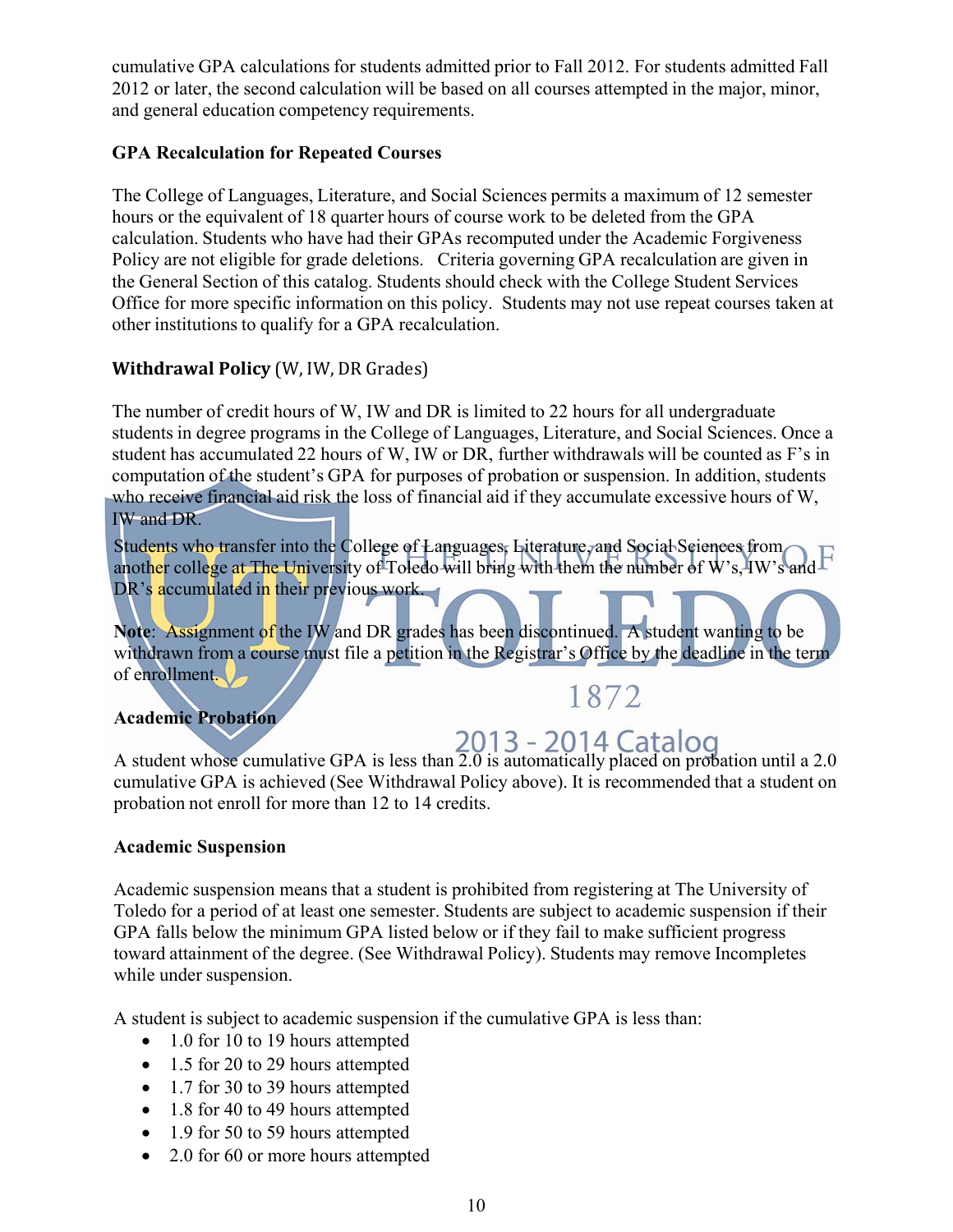cumulative GPA calculations for students admitted prior to Fall 2012. For students admitted Fall 2012 or later, the second calculation will be based on all courses attempted in the major, minor, and general education competency requirements.

#### **GPA Recalculation for Repeated Courses**

The College of Languages, Literature, and Social Sciences permits a maximum of 12 semester hours or the equivalent of 18 quarter hours of course work to be deleted from the GPA calculation. Students who have had their GPAs recomputed under the Academic Forgiveness Policy are not eligible for grade deletions. Criteria governing GPA recalculation are given in the General Section of this catalog. Students should check with the College Student Services Office for more specific information on this policy. Students may not use repeat courses taken at other institutions to qualify for a GPA recalculation.

#### **Withdrawal Policy** (W, IW, DR Grades)

The number of credit hours of W, IW and DR is limited to 22 hours for all undergraduate students in degree programs in the College of Languages, Literature, and Social Sciences. Once a student has accumulated 22 hours of W, IW or DR, further withdrawals will be counted as F's in computation of the student's GPA for purposes of probation or suspension. In addition, students who receive financial aid risk the loss of financial aid if they accumulate excessive hours of W, IW and DR.

Students who transfer into the College of Languages, Literature, and Social Sciences from another college at The University of Toledo will bring with them the number of W's, IW's and F DR's accumulated in their previous work.

**Note**: Assignment of the IW and DR grades has been discontinued. A student wanting to be withdrawn from a course must file a petition in the Registrar's Office by the deadline in the term of enrollment.

## 1872

#### **Academic Probation**

A student whose cumulative GPA is less than  $2013 - 2014$  Catalog<br>A student whose cumulative GPA is less than 2.0 is automatically placed on probation until a 2.0 cumulative GPA is achieved (See Withdrawal Policy above). It is recommended that a student on probation not enroll for more than 12 to 14 credits.

#### **Academic Suspension**

Academic suspension means that a student is prohibited from registering at The University of Toledo for a period of at least one semester. Students are subject to academic suspension if their GPA falls below the minimum GPA listed below or if they fail to make sufficient progress toward attainment of the degree. (See Withdrawal Policy). Students may remove Incompletes while under suspension.

A student is subject to academic suspension if the cumulative GPA is less than:

- 1.0 for 10 to 19 hours attempted
- 1.5 for 20 to 29 hours attempted
- 1.7 for 30 to 39 hours attempted
- 1.8 for 40 to 49 hours attempted
- 1.9 for 50 to 59 hours attempted
- 2.0 for 60 or more hours attempted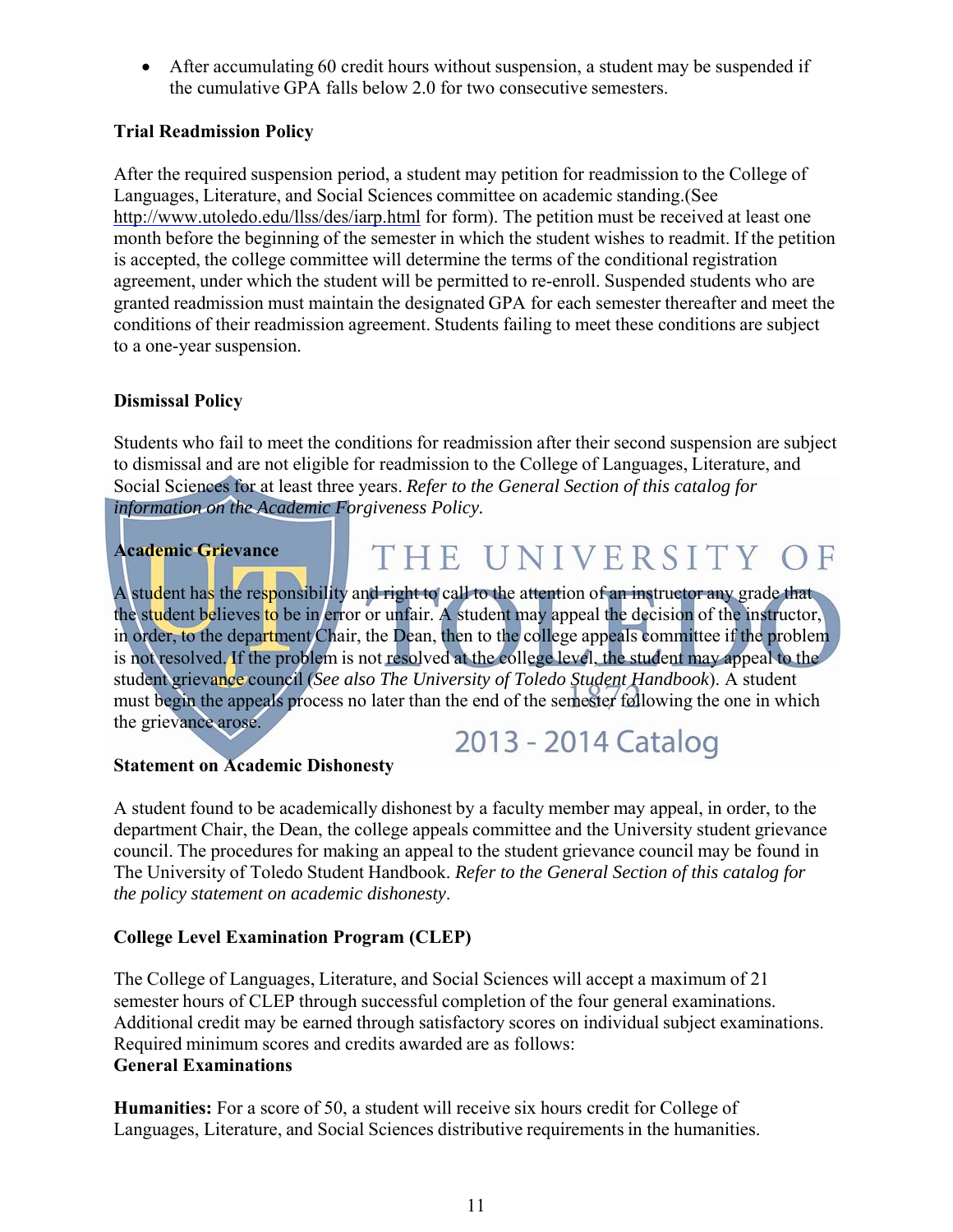After accumulating 60 credit hours without suspension, a student may be suspended if the cumulative GPA falls below 2.0 for two consecutive semesters.

#### **Trial Readmission Policy**

After the required suspension period, a student may petition for readmission to the College of Languages, Literature, and Social Sciences committee on academic standing.(See http://www.utoledo.edu/llss/des/iarp.html for form). The petition must be received at least one month before the beginning of the semester in which the student wishes to readmit. If the petition is accepted, the college committee will determine the terms of the conditional registration agreement, under which the student will be permitted to re-enroll. Suspended students who are granted readmission must maintain the designated GPA for each semester thereafter and meet the conditions of their readmission agreement. Students failing to meet these conditions are subject to a one-year suspension.

#### **Dismissal Policy**

Students who fail to meet the conditions for readmission after their second suspension are subject to dismissal and are not eligible for readmission to the College of Languages, Literature, and Social Sciences for at least three years. *Refer to the General Section of this catalog for information on the Academic Forgiveness Policy.*

#### **Academic Grievance**

THE UNIVERSITY OF

A student has the responsibility and right to call to the attention of an instructor any grade that the student believes to be in error or unfair. A student may appeal the decision of the instructor, in order, to the department Chair, the Dean, then to the college appeals committee if the problem is not resolved. If the problem is not resolved at the college level, the student may appeal to the student grievance council (*See also The University of Toledo Student Handbook*). A student must begin the appeals process no later than the end of the semester following the one in which the grievance arose.

## 2013 - 2014 Catalog

#### **Statement on Academic Dishonesty**

A student found to be academically dishonest by a faculty member may appeal, in order, to the department Chair, the Dean, the college appeals committee and the University student grievance council. The procedures for making an appeal to the student grievance council may be found in The University of Toledo Student Handbook. *Refer to the General Section of this catalog for the policy statement on academic dishonesty*.

#### **College Level Examination Program (CLEP)**

The College of Languages, Literature, and Social Sciences will accept a maximum of 21 semester hours of CLEP through successful completion of the four general examinations. Additional credit may be earned through satisfactory scores on individual subject examinations. Required minimum scores and credits awarded are as follows: **General Examinations**

**Humanities:** For a score of 50, a student will receive six hours credit for College of Languages, Literature, and Social Sciences distributive requirements in the humanities.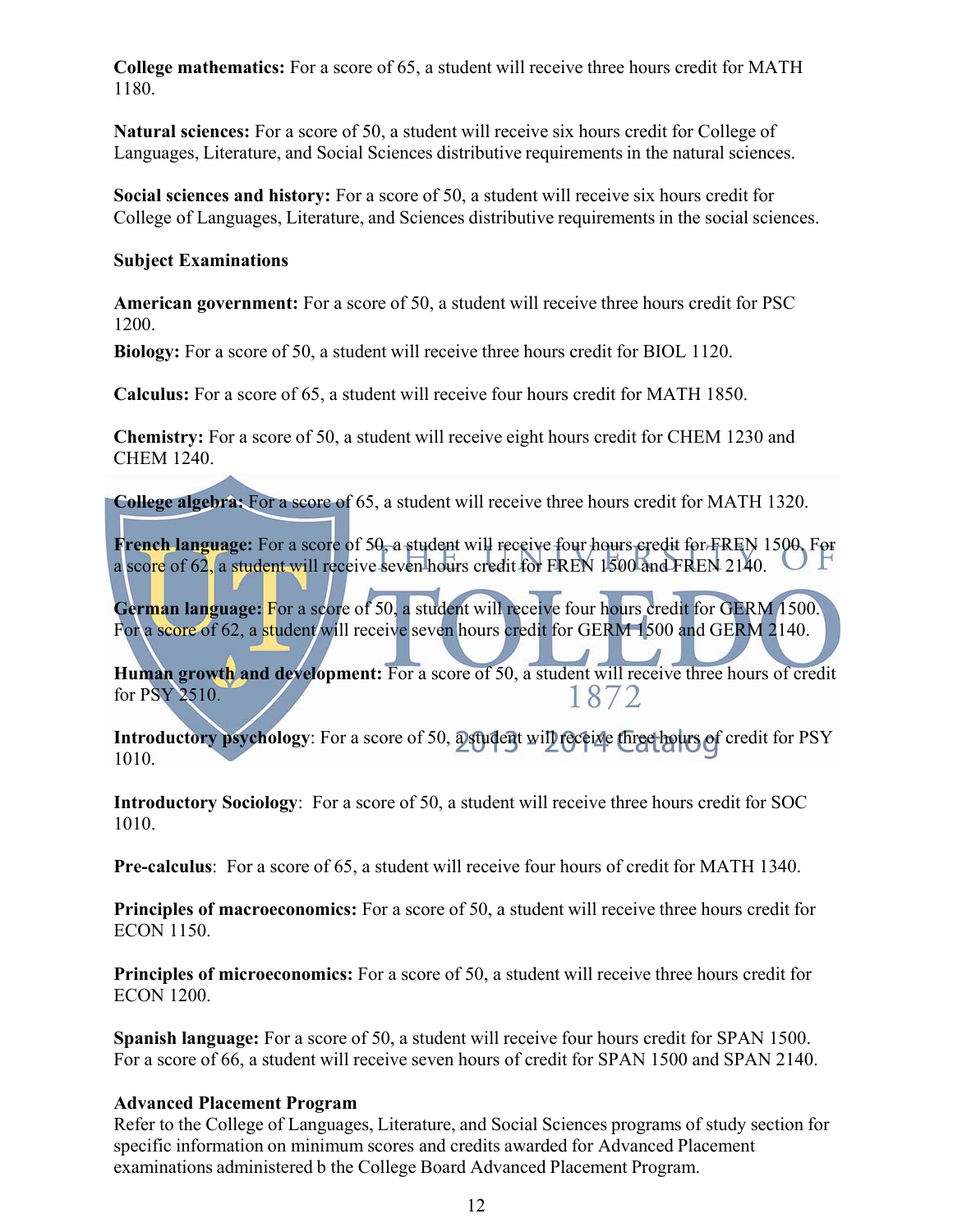**College mathematics:** For a score of 65, a student will receive three hours credit for MATH 1180.

**Natural sciences:** For a score of 50, a student will receive six hours credit for College of Languages, Literature, and Social Sciences distributive requirements in the natural sciences.

**Social sciences and history:** For a score of 50, a student will receive six hours credit for College of Languages, Literature, and Sciences distributive requirements in the social sciences.

#### **Subject Examinations**

**American government:** For a score of 50, a student will receive three hours credit for PSC 1200.

**Biology:** For a score of 50, a student will receive three hours credit for BIOL 1120.

**Calculus:** For a score of 65, a student will receive four hours credit for MATH 1850.

**Chemistry:** For a score of 50, a student will receive eight hours credit for CHEM 1230 and CHEM 1240.

**College algebra:** For a score of 65, a student will receive three hours credit for MATH 1320.

**French language:** For a score of 50, a student will receive four hours credit for FREN 1500. For a score of 62, a student will receive seven hours credit for FREN 1500 and FREN 2140.

**German language:** For a score of 50, a student will receive four hours credit for GERM 1500. For a score of 62, a student will receive seven hours credit for GERM 1500 and GERM 2140.

**Human growth and development:** For a score of 50, a student will receive three hours of credit for PSY 2510. for PSY 2510.

**Introductory psychology**: For a score of 50, a student will receive three hours of credit for PSY 1010.

**Introductory Sociology**: For a score of 50, a student will receive three hours credit for SOC 1010.

**Pre-calculus**: For a score of 65, a student will receive four hours of credit for MATH 1340.

**Principles of macroeconomics:** For a score of 50, a student will receive three hours credit for ECON 1150.

**Principles of microeconomics:** For a score of 50, a student will receive three hours credit for ECON 1200.

**Spanish language:** For a score of 50, a student will receive four hours credit for SPAN 1500. For a score of 66, a student will receive seven hours of credit for SPAN 1500 and SPAN 2140.

#### **Advanced Placement Program**

Refer to the College of Languages, Literature, and Social Sciences programs of study section for specific information on minimum scores and credits awarded for Advanced Placement examinations administered b the College Board Advanced Placement Program.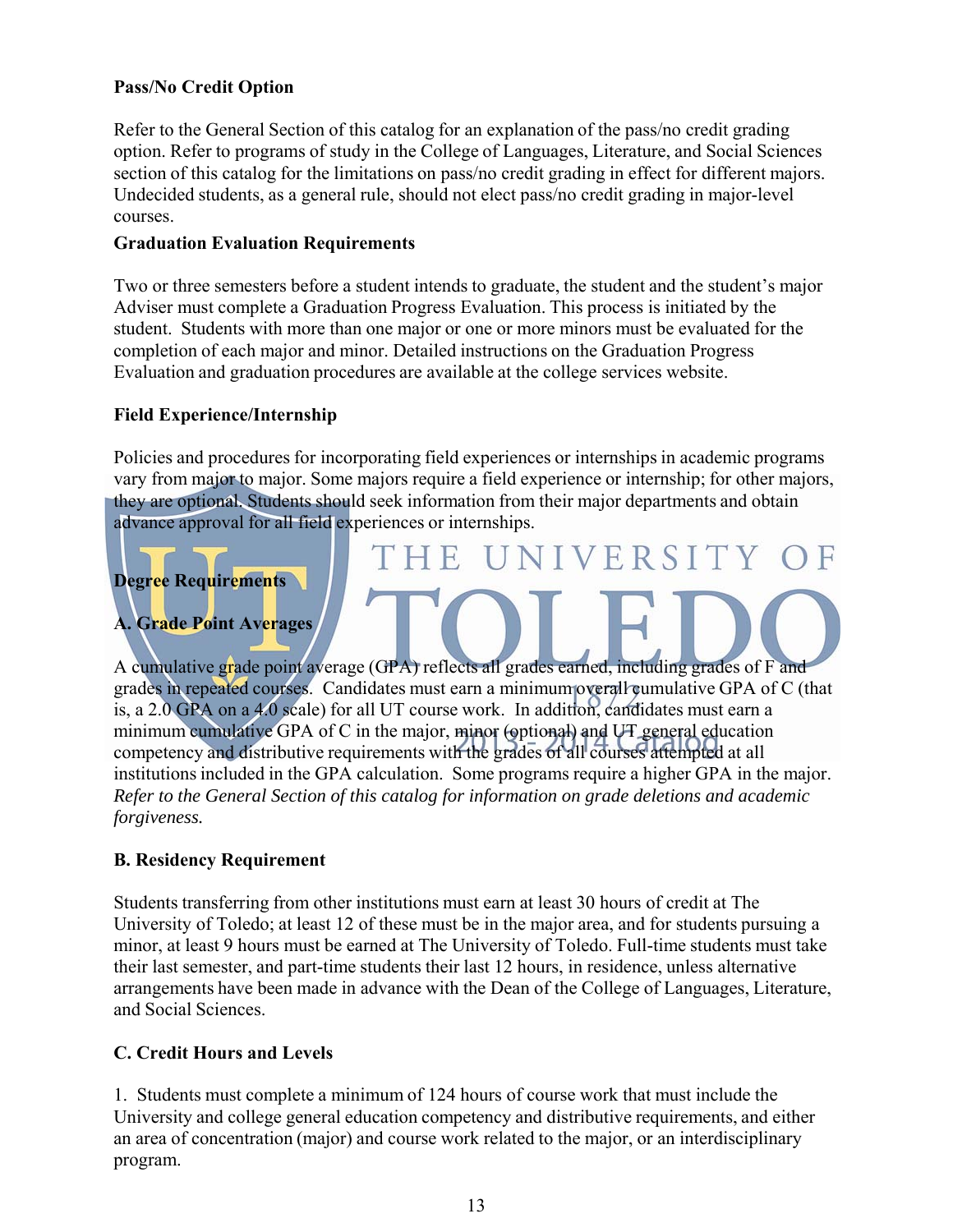#### **Pass/No Credit Option**

Refer to the General Section of this catalog for an explanation of the pass/no credit grading option. Refer to programs of study in the College of Languages, Literature, and Social Sciences section of this catalog for the limitations on pass/no credit grading in effect for different majors. Undecided students, as a general rule, should not elect pass/no credit grading in major-level courses.

#### **Graduation Evaluation Requirements**

Two or three semesters before a student intends to graduate, the student and the student's major Adviser must complete a Graduation Progress Evaluation. This process is initiated by the student. Students with more than one major or one or more minors must be evaluated for the completion of each major and minor. Detailed instructions on the Graduation Progress Evaluation and graduation procedures are available at the college services website.

#### **Field Experience/Internship**

Policies and procedures for incorporating field experiences or internships in academic programs vary from major to major. Some majors require a field experience or internship; for other majors, they are optional. Students should seek information from their major departments and obtain advance approval for all field experiences or internships.

THE UNIVERSITY

## **Degree Requirements**

**A. Grade Point Averages**

A cumulative grade point average (GPA) reflects all grades earned, including grades of F and grades in repeated courses. Candidates must earn a minimum overall cumulative GPA of C (that is, a 2.0 GPA on a 4.0 scale) for all UT course work. In addition, candidates must earn a minimum cumulative GPA of C in the major, minor (optional) and UT general education competency and distributive requirements with the grades of all courses attempted at all institutions included in the GPA calculation. Some programs require a higher GPA in the major. *Refer to the General Section of this catalog for information on grade deletions and academic forgiveness.*

#### **B. Residency Requirement**

Students transferring from other institutions must earn at least 30 hours of credit at The University of Toledo; at least 12 of these must be in the major area, and for students pursuing a minor, at least 9 hours must be earned at The University of Toledo. Full-time students must take their last semester, and part-time students their last 12 hours, in residence, unless alternative arrangements have been made in advance with the Dean of the College of Languages, Literature, and Social Sciences.

#### **C. Credit Hours and Levels**

1. Students must complete a minimum of 124 hours of course work that must include the University and college general education competency and distributive requirements, and either an area of concentration (major) and course work related to the major, or an interdisciplinary program.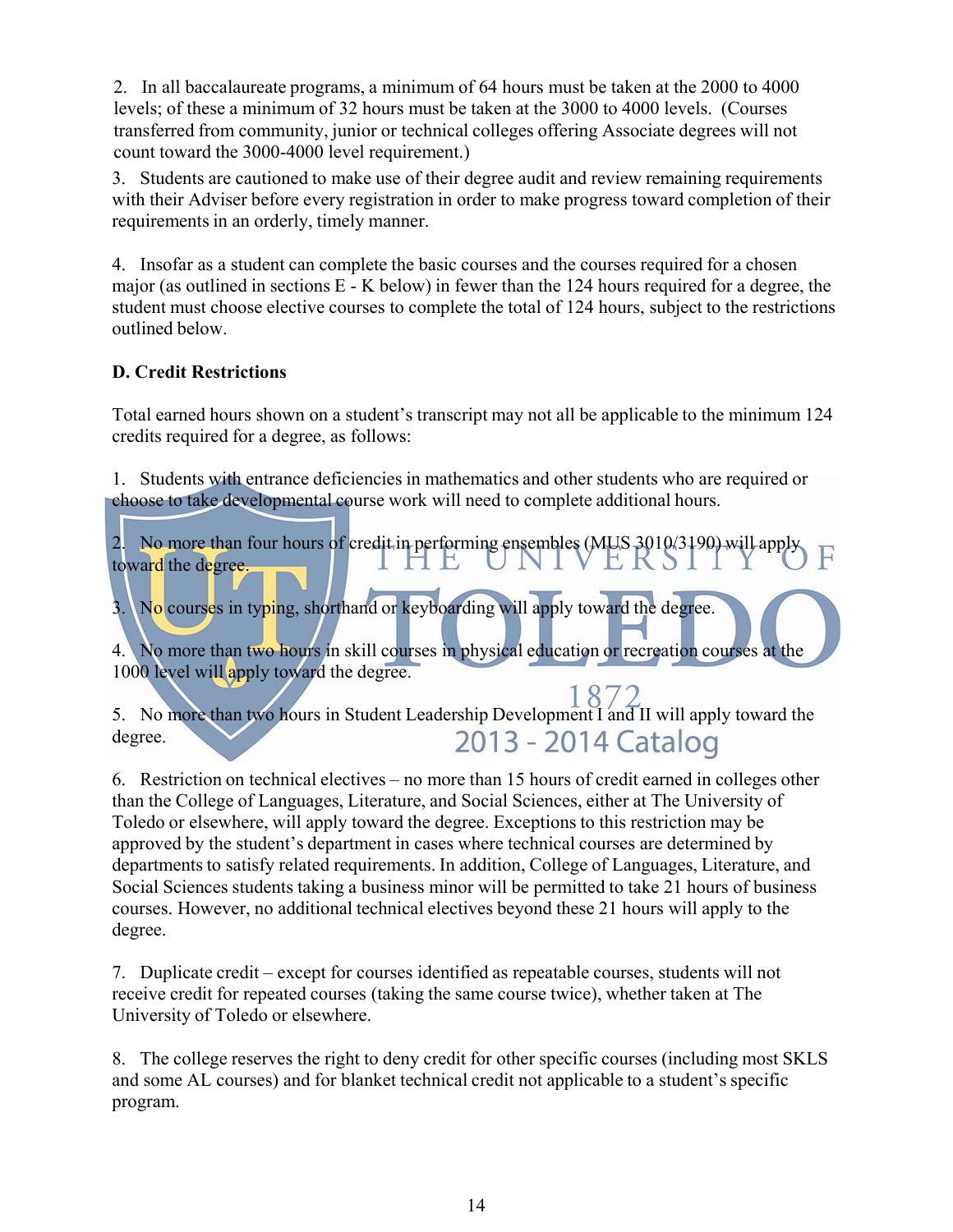2. In all baccalaureate programs, a minimum of 64 hours must be taken at the 2000 to 4000 levels; of these a minimum of 32 hours must be taken at the 3000 to 4000 levels. (Courses transferred from community, junior or technical colleges offering Associate degrees will not count toward the 3000-4000 level requirement.)

3. Students are cautioned to make use of their degree audit and review remaining requirements with their Adviser before every registration in order to make progress toward completion of their requirements in an orderly, timely manner.

4. Insofar as a student can complete the basic courses and the courses required for a chosen major (as outlined in sections E - K below) in fewer than the 124 hours required for a degree, the student must choose elective courses to complete the total of 124 hours, subject to the restrictions outlined below.

#### **D. Credit Restrictions**

Total earned hours shown on a student's transcript may not all be applicable to the minimum 124 credits required for a degree, as follows:

1. Students with entrance deficiencies in mathematics and other students who are required or choose to take developmental course work will need to complete additional hours.

2. No more than four hours of credit in performing ensembles (MUS 3010/3190) will apply toward the degree toward the degree. IHE T NI

3. No courses in typing, shorthand or keyboarding will apply toward the degree.

4. No more than two hours in skill courses in physical education or recreation courses at the 1000 level will apply toward the degree.

5. No more than two hours in Student Leadership Development I and II will apply toward the 2013 - 2014 Catalog degree.

6. Restriction on technical electives – no more than 15 hours of credit earned in colleges other than the College of Languages, Literature, and Social Sciences, either at The University of Toledo or elsewhere, will apply toward the degree. Exceptions to this restriction may be approved by the student's department in cases where technical courses are determined by departments to satisfy related requirements. In addition, College of Languages, Literature, and Social Sciences students taking a business minor will be permitted to take 21 hours of business courses. However, no additional technical electives beyond these 21 hours will apply to the degree.

7. Duplicate credit – except for courses identified as repeatable courses, students will not receive credit for repeated courses (taking the same course twice), whether taken at The University of Toledo or elsewhere.

8. The college reserves the right to deny credit for other specific courses (including most SKLS and some AL courses) and for blanket technical credit not applicable to a student's specific program.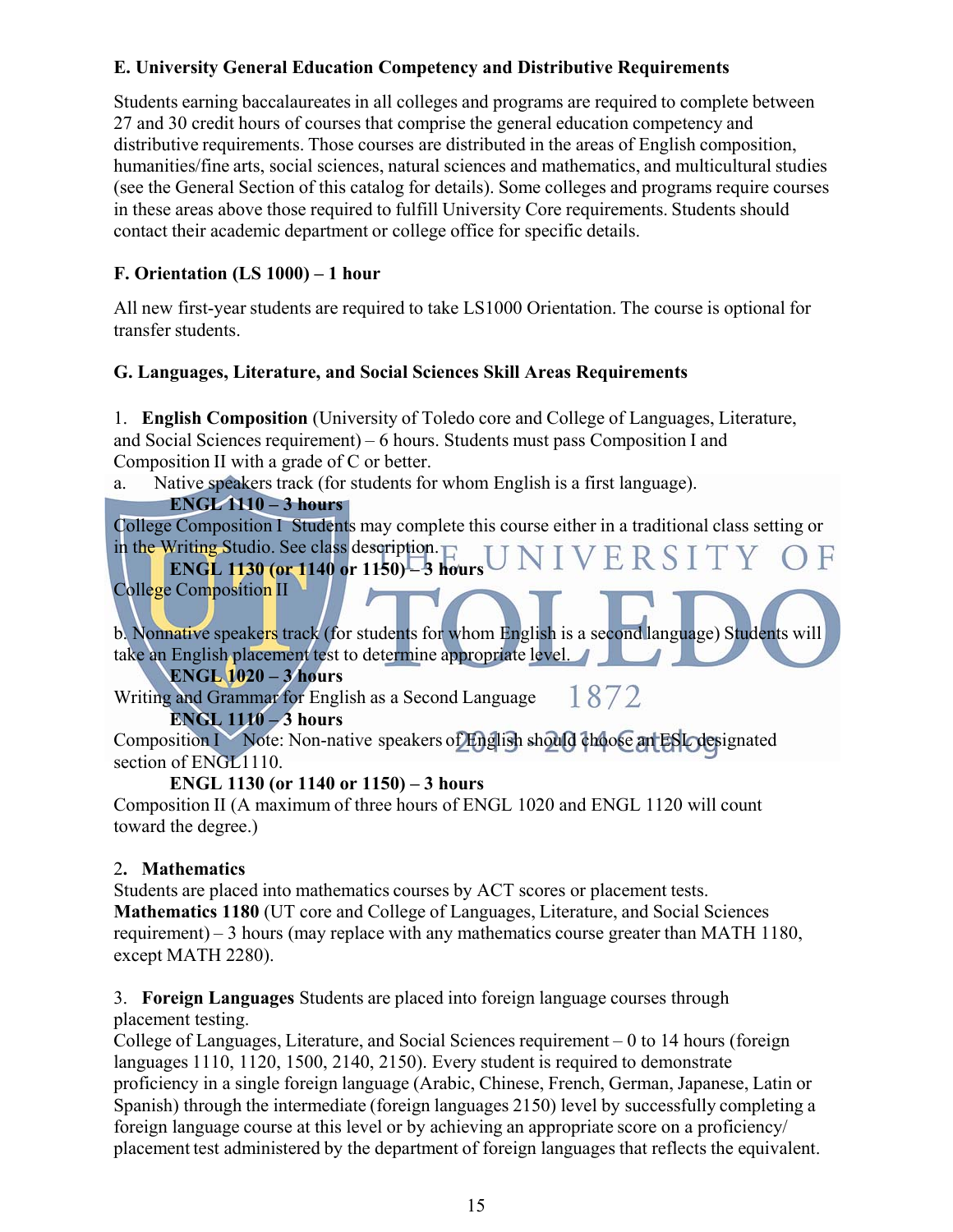#### **E. University General Education Competency and Distributive Requirements**

Students earning baccalaureates in all colleges and programs are required to complete between 27 and 30 credit hours of courses that comprise the general education competency and distributive requirements. Those courses are distributed in the areas of English composition, humanities/fine arts, social sciences, natural sciences and mathematics, and multicultural studies (see the General Section of this catalog for details). Some colleges and programs require courses in these areas above those required to fulfill University Core requirements. Students should contact their academic department or college office for specific details.

#### **F. Orientation (LS 1000) – 1 hour**

All new first-year students are required to take LS1000 Orientation. The course is optional for transfer students.

#### **G. Languages, Literature, and Social Sciences Skill Areas Requirements**

1. **English Composition** (University of Toledo core and College of Languages, Literature, and Social Sciences requirement) – 6 hours. Students must pass Composition I and Composition II with a grade of C or better.

a. Native speakers track (for students for whom English is a first language).

#### **ENGL 1110 – 3 hours**

College Composition I Students may complete this course either in a traditional class setting or in the Writing Studio. See class description.  $\Gamma$ N1 VERSITY

#### **ENGL 1130 (or 1140 or 1150) – 3 hours** College Composition II

b. Nonnative speakers track (for students for whom English is a second language) Students will take an English placement test to determine appropriate level.

**ENGL 1020 – 3 hours**

1872 Writing and Grammar for English as a Second Language

#### **ENGL 1110 – 3 hours**

Composition I Note: Non-native speakers of English should choose an ESL designated section of ENGL1110.

#### **ENGL 1130 (or 1140 or 1150) – 3 hours**

Composition II (A maximum of three hours of ENGL 1020 and ENGL 1120 will count toward the degree.)

#### 2**. Mathematics**

Students are placed into mathematics courses by ACT scores or placement tests. **Mathematics 1180** (UT core and College of Languages, Literature, and Social Sciences requirement) – 3 hours (may replace with any mathematics course greater than MATH 1180, except MATH 2280).

#### 3. **Foreign Languages** Students are placed into foreign language courses through placement testing.

College of Languages, Literature, and Social Sciences requirement – 0 to 14 hours (foreign languages 1110, 1120, 1500, 2140, 2150). Every student is required to demonstrate proficiency in a single foreign language (Arabic, Chinese, French, German, Japanese, Latin or Spanish) through the intermediate (foreign languages 2150) level by successfully completing a foreign language course at this level or by achieving an appropriate score on a proficiency/ placement test administered by the department of foreign languages that reflects the equivalent.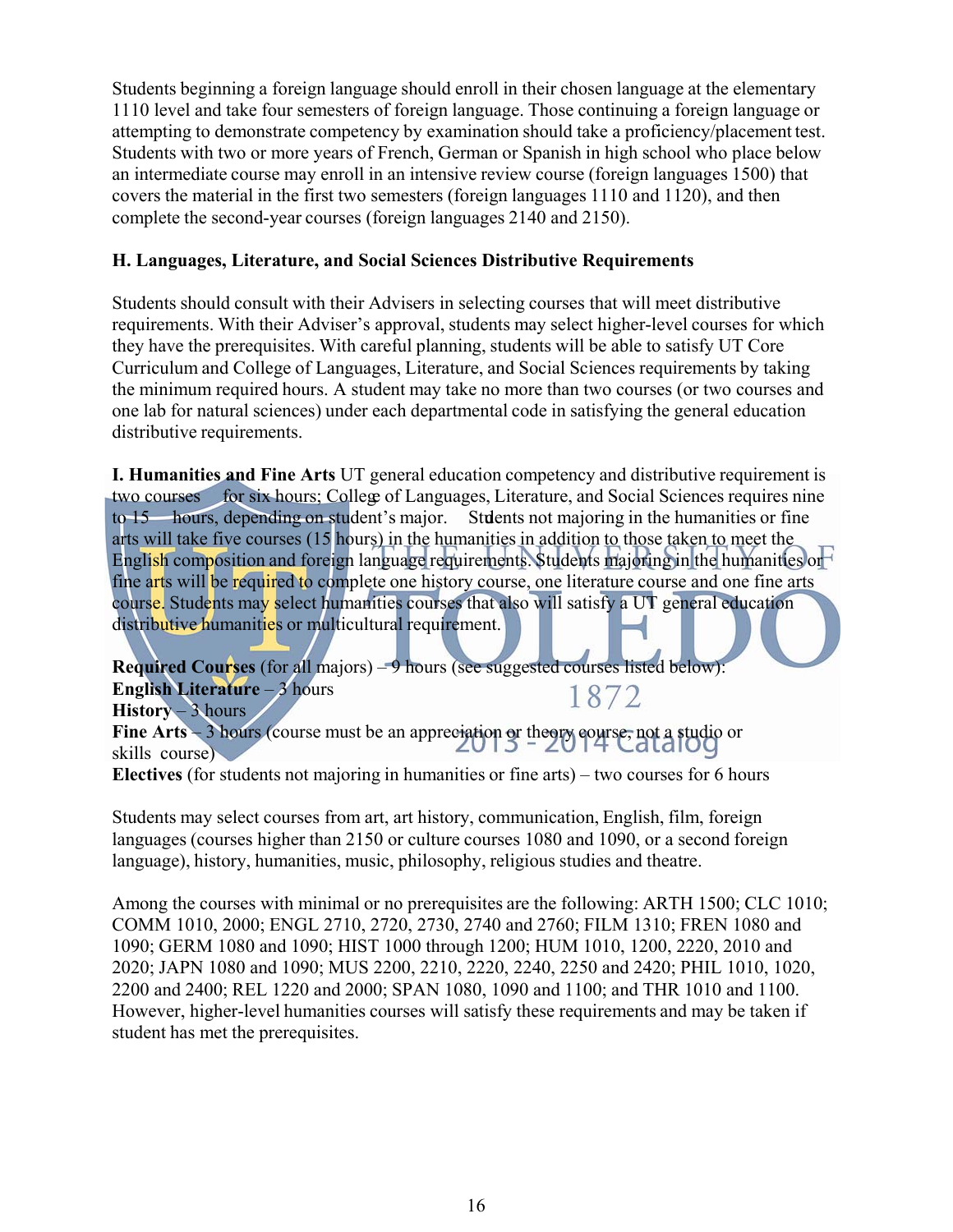Students beginning a foreign language should enroll in their chosen language at the elementary 1110 level and take four semesters of foreign language. Those continuing a foreign language or attempting to demonstrate competency by examination should take a proficiency/placement test. Students with two or more years of French, German or Spanish in high school who place below an intermediate course may enroll in an intensive review course (foreign languages 1500) that covers the material in the first two semesters (foreign languages 1110 and 1120), and then complete the second-year courses (foreign languages 2140 and 2150).

#### **H. Languages, Literature, and Social Sciences Distributive Requirements**

Students should consult with their Advisers in selecting courses that will meet distributive requirements. With their Adviser's approval, students may select higher-level courses for which they have the prerequisites. With careful planning, students will be able to satisfy UT Core Curriculum and College of Languages, Literature, and Social Sciences requirements by taking the minimum required hours. A student may take no more than two courses (or two courses and one lab for natural sciences) under each departmental code in satisfying the general education distributive requirements.

**I. Humanities and Fine Arts** UT general education competency and distributive requirement is two courses for six hours; College of Languages, Literature, and Social Sciences requires nine to 15 hours, depending on student's major. Students not majoring in the humanities or fine arts will take five courses (15 hours) in the humanities in addition to those taken to meet the English composition and foreign language requirements. Students majoring in the humanities or fine arts will be required to complete one history course, one literature course and one fine arts course. Students may select humanities courses that also will satisfy a UT general education distributive humanities or multicultural requirement.

**Required Courses** (for all majors) – 9 hours (see suggested courses listed below): **English Literature** – 3 hours 1872 History – 3 hours

Fine Arts – 3 hours (course must be an appreciation or theory course, not a studio or skills course)

**Electives** (for students not majoring in humanities or fine arts) – two courses for 6 hours

Students may select courses from art, art history, communication, English, film, foreign languages (courses higher than 2150 or culture courses 1080 and 1090, or a second foreign language), history, humanities, music, philosophy, religious studies and theatre.

Among the courses with minimal or no prerequisites are the following: ARTH 1500; CLC 1010; COMM 1010, 2000; ENGL 2710, 2720, 2730, 2740 and 2760; FILM 1310; FREN 1080 and 1090; GERM 1080 and 1090; HIST 1000 through 1200; HUM 1010, 1200, 2220, 2010 and 2020; JAPN 1080 and 1090; MUS 2200, 2210, 2220, 2240, 2250 and 2420; PHIL 1010, 1020, 2200 and 2400; REL 1220 and 2000; SPAN 1080, 1090 and 1100; and THR 1010 and 1100. However, higher-level humanities courses will satisfy these requirements and may be taken if student has met the prerequisites.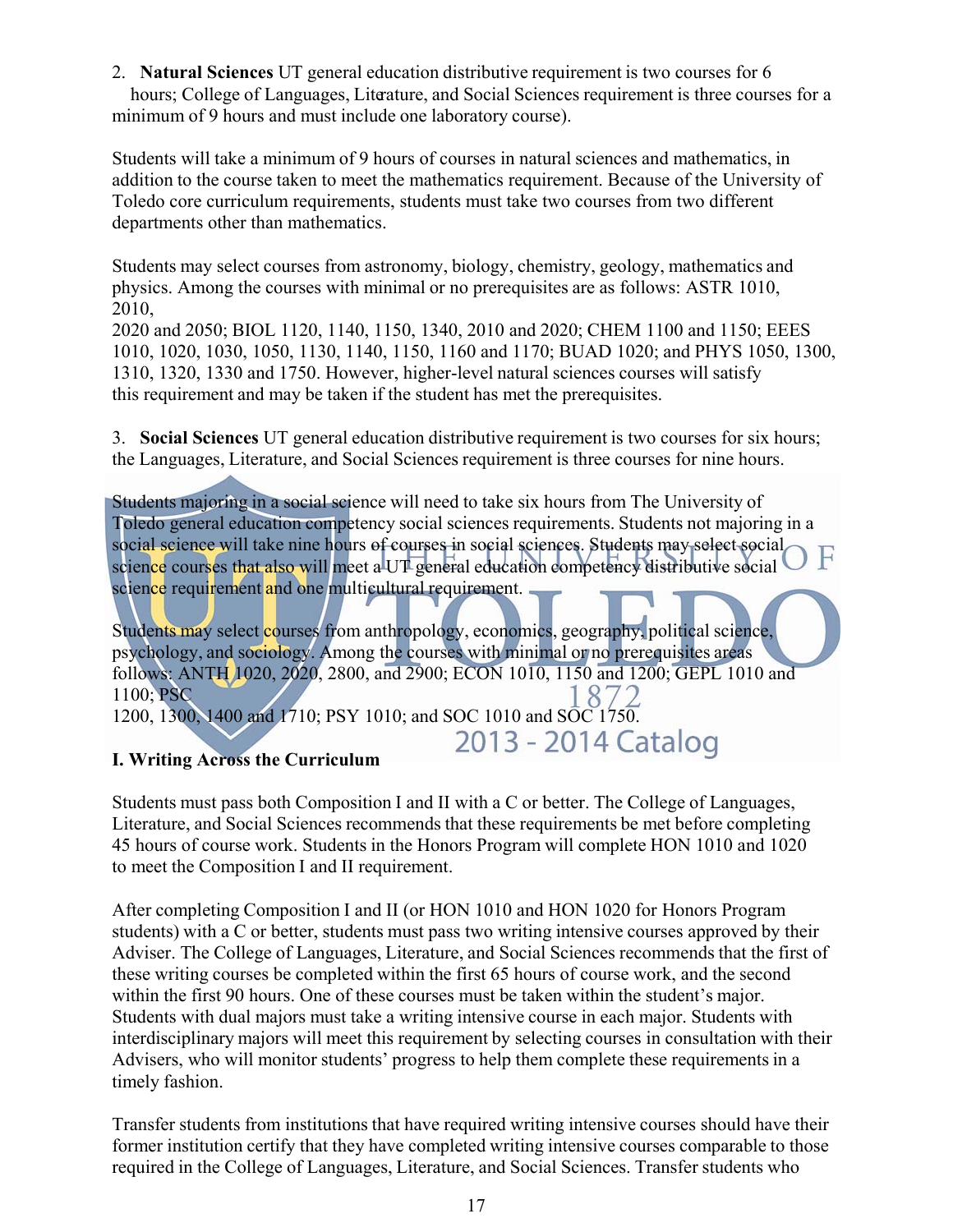2. **Natural Sciences** UT general education distributive requirement is two courses for 6 hours; College of Languages, Literature, and Social Sciences requirement is three courses for a minimum of 9 hours and must include one laboratory course).

Students will take a minimum of 9 hours of courses in natural sciences and mathematics, in addition to the course taken to meet the mathematics requirement. Because of the University of Toledo core curriculum requirements, students must take two courses from two different departments other than mathematics.

Students may select courses from astronomy, biology, chemistry, geology, mathematics and physics. Among the courses with minimal or no prerequisites are as follows: ASTR 1010, 2010,

2020 and 2050; BIOL 1120, 1140, 1150, 1340, 2010 and 2020; CHEM 1100 and 1150; EEES 1010, 1020, 1030, 1050, 1130, 1140, 1150, 1160 and 1170; BUAD 1020; and PHYS 1050, 1300, 1310, 1320, 1330 and 1750. However, higher-level natural sciences courses will satisfy this requirement and may be taken if the student has met the prerequisites.

3. **Social Sciences** UT general education distributive requirement is two courses for six hours; the Languages, Literature, and Social Sciences requirement is three courses for nine hours.

Students majoring in a social science will need to take six hours from The University of Toledo general education competency social sciences requirements. Students not majoring in a social science will take nine hours of courses in social sciences. Students may select social science courses that also will meet a UT general education competency distributive social science requirement and one multicultural requirement.

Students may select courses from anthropology, economics, geography, political science, psychology, and sociology. Among the courses with minimal or no prerequisites areas follows: ANTH 1020, 2020, 2800, and 2900; ECON 1010, 1150 and 1200; GEPL 1010 and 1100; PSC 872 1200, 1300, 1400 and 1710; PSY 1010; and SOC 1010 and SOC 1750.

2013 - 2014 Catalog

#### **I. Writing Across the Curriculum**

Students must pass both Composition I and II with a C or better. The College of Languages, Literature, and Social Sciences recommends that these requirements be met before completing 45 hours of course work. Students in the Honors Program will complete HON 1010 and 1020 to meet the Composition I and II requirement.

After completing Composition I and II (or HON 1010 and HON 1020 for Honors Program students) with a C or better, students must pass two writing intensive courses approved by their Adviser. The College of Languages, Literature, and Social Sciences recommends that the first of these writing courses be completed within the first 65 hours of course work, and the second within the first 90 hours. One of these courses must be taken within the student's major. Students with dual majors must take a writing intensive course in each major. Students with interdisciplinary majors will meet this requirement by selecting courses in consultation with their Advisers, who will monitor students' progress to help them complete these requirements in a timely fashion.

Transfer students from institutions that have required writing intensive courses should have their former institution certify that they have completed writing intensive courses comparable to those required in the College of Languages, Literature, and Social Sciences. Transfer students who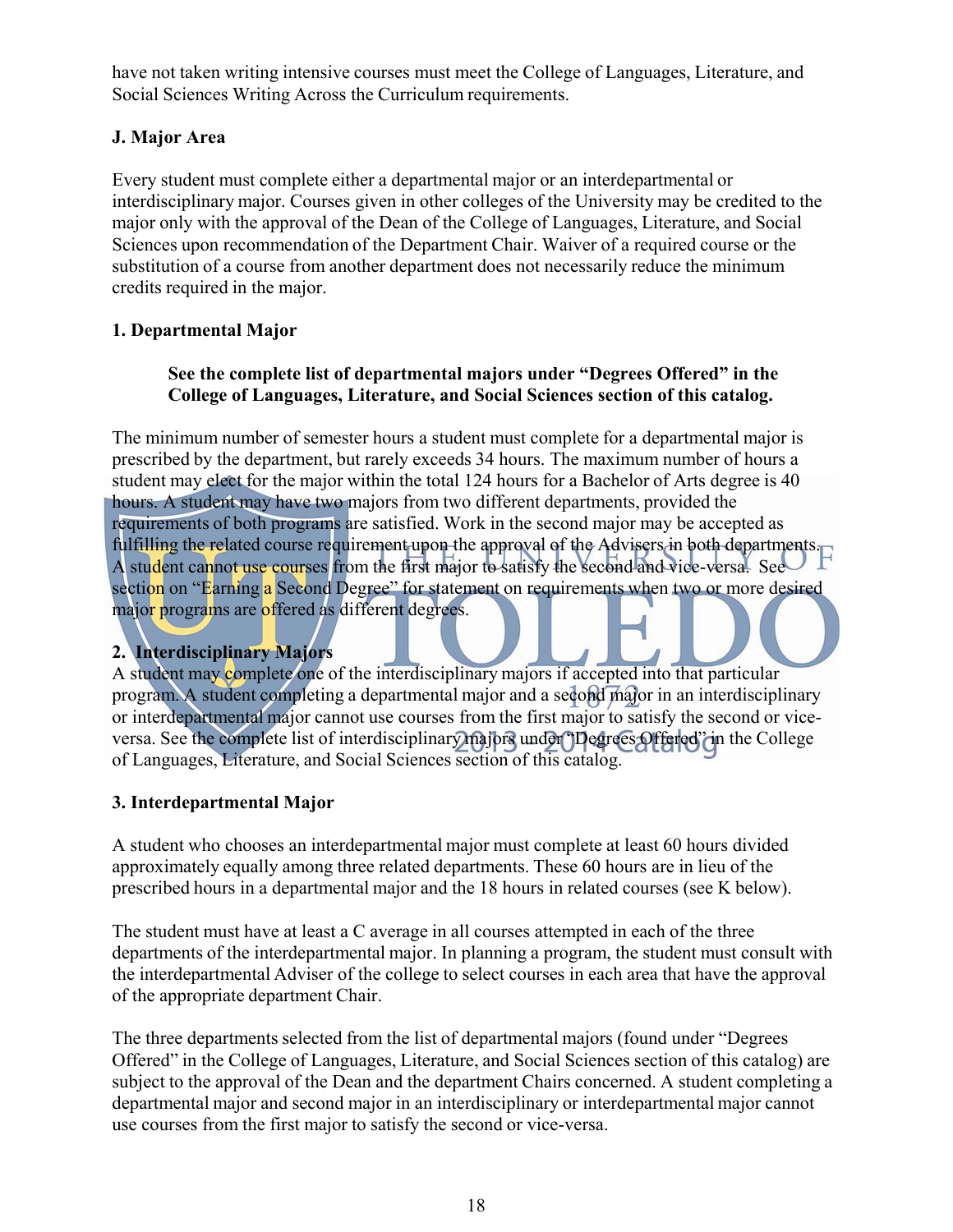have not taken writing intensive courses must meet the College of Languages, Literature, and Social Sciences Writing Across the Curriculum requirements.

#### **J. Major Area**

Every student must complete either a departmental major or an interdepartmental or interdisciplinary major. Courses given in other colleges of the University may be credited to the major only with the approval of the Dean of the College of Languages, Literature, and Social Sciences upon recommendation of the Department Chair. Waiver of a required course or the substitution of a course from another department does not necessarily reduce the minimum credits required in the major.

#### **1. Departmental Major**

#### **See the complete list of departmental majors under "Degrees Offered" in the College of Languages, Literature, and Social Sciences section of this catalog.**

The minimum number of semester hours a student must complete for a departmental major is prescribed by the department, but rarely exceeds 34 hours. The maximum number of hours a student may elect for the major within the total 124 hours for a Bachelor of Arts degree is 40 hours. A student may have two majors from two different departments, provided the requirements of both programs are satisfied. Work in the second major may be accepted as fulfilling the related course requirement upon the approval of the Advisers in both departments. A student cannot use courses from the first major to satisfy the second and vice-versa. See section on "Earning a Second Degree" for statement on requirements when two or more desired major programs are offered as different degrees.

#### **2. Interdisciplinary Majors**

A student may complete one of the interdisciplinary majors if accepted into that particular program. A student completing a departmental major and a second major in an interdisciplinary or interdepartmental major cannot use courses from the first major to satisfy the second or viceversa. See the complete list of interdisciplinary majors under "Degrees Offered" in the College of Languages, Literature, and Social Sciences section of this catalog.

#### **3. Interdepartmental Major**

A student who chooses an interdepartmental major must complete at least 60 hours divided approximately equally among three related departments. These 60 hours are in lieu of the prescribed hours in a departmental major and the 18 hours in related courses (see K below).

The student must have at least a C average in all courses attempted in each of the three departments of the interdepartmental major. In planning a program, the student must consult with the interdepartmental Adviser of the college to select courses in each area that have the approval of the appropriate department Chair.

The three departments selected from the list of departmental majors (found under "Degrees Offered" in the College of Languages, Literature, and Social Sciences section of this catalog) are subject to the approval of the Dean and the department Chairs concerned. A student completing a departmental major and second major in an interdisciplinary or interdepartmental major cannot use courses from the first major to satisfy the second or vice-versa.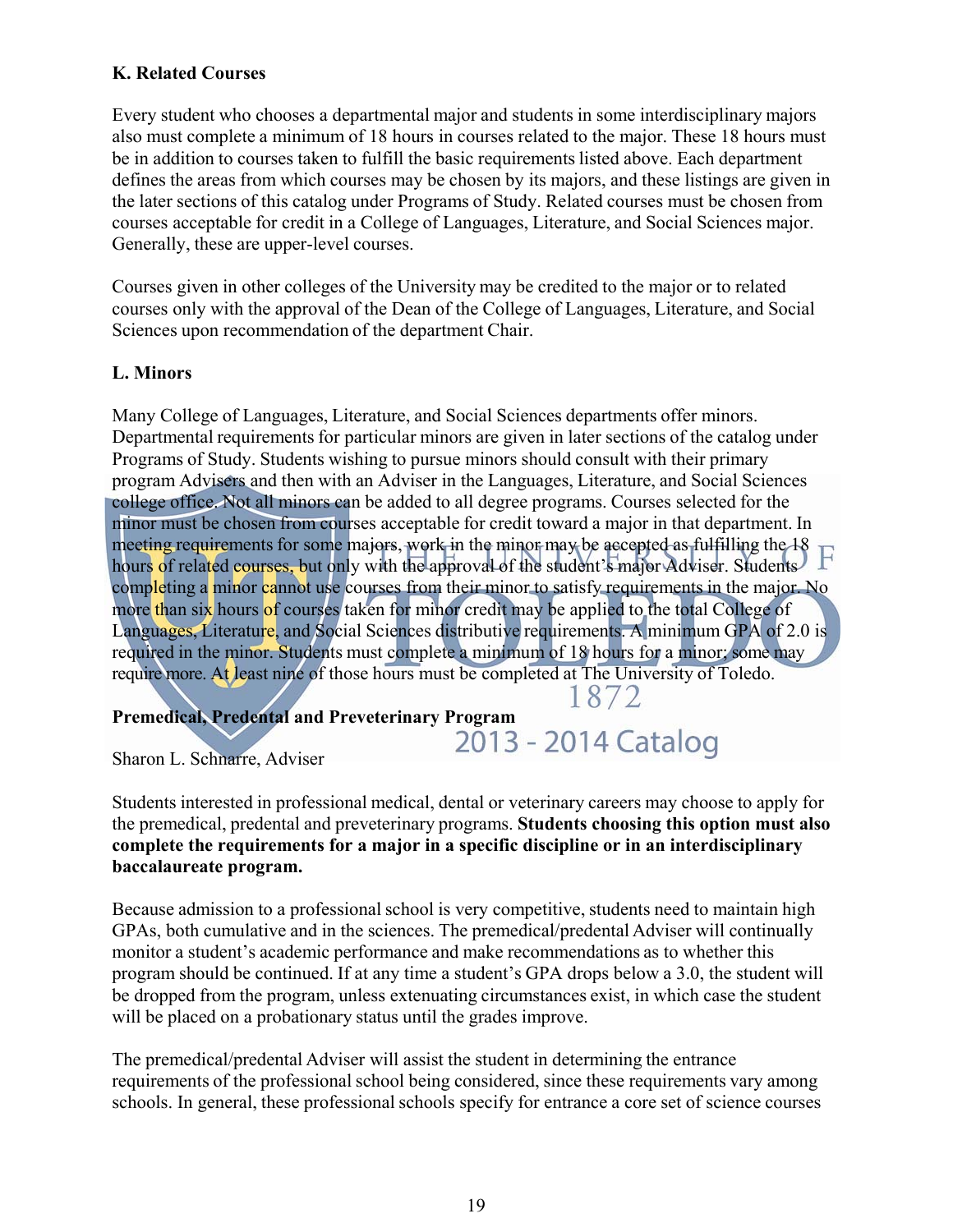#### **K. Related Courses**

Every student who chooses a departmental major and students in some interdisciplinary majors also must complete a minimum of 18 hours in courses related to the major. These 18 hours must be in addition to courses taken to fulfill the basic requirements listed above. Each department defines the areas from which courses may be chosen by its majors, and these listings are given in the later sections of this catalog under Programs of Study. Related courses must be chosen from courses acceptable for credit in a College of Languages, Literature, and Social Sciences major. Generally, these are upper-level courses.

Courses given in other colleges of the University may be credited to the major or to related courses only with the approval of the Dean of the College of Languages, Literature, and Social Sciences upon recommendation of the department Chair.

#### **L. Minors**

Many College of Languages, Literature, and Social Sciences departments offer minors. Departmental requirements for particular minors are given in later sections of the catalog under Programs of Study. Students wishing to pursue minors should consult with their primary program Advisers and then with an Adviser in the Languages, Literature, and Social Sciences college office. Not all minors can be added to all degree programs. Courses selected for the minor must be chosen from courses acceptable for credit toward a major in that department. In meeting requirements for some majors, work in the minor may be accepted as fulfilling the 18 hours of related courses, but only with the approval of the student's major Adviser. Students completing a minor cannot use courses from their minor to satisfy requirements in the major. No more than six hours of courses taken for minor credit may be applied to the total College of Languages, Literature, and Social Sciences distributive requirements. A minimum GPA of 2.0 is required in the minor. Students must complete a minimum of 18 hours for a minor; some may require more. At least nine of those hours must be completed at The University of Toledo. 1872

# Premedical, Predental and Preveterinary Program<br>2013 - 2014 Catalog

Sharon L. Schnarre, Adviser

Students interested in professional medical, dental or veterinary careers may choose to apply for the premedical, predental and preveterinary programs. **Students choosing this option must also complete the requirements for a major in a specific discipline or in an interdisciplinary baccalaureate program.**

Because admission to a professional school is very competitive, students need to maintain high GPAs, both cumulative and in the sciences. The premedical/predental Adviser will continually monitor a student's academic performance and make recommendations as to whether this program should be continued. If at any time a student's GPA drops below a 3.0, the student will be dropped from the program, unless extenuating circumstances exist, in which case the student will be placed on a probationary status until the grades improve.

The premedical/predental Adviser will assist the student in determining the entrance requirements of the professional school being considered, since these requirements vary among schools. In general, these professional schools specify for entrance a core set of science courses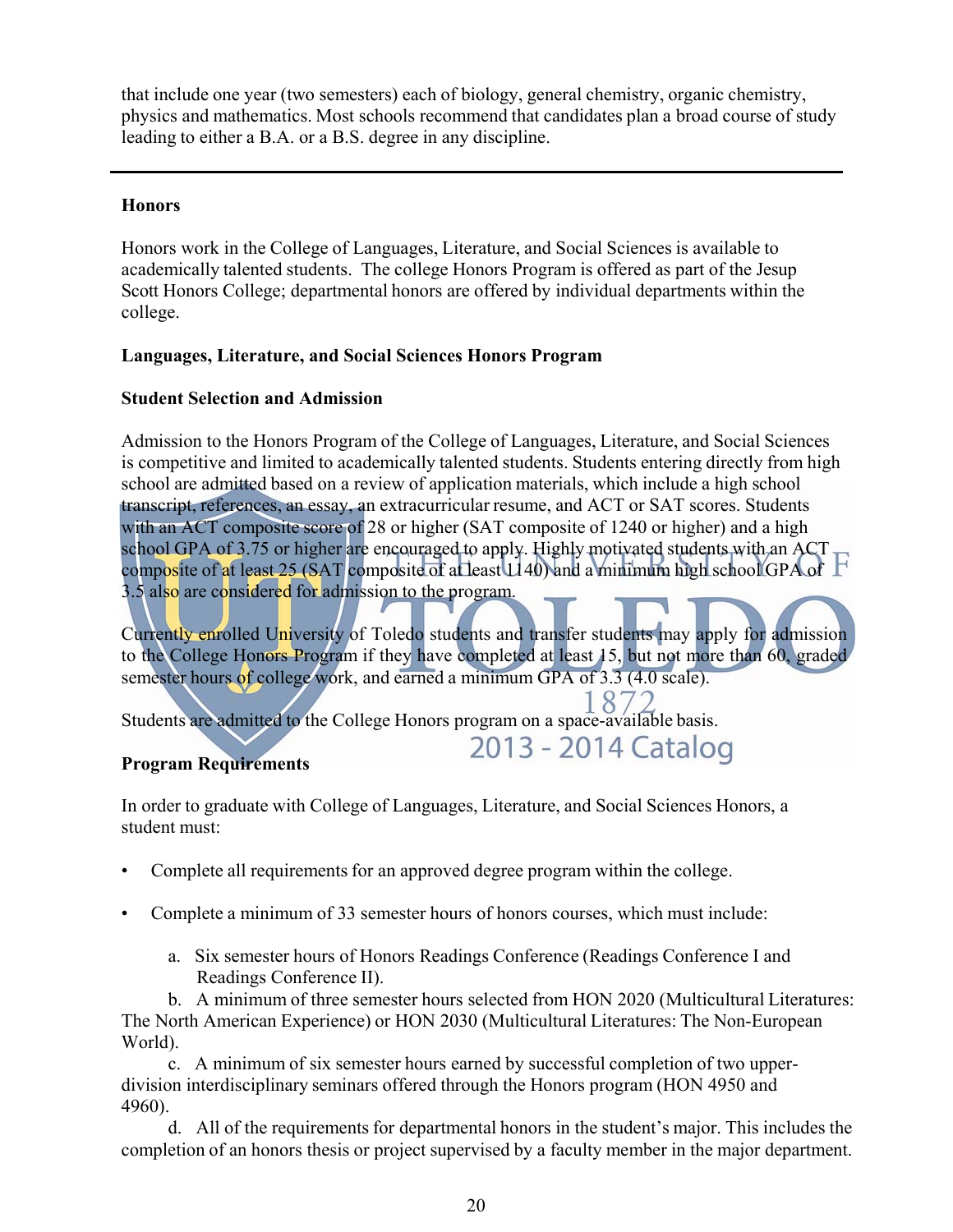that include one year (two semesters) each of biology, general chemistry, organic chemistry, physics and mathematics. Most schools recommend that candidates plan a broad course of study leading to either a B.A. or a B.S. degree in any discipline.

#### **Honors**

Honors work in the College of Languages, Literature, and Social Sciences is available to academically talented students. The college Honors Program is offered as part of the Jesup Scott Honors College; departmental honors are offered by individual departments within the college.

#### **Languages, Literature, and Social Sciences Honors Program**

#### **Student Selection and Admission**

Admission to the Honors Program of the College of Languages, Literature, and Social Sciences is competitive and limited to academically talented students. Students entering directly from high school are admitted based on a review of application materials, which include a high school transcript, references, an essay, an extracurricular resume, and ACT or SAT scores. Students with an ACT composite score of 28 or higher (SAT composite of 1240 or higher) and a high school GPA of 3.75 or higher are encouraged to apply. Highly motivated students with an ACT composite of at least 25 (SAT composite of at least 1140) and a minimum high school GPA of F 3.5 also are considered for admission to the program.

Currently enrolled University of Toledo students and transfer students may apply for admission to the College Honors Program if they have completed at least 15, but not more than 60, graded semester hours of college work, and earned a minimum GPA of 3.3 (4.0 scale).

2013 - 2014 Catalog

Students are admitted to the College Honors program on a space-available basis.

#### **Program Requirements**

In order to graduate with College of Languages, Literature, and Social Sciences Honors, a student must:

- Complete all requirements for an approved degree program within the college.
- Complete a minimum of 33 semester hours of honors courses, which must include:
	- a. Six semester hours of Honors Readings Conference (Readings Conference I and Readings Conference II).

b. A minimum of three semester hours selected from HON 2020 (Multicultural Literatures: The North American Experience) or HON 2030 (Multicultural Literatures: The Non-European World).

c. A minimum of six semester hours earned by successful completion of two upperdivision interdisciplinary seminars offered through the Honors program (HON 4950 and 4960).

d. All of the requirements for departmental honors in the student's major. This includes the completion of an honors thesis or project supervised by a faculty member in the major department.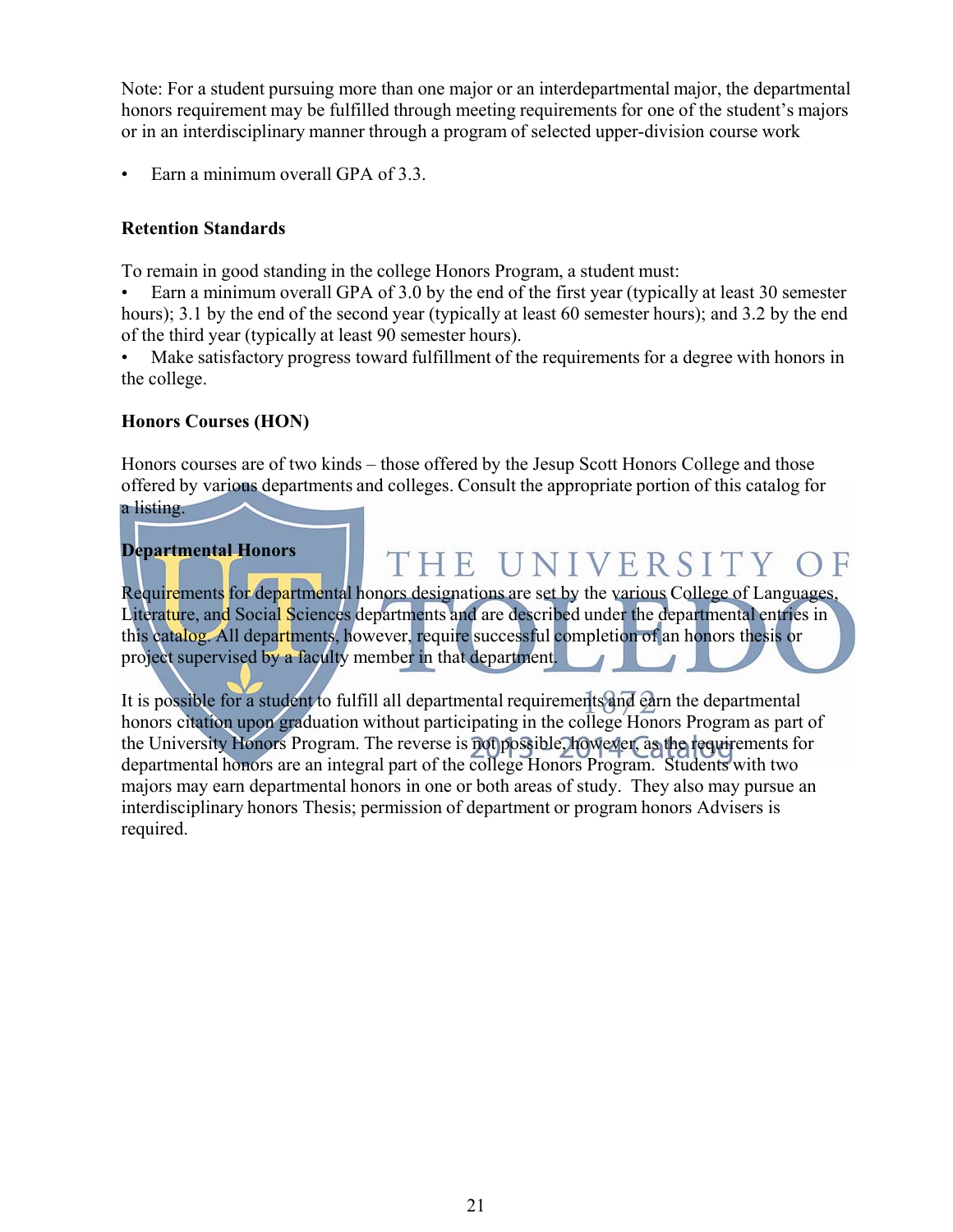Note: For a student pursuing more than one major or an interdepartmental major, the departmental honors requirement may be fulfilled through meeting requirements for one of the student's majors or in an interdisciplinary manner through a program of selected upper-division course work

• Earn a minimum overall GPA of 3.3.

#### **Retention Standards**

To remain in good standing in the college Honors Program, a student must:

• Earn a minimum overall GPA of 3.0 by the end of the first year (typically at least 30 semester hours); 3.1 by the end of the second year (typically at least 60 semester hours); and 3.2 by the end of the third year (typically at least 90 semester hours).

Make satisfactory progress toward fulfillment of the requirements for a degree with honors in the college.

#### **Honors Courses (HON)**

Honors courses are of two kinds – those offered by the Jesup Scott Honors College and those offered by various departments and colleges. Consult the appropriate portion of this catalog for a listing.

#### **Departmental Honors**

## THE UNIVERSITY

Requirements for departmental honors designations are set by the various College of Languages, Literature, and Social Sciences departments and are described under the departmental entries in this catalog. All departments, however, require successful completion of an honors thesis or project supervised by a faculty member in that department.

It is possible for a student to fulfill all departmental requirements and earn the departmental honors citation upon graduation without participating in the college Honors Program as part of the University Honors Program. The reverse is not possible, however, as the requirements for departmental honors are an integral part of the college Honors Program. Students with two majors may earn departmental honors in one or both areas of study. They also may pursue an interdisciplinary honors Thesis; permission of department or program honors Advisers is required.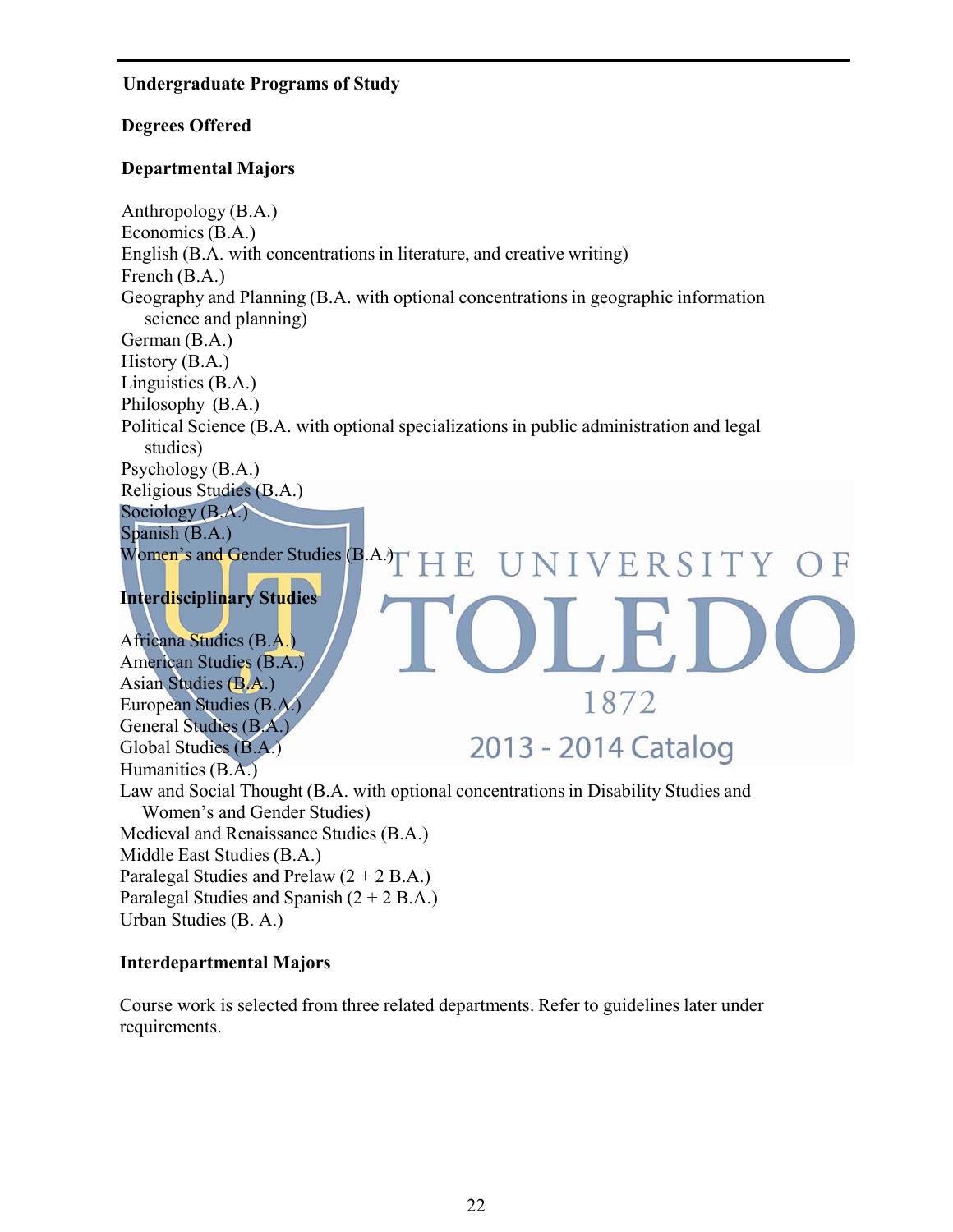#### **Undergraduate Programs of Study**

#### **Degrees Offered**

#### **Departmental Majors**

Anthropology (B.A.) Economics (B.A.) English (B.A. with concentrations in literature, and creative writing) French (B.A.) Geography and Planning (B.A. with optional concentrations in geographic information science and planning) German (B.A.) History (B.A.) Linguistics (B.A.) Philosophy (B.A.) Political Science (B.A. with optional specializations in public administration and legal studies) Psychology (B.A.) Religious Studies (B.A.) Sociology (B.A.) Spanish (B.A.) Women's and Gender Studies  $(B.A.)$   $\Gamma$   $H$   $E$ UNIVERSITY OF

#### **Interdisciplinary Studies**

Africana Studies (B.A.) American Studies (B.A.) Asian Studies (B.A.) 1872 European Studies (B.A.) General Studies (B.A.) 2013 - 2014 Catalog Global Studies (B.A.) Humanities (B.A.) Law and Social Thought (B.A. with optional concentrations in Disability Studies and Women's and Gender Studies) Medieval and Renaissance Studies (B.A.) Middle East Studies (B.A.) Paralegal Studies and Prelaw (2 + 2 B.A.) Paralegal Studies and Spanish  $(2 + 2 B.A.)$ Urban Studies (B. A.)

#### **Interdepartmental Majors**

Course work is selected from three related departments. Refer to guidelines later under requirements.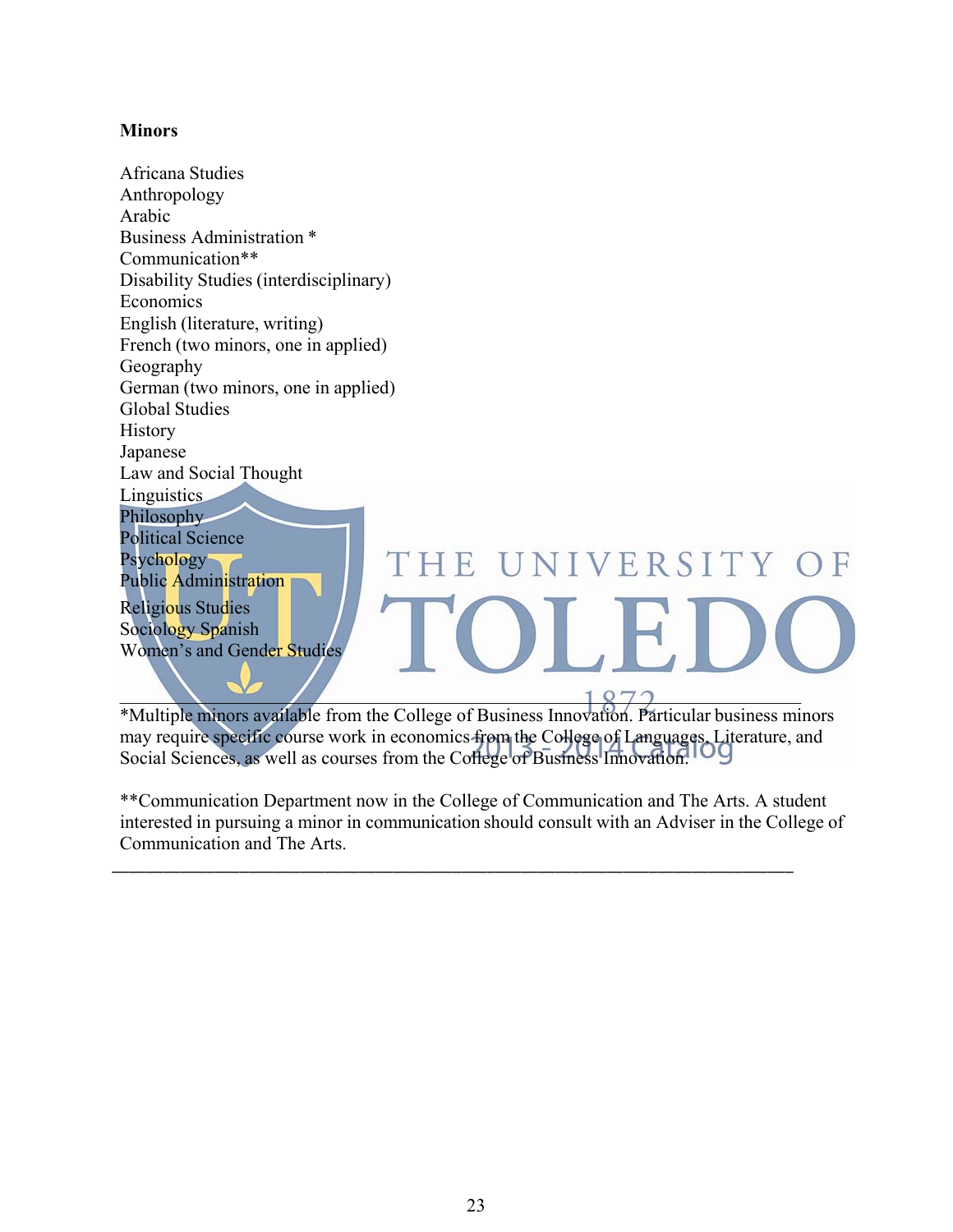#### **Minors**

Africana Studies Anthropology Arabic Business Administration \* Communication\*\* Disability Studies (interdisciplinary) Economics English (literature, writing) French (two minors, one in applied) Geography German (two minors, one in applied) Global Studies History Japanese Law and Social Thought Linguistics Philosophy Political Science THE UNIVERSITY OF Psychology Public Administration Religious Studies Sociology Spanish Women's and Gender Studies  $\blacksquare$ 

\*Multiple minors available from the College of Business Innovation. Particular business minors may require specific course work in economics from the College of Languages, Literature, and Social Sciences, as well as courses from the College of Business Innovation.

\*\*Communication Department now in the College of Communication and The Arts. A student interested in pursuing a minor in communication should consult with an Adviser in the College of Communication and The Arts.

\_\_\_\_\_\_\_\_\_\_\_\_\_\_\_\_\_\_\_\_\_\_\_\_\_\_\_\_\_\_\_\_\_\_\_\_\_\_\_\_\_\_\_\_\_\_\_\_\_\_\_\_\_\_\_\_\_\_\_\_\_\_\_\_\_\_\_\_\_\_\_\_\_\_\_\_\_\_\_\_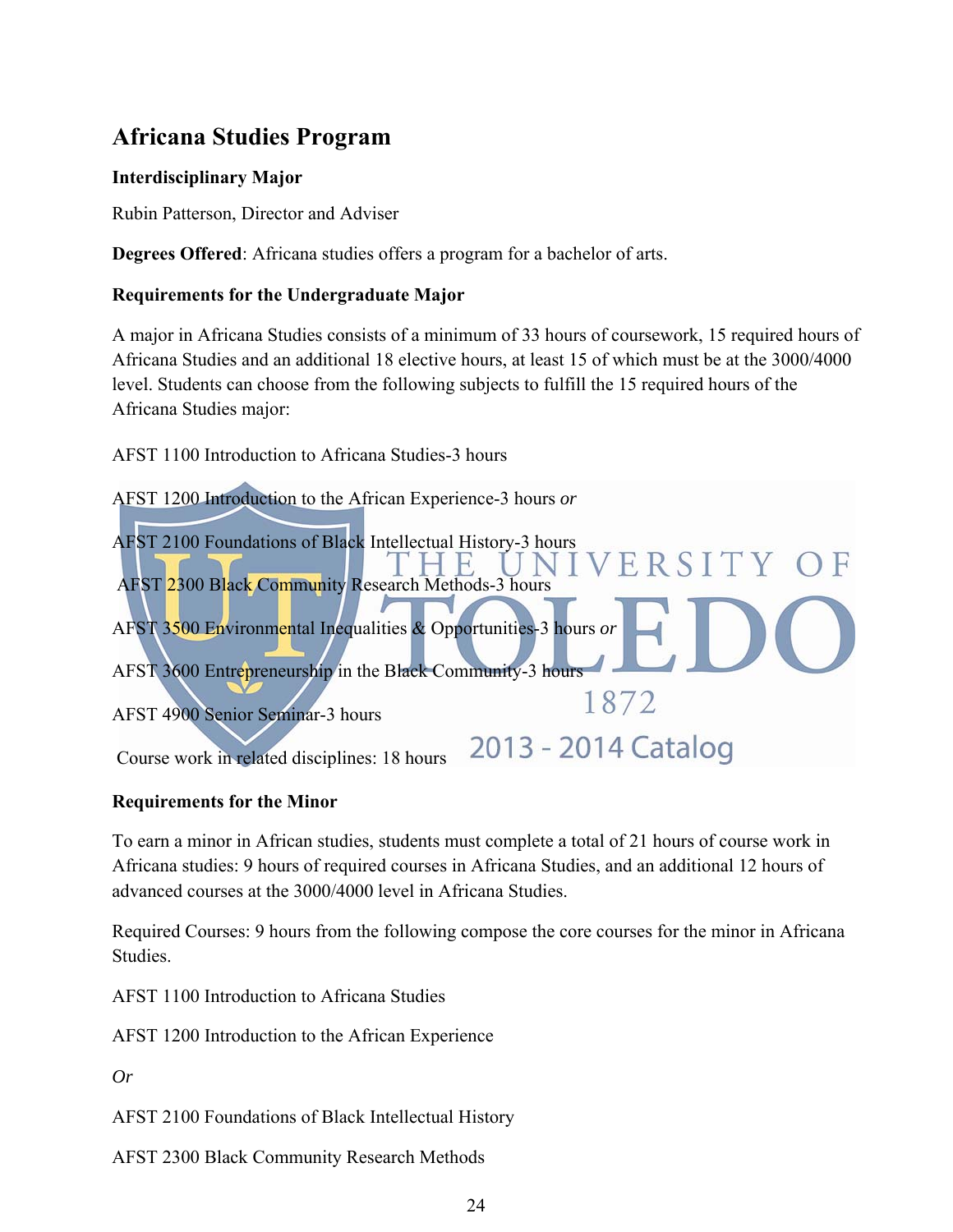## **Africana Studies Program**

#### **Interdisciplinary Major**

Rubin Patterson, Director and Adviser

**Degrees Offered**: Africana studies offers a program for a bachelor of arts.

#### **Requirements for the Undergraduate Major**

A major in Africana Studies consists of a minimum of 33 hours of coursework, 15 required hours of Africana Studies and an additional 18 elective hours, at least 15 of which must be at the 3000/4000 level. Students can choose from the following subjects to fulfill the 15 required hours of the Africana Studies major:

AFST 1100 Introduction to Africana Studies-3 hours



#### **Requirements for the Minor**

To earn a minor in African studies, students must complete a total of 21 hours of course work in Africana studies: 9 hours of required courses in Africana Studies, and an additional 12 hours of advanced courses at the 3000/4000 level in Africana Studies.

Required Courses: 9 hours from the following compose the core courses for the minor in Africana Studies.

AFST 1100 Introduction to Africana Studies

AFST 1200 Introduction to the African Experience

*Or* 

AFST 2100 Foundations of Black Intellectual History

AFST 2300 Black Community Research Methods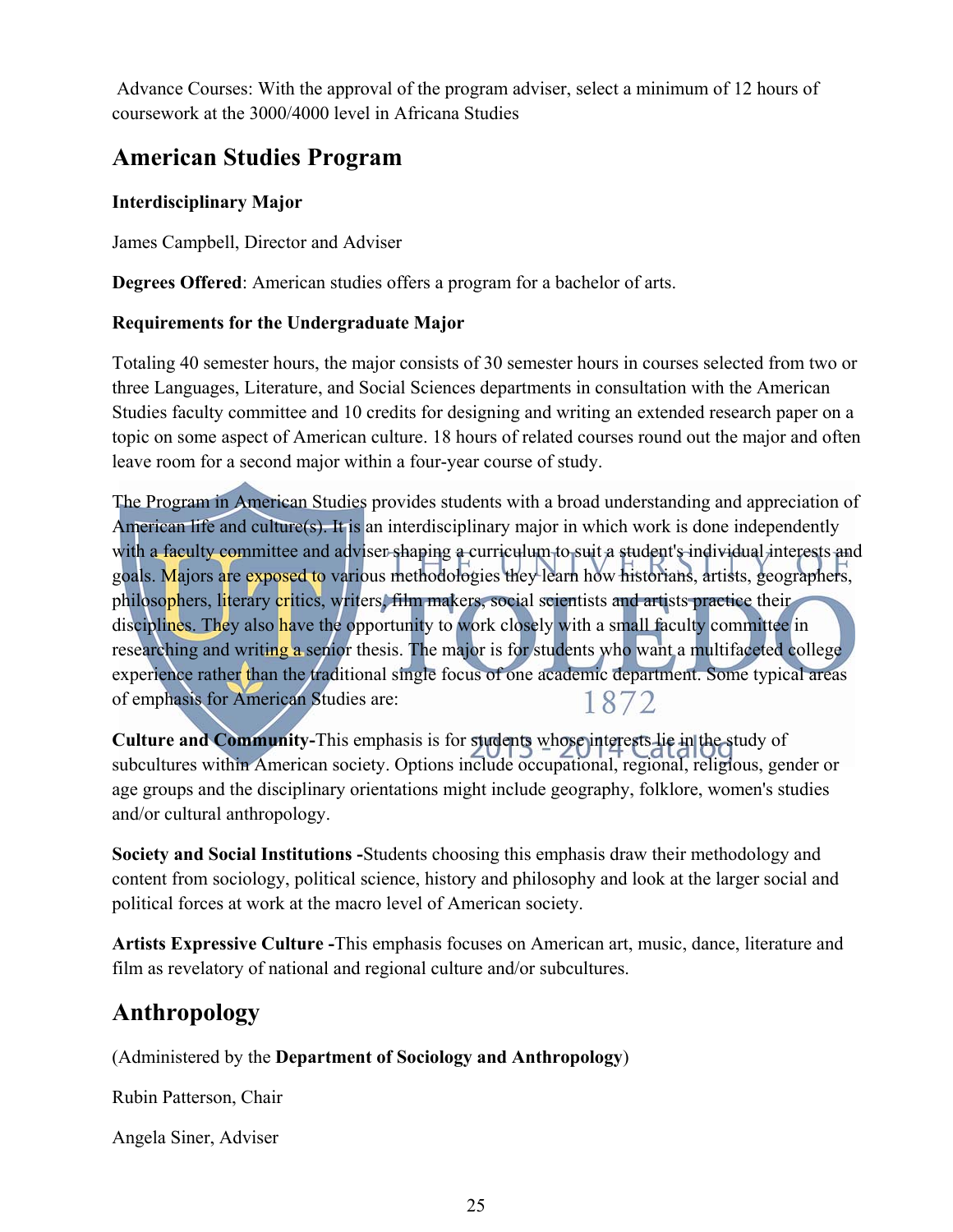Advance Courses: With the approval of the program adviser, select a minimum of 12 hours of coursework at the 3000/4000 level in Africana Studies

## **American Studies Program**

#### **Interdisciplinary Major**

James Campbell, Director and Adviser

**Degrees Offered**: American studies offers a program for a bachelor of arts.

#### **Requirements for the Undergraduate Major**

Totaling 40 semester hours, the major consists of 30 semester hours in courses selected from two or three Languages, Literature, and Social Sciences departments in consultation with the American Studies faculty committee and 10 credits for designing and writing an extended research paper on a topic on some aspect of American culture. 18 hours of related courses round out the major and often leave room for a second major within a four-year course of study.

The Program in American Studies provides students with a broad understanding and appreciation of American life and culture(s). It is an interdisciplinary major in which work is done independently with a faculty committee and adviser shaping a curriculum to suit a student's individual interests and goals. Majors are exposed to various methodologies they learn how historians, artists, geographers, philosophers, literary critics, writers, film makers, social scientists and artists practice their disciplines. They also have the opportunity to work closely with a small faculty committee in researching and writing a senior thesis. The major is for students who want a multifaceted college experience rather than the traditional single focus of one academic department. Some typical areas of emphasis for American Studies are: 1872

**Culture and Community-**This emphasis is for students whose interests lie in the study of subcultures within American society. Options include occupational, regional, religious, gender or age groups and the disciplinary orientations might include geography, folklore, women's studies and/or cultural anthropology.

**Society and Social Institutions -**Students choosing this emphasis draw their methodology and content from sociology, political science, history and philosophy and look at the larger social and political forces at work at the macro level of American society.

**Artists Expressive Culture -**This emphasis focuses on American art, music, dance, literature and film as revelatory of national and regional culture and/or subcultures.

## **Anthropology**

(Administered by the **Department of Sociology and Anthropology**)

Rubin Patterson, Chair

Angela Siner, Adviser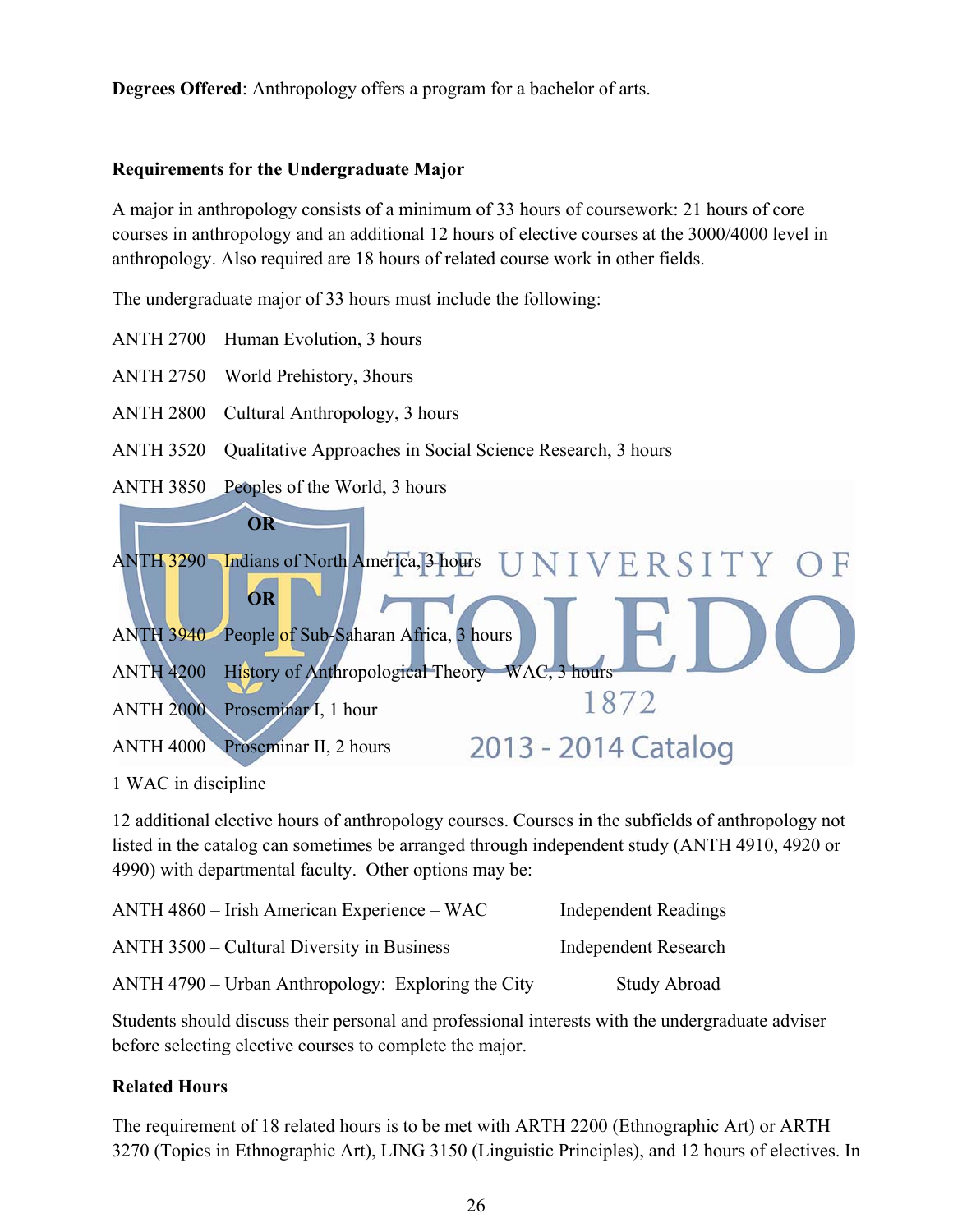**Degrees Offered**: Anthropology offers a program for a bachelor of arts.

#### **Requirements for the Undergraduate Major**

A major in anthropology consists of a minimum of 33 hours of coursework: 21 hours of core courses in anthropology and an additional 12 hours of elective courses at the 3000/4000 level in anthropology. Also required are 18 hours of related course work in other fields.

The undergraduate major of 33 hours must include the following:

- ANTH 2700 Human Evolution, 3 hours
- ANTH 2750 World Prehistory, 3hours
- ANTH 2800 Cultural Anthropology, 3 hours
- ANTH 3520 Qualitative Approaches in Social Science Research, 3 hours
- ANTH 3850 Peoples of the World, 3 hours



1 WAC in discipline

12 additional elective hours of anthropology courses. Courses in the subfields of anthropology not listed in the catalog can sometimes be arranged through independent study (ANTH 4910, 4920 or 4990) with departmental faculty. Other options may be:

| ANTH 4860 – Irish American Experience – WAC        | <b>Independent Readings</b> |
|----------------------------------------------------|-----------------------------|
| ANTH 3500 – Cultural Diversity in Business         | <b>Independent Research</b> |
| ANTH 4790 – Urban Anthropology: Exploring the City | <b>Study Abroad</b>         |

Students should discuss their personal and professional interests with the undergraduate adviser before selecting elective courses to complete the major.

#### **Related Hours**

The requirement of 18 related hours is to be met with ARTH 2200 (Ethnographic Art) or ARTH 3270 (Topics in Ethnographic Art), LING 3150 (Linguistic Principles), and 12 hours of electives. In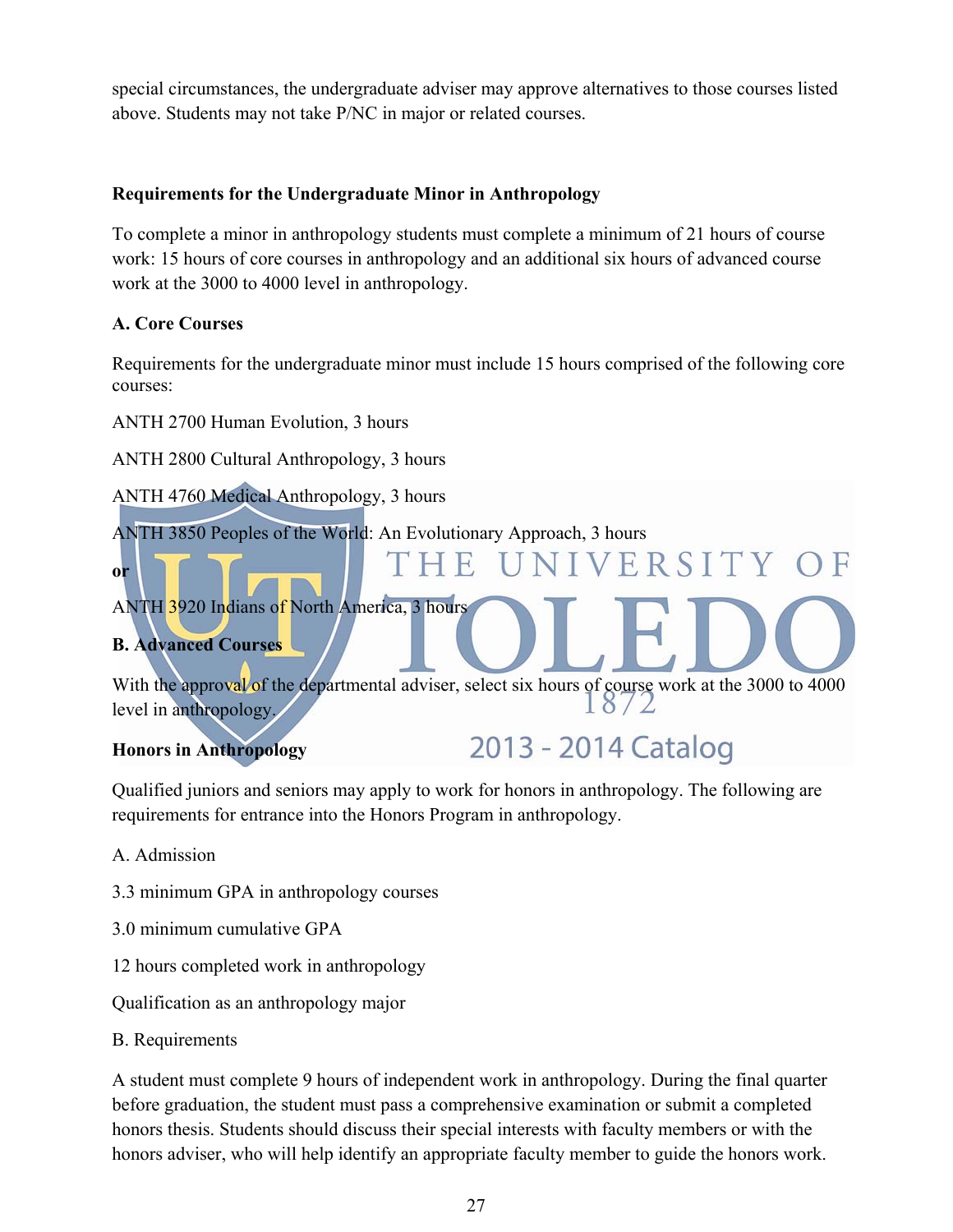special circumstances, the undergraduate adviser may approve alternatives to those courses listed above. Students may not take P/NC in major or related courses.

#### **Requirements for the Undergraduate Minor in Anthropology**

To complete a minor in anthropology students must complete a minimum of 21 hours of course work: 15 hours of core courses in anthropology and an additional six hours of advanced course work at the 3000 to 4000 level in anthropology.

#### **A. Core Courses**

Requirements for the undergraduate minor must include 15 hours comprised of the following core courses:

ANTH 2700 Human Evolution, 3 hours

ANTH 2800 Cultural Anthropology, 3 hours

ANTH 4760 Medical Anthropology, 3 hours

ANTH 3850 Peoples of the World: An Evolutionary Approach, 3 hours

ANTH 3920 Indians of North America, 3 hours

#### **B. Advanced Courses**

**or**

With the approval of the departmental adviser, select six hours of course work at the 3000 to 4000 level in anthropology.

2013 - 2014 Catalog

VERSITY OF

#### **Honors in Anthropology**

Qualified juniors and seniors may apply to work for honors in anthropology. The following are requirements for entrance into the Honors Program in anthropology.

- A. Admission
- 3.3 minimum GPA in anthropology courses
- 3.0 minimum cumulative GPA
- 12 hours completed work in anthropology

Qualification as an anthropology major

B. Requirements

A student must complete 9 hours of independent work in anthropology. During the final quarter before graduation, the student must pass a comprehensive examination or submit a completed honors thesis. Students should discuss their special interests with faculty members or with the honors adviser, who will help identify an appropriate faculty member to guide the honors work.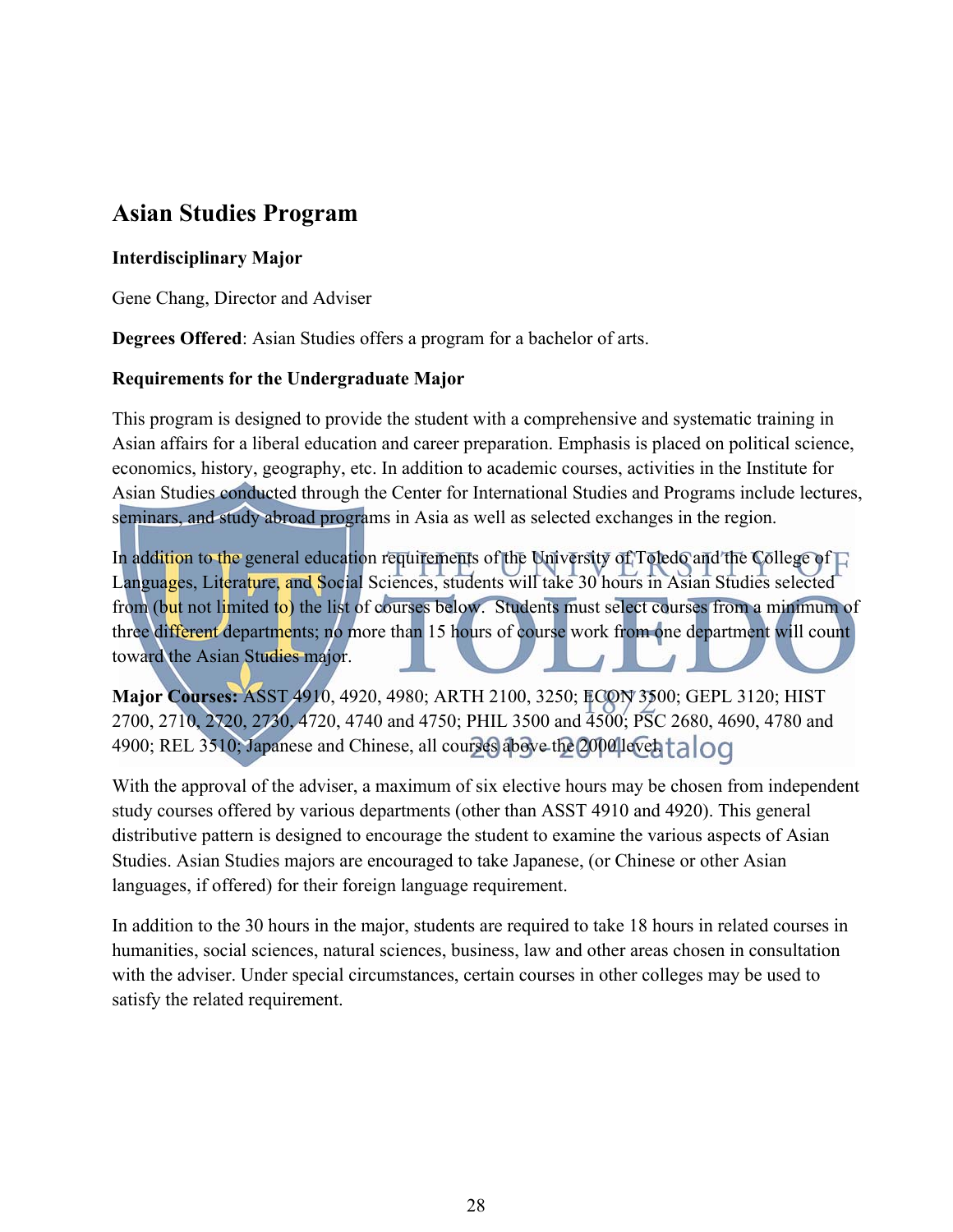## **Asian Studies Program**

#### **Interdisciplinary Major**

Gene Chang, Director and Adviser

**Degrees Offered**: Asian Studies offers a program for a bachelor of arts.

#### **Requirements for the Undergraduate Major**

This program is designed to provide the student with a comprehensive and systematic training in Asian affairs for a liberal education and career preparation. Emphasis is placed on political science, economics, history, geography, etc. In addition to academic courses, activities in the Institute for Asian Studies conducted through the Center for International Studies and Programs include lectures, seminars, and study abroad programs in Asia as well as selected exchanges in the region.

In addition to the general education requirements of the University of Toledo and the College of  $\Box$ Languages, Literature, and Social Sciences, students will take 30 hours in Asian Studies selected from (but not limited to) the list of courses below. Students must select courses from a minimum of three different departments; no more than 15 hours of course work from one department will count toward the Asian Studies major.

**Major Courses:** ASST 4910, 4920, 4980; ARTH 2100, 3250; ECON 3500; GEPL 3120; HIST 2700, 2710, 2720, 2730, 4720, 4740 and 4750; PHIL 3500 and 4500; PSC 2680, 4690, 4780 and 4900; REL 3510; Japanese and Chinese, all courses above the 2000 level talog

With the approval of the adviser, a maximum of six elective hours may be chosen from independent study courses offered by various departments (other than ASST 4910 and 4920). This general distributive pattern is designed to encourage the student to examine the various aspects of Asian Studies. Asian Studies majors are encouraged to take Japanese, (or Chinese or other Asian languages, if offered) for their foreign language requirement.

In addition to the 30 hours in the major, students are required to take 18 hours in related courses in humanities, social sciences, natural sciences, business, law and other areas chosen in consultation with the adviser. Under special circumstances, certain courses in other colleges may be used to satisfy the related requirement.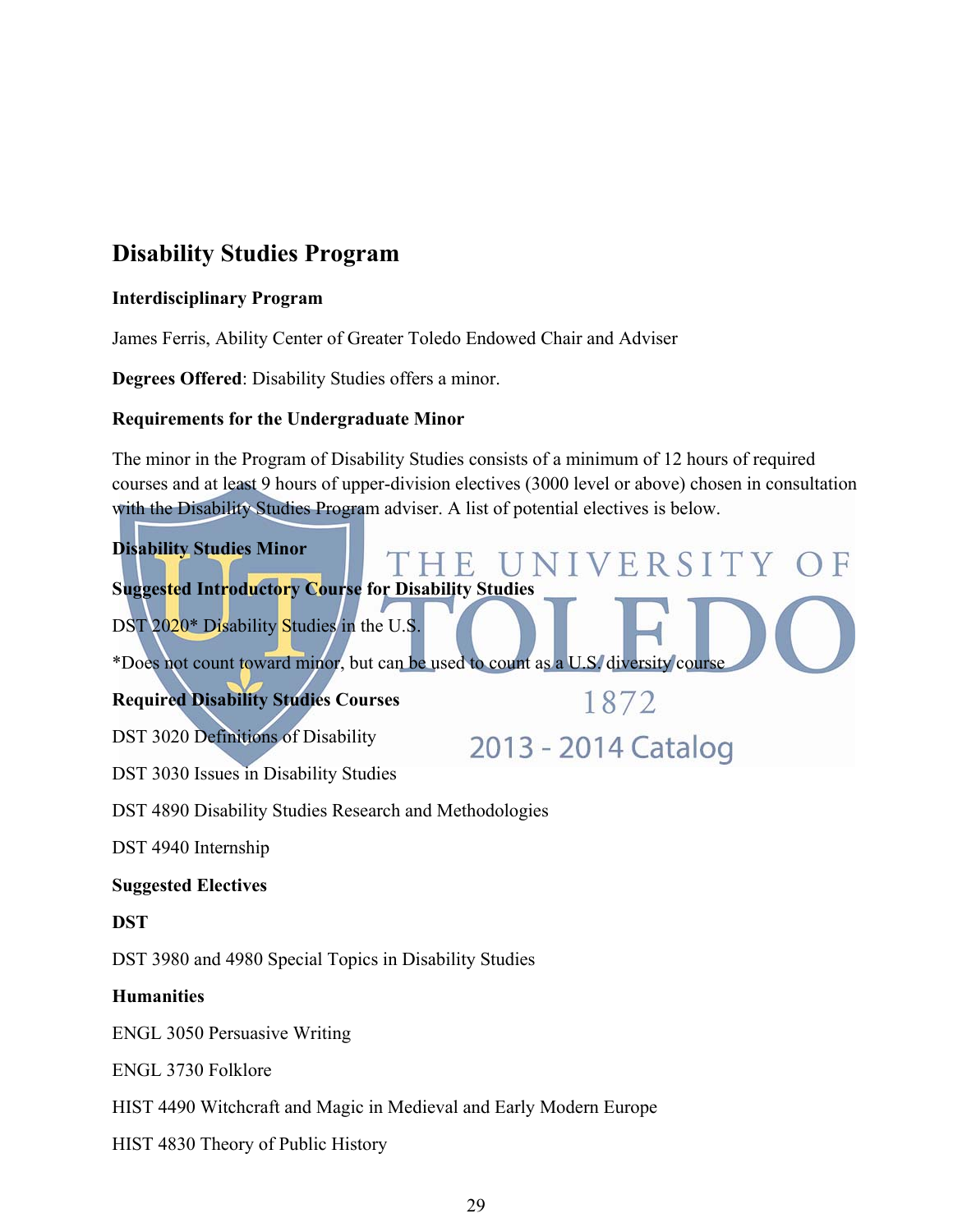## **Disability Studies Program**

#### **Interdisciplinary Program**

James Ferris, Ability Center of Greater Toledo Endowed Chair and Adviser

**Degrees Offered**: Disability Studies offers a minor.

#### **Requirements for the Undergraduate Minor**

The minor in the Program of Disability Studies consists of a minimum of 12 hours of required courses and at least 9 hours of upper-division electives (3000 level or above) chosen in consultation with the Disability Studies Program adviser. A list of potential electives is below.



#### **Suggested Electives**

#### **DST**

DST 3980 and 4980 Special Topics in Disability Studies

#### **Humanities**

ENGL 3050 Persuasive Writing

ENGL 3730 Folklore

HIST 4490 Witchcraft and Magic in Medieval and Early Modern Europe

HIST 4830 Theory of Public History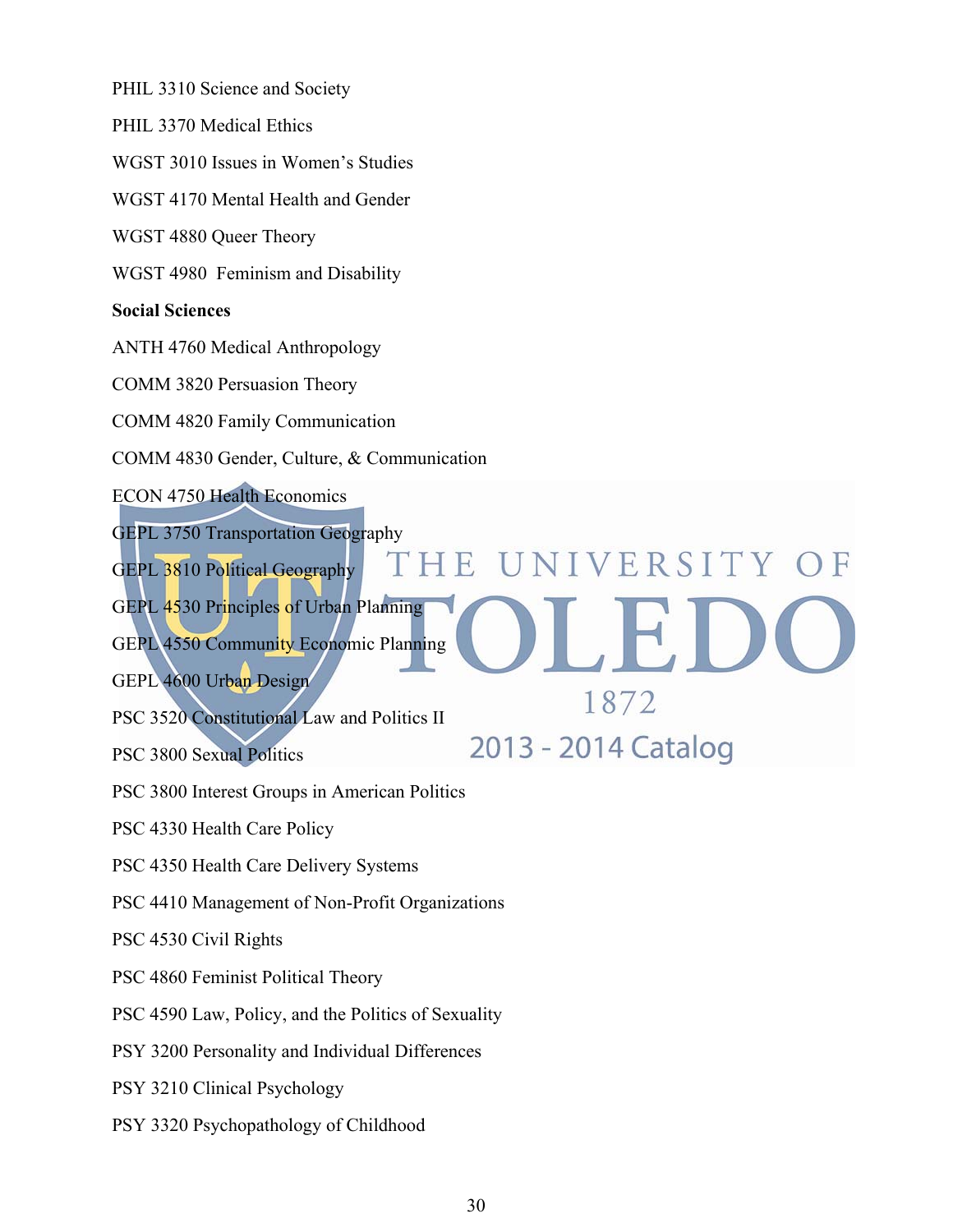PHIL 3310 Science and Society

PHIL 3370 Medical Ethics

WGST 3010 Issues in Women's Studies

WGST 4170 Mental Health and Gender

WGST 4880 Queer Theory

WGST 4980 Feminism and Disability

#### **Social Sciences**

ANTH 4760 Medical Anthropology

COMM 3820 Persuasion Theory

COMM 4820 Family Communication

COMM 4830 Gender, Culture, & Communication

ECON 4750 Health Economics

GEPL 3750 Transportation Geography

GEPL 3810 Political Geography

GEPL 4530 Principles of Urban Planning

GEPL 4550 Community Economic Planning

GEPL 4600 Urban Design

PSC 3520 Constitutional Law and Politics II

PSC 3800 Sexual Politics

PSC 3800 Interest Groups in American Politics

PSC 4330 Health Care Policy

PSC 4350 Health Care Delivery Systems

PSC 4410 Management of Non-Profit Organizations

PSC 4530 Civil Rights

PSC 4860 Feminist Political Theory

PSC 4590 Law, Policy, and the Politics of Sexuality

PSY 3200 Personality and Individual Differences

PSY 3210 Clinical Psychology

PSY 3320 Psychopathology of Childhood

THE UNIVERSITY OF

1872

2013 - 2014 Catalog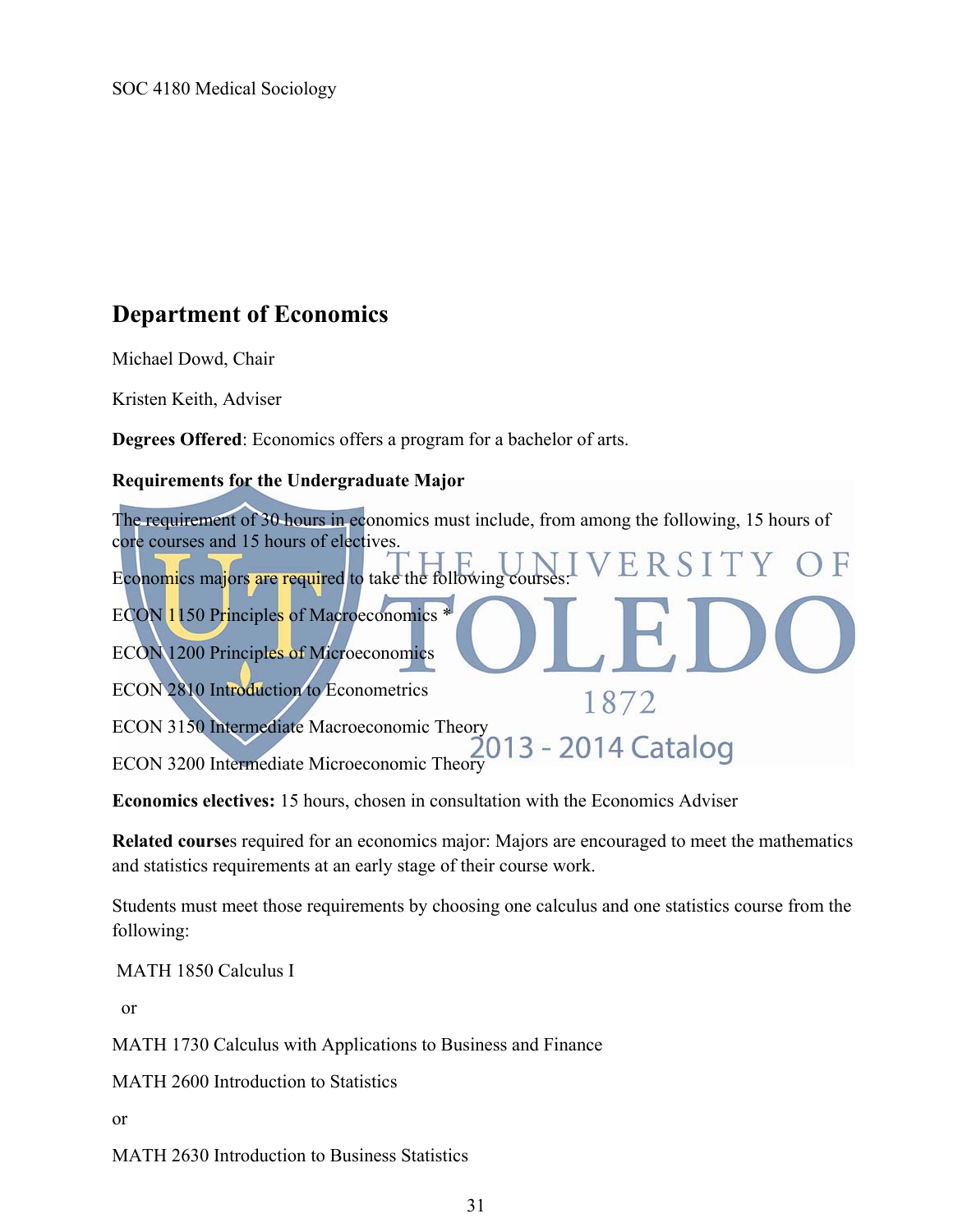## **Department of Economics**

Michael Dowd, Chair

Kristen Keith, Adviser

**Degrees Offered**: Economics offers a program for a bachelor of arts.

#### **Requirements for the Undergraduate Major**

The requirement of 30 hours in economics must include, from among the following, 15 hours of core courses and 15 hours of electives. Economics majors are required to take the following cours ECON 1150 Principles of Macroeconomics \* ECON 1200 Principles of Microeconomics ECON 2810 Introduction to Econometrics 1872 ECON 3150 Intermediate Macroeconomic Theory<br>2013 - 2014 Catalog ECON 3200 Intermediate Microeconomic Theory

**Economics electives:** 15 hours, chosen in consultation with the Economics Adviser

**Related course**s required for an economics major: Majors are encouraged to meet the mathematics and statistics requirements at an early stage of their course work.

Students must meet those requirements by choosing one calculus and one statistics course from the following:

MATH 1850 Calculus I

or

MATH 1730 Calculus with Applications to Business and Finance

MATH 2600 Introduction to Statistics

or

MATH 2630 Introduction to Business Statistics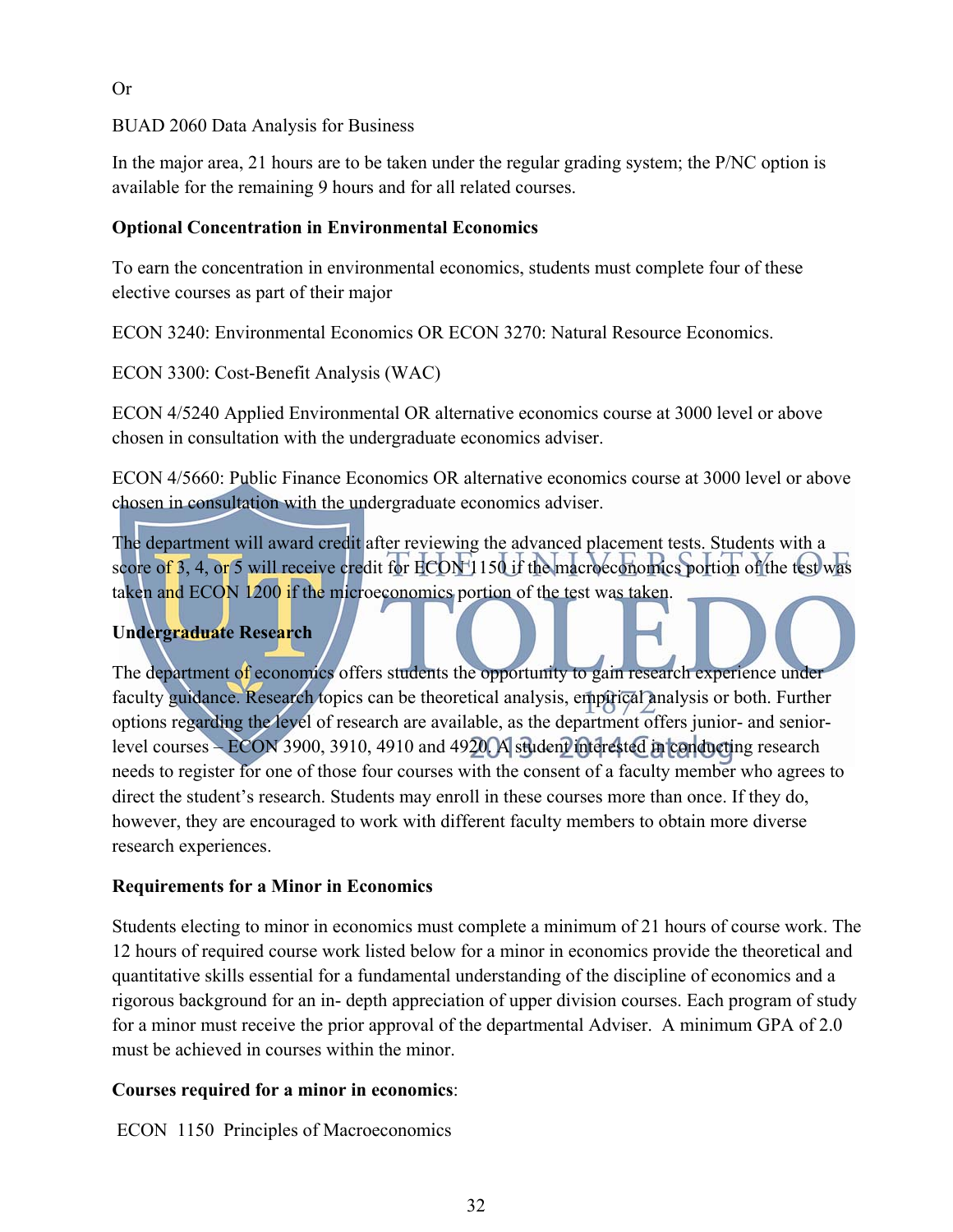#### Or

#### BUAD 2060 Data Analysis for Business

In the major area, 21 hours are to be taken under the regular grading system; the P/NC option is available for the remaining 9 hours and for all related courses.

#### **Optional Concentration in Environmental Economics**

To earn the concentration in environmental economics, students must complete four of these elective courses as part of their major

ECON 3240: Environmental Economics OR ECON 3270: Natural Resource Economics.

ECON 3300: Cost-Benefit Analysis (WAC)

ECON 4/5240 Applied Environmental OR alternative economics course at 3000 level or above chosen in consultation with the undergraduate economics adviser.

ECON 4/5660: Public Finance Economics OR alternative economics course at 3000 level or above chosen in consultation with the undergraduate economics adviser.

The department will award credit after reviewing the advanced placement tests. Students with a score of 3, 4, or 5 will receive credit for ECON 1150 if the macroeconomics portion of the test was taken and ECON 1200 if the microeconomics portion of the test was taken.

#### **Undergraduate Research**

The department of economics offers students the opportunity to gain research experience under faculty guidance. Research topics can be theoretical analysis, empirical analysis or both. Further options regarding the level of research are available, as the department offers junior- and seniorlevel courses – ECON 3900, 3910, 4910 and 4920. A student interested in conducting research needs to register for one of those four courses with the consent of a faculty member who agrees to direct the student's research. Students may enroll in these courses more than once. If they do, however, they are encouraged to work with different faculty members to obtain more diverse research experiences.

#### **Requirements for a Minor in Economics**

Students electing to minor in economics must complete a minimum of 21 hours of course work. The 12 hours of required course work listed below for a minor in economics provide the theoretical and quantitative skills essential for a fundamental understanding of the discipline of economics and a rigorous background for an in- depth appreciation of upper division courses. Each program of study for a minor must receive the prior approval of the departmental Adviser. A minimum GPA of 2.0 must be achieved in courses within the minor.

#### **Courses required for a minor in economics**:

ECON 1150 Principles of Macroeconomics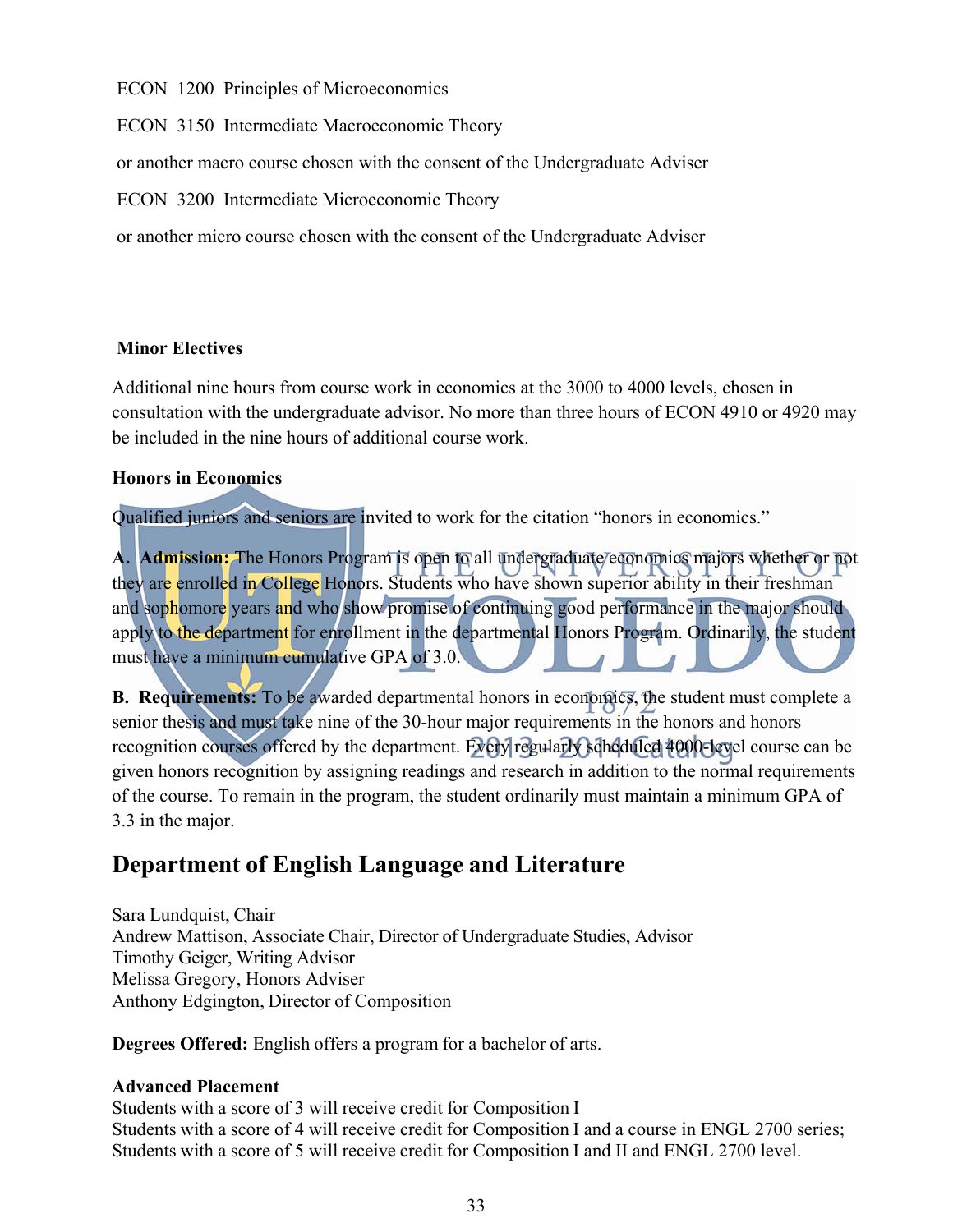ECON 1200 Principles of Microeconomics

ECON 3150 Intermediate Macroeconomic Theory

or another macro course chosen with the consent of the Undergraduate Adviser

ECON 3200 Intermediate Microeconomic Theory

or another micro course chosen with the consent of the Undergraduate Adviser

#### **Minor Electives**

Additional nine hours from course work in economics at the 3000 to 4000 levels, chosen in consultation with the undergraduate advisor. No more than three hours of ECON 4910 or 4920 may be included in the nine hours of additional course work.

#### **Honors in Economics**

Qualified juniors and seniors are invited to work for the citation "honors in economics."

**A. Admission:** The Honors Program is open to all undergraduate economics majors whether or not they are enrolled in College Honors. Students who have shown superior ability in their freshman and sophomore years and who show promise of continuing good performance in the major should apply to the department for enrollment in the departmental Honors Program. Ordinarily, the student must have a minimum cumulative GPA of 3.0.

**B. Requirements:** To be awarded departmental honors in economics, the student must complete a senior thesis and must take nine of the 30-hour major requirements in the honors and honors recognition courses offered by the department. Every regularly scheduled 4000-level course can be given honors recognition by assigning readings and research in addition to the normal requirements of the course. To remain in the program, the student ordinarily must maintain a minimum GPA of 3.3 in the major.

## **Department of English Language and Literature**

Sara Lundquist, Chair Andrew Mattison, Associate Chair, Director of Undergraduate Studies, Advisor Timothy Geiger, Writing Advisor Melissa Gregory, Honors Adviser Anthony Edgington, Director of Composition

**Degrees Offered:** English offers a program for a bachelor of arts.

#### **Advanced Placement**

Students with a score of 3 will receive credit for Composition I Students with a score of 4 will receive credit for Composition I and a course in ENGL 2700 series; Students with a score of 5 will receive credit for Composition I and II and ENGL 2700 level.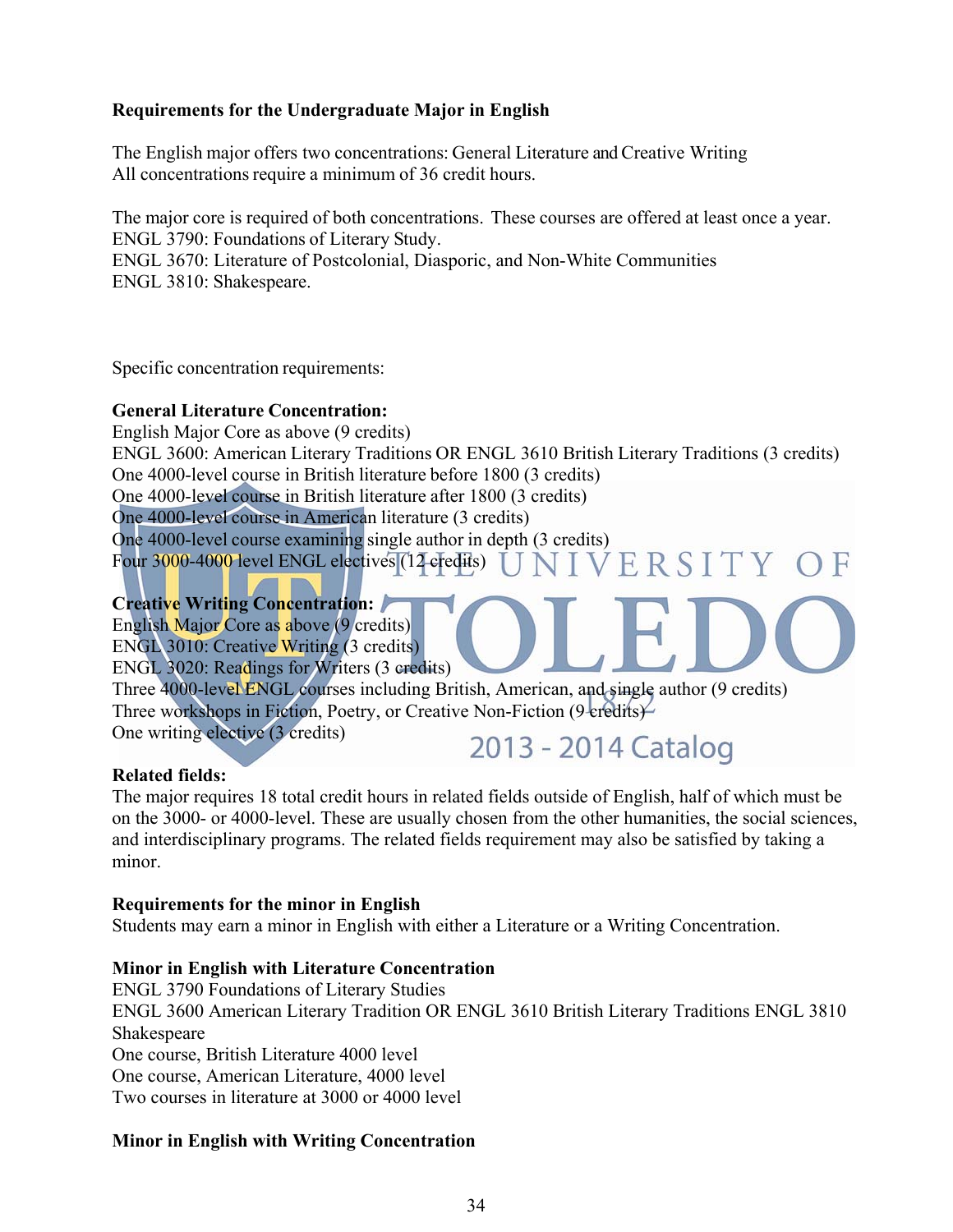#### **Requirements for the Undergraduate Major in English**

The English major offers two concentrations: General Literature and Creative Writing All concentrations require a minimum of 36 credit hours.

The major core is required of both concentrations. These courses are offered at least once a year. ENGL 3790: Foundations of Literary Study. ENGL 3670: Literature of Postcolonial, Diasporic, and Non-White Communities ENGL 3810: Shakespeare.

Specific concentration requirements:

#### **General Literature Concentration:**

English Major Core as above (9 credits) ENGL 3600: American Literary Traditions OR ENGL 3610 British Literary Traditions (3 credits) One 4000-level course in British literature before 1800 (3 credits) One 4000-level course in British literature after 1800 (3 credits) One 4000-level course in American literature (3 credits) One 4000-level course examining single author in depth (3 credits)<br>Four 3000-4000 level ENGL electives (12 credits)  $\overline{U}$  N  $\overline{IV}$  E R S I T Y O F Four 3000-4000 level ENGL electives (12 credits)

**Creative Writing Concentration:** 

English Major Core as above (9 credits) ENGL 3010: Creative Writing (3 credits) ENGL 3020: Readings for Writers (3 credits)

Three 4000-level ENGL courses including British, American, and single author (9 credits) Three workshops in Fiction, Poetry, or Creative Non-Fiction (9 credits)

One writing elective (3 credits)

2013 - 2014 Catalog

#### **Related fields:**

The major requires 18 total credit hours in related fields outside of English, half of which must be on the 3000- or 4000-level. These are usually chosen from the other humanities, the social sciences, and interdisciplinary programs. The related fields requirement may also be satisfied by taking a minor.

#### **Requirements for the minor in English**

Students may earn a minor in English with either a Literature or a Writing Concentration.

#### **Minor in English with Literature Concentration**

ENGL 3790 Foundations of Literary Studies ENGL 3600 American Literary Tradition OR ENGL 3610 British Literary Traditions ENGL 3810 Shakespeare One course, British Literature 4000 level One course, American Literature, 4000 level Two courses in literature at 3000 or 4000 level

#### **Minor in English with Writing Concentration**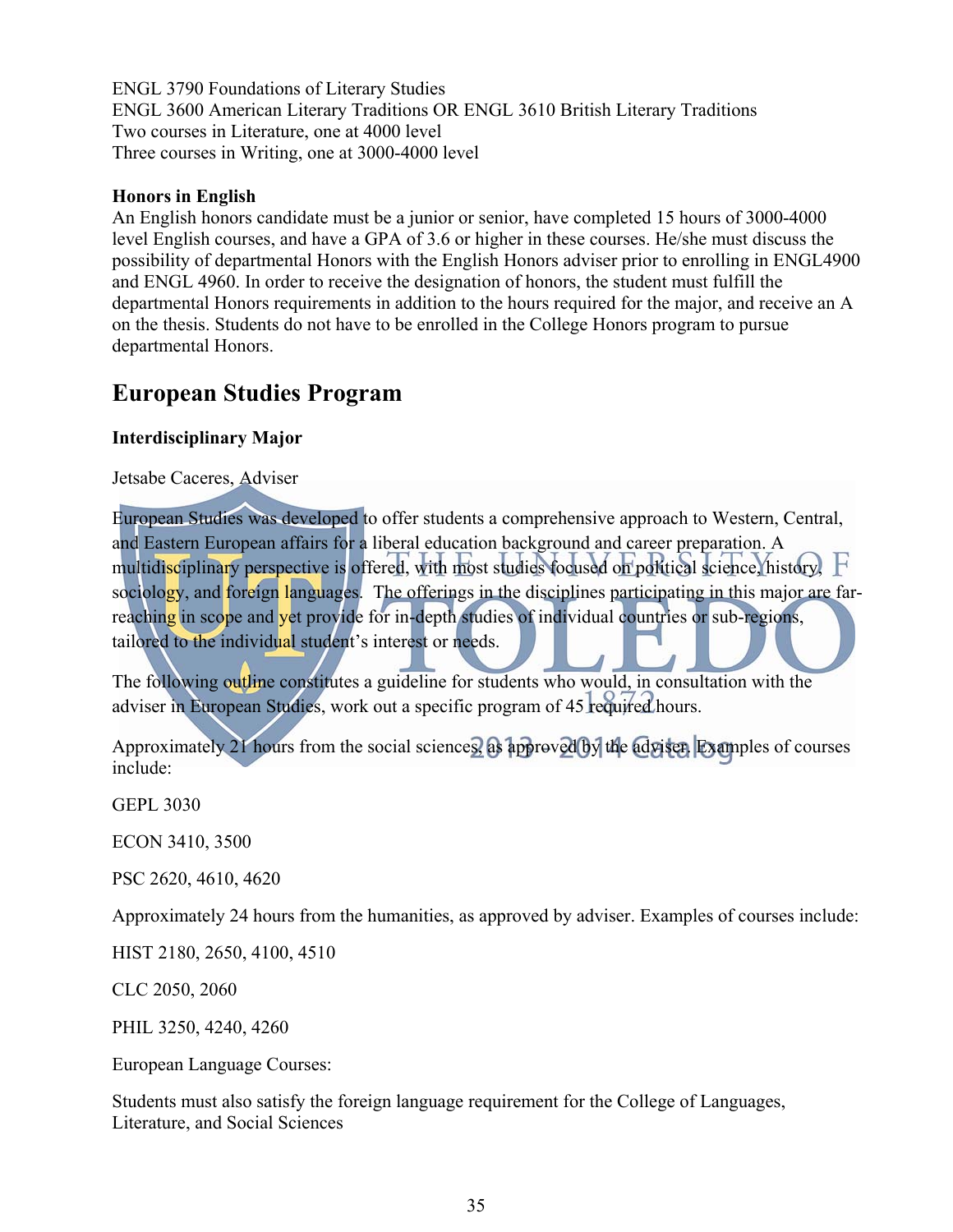ENGL 3790 Foundations of Literary Studies ENGL 3600 American Literary Traditions OR ENGL 3610 British Literary Traditions Two courses in Literature, one at 4000 level Three courses in Writing, one at 3000-4000 level

#### **Honors in English**

An English honors candidate must be a junior or senior, have completed 15 hours of 3000-4000 level English courses, and have a GPA of 3.6 or higher in these courses. He/she must discuss the possibility of departmental Honors with the English Honors adviser prior to enrolling in ENGL4900 and ENGL 4960. In order to receive the designation of honors, the student must fulfill the departmental Honors requirements in addition to the hours required for the major, and receive an A on the thesis. Students do not have to be enrolled in the College Honors program to pursue departmental Honors.

## **European Studies Program**

#### **Interdisciplinary Major**

Jetsabe Caceres, Adviser

European Studies was developed to offer students a comprehensive approach to Western, Central, and Eastern European affairs for a liberal education background and career preparation. A multidisciplinary perspective is offered, with most studies focused on political science, history,  $\mathbf F$ sociology, and foreign languages. The offerings in the disciplines participating in this major are farreaching in scope and vet provide for in-depth studies of individual countries or sub-regions, tailored to the individual student's interest or needs.

The following outline constitutes a guideline for students who would, in consultation with the adviser in European Studies, work out a specific program of 45 required hours.

Approximately 21 hours from the social sciences, as approved by the adviser. Examples of courses include:

GEPL 3030

ECON 3410, 3500

PSC 2620, 4610, 4620

Approximately 24 hours from the humanities, as approved by adviser. Examples of courses include:

HIST 2180, 2650, 4100, 4510

CLC 2050, 2060

PHIL 3250, 4240, 4260

European Language Courses:

Students must also satisfy the foreign language requirement for the College of Languages, Literature, and Social Sciences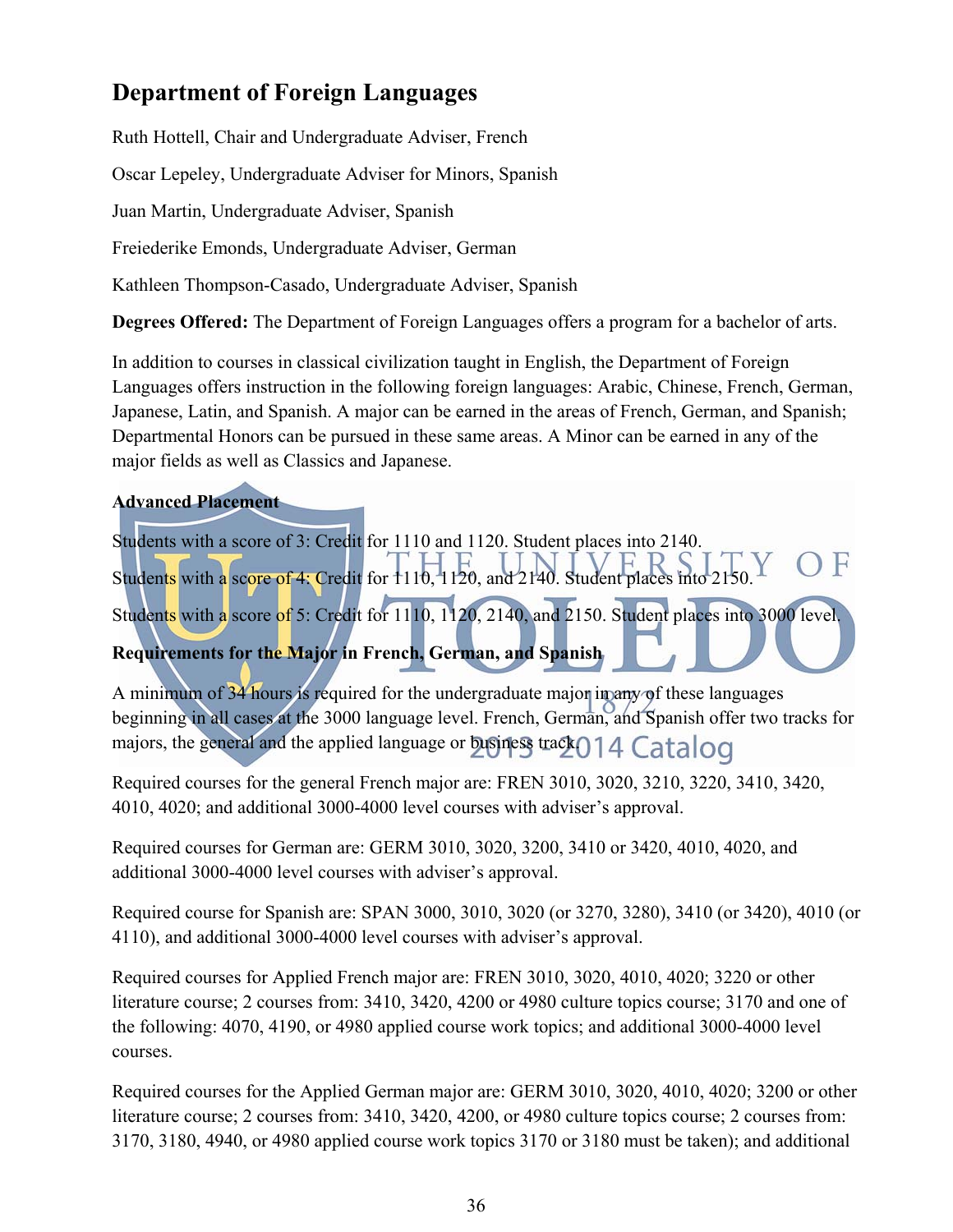## **Department of Foreign Languages**

Ruth Hottell, Chair and Undergraduate Adviser, French Oscar Lepeley, Undergraduate Adviser for Minors, Spanish Juan Martin, Undergraduate Adviser, Spanish Freiederike Emonds, Undergraduate Adviser, German Kathleen Thompson-Casado, Undergraduate Adviser, Spanish

**Degrees Offered:** The Department of Foreign Languages offers a program for a bachelor of arts.

In addition to courses in classical civilization taught in English, the Department of Foreign Languages offers instruction in the following foreign languages: Arabic, Chinese, French, German, Japanese, Latin, and Spanish. A major can be earned in the areas of French, German, and Spanish; Departmental Honors can be pursued in these same areas. A Minor can be earned in any of the major fields as well as Classics and Japanese.

#### **Advanced Placement**

Students with a score of 3: Credit for 1110 and 1120. Student places into 2140. Students with a score of 4: Credit for 1110, 1120, and 2140. Student places into 2150. Students with a score of 5: Credit for 1110, 1120, 2140, and 2150. Student places into 3000 level. **Requirements for the Major in French, German, and Spanish** 

A minimum of 34 hours is required for the undergraduate major in any of these languages beginning in all cases at the 3000 language level. French, German, and Spanish offer two tracks for majors, the general and the applied language or business track() 14 Catalog

Required courses for the general French major are: FREN 3010, 3020, 3210, 3220, 3410, 3420, 4010, 4020; and additional 3000-4000 level courses with adviser's approval.

Required courses for German are: GERM 3010, 3020, 3200, 3410 or 3420, 4010, 4020, and additional 3000-4000 level courses with adviser's approval.

Required course for Spanish are: SPAN 3000, 3010, 3020 (or 3270, 3280), 3410 (or 3420), 4010 (or 4110), and additional 3000-4000 level courses with adviser's approval.

Required courses for Applied French major are: FREN 3010, 3020, 4010, 4020; 3220 or other literature course; 2 courses from: 3410, 3420, 4200 or 4980 culture topics course; 3170 and one of the following: 4070, 4190, or 4980 applied course work topics; and additional 3000-4000 level courses.

Required courses for the Applied German major are: GERM 3010, 3020, 4010, 4020; 3200 or other literature course; 2 courses from: 3410, 3420, 4200, or 4980 culture topics course; 2 courses from: 3170, 3180, 4940, or 4980 applied course work topics 3170 or 3180 must be taken); and additional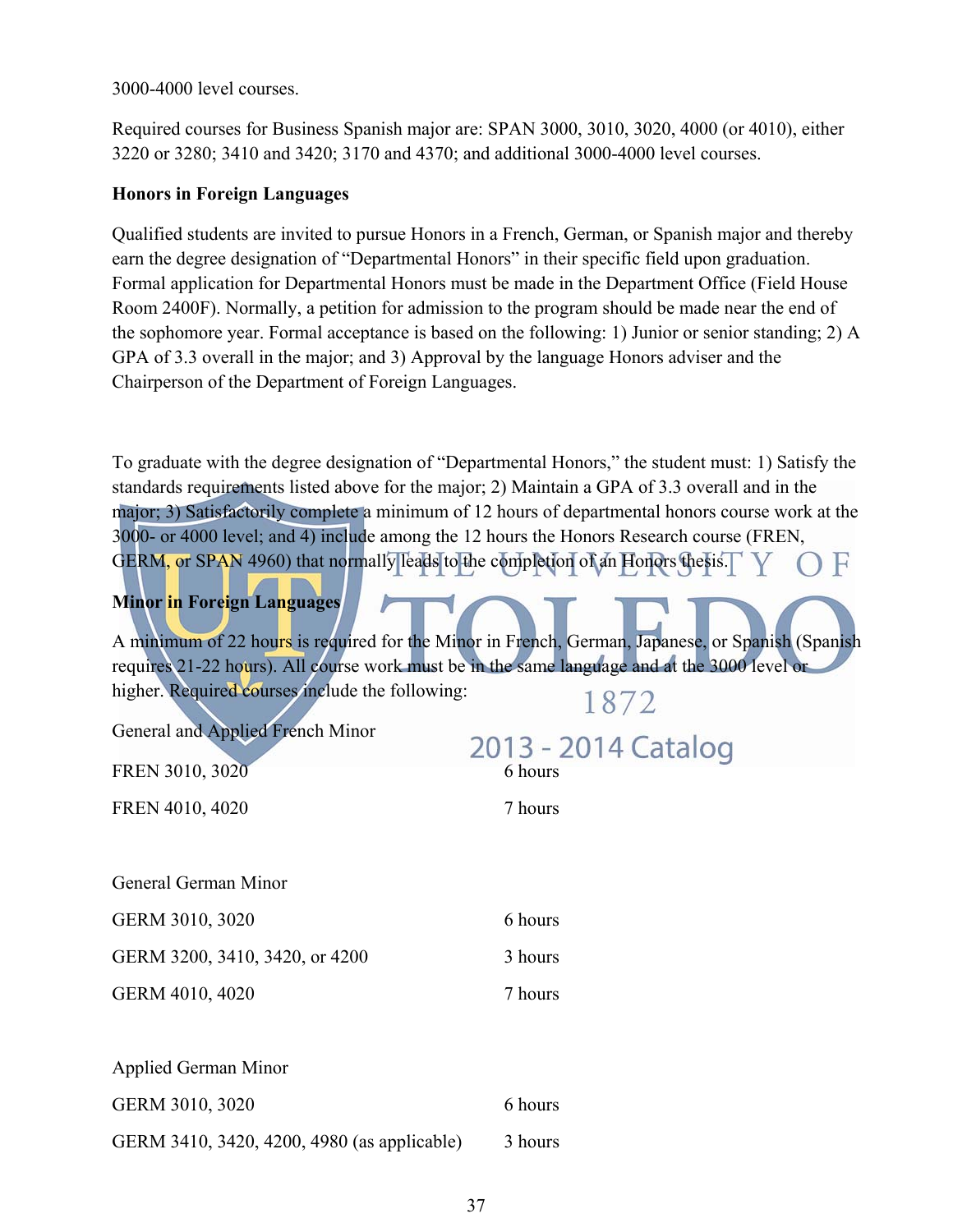3000-4000 level courses.

Required courses for Business Spanish major are: SPAN 3000, 3010, 3020, 4000 (or 4010), either 3220 or 3280; 3410 and 3420; 3170 and 4370; and additional 3000-4000 level courses.

#### **Honors in Foreign Languages**

Qualified students are invited to pursue Honors in a French, German, or Spanish major and thereby earn the degree designation of "Departmental Honors" in their specific field upon graduation. Formal application for Departmental Honors must be made in the Department Office (Field House Room 2400F). Normally, a petition for admission to the program should be made near the end of the sophomore year. Formal acceptance is based on the following: 1) Junior or senior standing; 2) A GPA of 3.3 overall in the major; and 3) Approval by the language Honors adviser and the Chairperson of the Department of Foreign Languages.

To graduate with the degree designation of "Departmental Honors," the student must: 1) Satisfy the standards requirements listed above for the major; 2) Maintain a GPA of 3.3 overall and in the major; 3) Satisfactorily complete a minimum of 12 hours of departmental honors course work at the 3000- or 4000 level; and 4) include among the 12 hours the Honors Research course (FREN, GERM, or SPAN 4960) that normally leads to the completion of an Honors thesis.

## **Minor in Foreign Languages**

A minimum of 22 hours is required for the Minor in French, German, Japanese, or Spanish (Spanish requires 21-22 hours). All course work must be in the same language and at the 3000 level or higher. Required courses include the following: 1872

General and Applied French Minor

| General and Applied French Minor | 2013 - 2014 Catalog |
|----------------------------------|---------------------|
| FREN 3010, 3020                  | 6 hours             |
| FREN 4010, 4020                  | 7 hours             |
|                                  |                     |
| General German Minor             |                     |
| GERM 3010, 3020                  | 6 hours             |
| GERM 3200, 3410, 3420, or 4200   | 3 hours             |
| GERM 4010, 4020                  | 7 hours             |
|                                  |                     |
| <b>Applied German Minor</b>      |                     |
| GERM 3010, 3020                  | 6 hours             |

GERM 3410, 3420, 4200, 4980 (as applicable) 3 hours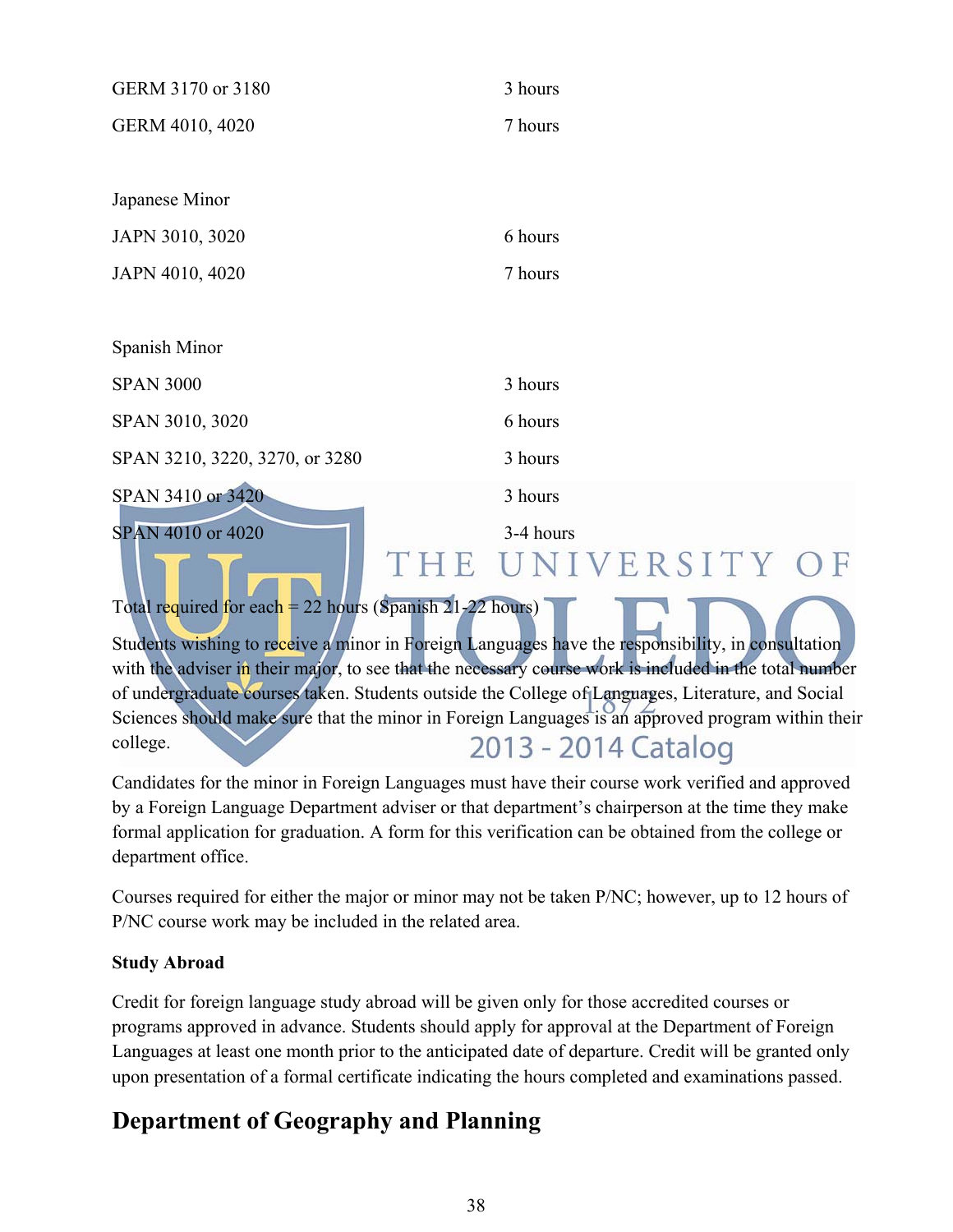| GERM 3170 or 3180                                                                                                                                               | 3 hours                   |  |
|-----------------------------------------------------------------------------------------------------------------------------------------------------------------|---------------------------|--|
| GERM 4010, 4020                                                                                                                                                 | 7 hours                   |  |
|                                                                                                                                                                 |                           |  |
| Japanese Minor                                                                                                                                                  |                           |  |
| JAPN 3010, 3020                                                                                                                                                 | 6 hours                   |  |
| JAPN 4010, 4020                                                                                                                                                 | 7 hours                   |  |
|                                                                                                                                                                 |                           |  |
| Spanish Minor                                                                                                                                                   |                           |  |
| <b>SPAN 3000</b>                                                                                                                                                | 3 hours                   |  |
| SPAN 3010, 3020                                                                                                                                                 | 6 hours                   |  |
| SPAN 3210, 3220, 3270, or 3280                                                                                                                                  | 3 hours                   |  |
| SPAN 3410 or 3420                                                                                                                                               | 3 hours                   |  |
| SPAN 4010 or 4020<br>THE                                                                                                                                        | 3-4 hours<br>NIVERSITY OF |  |
| Total required for each = 22 hours (Spanish $21-22$ hours)<br>Students wishing to receive a minor in Foreign Languages have the responsibility, in consultation |                           |  |

with the adviser in their major, to see that the necessary course work is included in the total number of undergraduate courses taken. Students outside the College of Languages, Literature, and Social Sciences should make sure that the minor in Foreign Languages is an approved program within their 2013 - 2014 Catalog college.

Candidates for the minor in Foreign Languages must have their course work verified and approved by a Foreign Language Department adviser or that department's chairperson at the time they make formal application for graduation. A form for this verification can be obtained from the college or department office.

Courses required for either the major or minor may not be taken P/NC; however, up to 12 hours of P/NC course work may be included in the related area.

#### **Study Abroad**

Credit for foreign language study abroad will be given only for those accredited courses or programs approved in advance. Students should apply for approval at the Department of Foreign Languages at least one month prior to the anticipated date of departure. Credit will be granted only upon presentation of a formal certificate indicating the hours completed and examinations passed.

# **Department of Geography and Planning**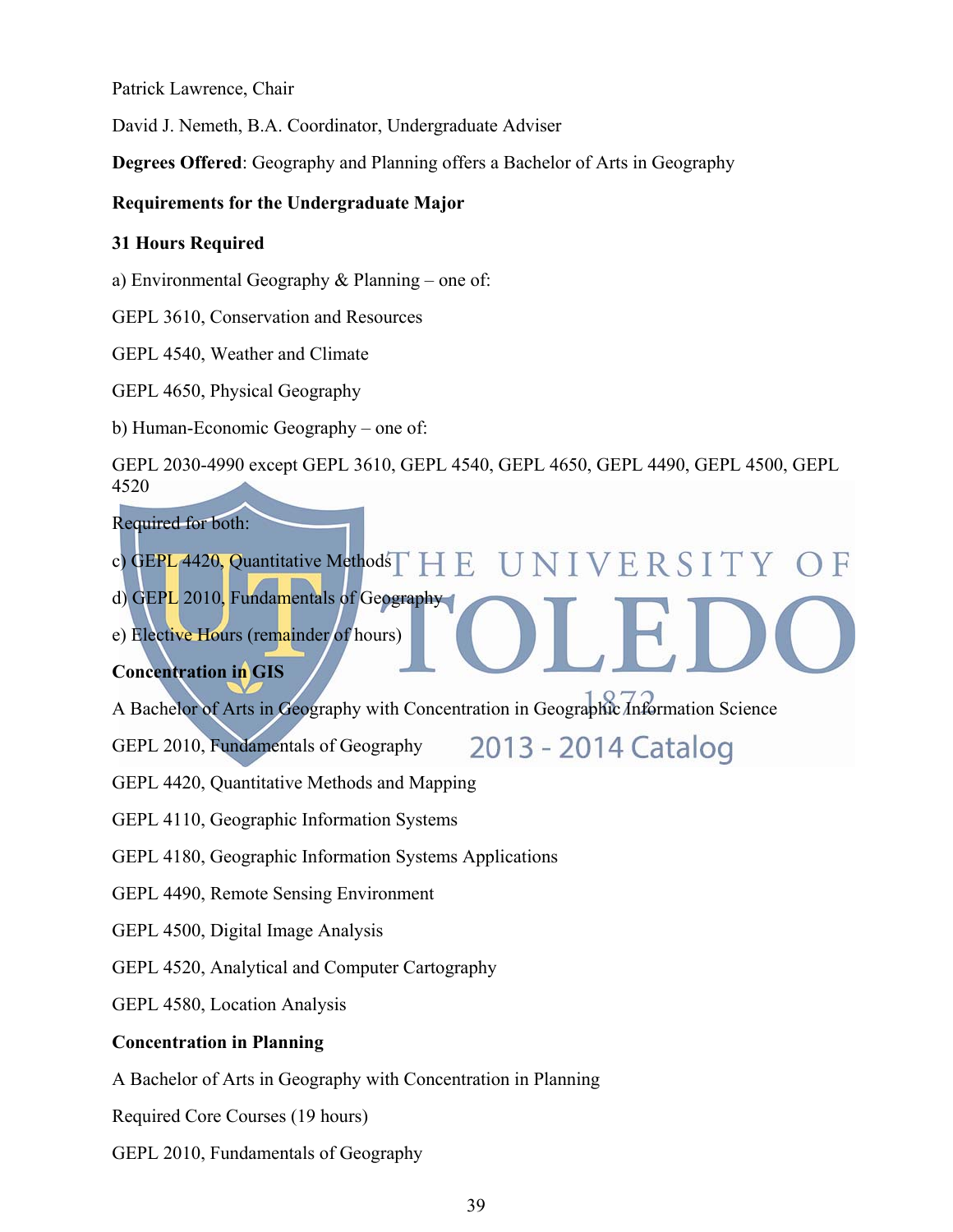Patrick Lawrence, Chair

David J. Nemeth, B.A. Coordinator, Undergraduate Adviser

**Degrees Offered**: Geography and Planning offers a Bachelor of Arts in Geography

#### **Requirements for the Undergraduate Major**

#### **31 Hours Required**

a) Environmental Geography & Planning – one of:

GEPL 3610, Conservation and Resources

GEPL 4540, Weather and Climate

GEPL 4650, Physical Geography

b) Human-Economic Geography – one of:

GEPL 2030-4990 except GEPL 3610, GEPL 4540, GEPL 4650, GEPL 4490, GEPL 4500, GEPL 4520

Required for both:

- c) GEPL 4420, Quantitative Methods HE UNIVERSITY OF
- d) GEPL 2010, Fundamentals of Geography

e) Elective Hours (remainder of hours)

#### **Concentration in GIS**

A Bachelor of Arts in Geography with Concentration in Geographic Information Science

GEPL 2010, Fundamentals of Geography

2013 - 2014 Catalog

GEPL 4420, Quantitative Methods and Mapping

GEPL 4110, Geographic Information Systems

GEPL 4180, Geographic Information Systems Applications

GEPL 4490, Remote Sensing Environment

GEPL 4500, Digital Image Analysis

GEPL 4520, Analytical and Computer Cartography

GEPL 4580, Location Analysis

#### **Concentration in Planning**

A Bachelor of Arts in Geography with Concentration in Planning

Required Core Courses (19 hours)

GEPL 2010, Fundamentals of Geography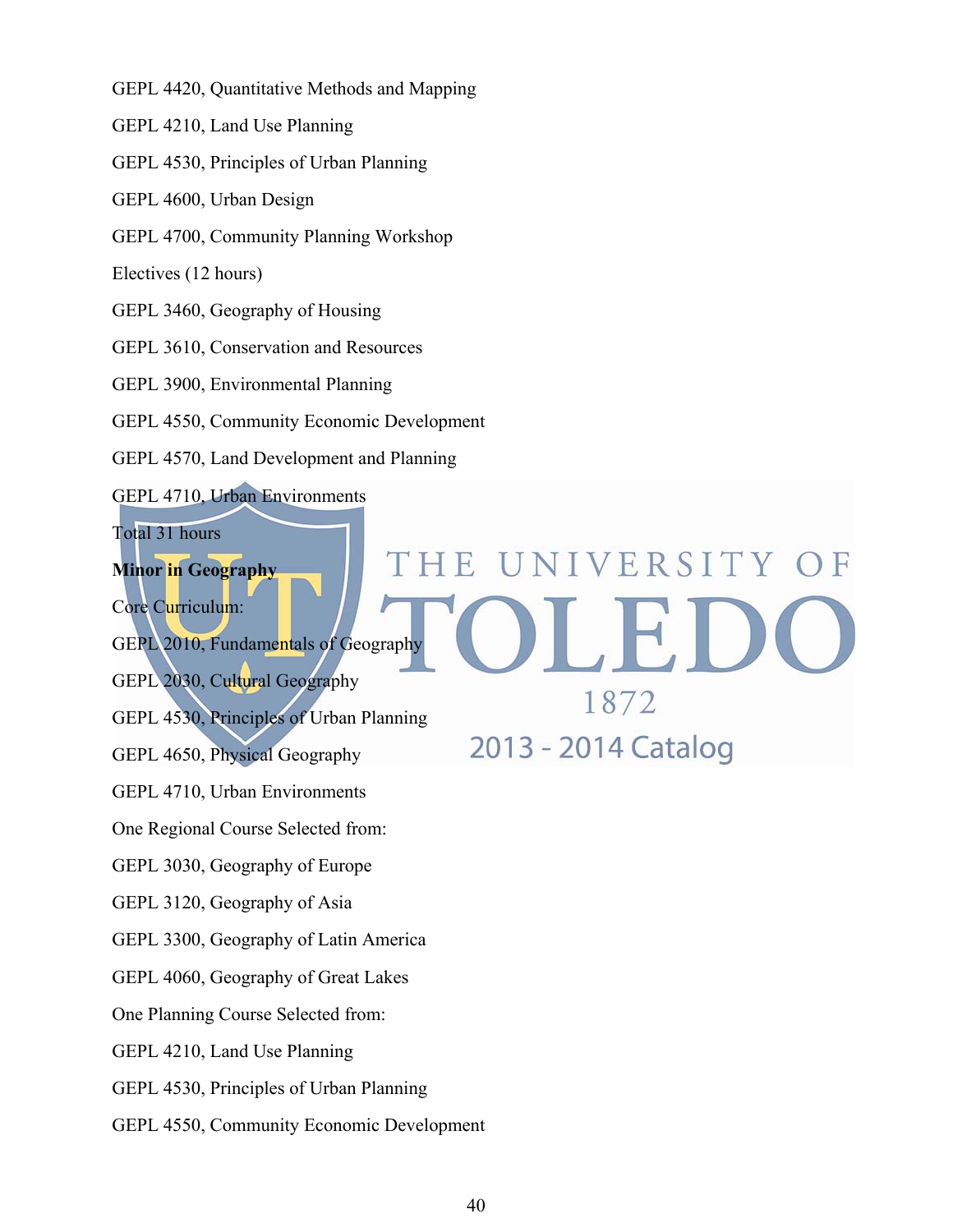GEPL 4420, Quantitative Methods and Mapping

GEPL 4210, Land Use Planning

GEPL 4530, Principles of Urban Planning

GEPL 4600, Urban Design

GEPL 4700, Community Planning Workshop

Electives (12 hours)

GEPL 3460, Geography of Housing

GEPL 3610, Conservation and Resources

GEPL 3900, Environmental Planning

GEPL 4550, Community Economic Development

GEPL 4570, Land Development and Planning

GEPL 4710, Urban Environments

Total 31 hours

**Minor in Geography** 

Core Curriculum:

GEPL 2010, Fundamentals of Geography

GEPL 2030, Cultural Geography

GEPL 4530, Principles of Urban Planning

GEPL 4650, Physical Geography

GEPL 4710, Urban Environments

One Regional Course Selected from:

GEPL 3030, Geography of Europe

GEPL 3120, Geography of Asia

GEPL 3300, Geography of Latin America

GEPL 4060, Geography of Great Lakes

One Planning Course Selected from:

GEPL 4210, Land Use Planning

GEPL 4530, Principles of Urban Planning

GEPL 4550, Community Economic Development

1872 2013 - 2014 Catalog

UNIVERSITY OF

 $\overline{F}$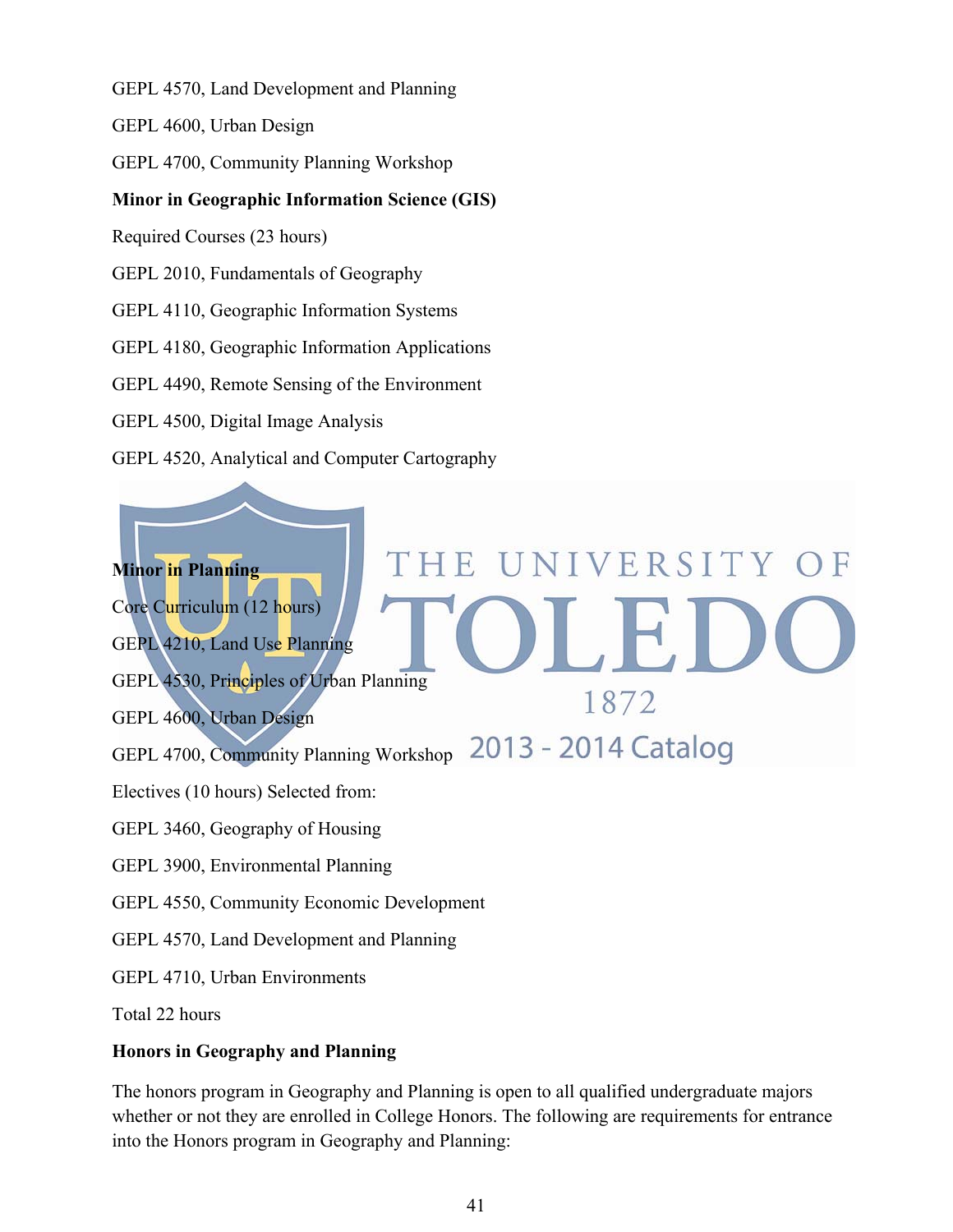GEPL 4570, Land Development and Planning

GEPL 4600, Urban Design

GEPL 4700, Community Planning Workshop

## **Minor in Geographic Information Science (GIS)**

Required Courses (23 hours)

GEPL 2010, Fundamentals of Geography

GEPL 4110, Geographic Information Systems

GEPL 4180, Geographic Information Applications

GEPL 4490, Remote Sensing of the Environment

GEPL 4500, Digital Image Analysis

GEPL 4520, Analytical and Computer Cartography

# UNIVERSITY OF THE **Minor in Planning**  Core Curriculum (12 hours) GEPL 4210, Land Use Planning GEPL 4530, Principles of Urban Planning 1872 GEPL 4600, Urban Design 2013 - 2014 Catalog GEPL 4700, Community Planning Workshop Electives (10 hours) Selected from: GEPL 3460, Geography of Housing GEPL 3900, Environmental Planning GEPL 4550, Community Economic Development GEPL 4570, Land Development and Planning GEPL 4710, Urban Environments

Total 22 hours

#### **Honors in Geography and Planning**

The honors program in Geography and Planning is open to all qualified undergraduate majors whether or not they are enrolled in College Honors. The following are requirements for entrance into the Honors program in Geography and Planning: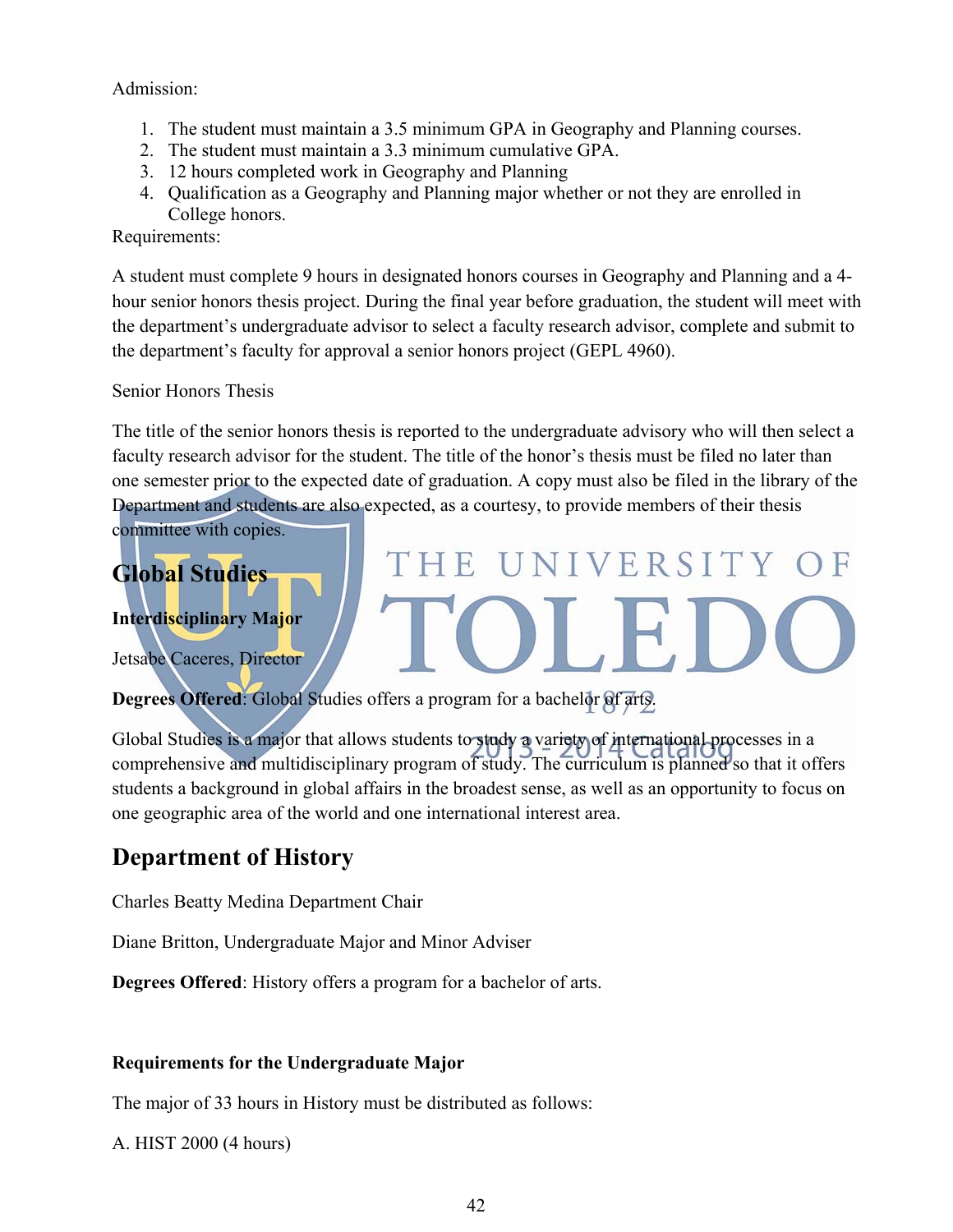#### Admission:

- 1. The student must maintain a 3.5 minimum GPA in Geography and Planning courses.
- 2. The student must maintain a 3.3 minimum cumulative GPA.
- 3. 12 hours completed work in Geography and Planning
- 4. Qualification as a Geography and Planning major whether or not they are enrolled in College honors.

Requirements:

A student must complete 9 hours in designated honors courses in Geography and Planning and a 4 hour senior honors thesis project. During the final year before graduation, the student will meet with the department's undergraduate advisor to select a faculty research advisor, complete and submit to the department's faculty for approval a senior honors project (GEPL 4960).

Senior Honors Thesis

The title of the senior honors thesis is reported to the undergraduate advisory who will then select a faculty research advisor for the student. The title of the honor's thesis must be filed no later than one semester prior to the expected date of graduation. A copy must also be filed in the library of the Department and students are also expected, as a courtesy, to provide members of their thesis

HE UNIVERSITY

committee with copies.

# **Global Studies**

#### **Interdisciplinary Major**

Jetsabe Caceres, Director

**Degrees Offered**: Global Studies offers a program for a bachelor of arts.

Global Studies is a major that allows students to study a variety of international processes in a comprehensive and multidisciplinary program of study. The curriculum is planned so that it offers students a background in global affairs in the broadest sense, as well as an opportunity to focus on one geographic area of the world and one international interest area.

# **Department of History**

Charles Beatty Medina Department Chair

Diane Britton, Undergraduate Major and Minor Adviser

**Degrees Offered**: History offers a program for a bachelor of arts.

#### **Requirements for the Undergraduate Major**

The major of 33 hours in History must be distributed as follows:

A. HIST 2000 (4 hours)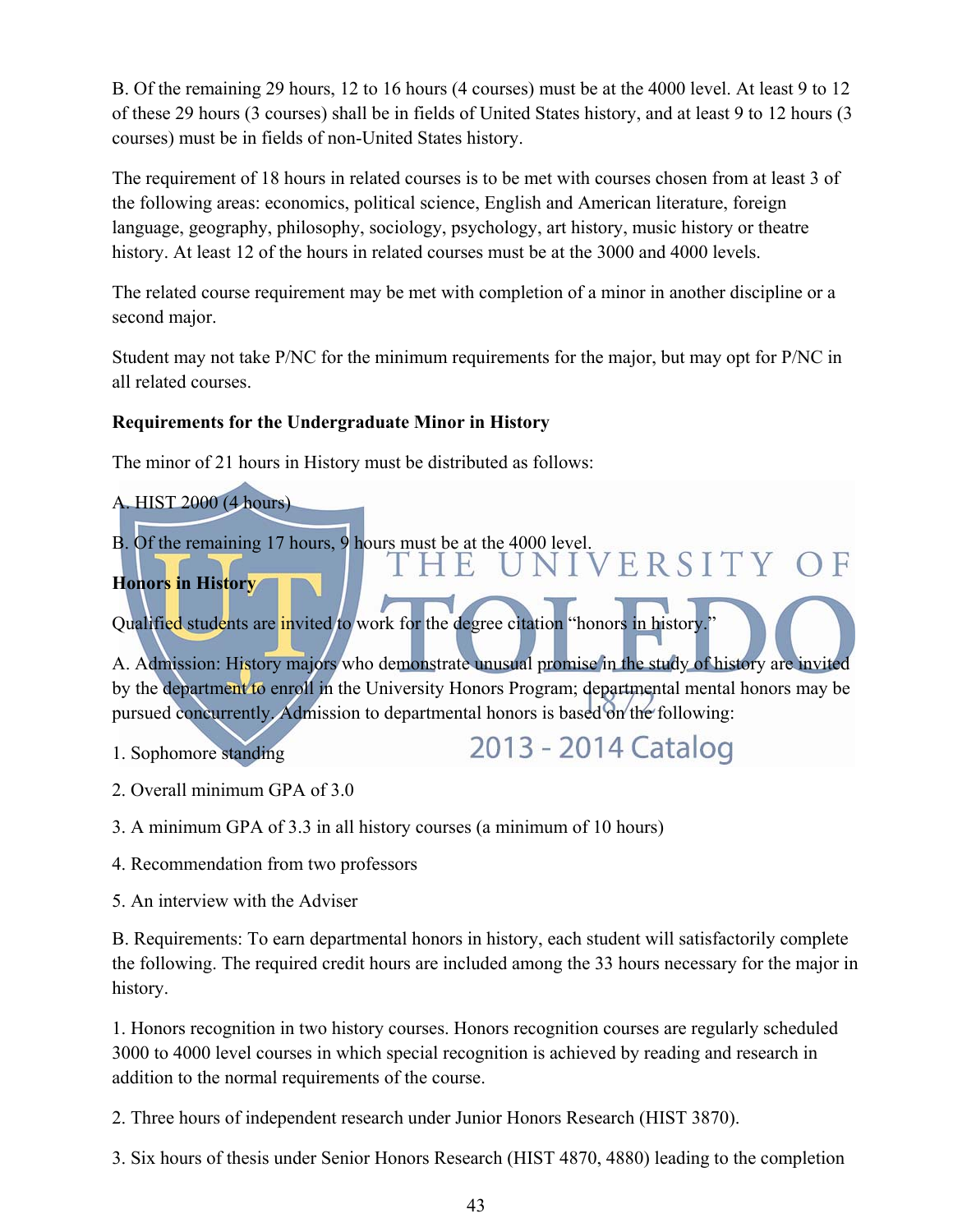B. Of the remaining 29 hours, 12 to 16 hours (4 courses) must be at the 4000 level. At least 9 to 12 of these 29 hours (3 courses) shall be in fields of United States history, and at least 9 to 12 hours (3 courses) must be in fields of non-United States history.

The requirement of 18 hours in related courses is to be met with courses chosen from at least 3 of the following areas: economics, political science, English and American literature, foreign language, geography, philosophy, sociology, psychology, art history, music history or theatre history. At least 12 of the hours in related courses must be at the 3000 and 4000 levels.

The related course requirement may be met with completion of a minor in another discipline or a second major.

Student may not take P/NC for the minimum requirements for the major, but may opt for P/NC in all related courses.

## **Requirements for the Undergraduate Minor in History**

The minor of 21 hours in History must be distributed as follows:

- A. HIST 2000 (4 hours) B. Of the remaining 17 hours, 9 hours must be at the 4000 level.<br> $T H E U N I V E R S I T Y O F$ **Honors in History**  Qualified students are invited to work for the degree citation "honors in history." A. Admission: History majors who demonstrate unusual promise in the study of history are invited by the department to enroll in the University Honors Program; departmental mental honors may be pursued concurrently. Admission to departmental honors is based on the following: 2013 - 2014 Catalog 1. Sophomore standing
- 2. Overall minimum GPA of 3.0
- 3. A minimum GPA of 3.3 in all history courses (a minimum of 10 hours)
- 4. Recommendation from two professors
- 5. An interview with the Adviser

B. Requirements: To earn departmental honors in history, each student will satisfactorily complete the following. The required credit hours are included among the 33 hours necessary for the major in history.

1. Honors recognition in two history courses. Honors recognition courses are regularly scheduled 3000 to 4000 level courses in which special recognition is achieved by reading and research in addition to the normal requirements of the course.

2. Three hours of independent research under Junior Honors Research (HIST 3870).

3. Six hours of thesis under Senior Honors Research (HIST 4870, 4880) leading to the completion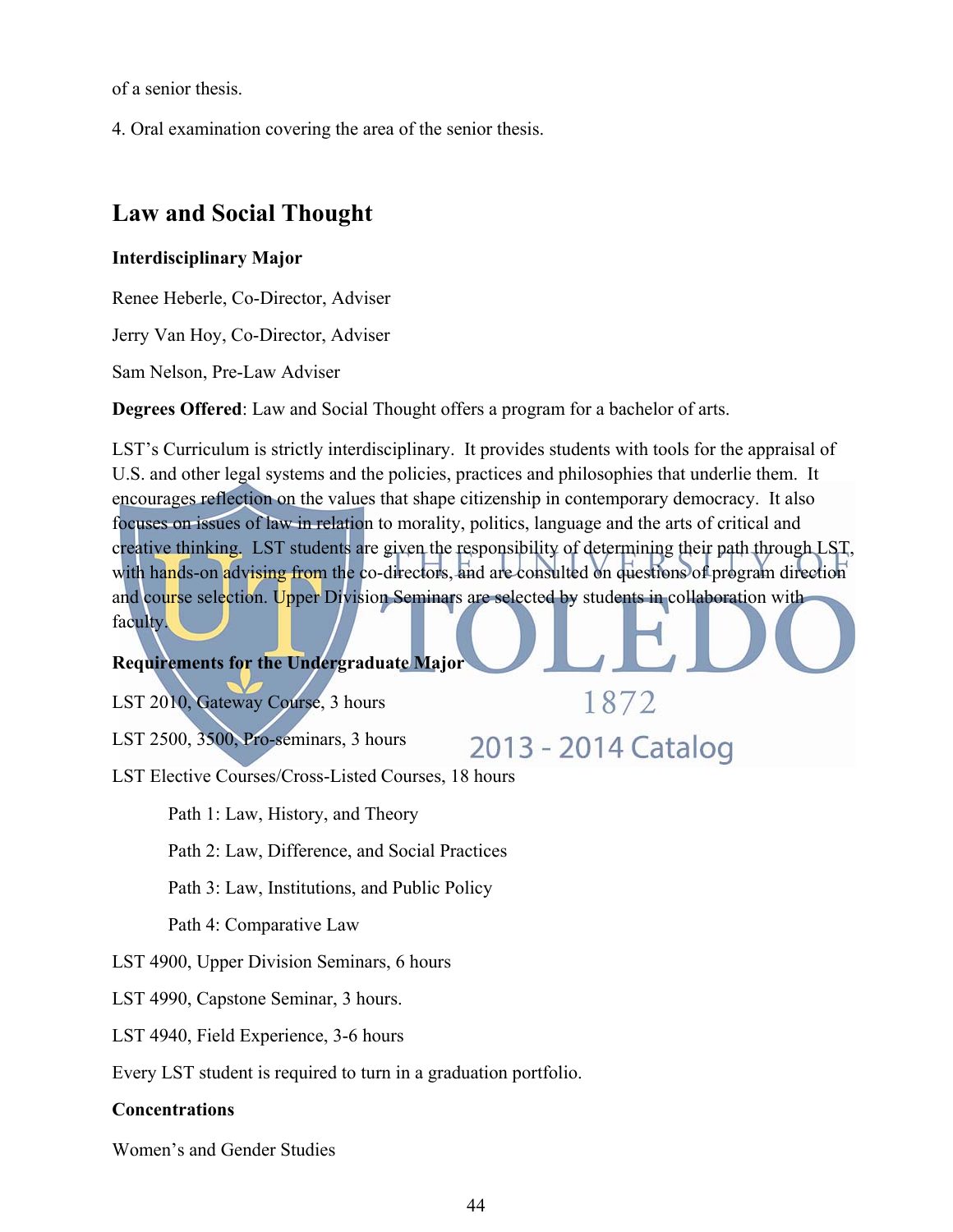of a senior thesis.

4. Oral examination covering the area of the senior thesis.

## **Law and Social Thought**

#### **Interdisciplinary Major**

Renee Heberle, Co-Director, Adviser

Jerry Van Hoy, Co-Director, Adviser

Sam Nelson, Pre-Law Adviser

**Degrees Offered**: Law and Social Thought offers a program for a bachelor of arts.

LST's Curriculum is strictly interdisciplinary. It provides students with tools for the appraisal of U.S. and other legal systems and the policies, practices and philosophies that underlie them. It encourages reflection on the values that shape citizenship in contemporary democracy. It also focuses on issues of law in relation to morality, politics, language and the arts of critical and creative thinking. LST students are given the responsibility of determining their path through LST, with hands-on advising from the co-directors, and are consulted on questions of program direction and course selection. Upper Division Seminars are selected by students in collaboration with faculty.

1872

2013 - 2014 Catalog

#### **Requirements for the Undergraduate Major**

LST 2010, Gateway Course, 3 hours

LST 2500, 3500, Pro-seminars, 3 hours

LST Elective Courses/Cross-Listed Courses, 18 hours

Path 1: Law, History, and Theory

Path 2: Law, Difference, and Social Practices

Path 3: Law, Institutions, and Public Policy

Path 4: Comparative Law

LST 4900, Upper Division Seminars, 6 hours

LST 4990, Capstone Seminar, 3 hours.

LST 4940, Field Experience, 3-6 hours

Every LST student is required to turn in a graduation portfolio.

#### **Concentrations**

Women's and Gender Studies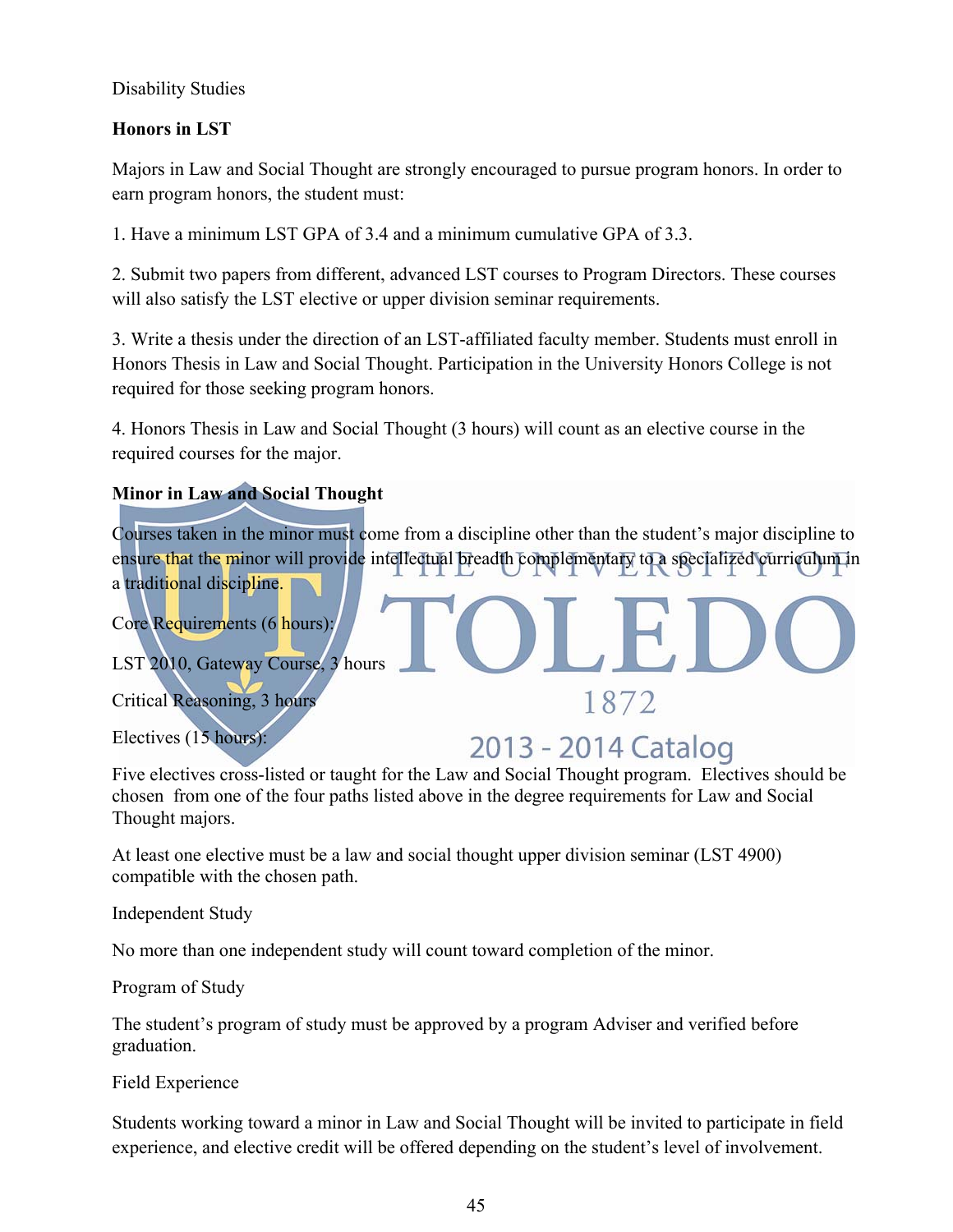### Disability Studies

## **Honors in LST**

Majors in Law and Social Thought are strongly encouraged to pursue program honors. In order to earn program honors, the student must:

1. Have a minimum LST GPA of 3.4 and a minimum cumulative GPA of 3.3.

2. Submit two papers from different, advanced LST courses to Program Directors. These courses will also satisfy the LST elective or upper division seminar requirements.

3. Write a thesis under the direction of an LST-affiliated faculty member. Students must enroll in Honors Thesis in Law and Social Thought. Participation in the University Honors College is not required for those seeking program honors.

4. Honors Thesis in Law and Social Thought (3 hours) will count as an elective course in the required courses for the major.

## **Minor in Law and Social Thought**

Courses taken in the minor must come from a discipline other than the student's major discipline to ensure that the minor will provide intellectual breadth complementary to a specialized curriculum in a traditional discipline.

Core Requirements (6 hours):

LST 2010, Gateway Course, 3 hours

Critical Reasoning, 3 hours

Electives (15 hours):

# 2013 - 2014 Catalog

1872

Five electives cross-listed or taught for the Law and Social Thought program. Electives should be chosen from one of the four paths listed above in the degree requirements for Law and Social Thought majors.

At least one elective must be a law and social thought upper division seminar (LST 4900) compatible with the chosen path.

Independent Study

No more than one independent study will count toward completion of the minor.

Program of Study

The student's program of study must be approved by a program Adviser and verified before graduation.

Field Experience

Students working toward a minor in Law and Social Thought will be invited to participate in field experience, and elective credit will be offered depending on the student's level of involvement.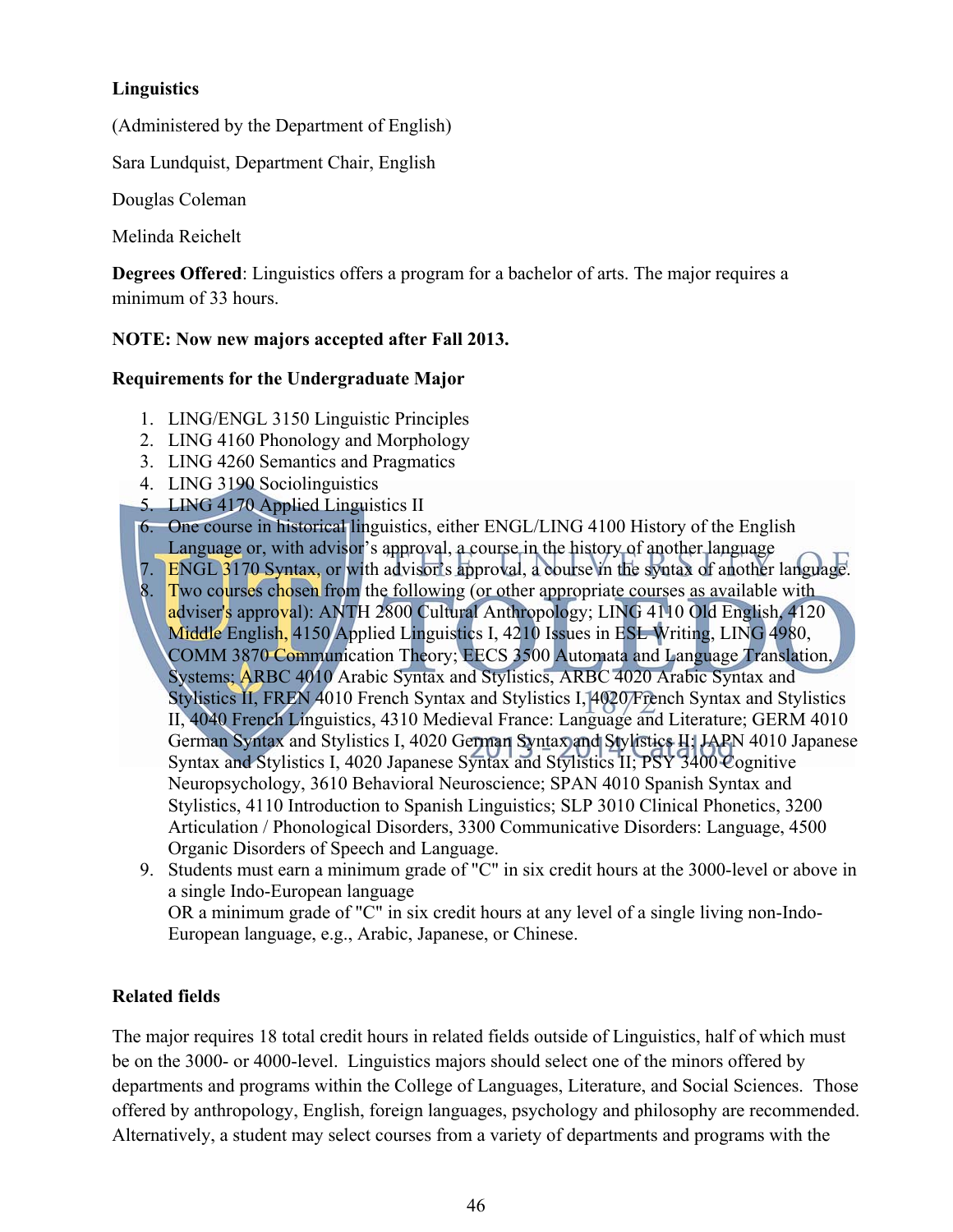## **Linguistics**

(Administered by the Department of English)

Sara Lundquist, Department Chair, English

Douglas Coleman

Melinda Reichelt

**Degrees Offered**: Linguistics offers a program for a bachelor of arts. The major requires a minimum of 33 hours.

## **NOTE: Now new majors accepted after Fall 2013.**

## **Requirements for the Undergraduate Major**

- 1. LING/ENGL 3150 Linguistic Principles
- 2. LING 4160 Phonology and Morphology
- 3. LING 4260 Semantics and Pragmatics
- 4. LING 3190 Sociolinguistics
- 5. LING 4170 Applied Linguistics II
- 6. One course in historical linguistics, either ENGL/LING 4100 History of the English
- Language or, with advisor's approval, a course in the history of another language
- 7. ENGL 3170 Syntax, or with advisor's approval, a course in the syntax of another language.
- 8. Two courses chosen from the following (or other appropriate courses as available with adviser's approval): ANTH 2800 Cultural Anthropology; LING 4110 Old English, 4120 Middle English, 4150 Applied Linguistics I, 4210 Issues in ESL Writing, LING 4980, COMM 3870 Communication Theory; EECS 3500 Automata and Language Translation, Systems; ARBC 4010 Arabic Syntax and Stylistics, ARBC 4020 Arabic Syntax and Stylistics II, FREN 4010 French Syntax and Stylistics I, 4020 French Syntax and Stylistics II, 4040 French Linguistics, 4310 Medieval France: Language and Literature; GERM 4010 German Syntax and Stylistics I, 4020 German Syntax and Stylistics II; JAPN 4010 Japanese Syntax and Stylistics I, 4020 Japanese Syntax and Stylistics II; PSY 3400 Cognitive Neuropsychology, 3610 Behavioral Neuroscience; SPAN 4010 Spanish Syntax and Stylistics, 4110 Introduction to Spanish Linguistics; SLP 3010 Clinical Phonetics, 3200 Articulation / Phonological Disorders, 3300 Communicative Disorders: Language, 4500 Organic Disorders of Speech and Language.
- 9. Students must earn a minimum grade of "C" in six credit hours at the 3000-level or above in a single Indo-European language OR a minimum grade of "C" in six credit hours at any level of a single living non-Indo-

## European language, e.g., Arabic, Japanese, or Chinese.

## **Related fields**

The major requires 18 total credit hours in related fields outside of Linguistics, half of which must be on the 3000- or 4000-level. Linguistics majors should select one of the minors offered by departments and programs within the College of Languages, Literature, and Social Sciences. Those offered by anthropology, English, foreign languages, psychology and philosophy are recommended. Alternatively, a student may select courses from a variety of departments and programs with the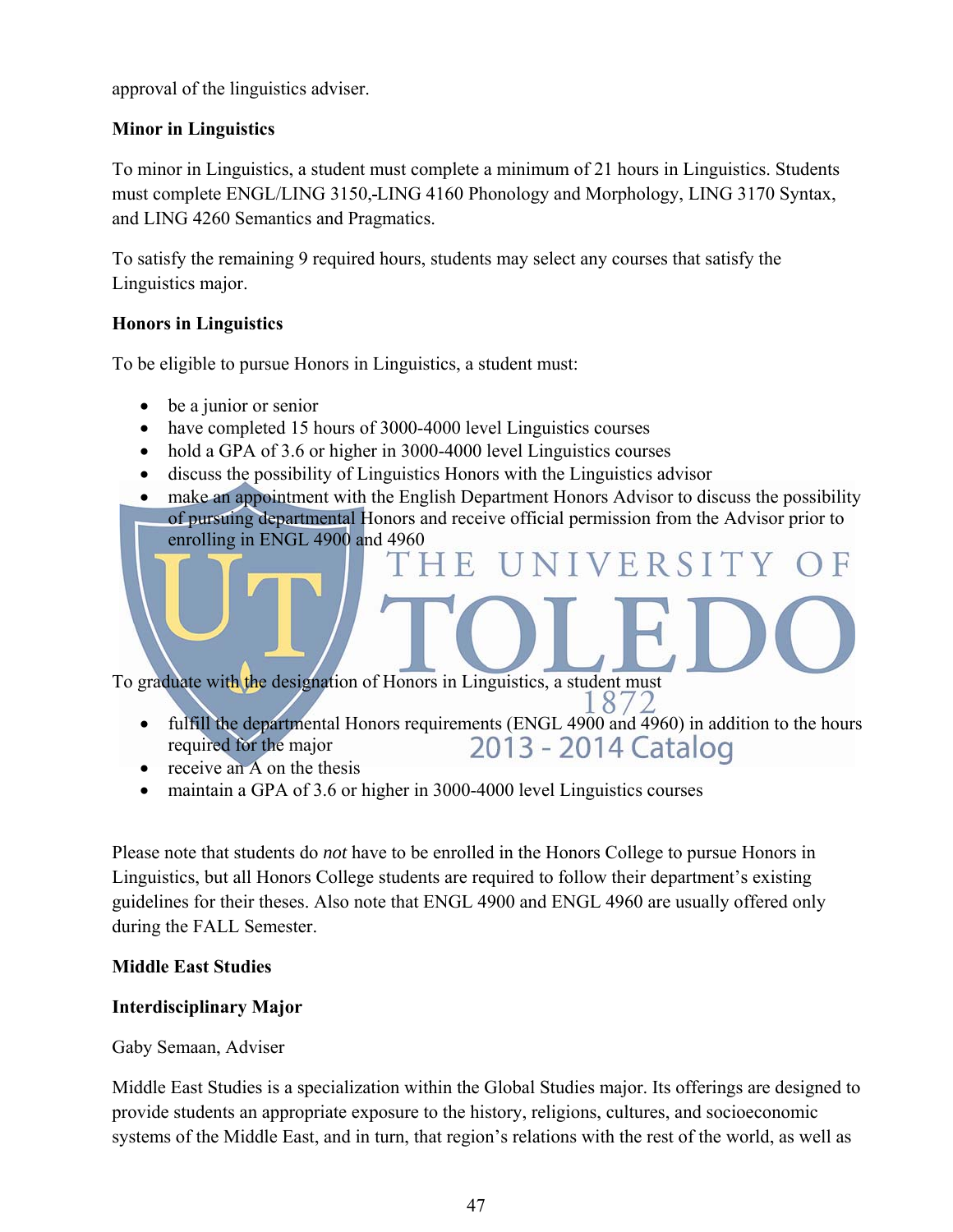approval of the linguistics adviser.

## **Minor in Linguistics**

To minor in Linguistics, a student must complete a minimum of 21 hours in Linguistics. Students must complete ENGL/LING 3150, LING 4160 Phonology and Morphology, LING 3170 Syntax, and LING 4260 Semantics and Pragmatics.

To satisfy the remaining 9 required hours, students may select any courses that satisfy the Linguistics major.

## **Honors in Linguistics**

To be eligible to pursue Honors in Linguistics, a student must:

- be a junior or senior
- have completed 15 hours of 3000-4000 level Linguistics courses
- hold a GPA of 3.6 or higher in 3000-4000 level Linguistics courses
- discuss the possibility of Linguistics Honors with the Linguistics advisor

• make an appointment with the English Department Honors Advisor to discuss the possibility of pursuing departmental Honors and receive official permission from the Advisor prior to enrolling in ENGL 4900 and 4960

VERSITY

To graduate with the designation of Honors in Linguistics, a student must

- fulfill the departmental Honors requirements (ENGL 4900 and 4960) in addition to the hours 2013 - 2014 Catalog required for the major
- $\bullet$  receive an A on the thesis
- maintain a GPA of 3.6 or higher in 3000-4000 level Linguistics courses

Please note that students do *not* have to be enrolled in the Honors College to pursue Honors in Linguistics, but all Honors College students are required to follow their department's existing guidelines for their theses. Also note that ENGL 4900 and ENGL 4960 are usually offered only during the FALL Semester.

## **Middle East Studies**

## **Interdisciplinary Major**

Gaby Semaan, Adviser

Middle East Studies is a specialization within the Global Studies major. Its offerings are designed to provide students an appropriate exposure to the history, religions, cultures, and socioeconomic systems of the Middle East, and in turn, that region's relations with the rest of the world, as well as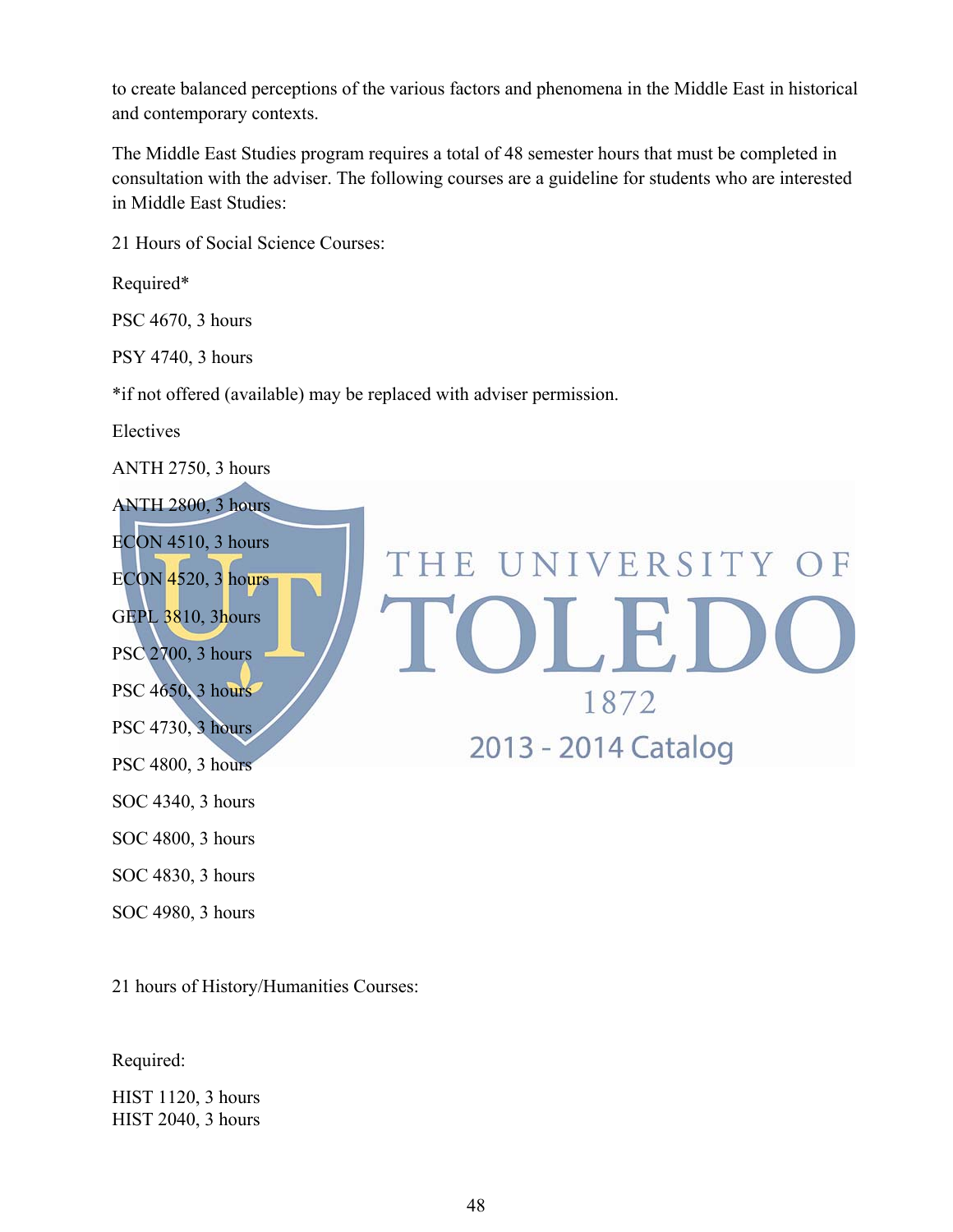to create balanced perceptions of the various factors and phenomena in the Middle East in historical and contemporary contexts.

The Middle East Studies program requires a total of 48 semester hours that must be completed in consultation with the adviser. The following courses are a guideline for students who are interested in Middle East Studies:

THE UNIVERSITY OF

OLEIC

1872

2013 - 2014 Catalog

21 Hours of Social Science Courses:

Required\*

PSC 4670, 3 hours

PSY 4740, 3 hours

\*if not offered (available) may be replaced with adviser permission.

Electives

ANTH 2750, 3 hours

ANTH 2800, 3 hours ECON 4510, 3 hours ECON 4520, 3 hours GEPL 3810, 3hours PSC 2700, 3 hours PSC 4650, 3 hours PSC 4730, 3 hours PSC 4800, 3 hours

SOC 4340, 3 hours

SOC 4800, 3 hours

SOC 4830, 3 hours

SOC 4980, 3 hours

21 hours of History/Humanities Courses:

Required:

HIST 1120, 3 hours HIST 2040, 3 hours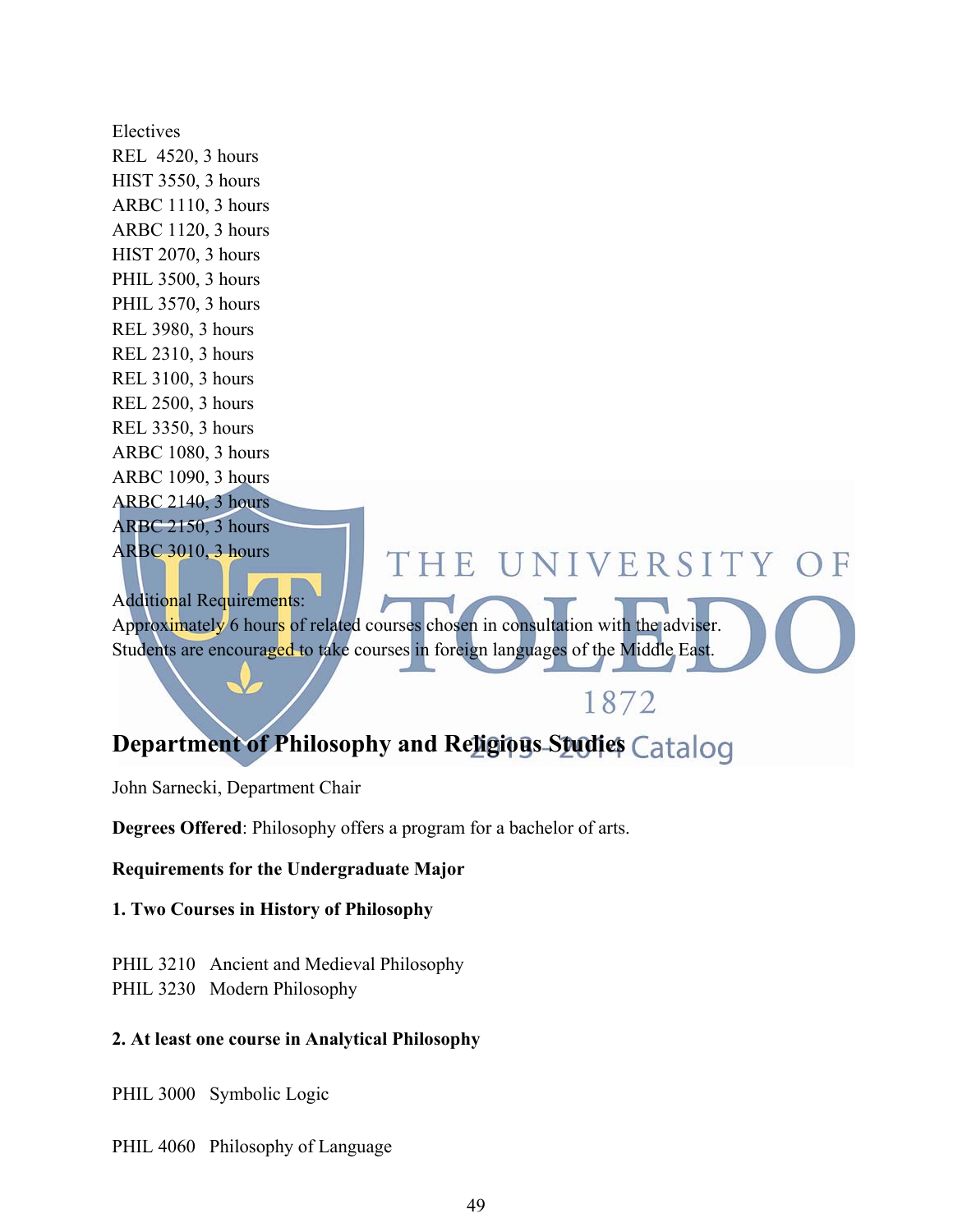Electives REL 4520, 3 hours HIST 3550, 3 hours ARBC 1110, 3 hours ARBC 1120, 3 hours HIST 2070, 3 hours PHIL 3500, 3 hours PHIL 3570, 3 hours REL 3980, 3 hours REL 2310, 3 hours REL 3100, 3 hours REL 2500, 3 hours REL 3350, 3 hours ARBC 1080, 3 hours ARBC 1090, 3 hours ARBC 2140, 3 hours ARBC 2150, 3 hours ARBC 3010, 3 hours THE UNIVERSITY OF Additional Requirements: Approximately 6 hours of related courses chosen in consultation with the adviser.

# **Department of Philosophy and Religious Studies Catalog**

1872

Students are encouraged to take courses in foreign languages of the Middle East.

John Sarnecki, Department Chair

**Degrees Offered**: Philosophy offers a program for a bachelor of arts.

**Requirements for the Undergraduate Major**

**1. Two Courses in History of Philosophy**

PHIL 3210 Ancient and Medieval Philosophy PHIL 3230 Modern Philosophy

#### **2. At least one course in Analytical Philosophy**

PHIL 3000 Symbolic Logic

PHIL 4060 Philosophy of Language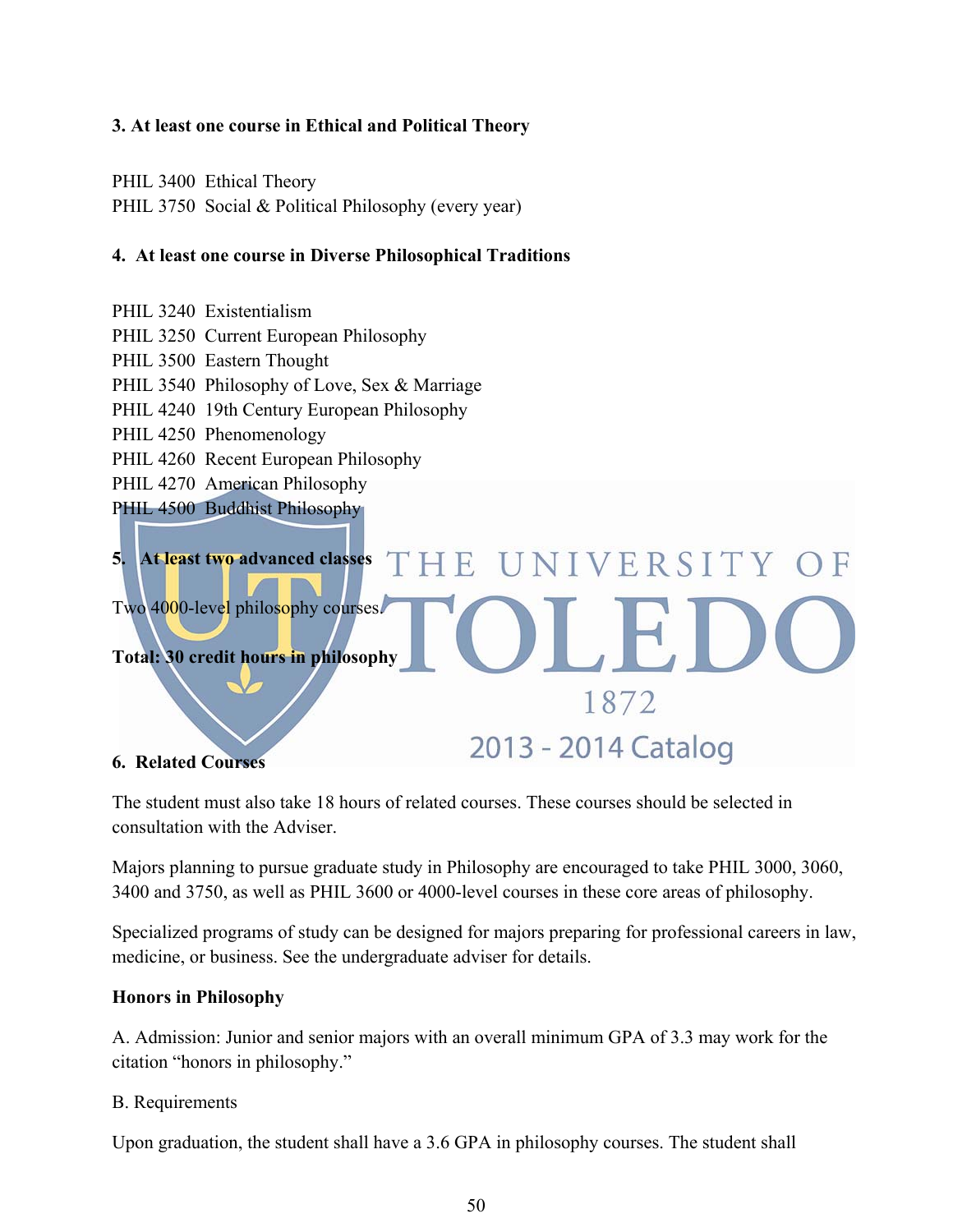## **3. At least one course in Ethical and Political Theory**

PHIL 3400 Ethical Theory

PHIL 3750 Social & Political Philosophy (every year)

### **4. At least one course in Diverse Philosophical Traditions**

- PHIL 3240 Existentialism
- PHIL 3250 Current European Philosophy
- PHIL 3500 Eastern Thought
- PHIL 3540 Philosophy of Love, Sex & Marriage
- PHIL 4240 19th Century European Philosophy
- PHIL 4250 Phenomenology
- PHIL 4260 Recent European Philosophy
- PHIL 4270 American Philosophy
- PHIL 4500 Buddhist Philosophy



#### **6. Related Courses**

The student must also take 18 hours of related courses. These courses should be selected in consultation with the Adviser.

Majors planning to pursue graduate study in Philosophy are encouraged to take PHIL 3000, 3060, 3400 and 3750, as well as PHIL 3600 or 4000-level courses in these core areas of philosophy.

Specialized programs of study can be designed for majors preparing for professional careers in law, medicine, or business. See the undergraduate adviser for details.

#### **Honors in Philosophy**

A. Admission: Junior and senior majors with an overall minimum GPA of 3.3 may work for the citation "honors in philosophy."

#### B. Requirements

Upon graduation, the student shall have a 3.6 GPA in philosophy courses. The student shall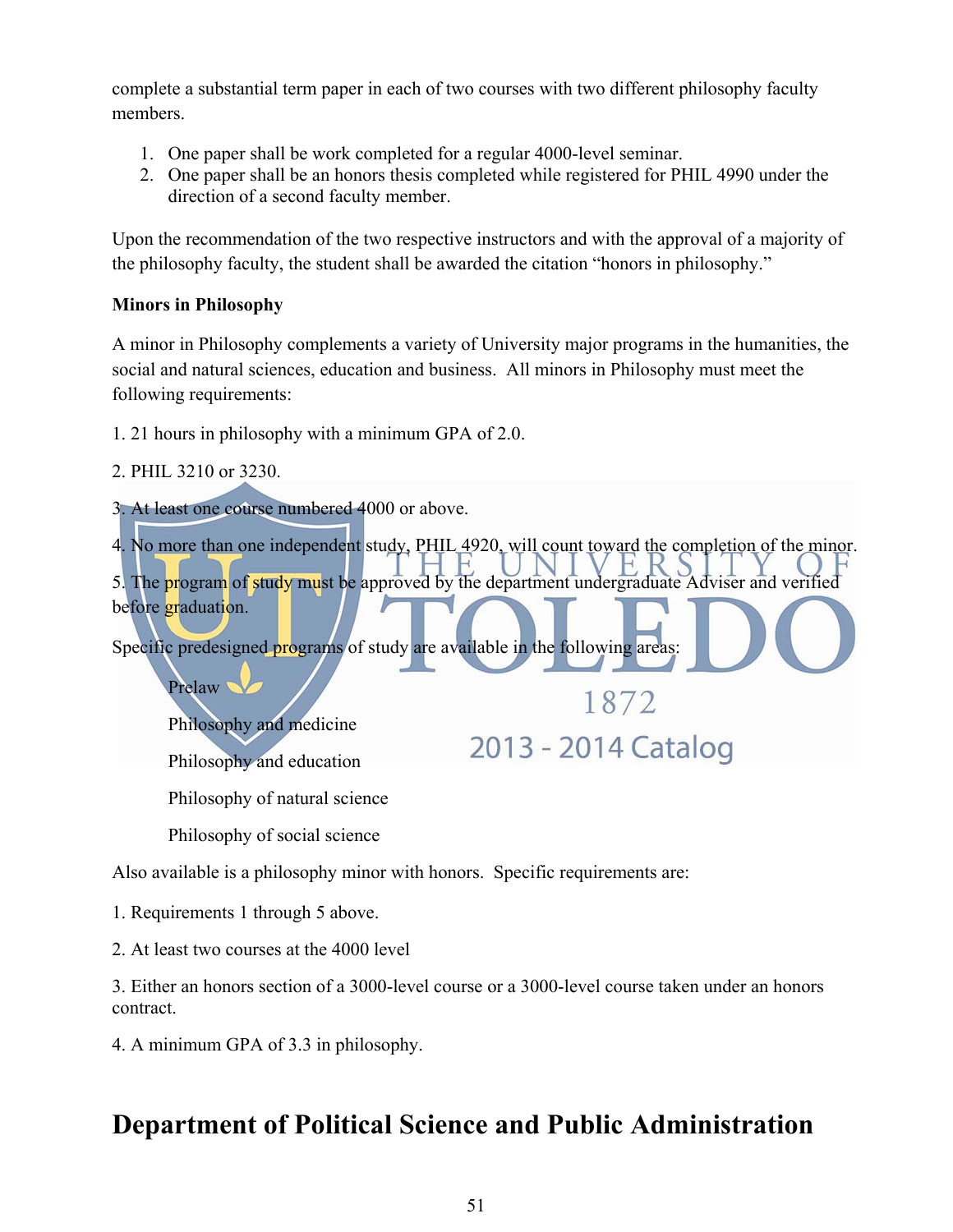complete a substantial term paper in each of two courses with two different philosophy faculty members.

- 1. One paper shall be work completed for a regular 4000-level seminar.
- 2. One paper shall be an honors thesis completed while registered for PHIL 4990 under the direction of a second faculty member.

Upon the recommendation of the two respective instructors and with the approval of a majority of the philosophy faculty, the student shall be awarded the citation "honors in philosophy."

## **Minors in Philosophy**

A minor in Philosophy complements a variety of University major programs in the humanities, the social and natural sciences, education and business. All minors in Philosophy must meet the following requirements:

1. 21 hours in philosophy with a minimum GPA of 2.0.

2. PHIL 3210 or 3230.

3. At least one course numbered 4000 or above.

4. No more than one independent study, PHIL 4920, will count toward the completion of the minor. 5. The program of study must be approved by the department undergraduate Adviser and verified before graduation.

1872

2013 - 2014 Catalog

Specific predesigned programs of study are available in the following areas:

Prelaw<sup>1</sup>

Philosophy and medicine

Philosophy and education

Philosophy of natural science

Philosophy of social science

Also available is a philosophy minor with honors. Specific requirements are:

1. Requirements 1 through 5 above.

2. At least two courses at the 4000 level

3. Either an honors section of a 3000-level course or a 3000-level course taken under an honors contract.

4. A minimum GPA of 3.3 in philosophy.

# **Department of Political Science and Public Administration**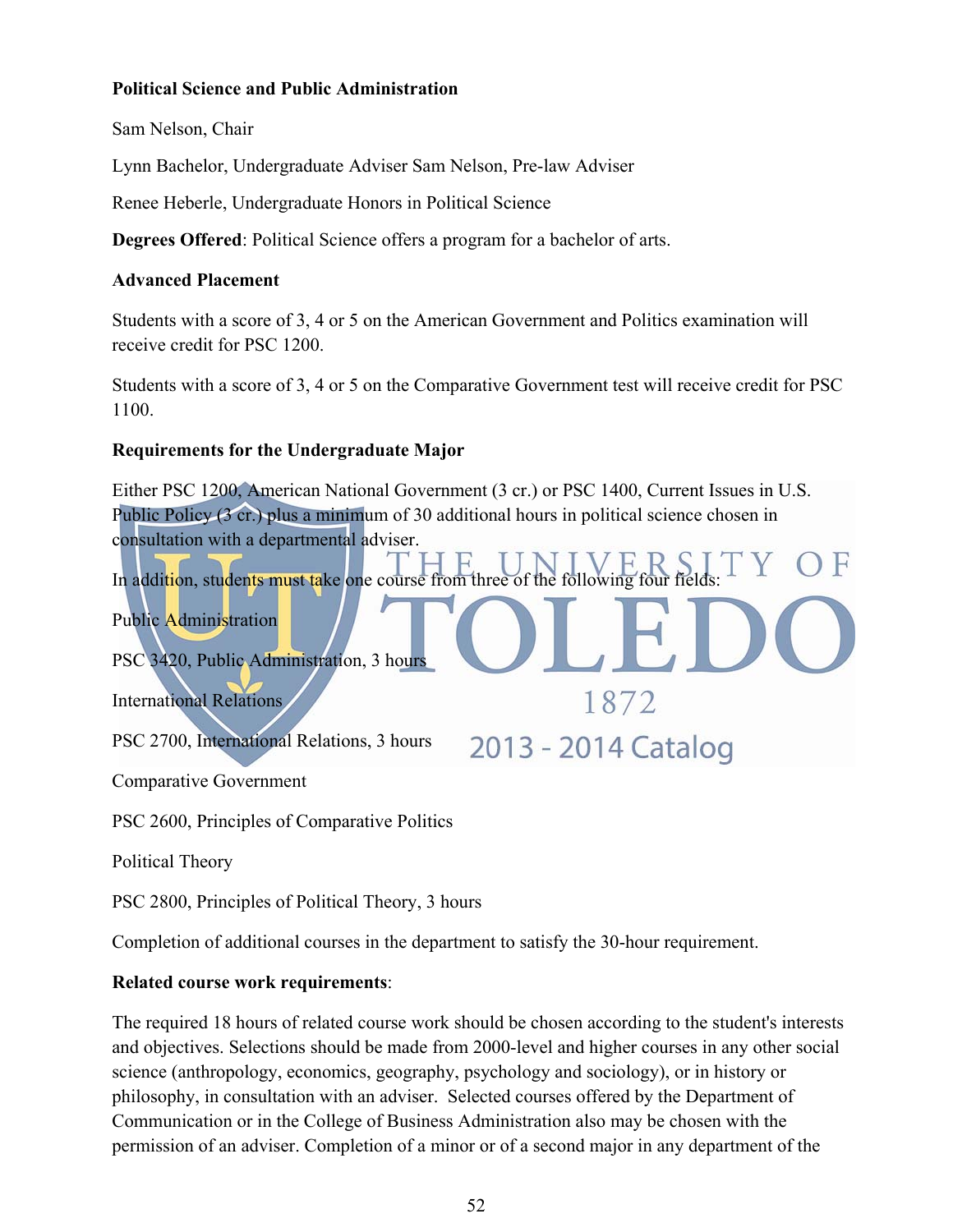### **Political Science and Public Administration**

Sam Nelson, Chair

Lynn Bachelor, Undergraduate Adviser Sam Nelson, Pre-law Adviser

Renee Heberle, Undergraduate Honors in Political Science

**Degrees Offered**: Political Science offers a program for a bachelor of arts.

### **Advanced Placement**

Students with a score of 3, 4 or 5 on the American Government and Politics examination will receive credit for PSC 1200.

Students with a score of 3, 4 or 5 on the Comparative Government test will receive credit for PSC 1100.

## **Requirements for the Undergraduate Major**

Either PSC 1200, American National Government (3 cr.) or PSC 1400, Current Issues in U.S. Public Policy (3 cr.) plus a minimum of 30 additional hours in political science chosen in consultation with a departmental adviser. In addition, students must take one course from three of the following four Public Administration PSC 3420, Public Administration, 3 hours 1872 International Relations PSC 2700, International Relations, 3 hours 2013 - 2014 Catalog Comparative Government PSC 2600, Principles of Comparative Politics

Political Theory

PSC 2800, Principles of Political Theory, 3 hours

Completion of additional courses in the department to satisfy the 30-hour requirement.

## **Related course work requirements**:

The required 18 hours of related course work should be chosen according to the student's interests and objectives. Selections should be made from 2000-level and higher courses in any other social science (anthropology, economics, geography, psychology and sociology), or in history or philosophy, in consultation with an adviser. Selected courses offered by the Department of Communication or in the College of Business Administration also may be chosen with the permission of an adviser. Completion of a minor or of a second major in any department of the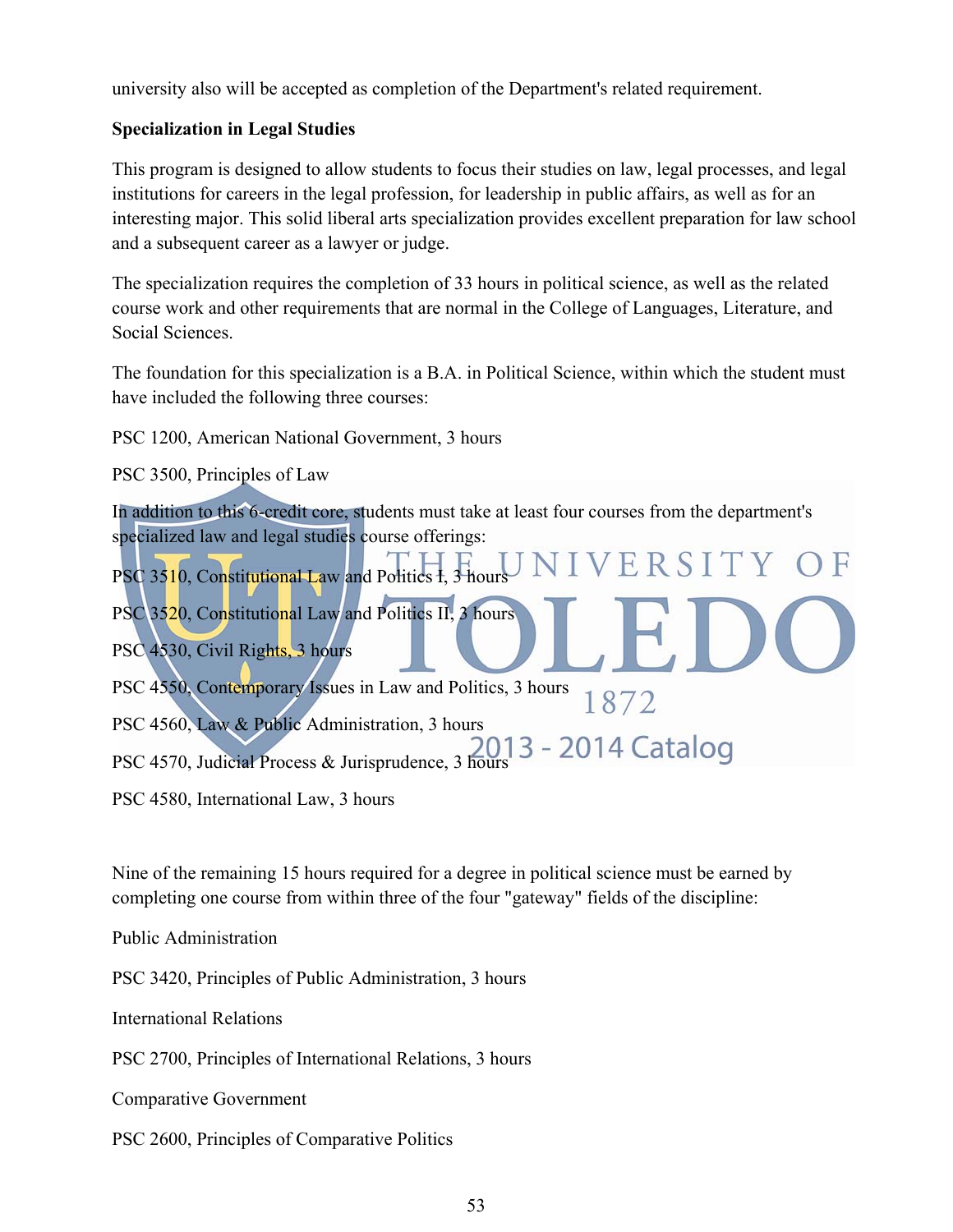university also will be accepted as completion of the Department's related requirement.

## **Specialization in Legal Studies**

This program is designed to allow students to focus their studies on law, legal processes, and legal institutions for careers in the legal profession, for leadership in public affairs, as well as for an interesting major. This solid liberal arts specialization provides excellent preparation for law school and a subsequent career as a lawyer or judge.

The specialization requires the completion of 33 hours in political science, as well as the related course work and other requirements that are normal in the College of Languages, Literature, and Social Sciences.

The foundation for this specialization is a B.A. in Political Science, within which the student must have included the following three courses:

PSC 1200, American National Government, 3 hours

PSC 3500, Principles of Law

In addition to this 6-credit core, students must take at least four courses from the department's specialized law and legal studies course offerings:

VERSITY OF PSC 3510, Constitutional Law and Politics I, 3 hours PSC 3520, Constitutional Law and Politics II, 3 hours PSC 4530, Civil Rights, 3 hours PSC 4550, Contemporary Issues in Law and Politics, 3 hours 1872 PSC 4560, Law & Public Administration, 3 hours PSC 4570, Judicial Process & Jurisprudence, 3 hours 2013 - 2014 Catalog

PSC 4580, International Law, 3 hours

Nine of the remaining 15 hours required for a degree in political science must be earned by completing one course from within three of the four "gateway" fields of the discipline:

Public Administration

PSC 3420, Principles of Public Administration, 3 hours

International Relations

PSC 2700, Principles of International Relations, 3 hours

Comparative Government

PSC 2600, Principles of Comparative Politics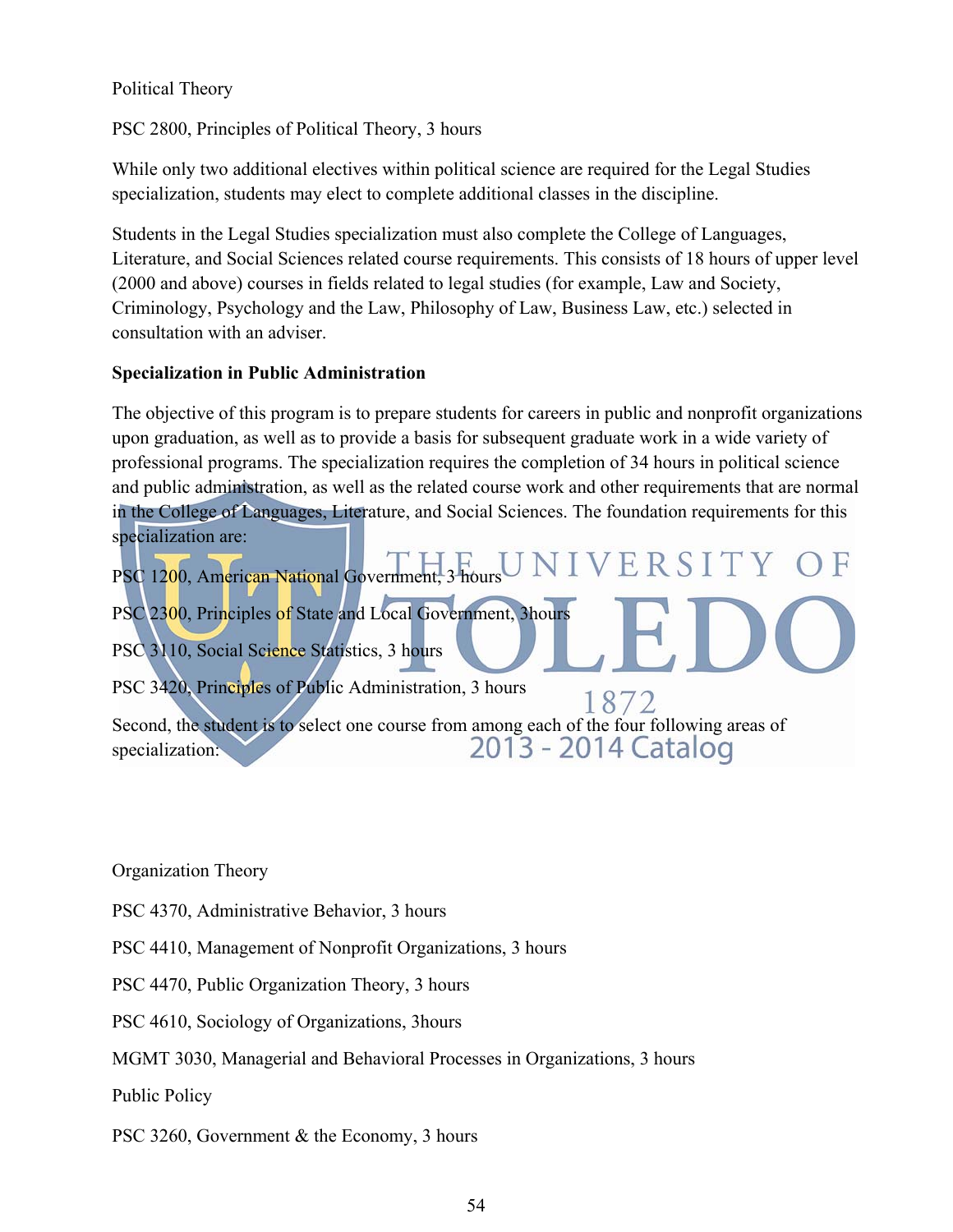Political Theory

PSC 2800, Principles of Political Theory, 3 hours

While only two additional electives within political science are required for the Legal Studies specialization, students may elect to complete additional classes in the discipline.

Students in the Legal Studies specialization must also complete the College of Languages, Literature, and Social Sciences related course requirements. This consists of 18 hours of upper level (2000 and above) courses in fields related to legal studies (for example, Law and Society, Criminology, Psychology and the Law, Philosophy of Law, Business Law, etc.) selected in consultation with an adviser.

## **Specialization in Public Administration**

The objective of this program is to prepare students for careers in public and nonprofit organizations upon graduation, as well as to provide a basis for subsequent graduate work in a wide variety of professional programs. The specialization requires the completion of 34 hours in political science and public administration, as well as the related course work and other requirements that are normal in the College of Languages, Literature, and Social Sciences. The foundation requirements for this specialization are:

PSC 1200, American National Government, 3 hours U IVERSITY OF PSC 2300, Principles of State and Local Government, 3hours PSC 3110, Social Science Statistics, 3 hours PSC 3420, Principles of Public Administration, 3 hours 1872 Second, the student is to select one course from among each of the four following areas of specialization:<br>2013 - 2014 Catalog specialization:

Organization Theory

PSC 4370, Administrative Behavior, 3 hours

PSC 4410, Management of Nonprofit Organizations, 3 hours

PSC 4470, Public Organization Theory, 3 hours

PSC 4610, Sociology of Organizations, 3hours

MGMT 3030, Managerial and Behavioral Processes in Organizations, 3 hours

Public Policy

PSC 3260, Government & the Economy, 3 hours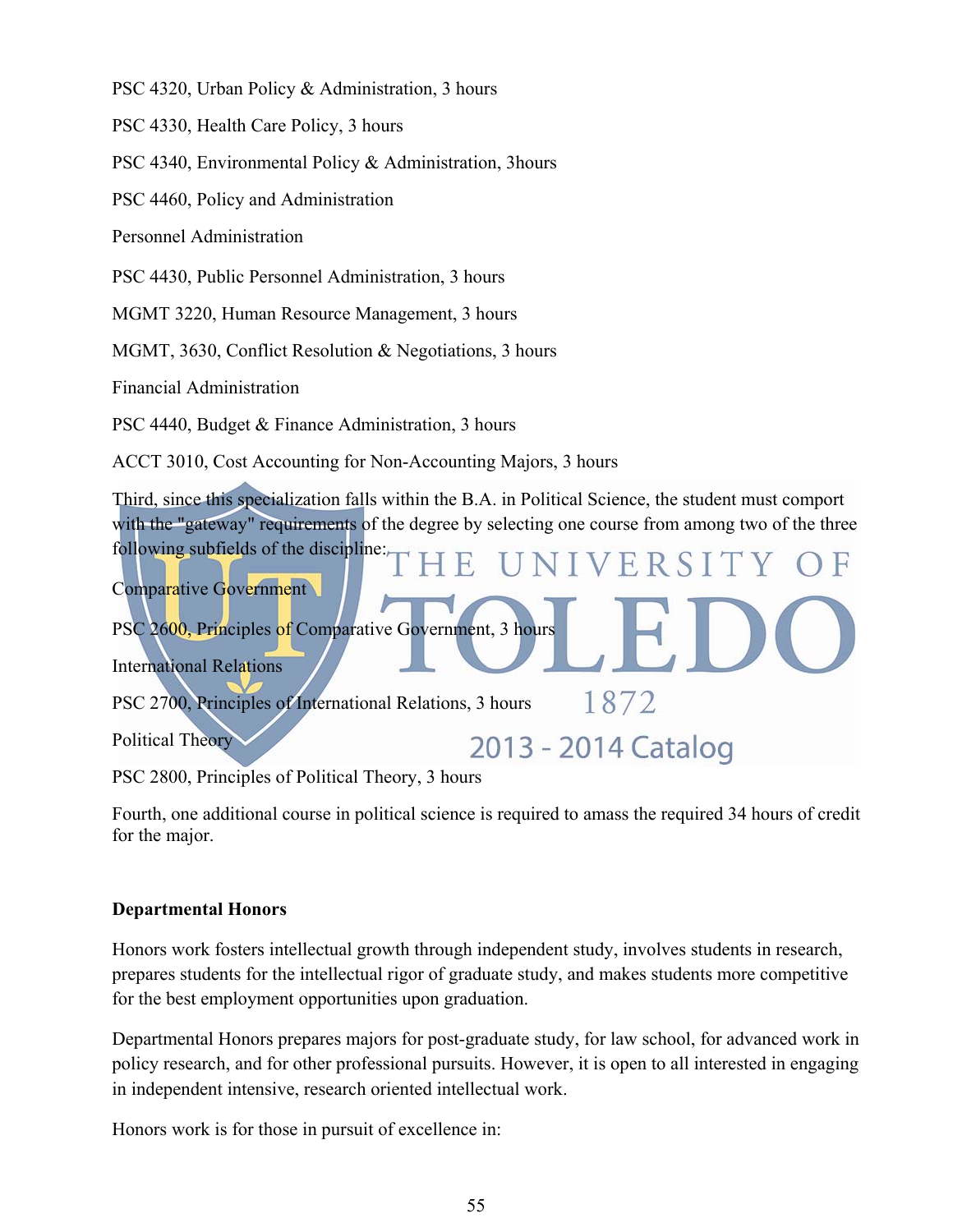PSC 4320, Urban Policy & Administration, 3 hours

PSC 4330, Health Care Policy, 3 hours

PSC 4340, Environmental Policy & Administration, 3hours

PSC 4460, Policy and Administration

Personnel Administration

PSC 4430, Public Personnel Administration, 3 hours

MGMT 3220, Human Resource Management, 3 hours

MGMT, 3630, Conflict Resolution & Negotiations, 3 hours

Financial Administration

PSC 4440, Budget & Finance Administration, 3 hours

ACCT 3010, Cost Accounting for Non-Accounting Majors, 3 hours

Third, since this specialization falls within the B.A. in Political Science, the student must comport with the "gateway" requirements of the degree by selecting one course from among two of the three following subfields of the discipline: VERSIT Comparative Government

PSC 2600, Principles of Comparative Government, 3 hours

International Relations

PSC 2700, Principles of International Relations, 3 hours

Political Theory

2013 - 2014 Catalog

1872

PSC 2800, Principles of Political Theory, 3 hours

Fourth, one additional course in political science is required to amass the required 34 hours of credit for the major.

#### **Departmental Honors**

Honors work fosters intellectual growth through independent study, involves students in research, prepares students for the intellectual rigor of graduate study, and makes students more competitive for the best employment opportunities upon graduation.

Departmental Honors prepares majors for post-graduate study, for law school, for advanced work in policy research, and for other professional pursuits. However, it is open to all interested in engaging in independent intensive, research oriented intellectual work.

Honors work is for those in pursuit of excellence in: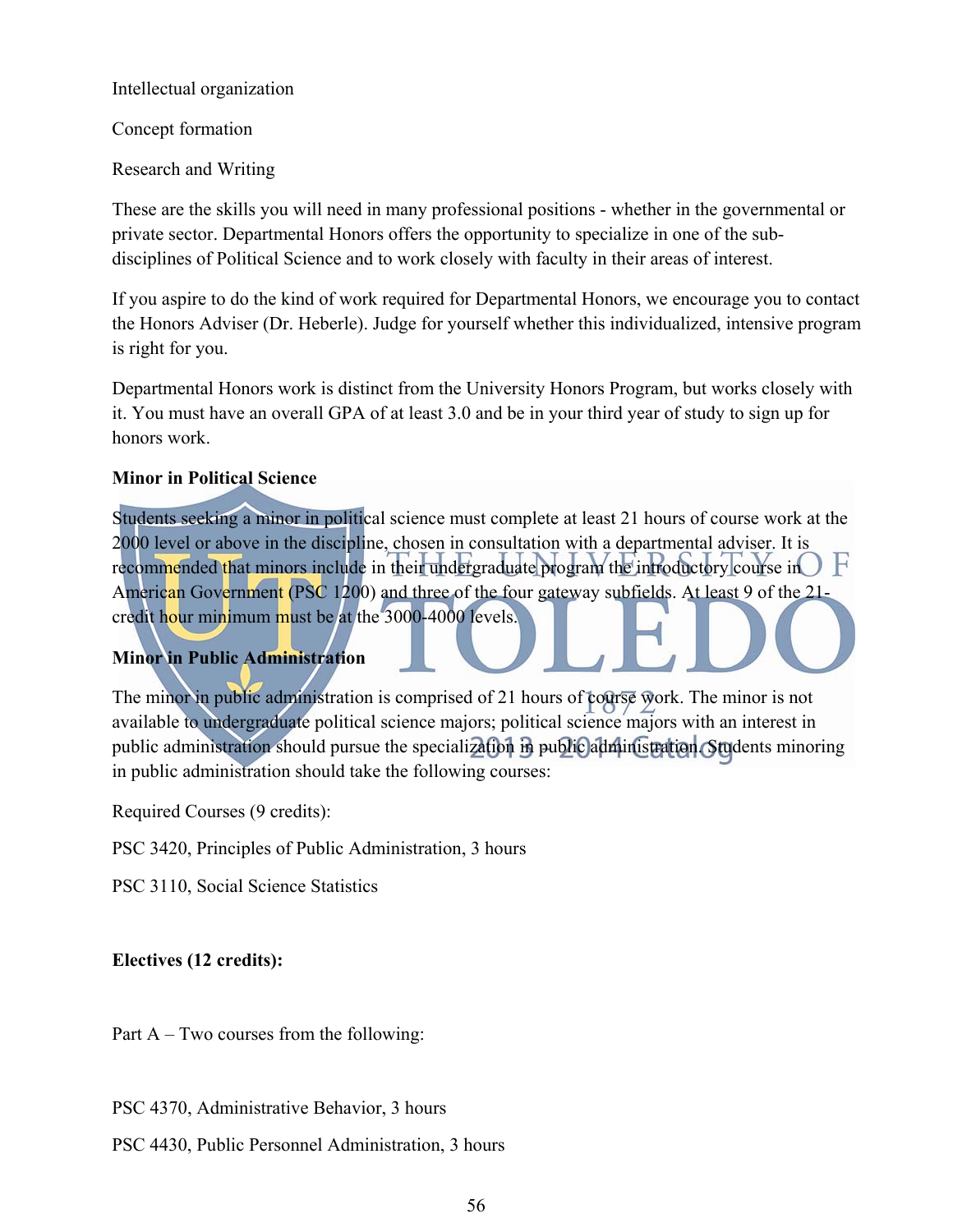Intellectual organization

Concept formation

Research and Writing

These are the skills you will need in many professional positions - whether in the governmental or private sector. Departmental Honors offers the opportunity to specialize in one of the subdisciplines of Political Science and to work closely with faculty in their areas of interest.

If you aspire to do the kind of work required for Departmental Honors, we encourage you to contact the Honors Adviser (Dr. Heberle). Judge for yourself whether this individualized, intensive program is right for you.

Departmental Honors work is distinct from the University Honors Program, but works closely with it. You must have an overall GPA of at least 3.0 and be in your third year of study to sign up for honors work.

## **Minor in Political Science**

Students seeking a minor in political science must complete at least 21 hours of course work at the 2000 level or above in the discipline, chosen in consultation with a departmental adviser. It is recommended that minors include in their undergraduate program the introductory course in  $\bigcup$   $\big\}$ American Government (PSC 1200) and three of the four gateway subfields. At least 9 of the 21 credit hour minimum must be at the 3000-4000 levels.

## **Minor in Public Administration**

The minor in public administration is comprised of 21 hours of course work. The minor is not available to undergraduate political science majors; political science majors with an interest in public administration should pursue the specialization in public administration. Students minoring in public administration should take the following courses:

Required Courses (9 credits):

PSC 3420, Principles of Public Administration, 3 hours

PSC 3110, Social Science Statistics

## **Electives (12 credits):**

Part A – Two courses from the following:

PSC 4370, Administrative Behavior, 3 hours

PSC 4430, Public Personnel Administration, 3 hours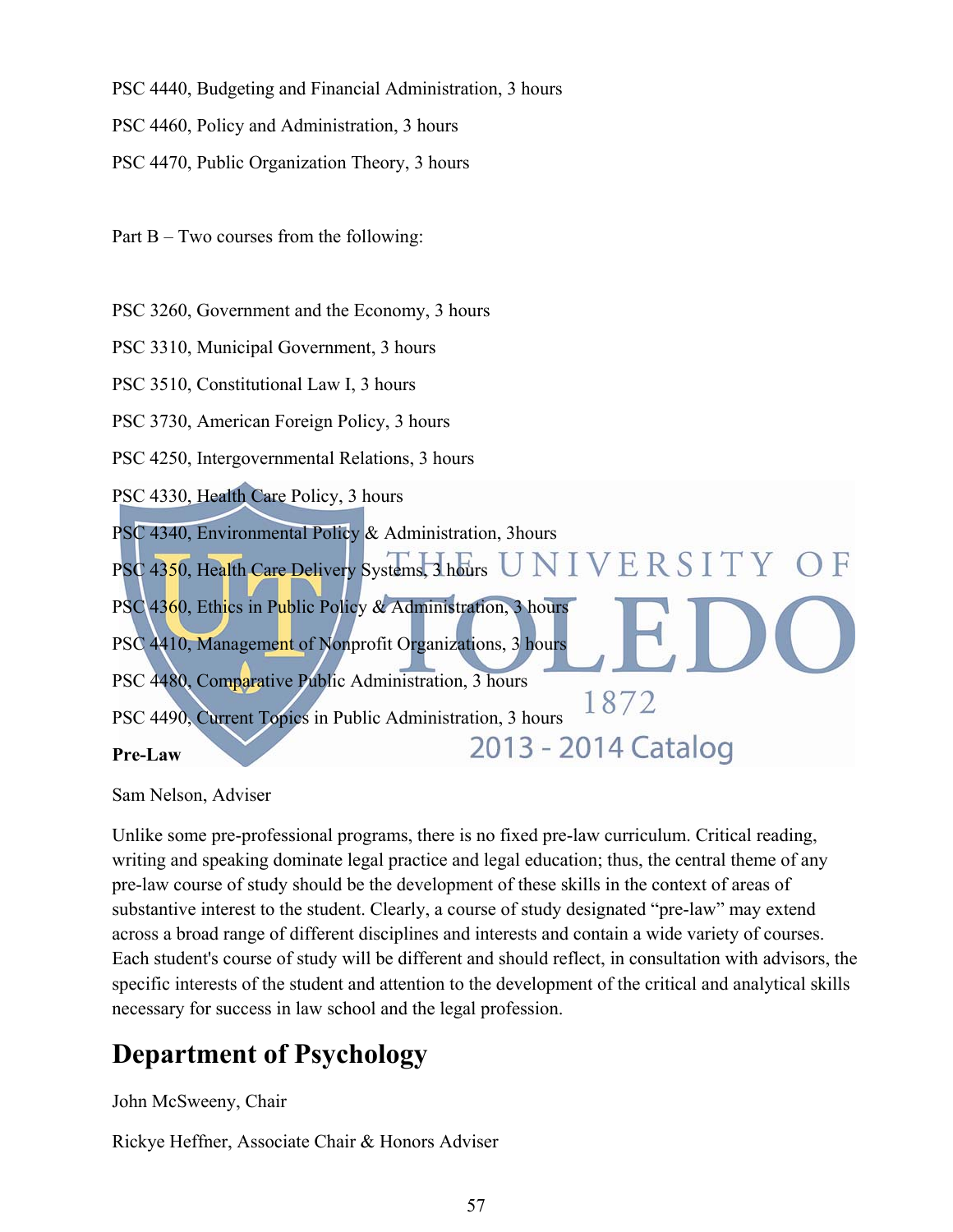PSC 4440, Budgeting and Financial Administration, 3 hours

PSC 4460, Policy and Administration, 3 hours

PSC 4470, Public Organization Theory, 3 hours

Part B – Two courses from the following:

PSC 3260, Government and the Economy, 3 hours

PSC 3310, Municipal Government, 3 hours

PSC 3510, Constitutional Law I, 3 hours

PSC 3730, American Foreign Policy, 3 hours

PSC 4250, Intergovernmental Relations, 3 hours

PSC 4330, Health Care Policy, 3 hours

PSC 4340, Environmental Policy & Administration, 3hours

PSC 4350, Health Care Delivery Systems, 3 hours UNIVERSITY OF

PSC 4360, Ethics in Public Policy & Administration, 3 hours PSC 4410, Management of Nonprofit Organizations, 3 hours

PSC 4480, Comparative Public Administration, 3 hours

1872 PSC 4490, Current Topics in Public Administration, 3 hours 2013 - 2014 Catalog

**Pre-Law** 

Sam Nelson, Adviser

Unlike some pre-professional programs, there is no fixed pre-law curriculum. Critical reading, writing and speaking dominate legal practice and legal education; thus, the central theme of any pre-law course of study should be the development of these skills in the context of areas of substantive interest to the student. Clearly, a course of study designated "pre-law" may extend across a broad range of different disciplines and interests and contain a wide variety of courses. Each student's course of study will be different and should reflect, in consultation with advisors, the specific interests of the student and attention to the development of the critical and analytical skills necessary for success in law school and the legal profession.

# **Department of Psychology**

John McSweeny, Chair

Rickye Heffner, Associate Chair & Honors Adviser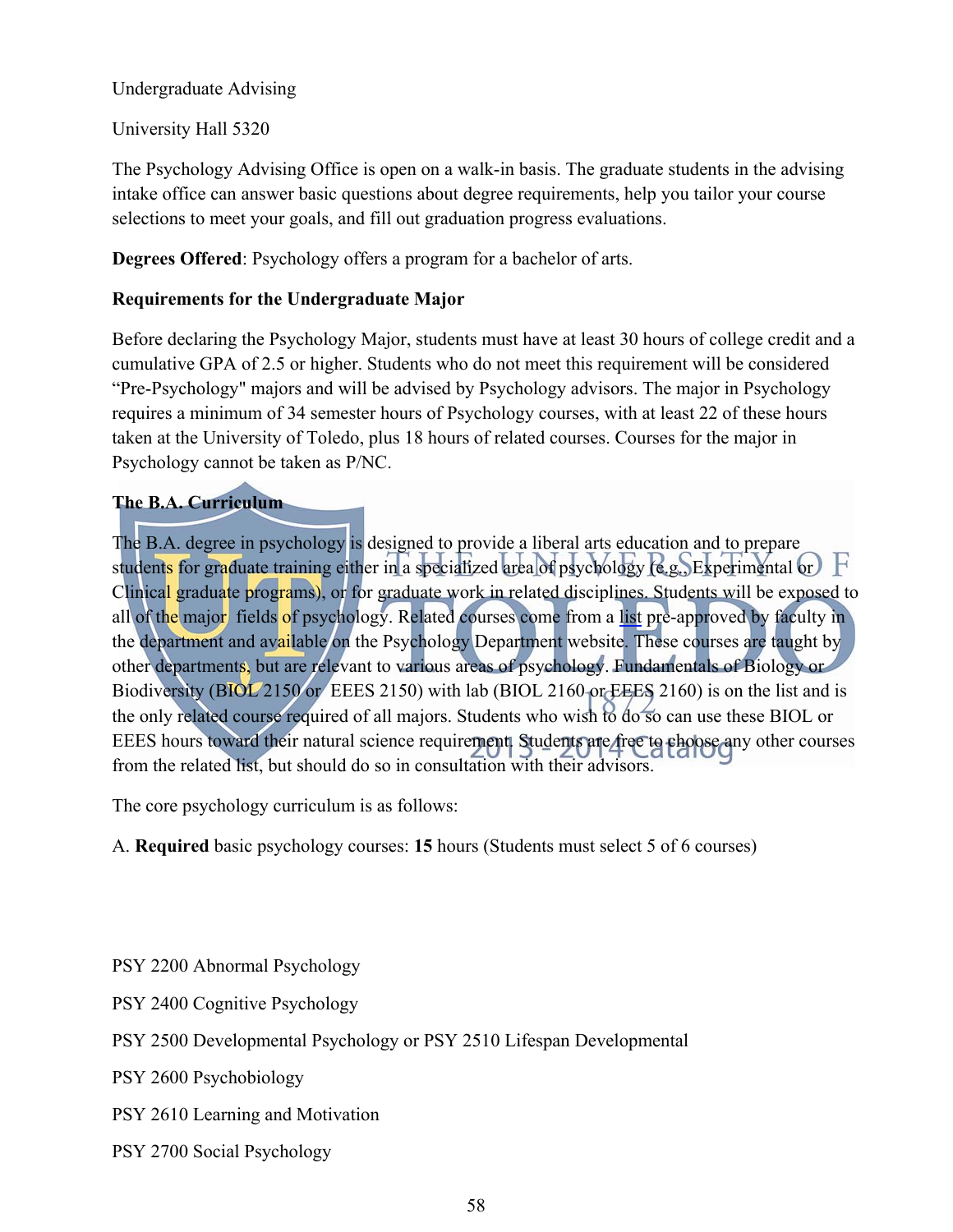### Undergraduate Advising

University Hall 5320

The Psychology Advising Office is open on a walk-in basis. The graduate students in the advising intake office can answer basic questions about degree requirements, help you tailor your course selections to meet your goals, and fill out graduation progress evaluations.

**Degrees Offered**: Psychology offers a program for a bachelor of arts.

## **Requirements for the Undergraduate Major**

Before declaring the Psychology Major, students must have at least 30 hours of college credit and a cumulative GPA of 2.5 or higher. Students who do not meet this requirement will be considered "Pre-Psychology" majors and will be advised by Psychology advisors. The major in Psychology requires a minimum of 34 semester hours of Psychology courses, with at least 22 of these hours taken at the University of Toledo, plus 18 hours of related courses. Courses for the major in Psychology cannot be taken as P/NC.

## **The B.A. Curriculum**

The B.A. degree in psychology is designed to provide a liberal arts education and to prepare students for graduate training either in a specialized area of psychology (e.g., Experimental or)  $\mathbf F$ Clinical graduate programs), or for graduate work in related disciplines. Students will be exposed to all of the major fields of psychology. Related courses come from a list pre-approved by faculty in the department and available on the Psychology Department website. These courses are taught by other departments, but are relevant to various areas of psychology. Fundamentals of Biology or Biodiversity (BIOL 2150 or EEES 2150) with lab (BIOL 2160 or EEES 2160) is on the list and is the only related course required of all majors. Students who wish to do so can use these BIOL or EEES hours toward their natural science requirement. Students are free to choose any other courses from the related list, but should do so in consultation with their advisors.

The core psychology curriculum is as follows:

A. **Required** basic psychology courses: **15** hours (Students must select 5 of 6 courses)

- PSY 2200 Abnormal Psychology
- PSY 2400 Cognitive Psychology
- PSY 2500 Developmental Psychology or PSY 2510 Lifespan Developmental

PSY 2600 Psychobiology

- PSY 2610 Learning and Motivation
- PSY 2700 Social Psychology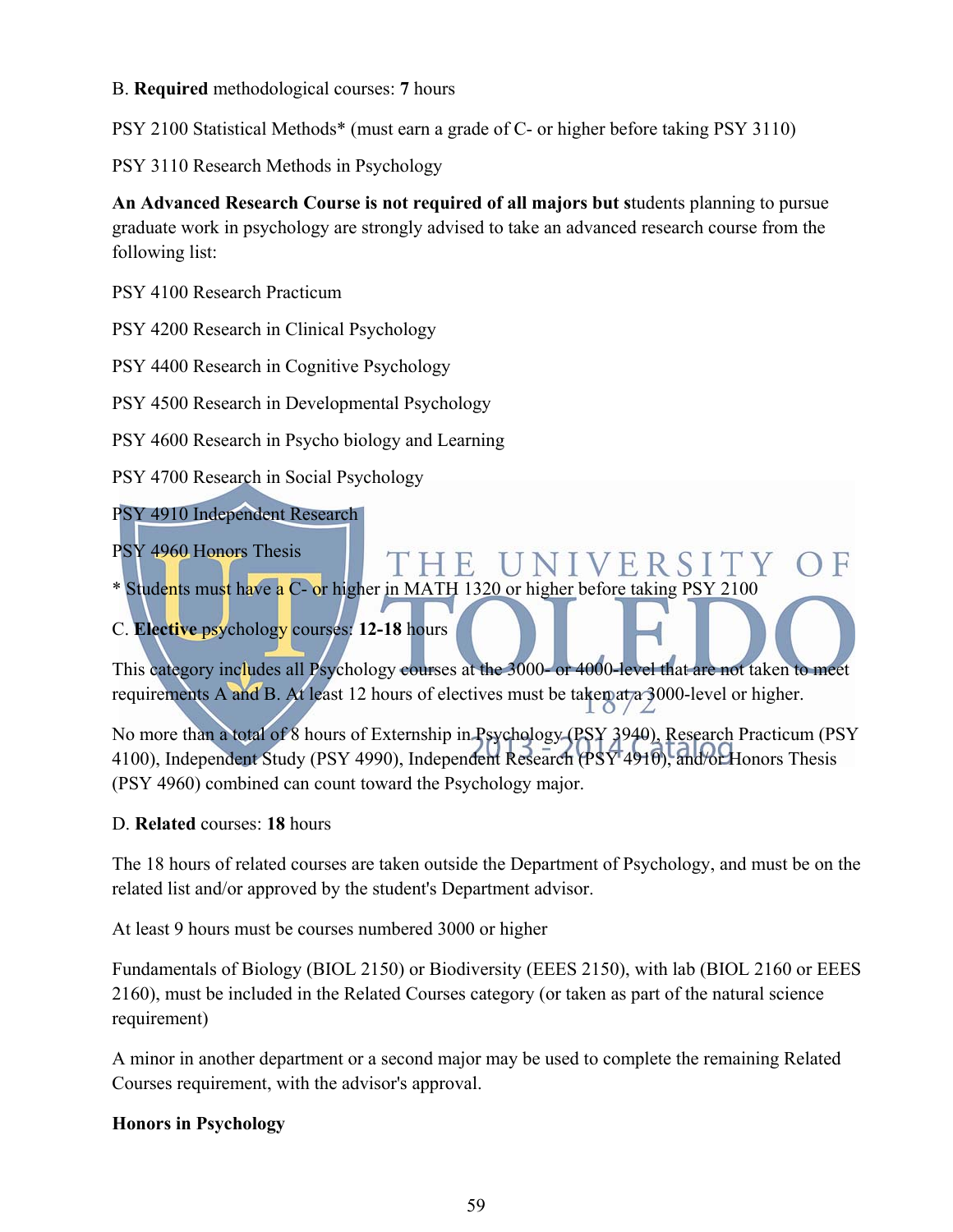### B. **Required** methodological courses: **7** hours

PSY 2100 Statistical Methods\* (must earn a grade of C- or higher before taking PSY 3110)

PSY 3110 Research Methods in Psychology

**An Advanced Research Course is not required of all majors but s**tudents planning to pursue graduate work in psychology are strongly advised to take an advanced research course from the following list:

PSY 4100 Research Practicum

PSY 4200 Research in Clinical Psychology

PSY 4400 Research in Cognitive Psychology

PSY 4500 Research in Developmental Psychology

PSY 4600 Research in Psycho biology and Learning

PSY 4700 Research in Social Psychology

PSY 4910 Independent Research

PSY 4960 Honors Thesis

**UNIVERSITY** H E

\* Students must have a C- or higher in MATH 1320 or higher before taking PSY 2100

C. **Elective** psychology courses: **12-18** hours

This category includes all Psychology courses at the 3000- or 4000-level that are not taken to meet requirements A and B. At least 12 hours of electives must be taken at a 3000-level or higher.

No more than a total of 8 hours of Externship in Psychology (PSY 3940), Research Practicum (PSY 4100), Independent Study (PSY 4990), Independent Research (PSY 4910), and/or Honors Thesis (PSY 4960) combined can count toward the Psychology major.

#### D. **Related** courses: **18** hours

The 18 hours of related courses are taken outside the Department of Psychology, and must be on the related list and/or approved by the student's Department advisor.

At least 9 hours must be courses numbered 3000 or higher

Fundamentals of Biology (BIOL 2150) or Biodiversity (EEES 2150), with lab (BIOL 2160 or EEES 2160), must be included in the Related Courses category (or taken as part of the natural science requirement)

A minor in another department or a second major may be used to complete the remaining Related Courses requirement, with the advisor's approval.

## **Honors in Psychology**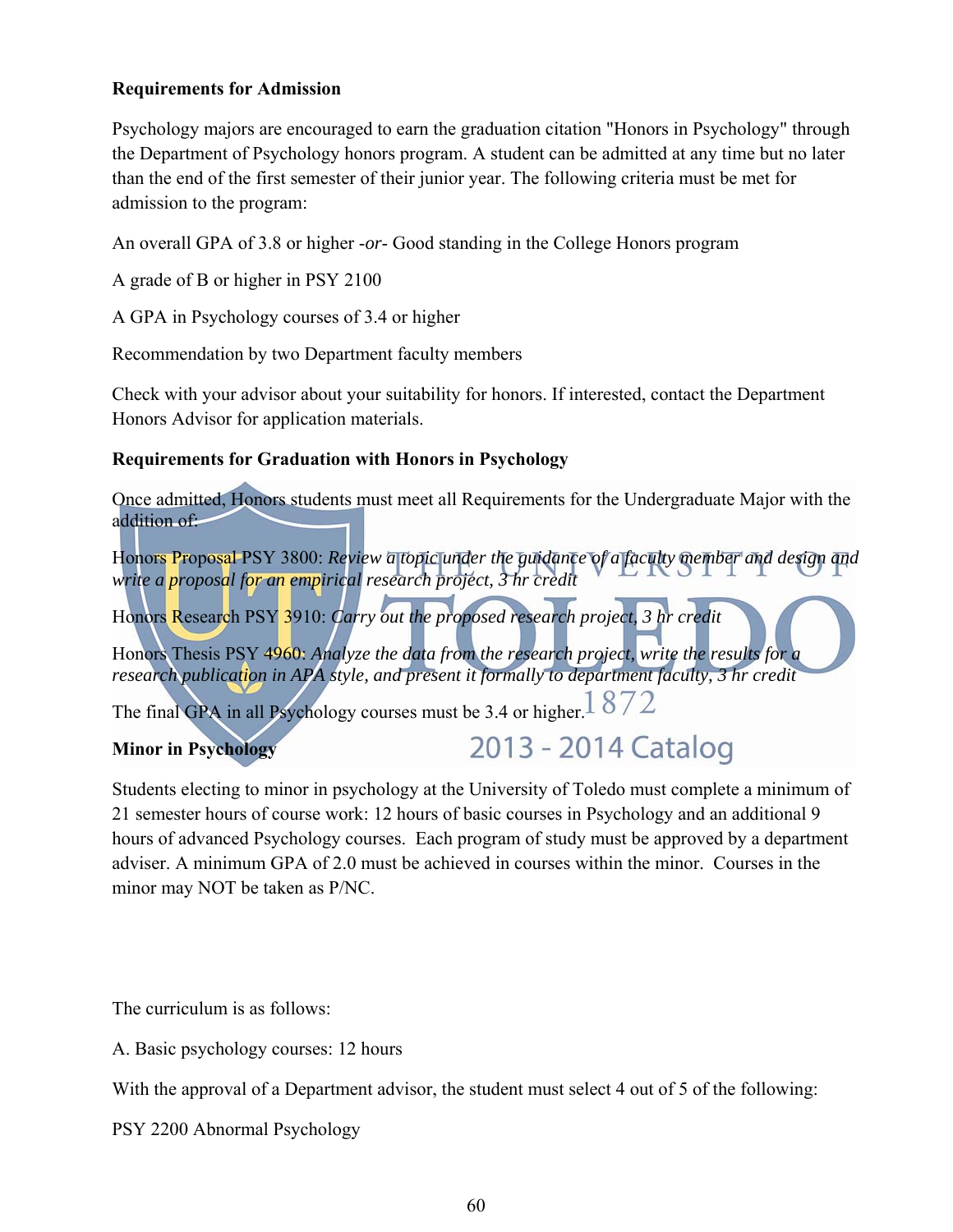### **Requirements for Admission**

Psychology majors are encouraged to earn the graduation citation "Honors in Psychology" through the Department of Psychology honors program. A student can be admitted at any time but no later than the end of the first semester of their junior year. The following criteria must be met for admission to the program:

An overall GPA of 3.8 or higher -*or*- Good standing in the College Honors program

A grade of B or higher in PSY 2100

A GPA in Psychology courses of 3.4 or higher

Recommendation by two Department faculty members

Check with your advisor about your suitability for honors. If interested, contact the Department Honors Advisor for application materials.

## **Requirements for Graduation with Honors in Psychology**

Once admitted, Honors students must meet all Requirements for the Undergraduate Major with the addition of:

Honors Proposal PSY 3800: *Review a topic under the guidance of a faculty member and design and write a proposal for an empirical research project, 3 hr credit*

Honors Research PSY 3910: *Carry out the proposed research project, 3 hr credit*

Honors Thesis PSY 4960: *Analyze the data from the research project, write the results for a research publication in APA style, and present it formally to department faculty, 3 hr credit*

The final GPA in all Psychology courses must be 3.4 or higher.  $1872$ 

## **Minor in Psychology**

# 2013 - 2014 Catalog

Students electing to minor in psychology at the University of Toledo must complete a minimum of 21 semester hours of course work: 12 hours of basic courses in Psychology and an additional 9 hours of advanced Psychology courses. Each program of study must be approved by a department adviser. A minimum GPA of 2.0 must be achieved in courses within the minor. Courses in the minor may NOT be taken as P/NC.

The curriculum is as follows:

A. Basic psychology courses: 12 hours

With the approval of a Department advisor, the student must select 4 out of 5 of the following:

PSY 2200 Abnormal Psychology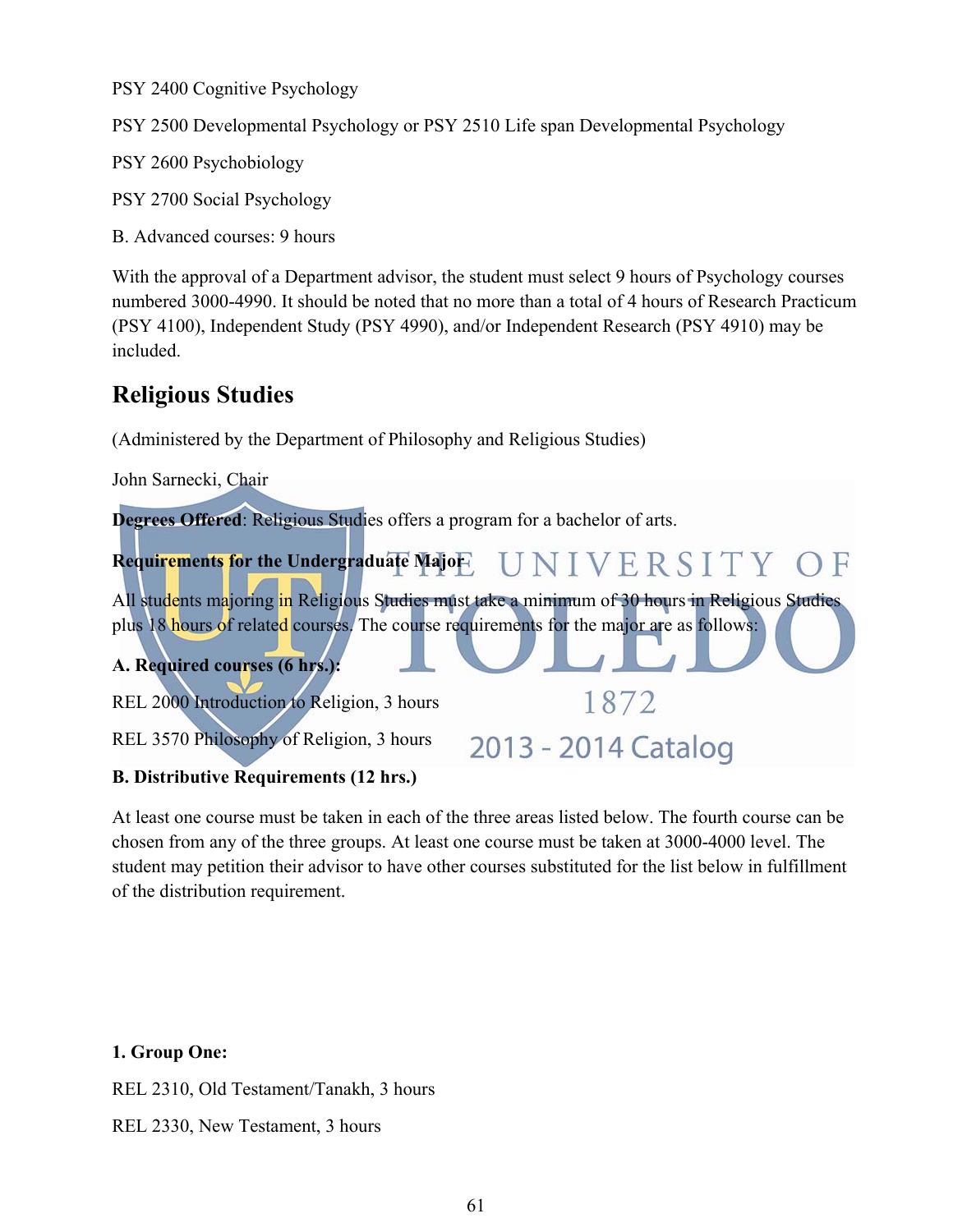PSY 2400 Cognitive Psychology

PSY 2500 Developmental Psychology or PSY 2510 Life span Developmental Psychology

PSY 2600 Psychobiology

PSY 2700 Social Psychology

B. Advanced courses: 9 hours

With the approval of a Department advisor, the student must select 9 hours of Psychology courses numbered 3000-4990. It should be noted that no more than a total of 4 hours of Research Practicum (PSY 4100), Independent Study (PSY 4990), and/or Independent Research (PSY 4910) may be included.

## **Religious Studies**

(Administered by the Department of Philosophy and Religious Studies)

John Sarnecki, Chair **Degrees Offered**: Religious Studies offers a program for a bachelor of arts. UNIVERSITY OF **Requirements for the Undergraduate Major**  All students majoring in Religious Studies must take a minimum of 30 hours in Religious Studies plus 18 hours of related courses. The course requirements for the major are as follows: **A. Required courses (6 hrs.):**  1872 REL 2000 Introduction to Religion, 3 hours REL 3570 Philosophy of Religion, 3 hours 2013 - 2014 Catalog

## **B. Distributive Requirements (12 hrs.)**

At least one course must be taken in each of the three areas listed below. The fourth course can be chosen from any of the three groups. At least one course must be taken at 3000-4000 level. The student may petition their advisor to have other courses substituted for the list below in fulfillment of the distribution requirement.

#### **1. Group One:**

REL 2310, Old Testament/Tanakh, 3 hours

REL 2330, New Testament, 3 hours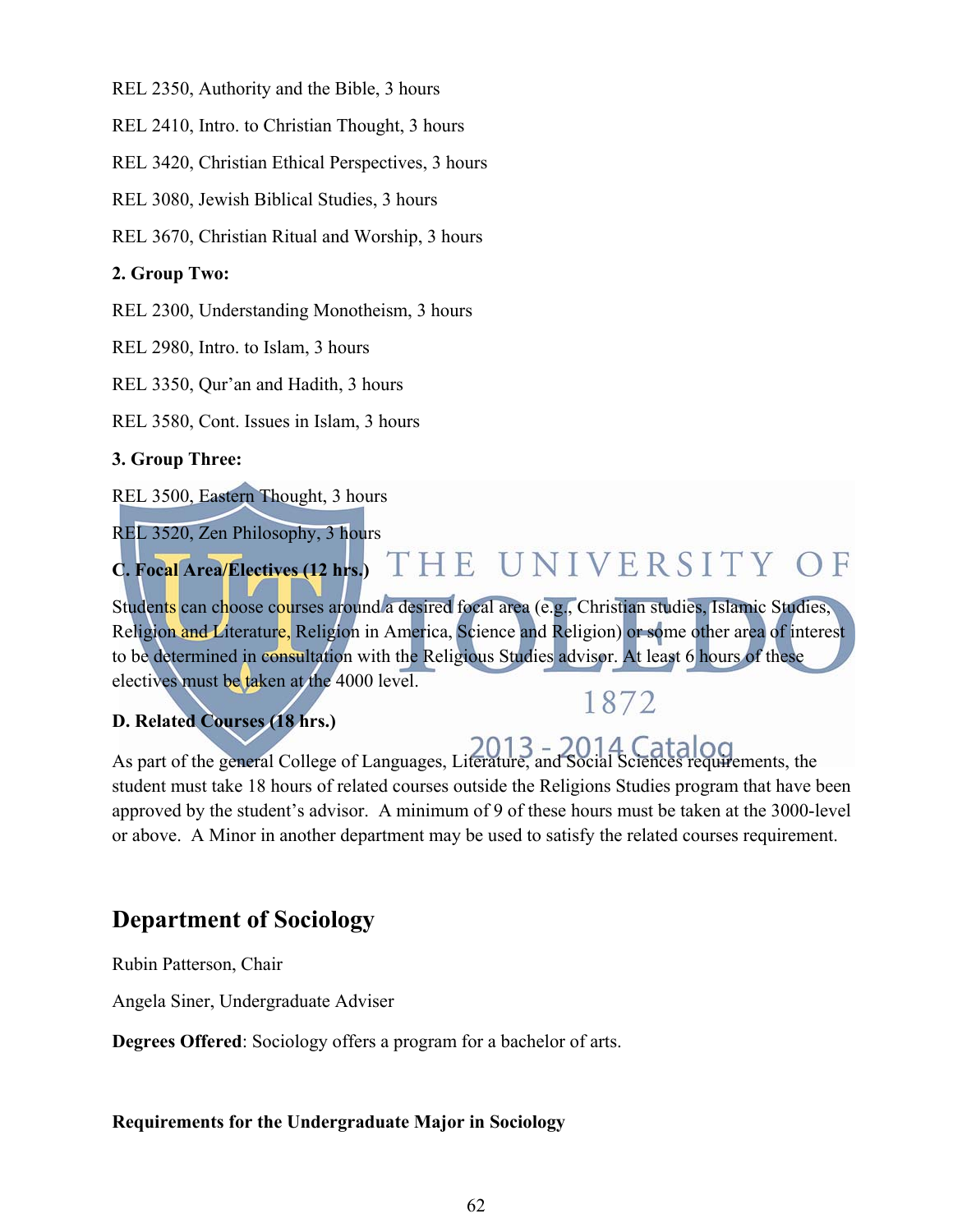REL 2350, Authority and the Bible, 3 hours

REL 2410, Intro. to Christian Thought, 3 hours

REL 3420, Christian Ethical Perspectives, 3 hours

REL 3080, Jewish Biblical Studies, 3 hours

REL 3670, Christian Ritual and Worship, 3 hours

## **2. Group Two:**

REL 2300, Understanding Monotheism, 3 hours

REL 2980, Intro. to Islam, 3 hours

REL 3350, Qur'an and Hadith, 3 hours

REL 3580, Cont. Issues in Islam, 3 hours

## **3. Group Three:**

REL 3500, Eastern Thought, 3 hours

REL 3520, Zen Philosophy, 3 hours

#### THE UNIVERSITY OF **C. Focal Area/Electives (12 hrs.)**

Students can choose courses around a desired focal area (e.g., Christian studies, Islamic Studies, Religion and Literature, Religion in America, Science and Religion) or some other area of interest to be determined in consultation with the Religious Studies advisor. At least 6 hours of these electives must be taken at the 4000 level. 1872

## **D. Related Courses (18 hrs.)**

## As part of the general College of Languages, Literature, and Social Sciences requirements, the student must take 18 hours of related courses outside the Religions Studies program that have been approved by the student's advisor. A minimum of 9 of these hours must be taken at the 3000-level or above. A Minor in another department may be used to satisfy the related courses requirement.

# **Department of Sociology**

Rubin Patterson, Chair

Angela Siner, Undergraduate Adviser

**Degrees Offered**: Sociology offers a program for a bachelor of arts.

#### **Requirements for the Undergraduate Major in Sociology**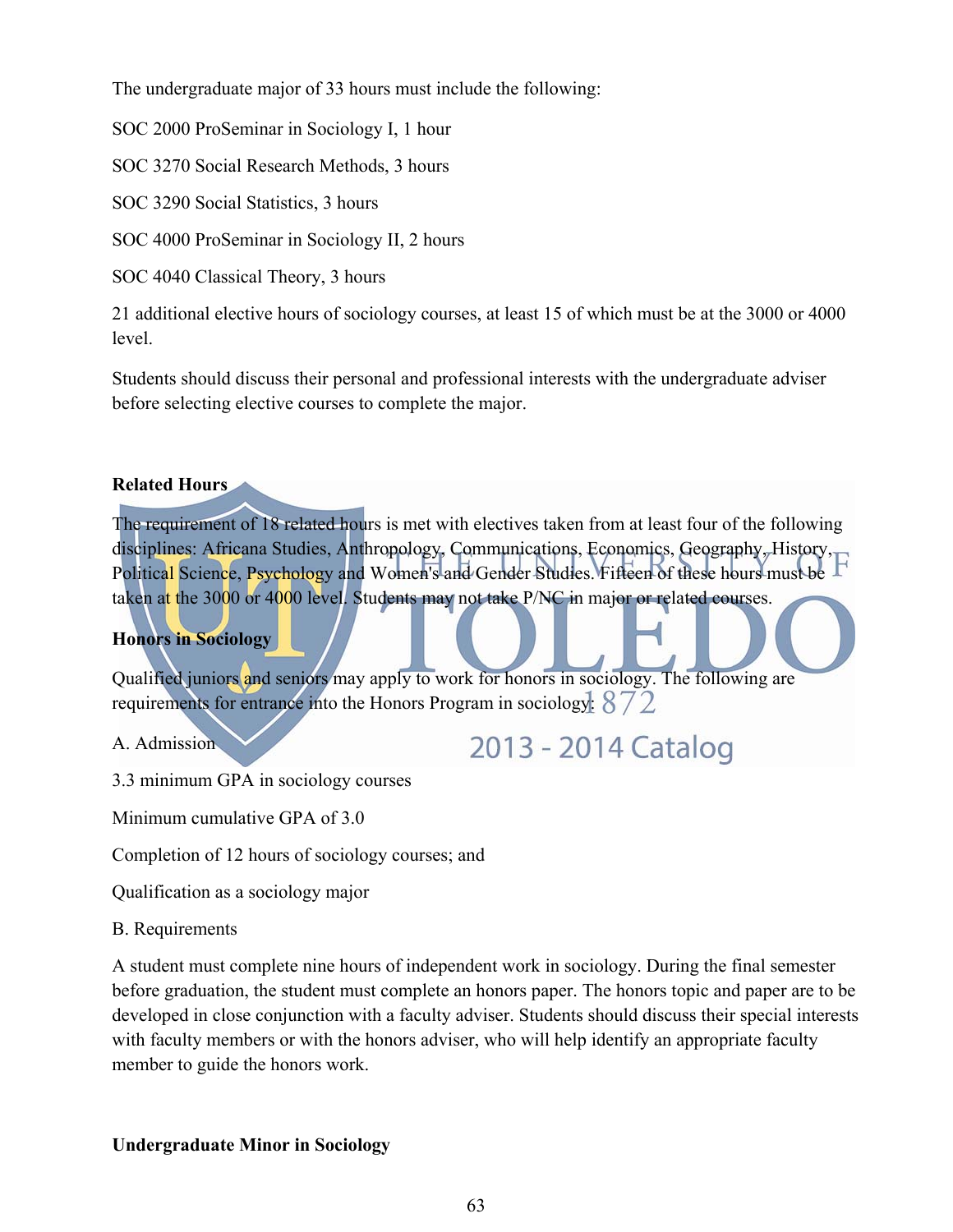The undergraduate major of 33 hours must include the following:

SOC 2000 ProSeminar in Sociology I, 1 hour

SOC 3270 Social Research Methods, 3 hours

SOC 3290 Social Statistics, 3 hours

SOC 4000 ProSeminar in Sociology II, 2 hours

SOC 4040 Classical Theory, 3 hours

21 additional elective hours of sociology courses, at least 15 of which must be at the 3000 or 4000 level.

Students should discuss their personal and professional interests with the undergraduate adviser before selecting elective courses to complete the major.

## **Related Hours**

The requirement of 18 related hours is met with electives taken from at least four of the following disciplines: Africana Studies, Anthropology, Communications, Economics, Geography, History, F Political Science, Psychology and Women's and Gender Studies. Fifteen of these hours must be taken at the 3000 or 4000 level. Students may not take P/NC in major or related courses.

## **Honors in Sociology**

Qualified juniors and seniors may apply to work for honors in sociology. The following are requirements for entrance into the Honors Program in sociology:  $872$ 

A. Admission

2013 - 2014 Catalog

3.3 minimum GPA in sociology courses

Minimum cumulative GPA of 3.0

Completion of 12 hours of sociology courses; and

Qualification as a sociology major

B. Requirements

A student must complete nine hours of independent work in sociology. During the final semester before graduation, the student must complete an honors paper. The honors topic and paper are to be developed in close conjunction with a faculty adviser. Students should discuss their special interests with faculty members or with the honors adviser, who will help identify an appropriate faculty member to guide the honors work.

## **Undergraduate Minor in Sociology**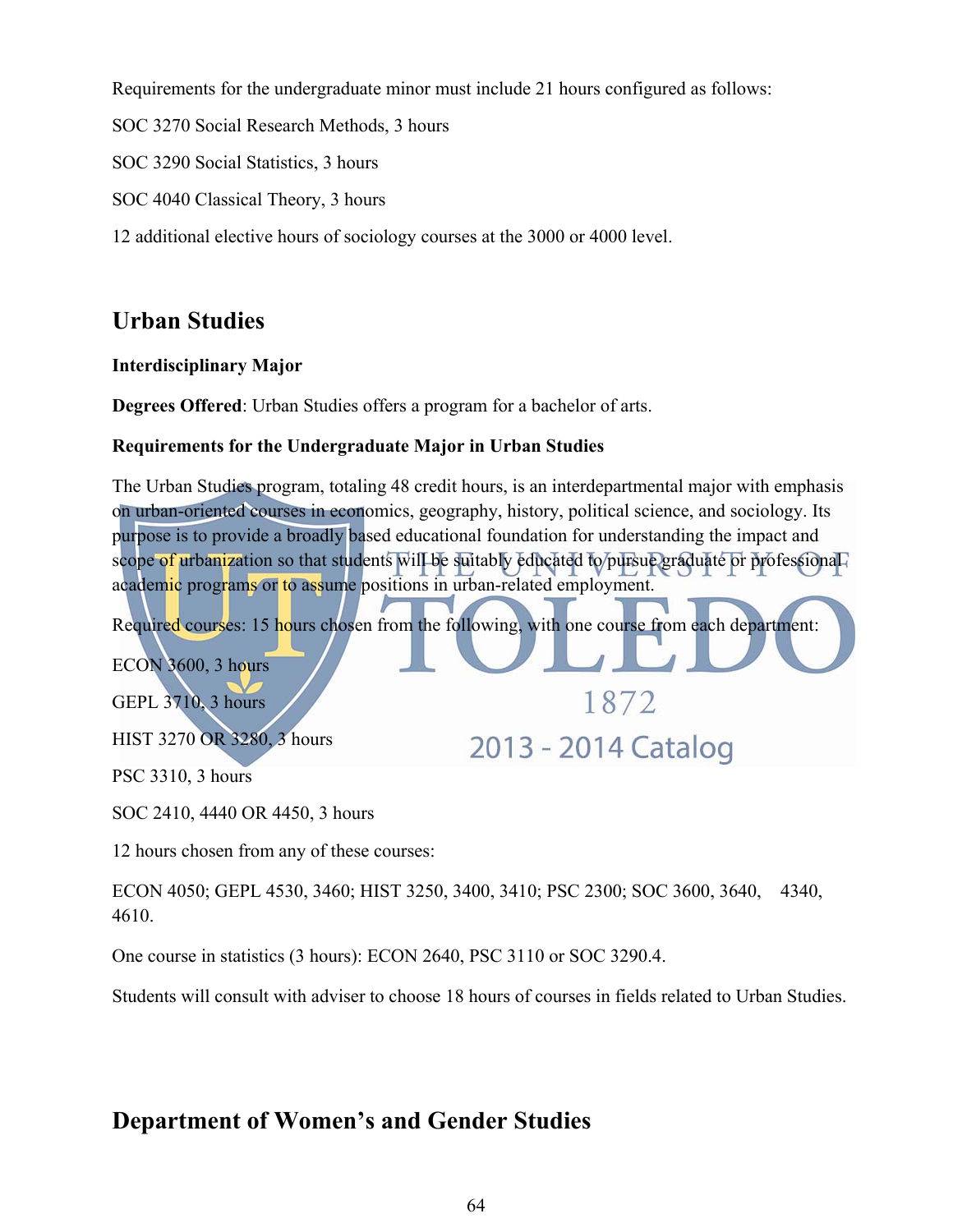Requirements for the undergraduate minor must include 21 hours configured as follows:

SOC 3270 Social Research Methods, 3 hours

SOC 3290 Social Statistics, 3 hours

SOC 4040 Classical Theory, 3 hours

12 additional elective hours of sociology courses at the 3000 or 4000 level.

# **Urban Studies**

## **Interdisciplinary Major**

**Degrees Offered**: Urban Studies offers a program for a bachelor of arts.

## **Requirements for the Undergraduate Major in Urban Studies**

The Urban Studies program, totaling 48 credit hours, is an interdepartmental major with emphasis on urban-oriented courses in economics, geography, history, political science, and sociology. Its purpose is to provide a broadly based educational foundation for understanding the impact and scope of urbanization so that students will be suitably educated to pursue graduate or professional academic programs or to assume positions in urban-related employment.

Required courses: 15 hours chosen from the following, with one course from each department:

1872

2013 - 2014 Catalog

ECON 3600, 3 hours GEPL 3710, 3 hours

HIST 3270 OR 3280, 3 hours

PSC 3310, 3 hours

SOC 2410, 4440 OR 4450, 3 hours

12 hours chosen from any of these courses:

ECON 4050; GEPL 4530, 3460; HIST 3250, 3400, 3410; PSC 2300; SOC 3600, 3640, 4340, 4610.

One course in statistics (3 hours): ECON 2640, PSC 3110 or SOC 3290.4.

Students will consult with adviser to choose 18 hours of courses in fields related to Urban Studies.

## **Department of Women's and Gender Studies**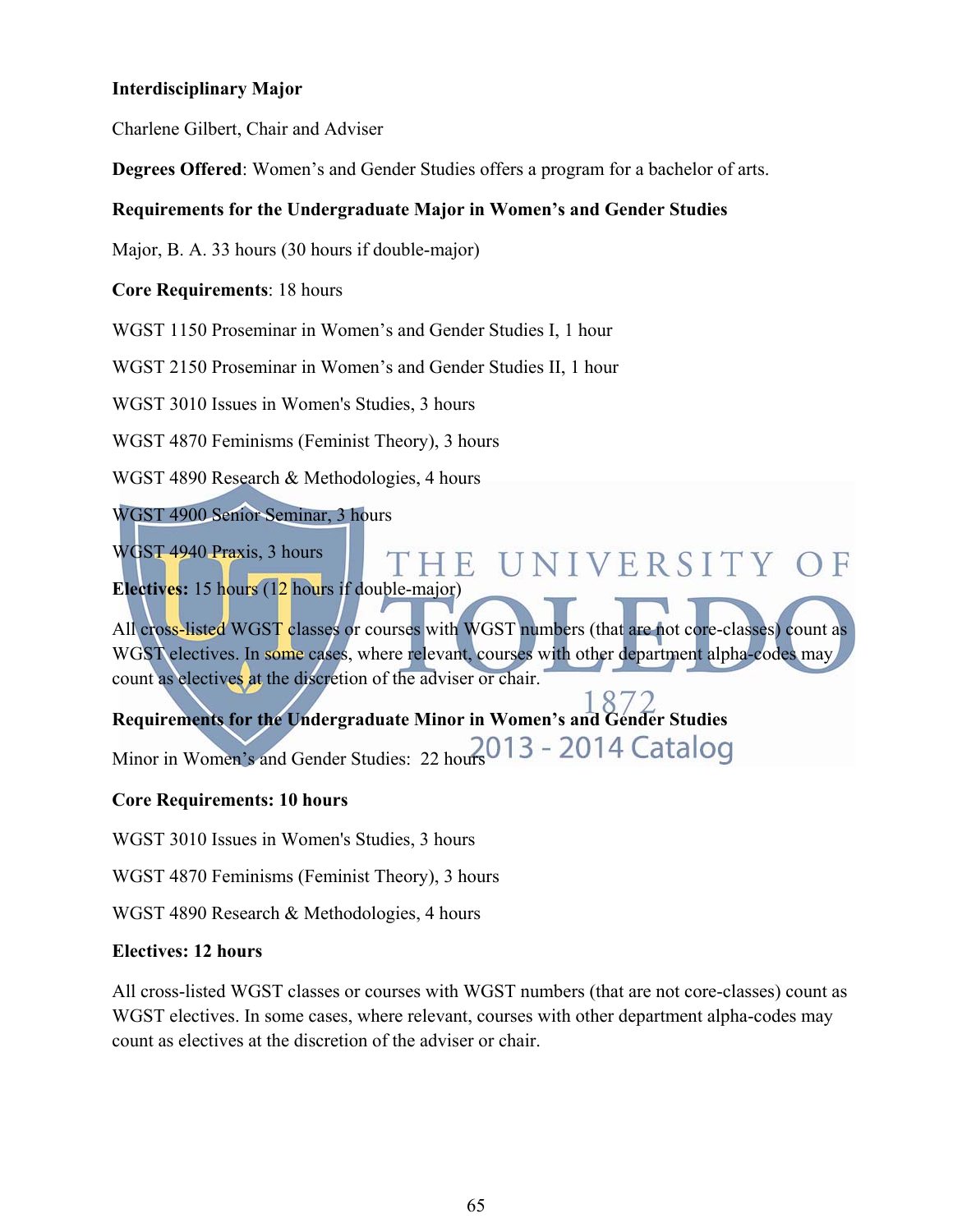### **Interdisciplinary Major**

Charlene Gilbert, Chair and Adviser

**Degrees Offered**: Women's and Gender Studies offers a program for a bachelor of arts.

### **Requirements for the Undergraduate Major in Women's and Gender Studies**

Major, B. A. 33 hours (30 hours if double-major)

**Core Requirements**: 18 hours

WGST 1150 Proseminar in Women's and Gender Studies I, 1 hour

WGST 2150 Proseminar in Women's and Gender Studies II, 1 hour

WGST 3010 Issues in Women's Studies, 3 hours

WGST 4870 Feminisms (Feminist Theory), 3 hours

WGST 4890 Research & Methodologies, 4 hours

WGST 4900 Senior Seminar, 3 hours

WGST 4940 Praxis, 3 hours

**Electives:** 15 hours (12 hours if double-major)

All cross-listed WGST classes or courses with WGST numbers (that are not core-classes) count as WGST electives. In some cases, where relevant, courses with other department alpha-codes may count as electives at the discretion of the adviser or chair.

THE UNIVERSITY OF

**Requirements for the Undergraduate Minor in Women's and Gender Studies**  Minor in Women's and Gender Studies: 22 hours 013 - 2014 Catalog

#### **Core Requirements: 10 hours**

WGST 3010 Issues in Women's Studies, 3 hours

WGST 4870 Feminisms (Feminist Theory), 3 hours

WGST 4890 Research & Methodologies, 4 hours

#### **Electives: 12 hours**

All cross-listed WGST classes or courses with WGST numbers (that are not core-classes) count as WGST electives. In some cases, where relevant, courses with other department alpha-codes may count as electives at the discretion of the adviser or chair.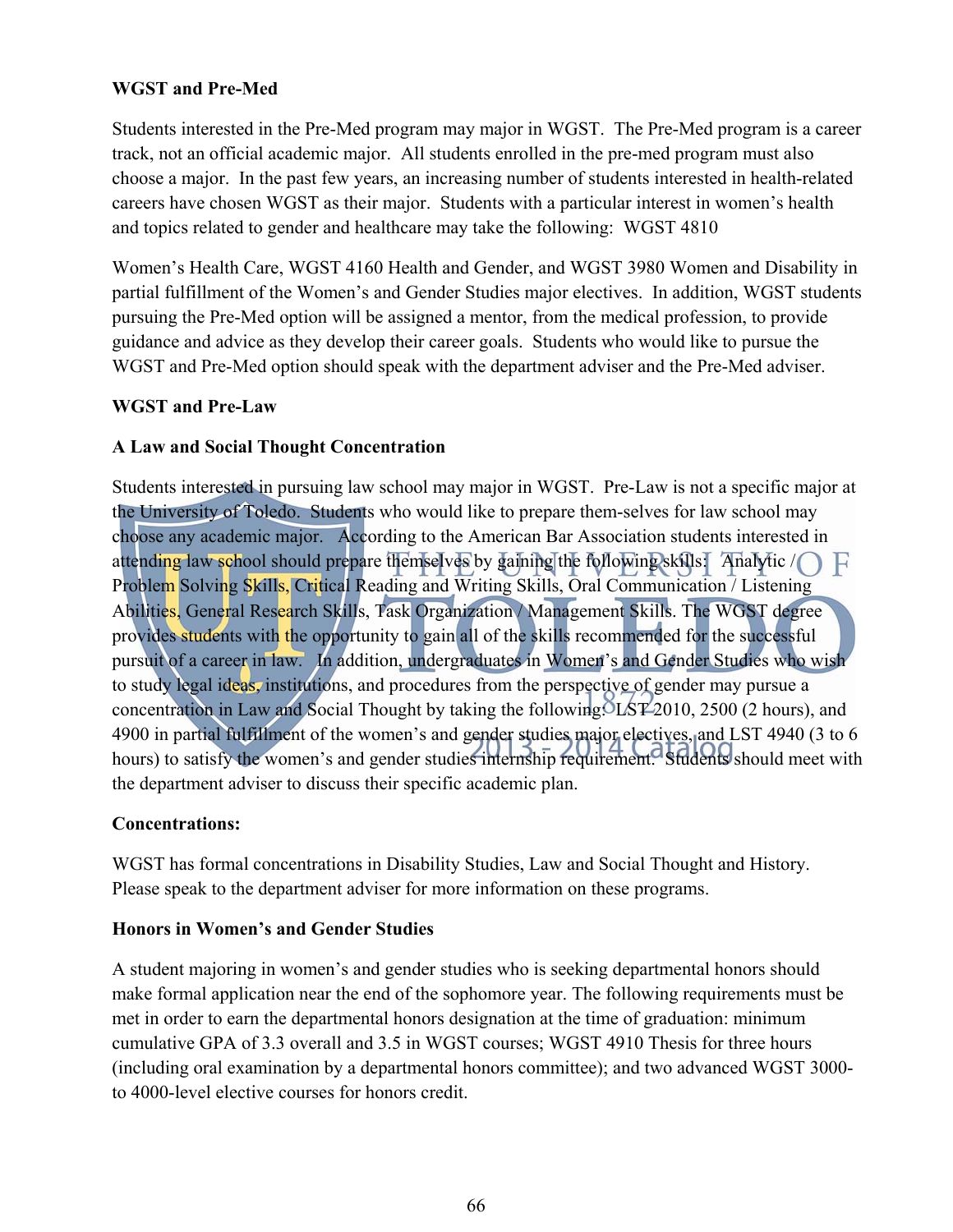#### **WGST and Pre-Med**

Students interested in the Pre-Med program may major in WGST. The Pre-Med program is a career track, not an official academic major. All students enrolled in the pre-med program must also choose a major. In the past few years, an increasing number of students interested in health-related careers have chosen WGST as their major. Students with a particular interest in women's health and topics related to gender and healthcare may take the following: WGST 4810

Women's Health Care, WGST 4160 Health and Gender, and WGST 3980 Women and Disability in partial fulfillment of the Women's and Gender Studies major electives. In addition, WGST students pursuing the Pre-Med option will be assigned a mentor, from the medical profession, to provide guidance and advice as they develop their career goals. Students who would like to pursue the WGST and Pre-Med option should speak with the department adviser and the Pre-Med adviser.

## **WGST and Pre-Law**

## **A Law and Social Thought Concentration**

Students interested in pursuing law school may major in WGST. Pre-Law is not a specific major at the University of Toledo. Students who would like to prepare them-selves for law school may choose any academic major. According to the American Bar Association students interested in attending law school should prepare themselves by gaining the following skills: Analytic / Problem Solving Skills, Critical Reading and Writing Skills, Oral Communication / Listening Abilities, General Research Skills, Task Organization / Management Skills. The WGST degree provides students with the opportunity to gain all of the skills recommended for the successful pursuit of a career in law. In addition, undergraduates in Women's and Gender Studies who wish to study legal ideas, institutions, and procedures from the perspective of gender may pursue a concentration in Law and Social Thought by taking the following: LST 2010, 2500 (2 hours), and 4900 in partial fulfillment of the women's and gender studies major electives, and LST 4940 (3 to 6 hours) to satisfy the women's and gender studies internship requirement. Students should meet with the department adviser to discuss their specific academic plan.

#### **Concentrations:**

WGST has formal concentrations in Disability Studies, Law and Social Thought and History. Please speak to the department adviser for more information on these programs.

#### **Honors in Women's and Gender Studies**

A student majoring in women's and gender studies who is seeking departmental honors should make formal application near the end of the sophomore year. The following requirements must be met in order to earn the departmental honors designation at the time of graduation: minimum cumulative GPA of 3.3 overall and 3.5 in WGST courses; WGST 4910 Thesis for three hours (including oral examination by a departmental honors committee); and two advanced WGST 3000 to 4000-level elective courses for honors credit.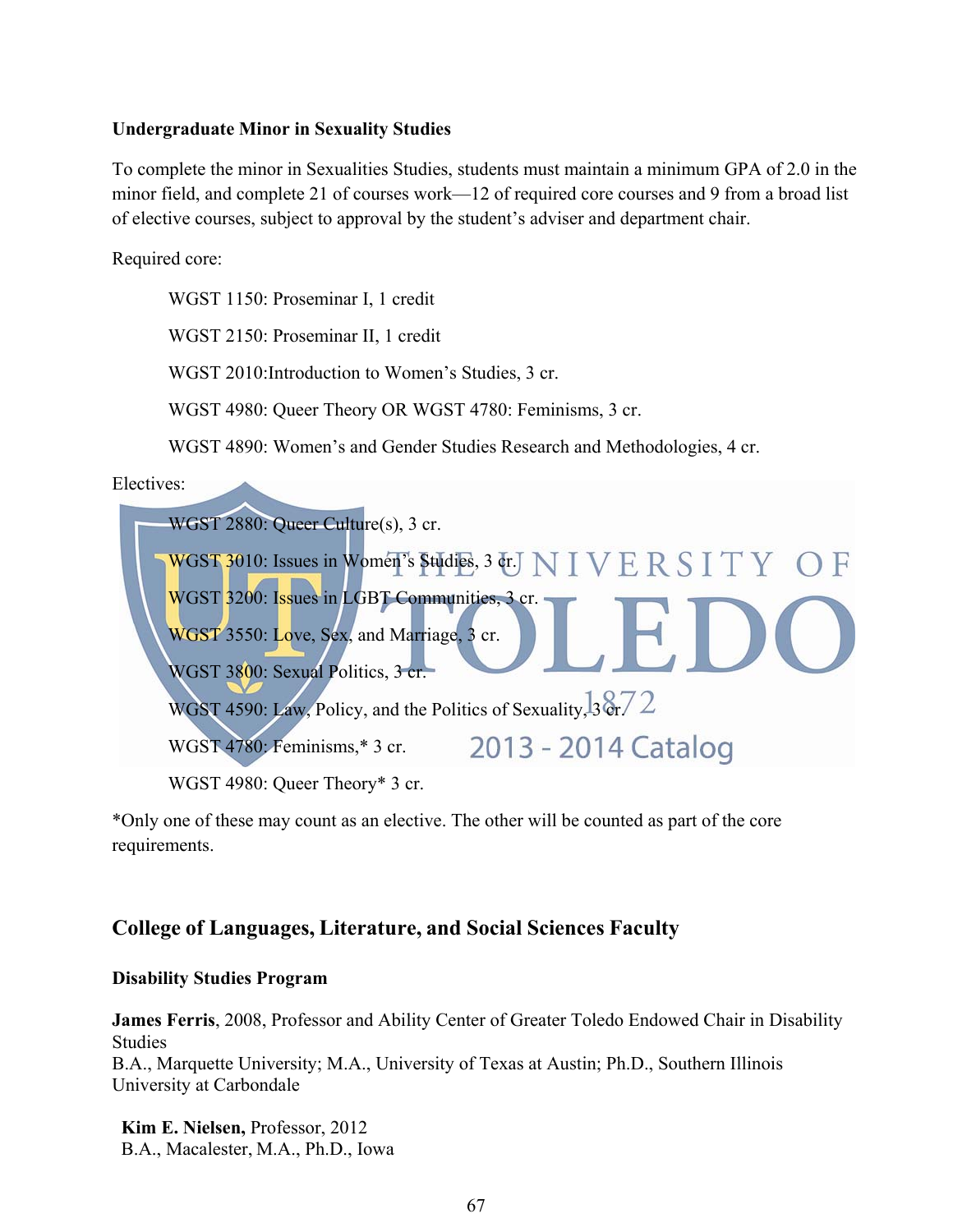#### **Undergraduate Minor in Sexuality Studies**

To complete the minor in Sexualities Studies, students must maintain a minimum GPA of 2.0 in the minor field, and complete 21 of courses work—12 of required core courses and 9 from a broad list of elective courses, subject to approval by the student's adviser and department chair.

Required core:

WGST 1150: Proseminar I, 1 credit

WGST 2150: Proseminar II, 1 credit

WGST 2010:Introduction to Women's Studies, 3 cr.

WGST 4980: Queer Theory OR WGST 4780: Feminisms, 3 cr.

WGST 4890: Women's and Gender Studies Research and Methodologies, 4 cr.

Electives:



WGST 4980: Queer Theory\* 3 cr.

\*Only one of these may count as an elective. The other will be counted as part of the core requirements.

## **College of Languages, Literature, and Social Sciences Faculty**

#### **Disability Studies Program**

**James Ferris**, 2008, Professor and Ability Center of Greater Toledo Endowed Chair in Disability Studies B.A., Marquette University; M.A., University of Texas at Austin; Ph.D., Southern Illinois University at Carbondale

**Kim E. Nielsen,** Professor, 2012 B.A., Macalester, M.A., Ph.D., Iowa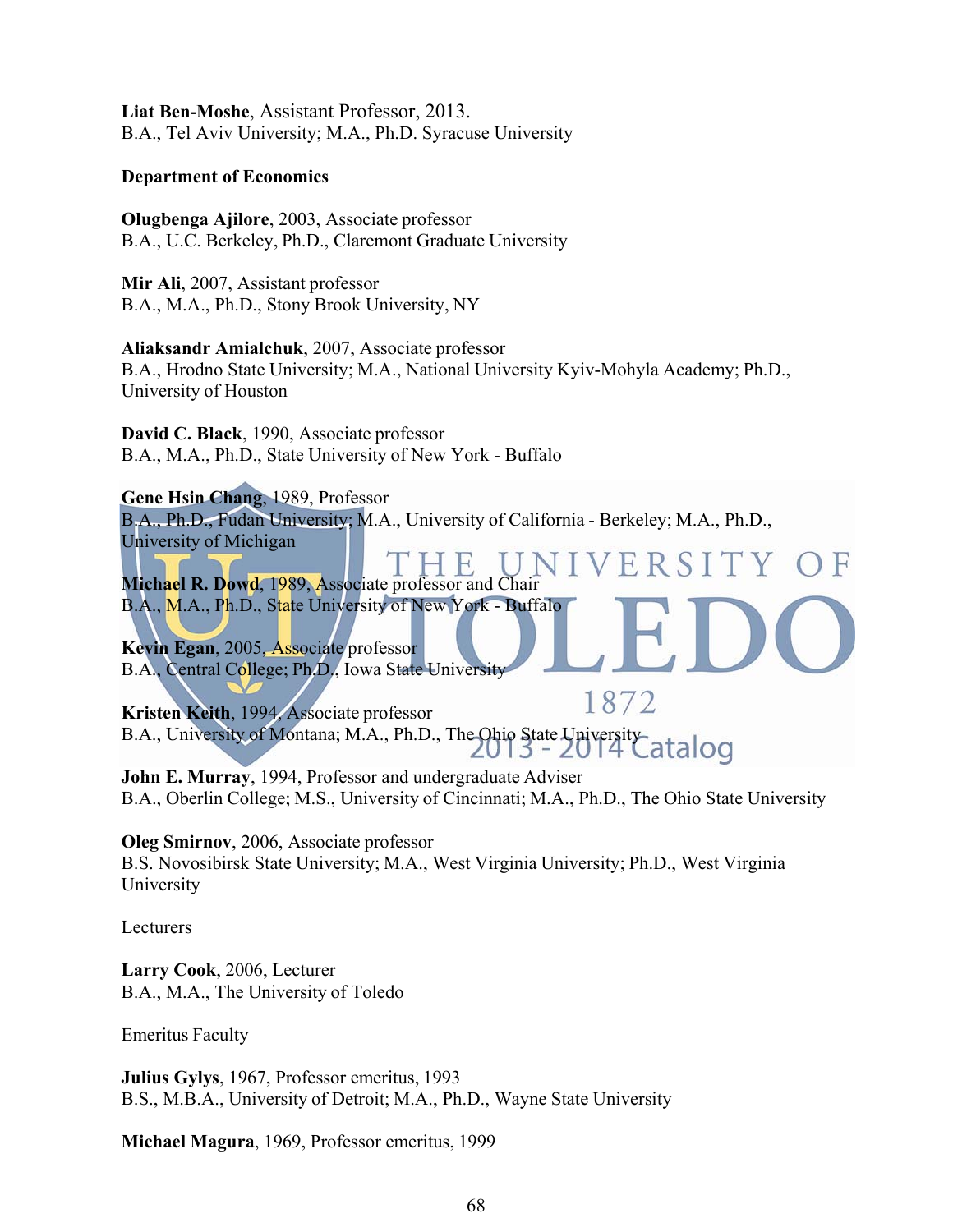**Liat Ben-Moshe**, Assistant Professor, 2013. B.A., Tel Aviv University; M.A., Ph.D. Syracuse University

#### **Department of Economics**

**Olugbenga Ajilore**, 2003, Associate professor B.A., U.C. Berkeley, Ph.D., Claremont Graduate University

**Mir Ali**, 2007, Assistant professor B.A., M.A., Ph.D., Stony Brook University, NY

**Aliaksandr Amialchuk**, 2007, Associate professor B.A., Hrodno State University; M.A., National University Kyiv-Mohyla Academy; Ph.D., University of Houston

**David C. Black**, 1990, Associate professor B.A., M.A., Ph.D., State University of New York - Buffalo

#### **Gene Hsin Chang**, 1989, Professor

B.A., Ph.D., Fudan University; M.A., University of California - Berkeley; M.A., Ph.D., University of Michigan

ERSITY **Michael R. Dowd**, 1989, Associate professor and Chair B.A., M.A., Ph.D., State University of New York - Buffalo

**Kevin Egan**, 2005, Associate professor B.A., Central College; Ph.D., Iowa State University

1872 **Kristen Keith**, 1994, Associate professor B.A., University of Montana; M.A., Ph.D., The Ohio State University Catalog

**John E. Murray**, 1994, Professor and undergraduate Adviser B.A., Oberlin College; M.S., University of Cincinnati; M.A., Ph.D., The Ohio State University

**Oleg Smirnov**, 2006, Associate professor

B.S. Novosibirsk State University; M.A., West Virginia University; Ph.D., West Virginia University

Lecturers

**Larry Cook**, 2006, Lecturer B.A., M.A., The University of Toledo

Emeritus Faculty

**Julius Gylys**, 1967, Professor emeritus, 1993 B.S., M.B.A., University of Detroit; M.A., Ph.D., Wayne State University

**Michael Magura**, 1969, Professor emeritus, 1999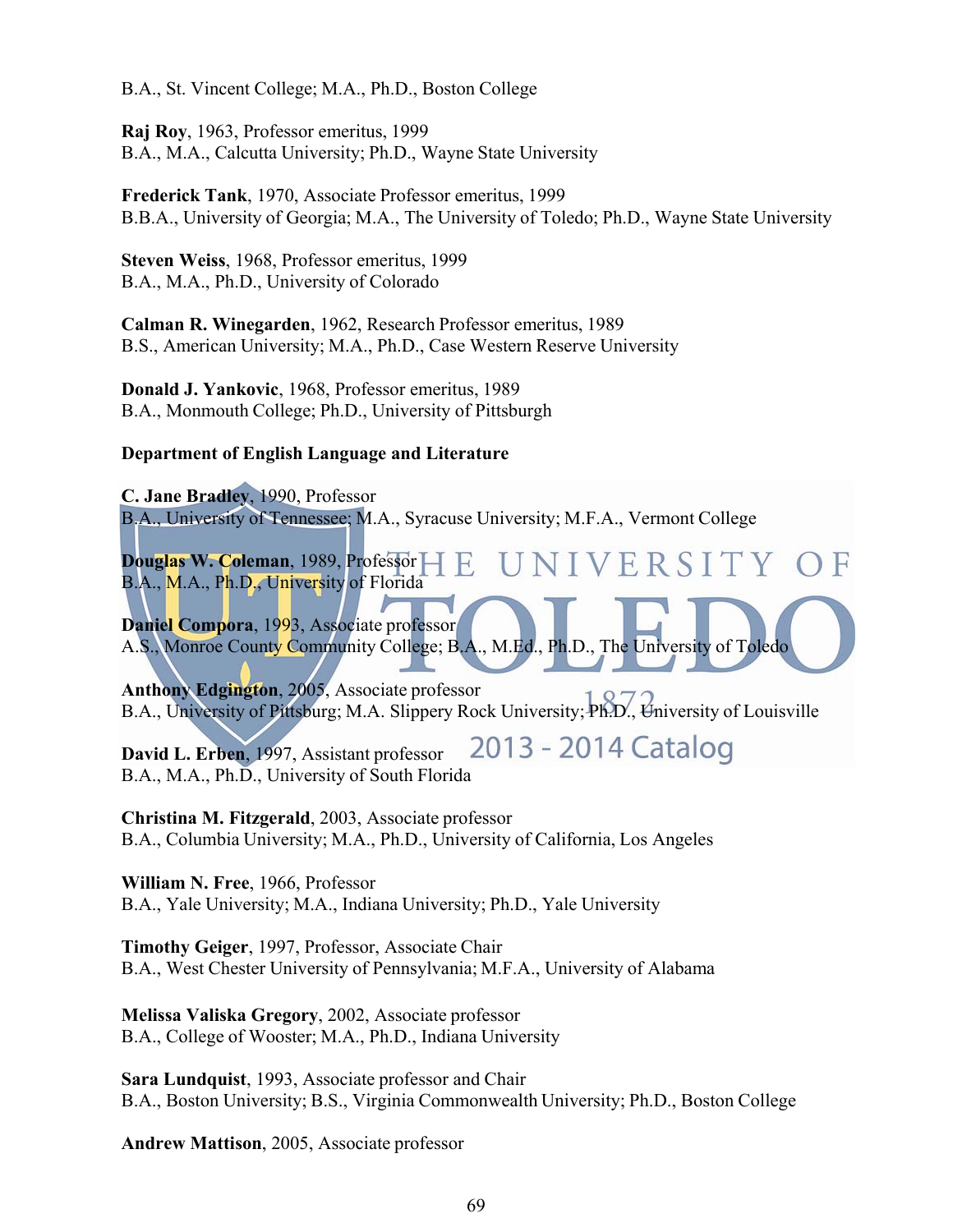B.A., St. Vincent College; M.A., Ph.D., Boston College

**Raj Roy**, 1963, Professor emeritus, 1999 B.A., M.A., Calcutta University; Ph.D., Wayne State University

**Frederick Tank**, 1970, Associate Professor emeritus, 1999 B.B.A., University of Georgia; M.A., The University of Toledo; Ph.D., Wayne State University

**Steven Weiss**, 1968, Professor emeritus, 1999 B.A., M.A., Ph.D., University of Colorado

**Calman R. Winegarden**, 1962, Research Professor emeritus, 1989 B.S., American University; M.A., Ph.D., Case Western Reserve University

**Donald J. Yankovic**, 1968, Professor emeritus, 1989 B.A., Monmouth College; Ph.D., University of Pittsburgh

#### **Department of English Language and Literature**

**C. Jane Bradley**, 1990, Professor B.A., University of Tennessee; M.A., Syracuse University; M.F.A., Vermont College

IVERSITY OF **Douglas W. Coleman**, 1989, Professor B.A., M.A., Ph.D., University of Florida

**Daniel Compora**, 1993, Associate professor A.S., Monroe County Community College; B.A., M.Ed., Ph.D., The University of Toledo

**Anthony Edgington**, 2005, Associate professor B.A., University of Pittsburg; M.A. Slippery Rock University; Ph.D., University of Louisville

2013 - 2014 Catalog **David L. Erben**, 1997, Assistant professor B.A., M.A., Ph.D., University of South Florida

**Christina M. Fitzgerald**, 2003, Associate professor B.A., Columbia University; M.A., Ph.D., University of California, Los Angeles

**William N. Free**, 1966, Professor B.A., Yale University; M.A., Indiana University; Ph.D., Yale University

**Timothy Geiger**, 1997, Professor, Associate Chair B.A., West Chester University of Pennsylvania; M.F.A., University of Alabama

**Melissa Valiska Gregory**, 2002, Associate professor B.A., College of Wooster; M.A., Ph.D., Indiana University

**Sara Lundquist**, 1993, Associate professor and Chair B.A., Boston University; B.S., Virginia Commonwealth University; Ph.D., Boston College

**Andrew Mattison**, 2005, Associate professor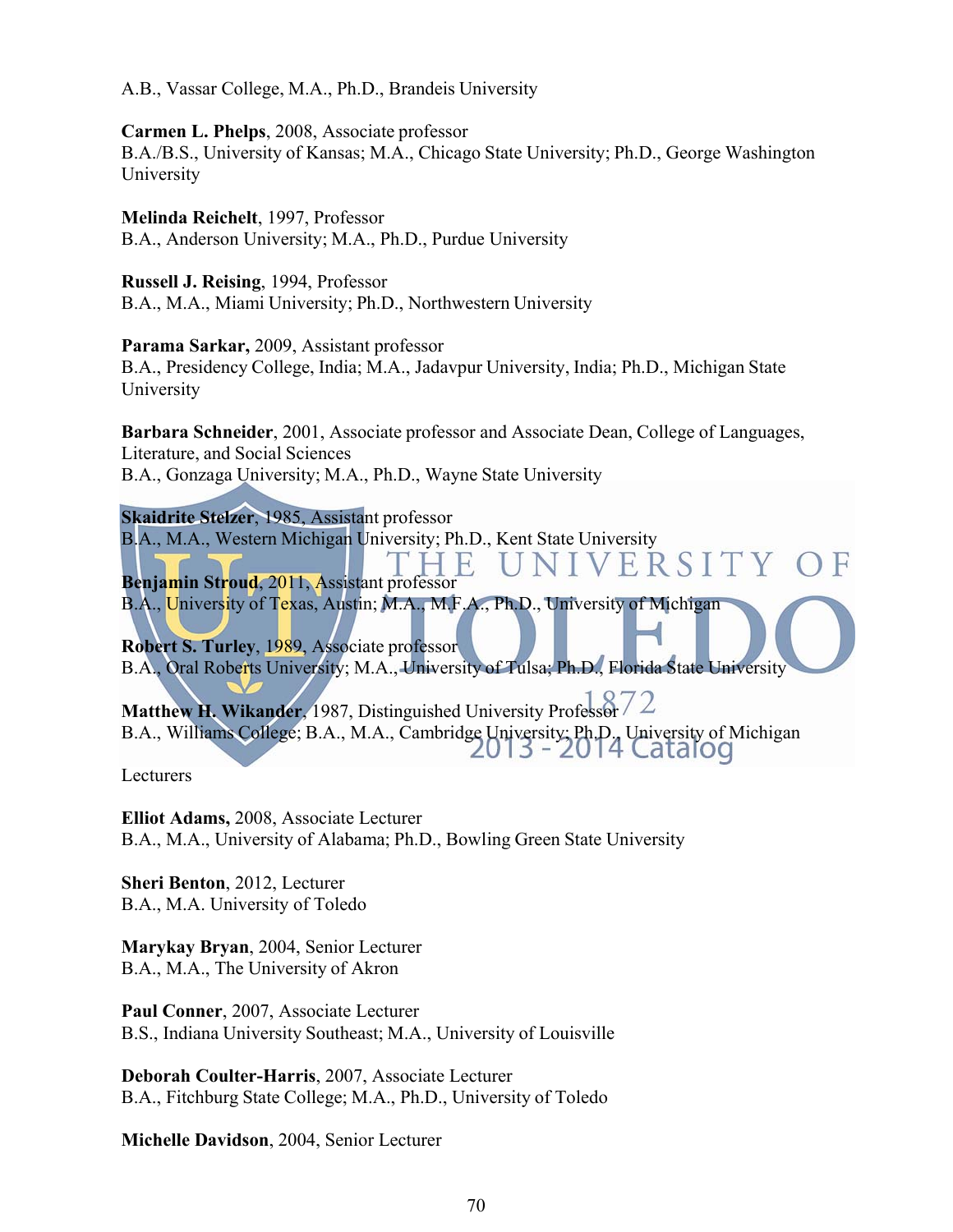A.B., Vassar College, M.A., Ph.D., Brandeis University

**Carmen L. Phelps**, 2008, Associate professor B.A./B.S., University of Kansas; M.A., Chicago State University; Ph.D., George Washington University

**Melinda Reichelt**, 1997, Professor B.A., Anderson University; M.A., Ph.D., Purdue University

**Russell J. Reising**, 1994, Professor B.A., M.A., Miami University; Ph.D., Northwestern University

**Parama Sarkar,** 2009, Assistant professor B.A., Presidency College, India; M.A., Jadavpur University, India; Ph.D., Michigan State University

**Barbara Schneider**, 2001, Associate professor and Associate Dean, College of Languages, Literature, and Social Sciences B.A., Gonzaga University; M.A., Ph.D., Wayne State University

**Skaidrite Stelzer**, 1985, Assistant professor B.A., M.A., Western Michigan University; Ph.D., Kent State University<br>
THE UNIVERSITY OF

**Benjamin Stroud**, 2011, Assistant professor B.A., University of Texas, Austin; M.A., M.F.A., Ph.D., University of Michigan

**Robert S. Turley**, 1989, Associate professor B.A., Oral Roberts University; M.A., University of Tulsa; Ph.D., Florida State University

Matthew H. Wikander, 1987, Distinguished University Professor 72 B.A., Williams College; B.A., M.A., Cambridge University; Ph.D., University of Michigan<br>2013 - 2014 Catalog

Lecturers

**Elliot Adams,** 2008, Associate Lecturer B.A., M.A., University of Alabama; Ph.D., Bowling Green State University

 **Sheri Benton**, 2012, Lecturer B.A., M.A. University of Toledo

**Marykay Bryan**, 2004, Senior Lecturer B.A., M.A., The University of Akron

**Paul Conner**, 2007, Associate Lecturer B.S., Indiana University Southeast; M.A., University of Louisville

**Deborah Coulter-Harris**, 2007, Associate Lecturer B.A., Fitchburg State College; M.A., Ph.D., University of Toledo

**Michelle Davidson**, 2004, Senior Lecturer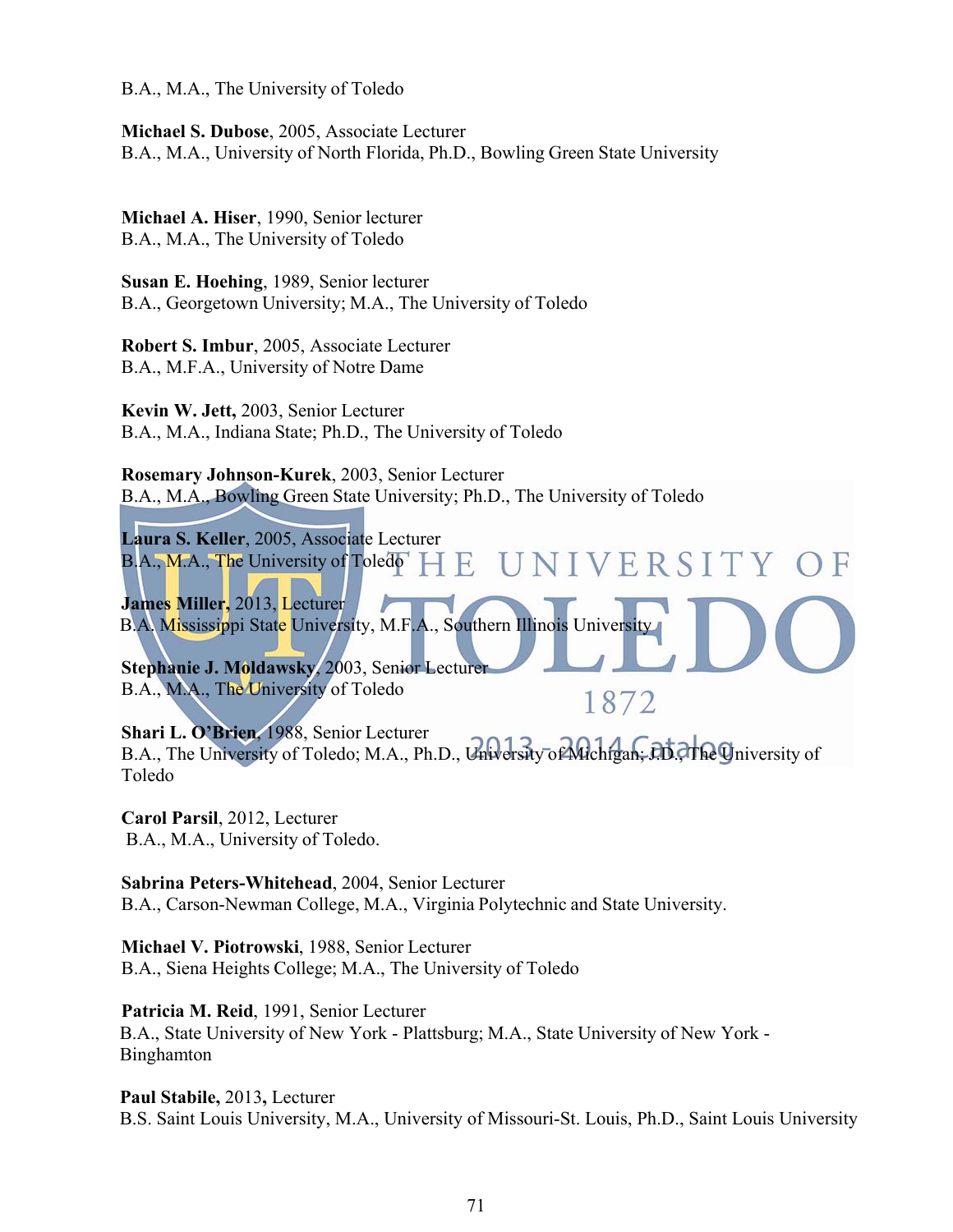B.A., M.A., The University of Toledo

**Michael S. Dubose**, 2005, Associate Lecturer B.A., M.A., University of North Florida, Ph.D., Bowling Green State University

**Michael A. Hiser**, 1990, Senior lecturer B.A., M.A., The University of Toledo

**Susan E. Hoehing**, 1989, Senior lecturer B.A., Georgetown University; M.A., The University of Toledo

**Robert S. Imbur**, 2005, Associate Lecturer B.A., M.F.A., University of Notre Dame

**Kevin W. Jett,** 2003, Senior Lecturer B.A., M.A., Indiana State; Ph.D., The University of Toledo

**Rosemary Johnson-Kurek**, 2003, Senior Lecturer B.A., M.A., Bowling Green State University; Ph.D., The University of Toledo

**Laura S. Keller**, 2005, Associate Lecturer VIVERSITY OF B.A., M.A., The University of Toledo F.

**James Miller,** 2013, Lecturer B.A. Mississippi State University, M.F.A., Southern Illinois University

**Stephanie J. Moldawsky, 2003, Senior Lecturer** B.A., M.A., The University of Toledo

**Shari L. O'Brien**, 1988, Senior Lecturer B.A., The University of Toledo; M.A., Ph.D., University of Michigan; DD. The University of Toledo

1872

**Carol Parsil**, 2012, Lecturer B.A., M.A., University of Toledo.

**Sabrina Peters-Whitehead**, 2004, Senior Lecturer B.A., Carson-Newman College, M.A., Virginia Polytechnic and State University.

**Michael V. Piotrowski**, 1988, Senior Lecturer B.A., Siena Heights College; M.A., The University of Toledo

**Patricia M. Reid**, 1991, Senior Lecturer B.A., State University of New York - Plattsburg; M.A., State University of New York - Binghamton

**Paul Stabile,** 2013**,** Lecturer B.S. Saint Louis University, M.A., University of Missouri-St. Louis, Ph.D., Saint Louis University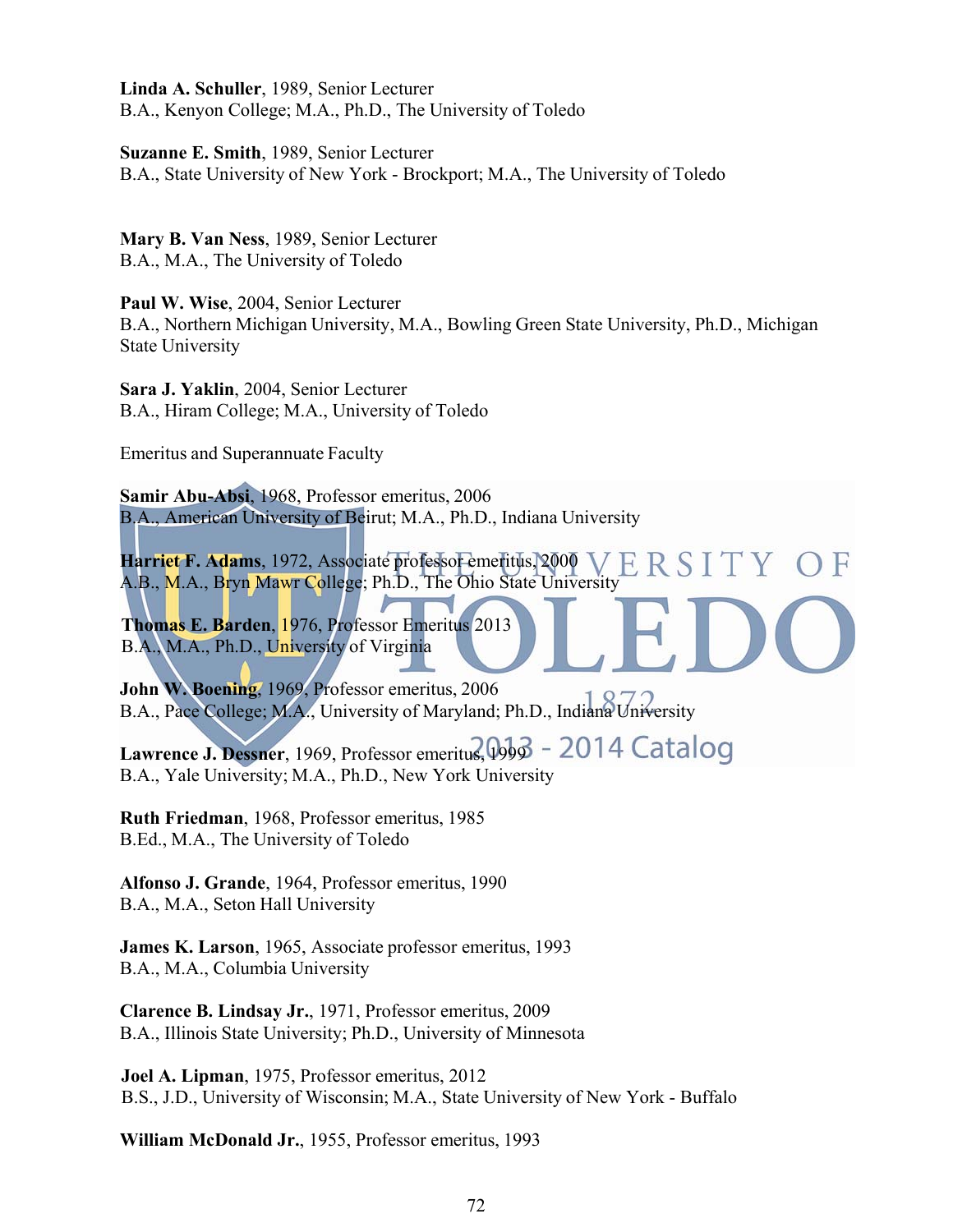**Linda A. Schuller**, 1989, Senior Lecturer B.A., Kenyon College; M.A., Ph.D., The University of Toledo

**Suzanne E. Smith**, 1989, Senior Lecturer B.A., State University of New York - Brockport; M.A., The University of Toledo

**Mary B. Van Ness**, 1989, Senior Lecturer B.A., M.A., The University of Toledo

**Paul W. Wise**, 2004, Senior Lecturer B.A., Northern Michigan University, M.A., Bowling Green State University, Ph.D., Michigan State University

**Sara J. Yaklin**, 2004, Senior Lecturer B.A., Hiram College; M.A., University of Toledo

Emeritus and Superannuate Faculty

**Samir Abu-Absi**, 1968, Professor emeritus, 2006 B.A., American University of Beirut; M.A., Ph.D., Indiana University

ERSITY **Harriet F. Adams**, 1972, Associate professor emeritus, 2000  $()$  F A.B., M.A., Bryn Mawr College; Ph.D., The Ohio State University

**Thomas E. Barden**, 1976, Professor Emeritus 2013 B.A., M.A., Ph.D., University of Virginia

**John W. Boening**, 1969, Professor emeritus, 2006 B.A., Pace College; M.A., University of Maryland; Ph.D., Indiana University

Lawrence J. Dessner, 1969, Professor emeritus, 0003 - 2014 Catalog B.A., Yale University; M.A., Ph.D., New York University

**Ruth Friedman**, 1968, Professor emeritus, 1985 B.Ed., M.A., The University of Toledo

**Alfonso J. Grande**, 1964, Professor emeritus, 1990 B.A., M.A., Seton Hall University

**James K. Larson**, 1965, Associate professor emeritus, 1993 B.A., M.A., Columbia University

**Clarence B. Lindsay Jr.**, 1971, Professor emeritus, 2009 B.A., Illinois State University; Ph.D., University of Minnesota

**Joel A. Lipman**, 1975, Professor emeritus, 2012 B.S., J.D., University of Wisconsin; M.A., State University of New York - Buffalo

**William McDonald Jr.**, 1955, Professor emeritus, 1993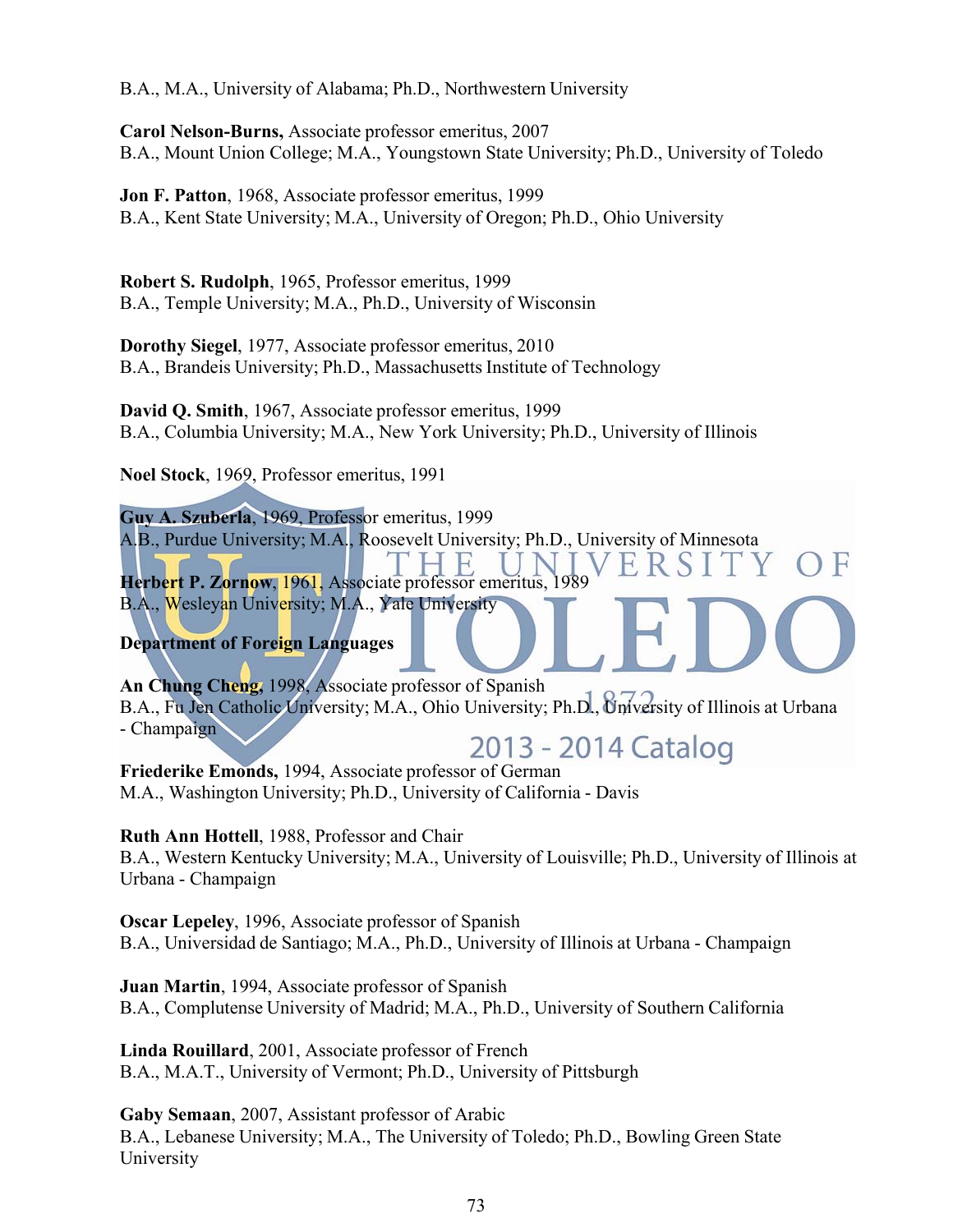B.A., M.A., University of Alabama; Ph.D., Northwestern University

**Carol Nelson-Burns,** Associate professor emeritus, 2007 B.A., Mount Union College; M.A., Youngstown State University; Ph.D., University of Toledo

**Jon F. Patton**, 1968, Associate professor emeritus, 1999 B.A., Kent State University; M.A., University of Oregon; Ph.D., Ohio University

**Robert S. Rudolph**, 1965, Professor emeritus, 1999 B.A., Temple University; M.A., Ph.D., University of Wisconsin

**Dorothy Siegel**, 1977, Associate professor emeritus, 2010 B.A., Brandeis University; Ph.D., Massachusetts Institute of Technology

**David Q. Smith**, 1967, Associate professor emeritus, 1999 B.A., Columbia University; M.A., New York University; Ph.D., University of Illinois

**Noel Stock**, 1969, Professor emeritus, 1991

**Guy A. Szuberla**, 1969, Professor emeritus, 1999 A.B., Purdue University; M.A., Roosevelt University; Ph.D., University of Minnesota **Herbert P. Zornow**, 1961, Associate professor emeritus, 1989 B.A., Wesleyan University; M.A., Yale University

# **Department of Foreign Languages**

**An Chung Cheng,** 1998, Associate professor of Spanish B.A., Fu Jen Catholic University; M.A., Ohio University; Ph.D., University of Illinois at Urbana - Champaign

2013 - 2014 Catalog

**Friederike Emonds,** 1994, Associate professor of German M.A., Washington University; Ph.D., University of California - Davis

**Ruth Ann Hottell**, 1988, Professor and Chair

B.A., Western Kentucky University; M.A., University of Louisville; Ph.D., University of Illinois at Urbana - Champaign

**Oscar Lepeley**, 1996, Associate professor of Spanish B.A., Universidad de Santiago; M.A., Ph.D., University of Illinois at Urbana - Champaign

**Juan Martin**, 1994, Associate professor of Spanish B.A., Complutense University of Madrid; M.A., Ph.D., University of Southern California

**Linda Rouillard**, 2001, Associate professor of French B.A., M.A.T., University of Vermont; Ph.D., University of Pittsburgh

**Gaby Semaan**, 2007, Assistant professor of Arabic B.A., Lebanese University; M.A., The University of Toledo; Ph.D., Bowling Green State University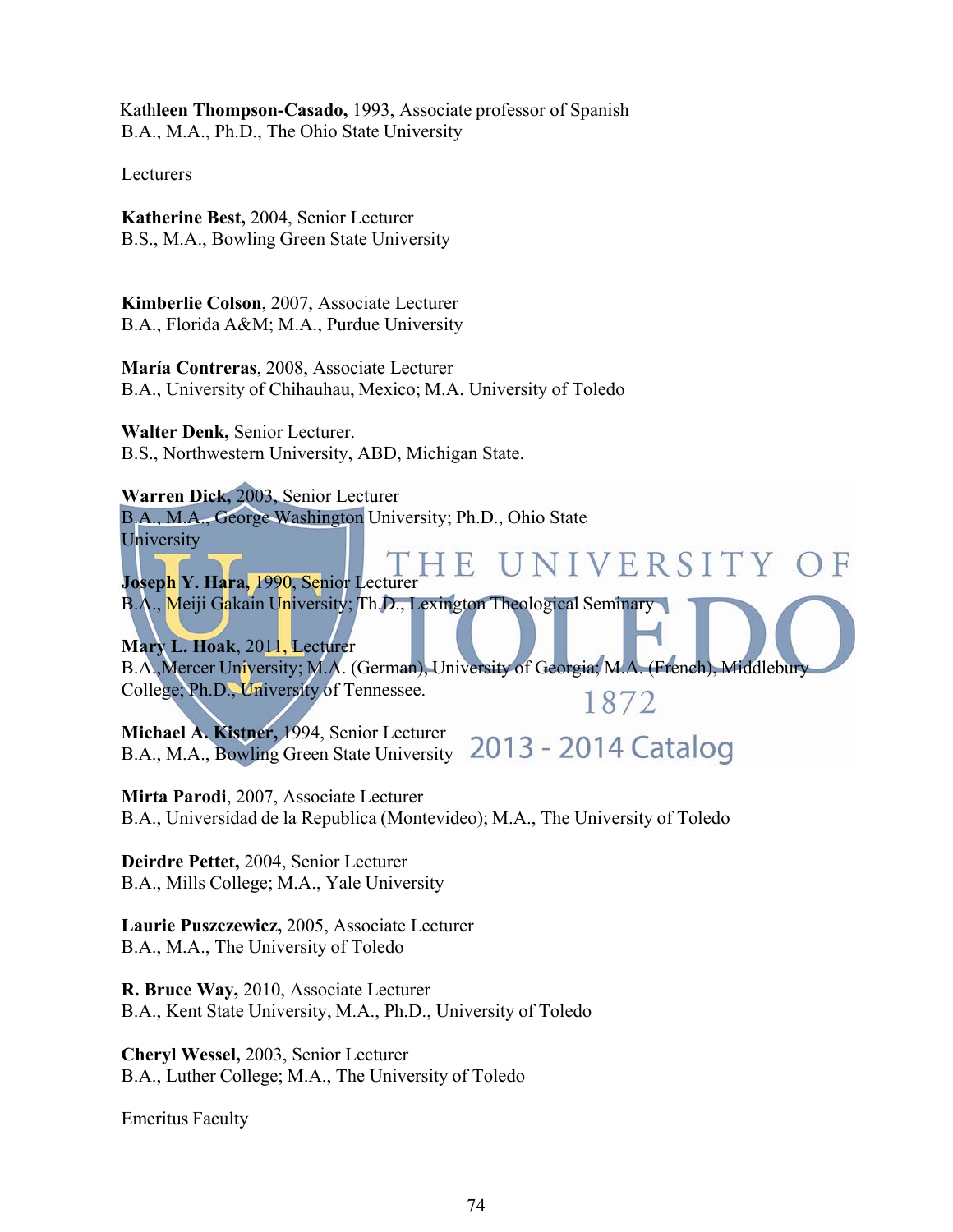Kath**leen Thompson-Casado,** 1993, Associate professor of Spanish B.A., M.A., Ph.D., The Ohio State University

Lecturers

**Katherine Best,** 2004, Senior Lecturer B.S., M.A., Bowling Green State University

**Kimberlie Colson**, 2007, Associate Lecturer B.A., Florida A&M; M.A., Purdue University

**María Contreras**, 2008, Associate Lecturer B.A., University of Chihauhau, Mexico; M.A. University of Toledo

**Walter Denk,** Senior Lecturer. B.S., Northwestern University, ABD, Michigan State.

**Warren Dick,** 2003, Senior Lecturer B.A., M.A., George Washington University; Ph.D., Ohio State University

UNIVERSITY OF F. **Joseph Y. Hara,** 1990, Senior Lecturer B.A., Meiji Gakain University; Th.D., Lexington Theological Seminary

**Mary L. Hoak**, 2011, Lecturer B.A.,Mercer University; M.A. (German), University of Georgia; M.A. (French), Middlebury College; Ph.D., University of Tennessee. 1872

**Michael A. Kistner,** 1994, Senior Lecturer B.A., M.A., Bowling Green State University 2013 - 2014 Catalog

**Mirta Parodi**, 2007, Associate Lecturer B.A., Universidad de la Republica (Montevideo); M.A., The University of Toledo

**Deirdre Pettet,** 2004, Senior Lecturer B.A., Mills College; M.A., Yale University

**Laurie Puszczewicz,** 2005, Associate Lecturer B.A., M.A., The University of Toledo

**R. Bruce Way,** 2010, Associate Lecturer B.A., Kent State University, M.A., Ph.D., University of Toledo

**Cheryl Wessel,** 2003, Senior Lecturer B.A., Luther College; M.A., The University of Toledo

Emeritus Faculty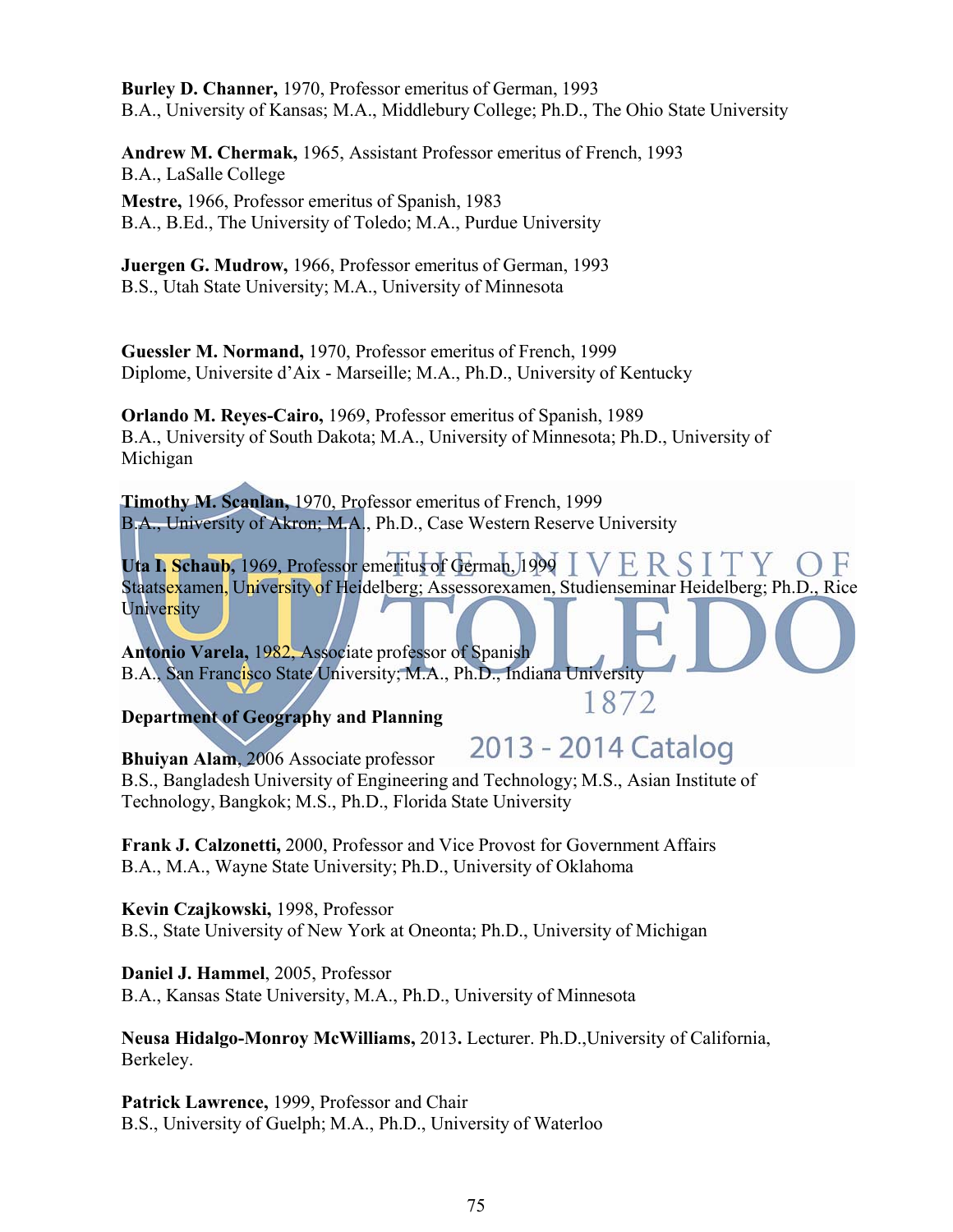**Burley D. Channer,** 1970, Professor emeritus of German, 1993 B.A., University of Kansas; M.A., Middlebury College; Ph.D., The Ohio State University

**Andrew M. Chermak,** 1965, Assistant Professor emeritus of French, 1993 B.A., LaSalle College

**Mestre,** 1966, Professor emeritus of Spanish, 1983 B.A., B.Ed., The University of Toledo; M.A., Purdue University

**Juergen G. Mudrow,** 1966, Professor emeritus of German, 1993 B.S., Utah State University; M.A., University of Minnesota

**Guessler M. Normand,** 1970, Professor emeritus of French, 1999 Diplome, Universite d'Aix - Marseille; M.A., Ph.D., University of Kentucky

**Orlando M. Reyes-Cairo,** 1969, Professor emeritus of Spanish, 1989 B.A., University of South Dakota; M.A., University of Minnesota; Ph.D., University of Michigan

**Timothy M. Scanlan,** 1970, Professor emeritus of French, 1999 B.A., University of Akron; M.A., Ph.D., Case Western Reserve University

**Uta I. Schaub,** 1969, Professor emeritus of German, 1999 **ER** Staatsexamen, University of Heidelberg; Assessorexamen, Studienseminar Heidelberg; Ph.D., Rice **University** 

**Antonio Varela,** 1982, Associate professor of Spanish B.A., San Francisco State University; M.A., Ph.D., Indiana University

**Department of Geography and Planning**

2013 - 2014 Catalog

1872

**Bhuiyan Alam**, 2006 Associate professor B.S., Bangladesh University of Engineering and Technology; M.S., Asian Institute of Technology, Bangkok; M.S., Ph.D., Florida State University

**Frank J. Calzonetti,** 2000, Professor and Vice Provost for Government Affairs B.A., M.A., Wayne State University; Ph.D., University of Oklahoma

**Kevin Czajkowski,** 1998, Professor B.S., State University of New York at Oneonta; Ph.D., University of Michigan

**Daniel J. Hammel**, 2005, Professor B.A., Kansas State University, M.A., Ph.D., University of Minnesota

**Neusa Hidalgo-Monroy McWilliams,** 2013**.** Lecturer. Ph.D.,University of California, Berkeley.

**Patrick Lawrence,** 1999, Professor and Chair B.S., University of Guelph; M.A., Ph.D., University of Waterloo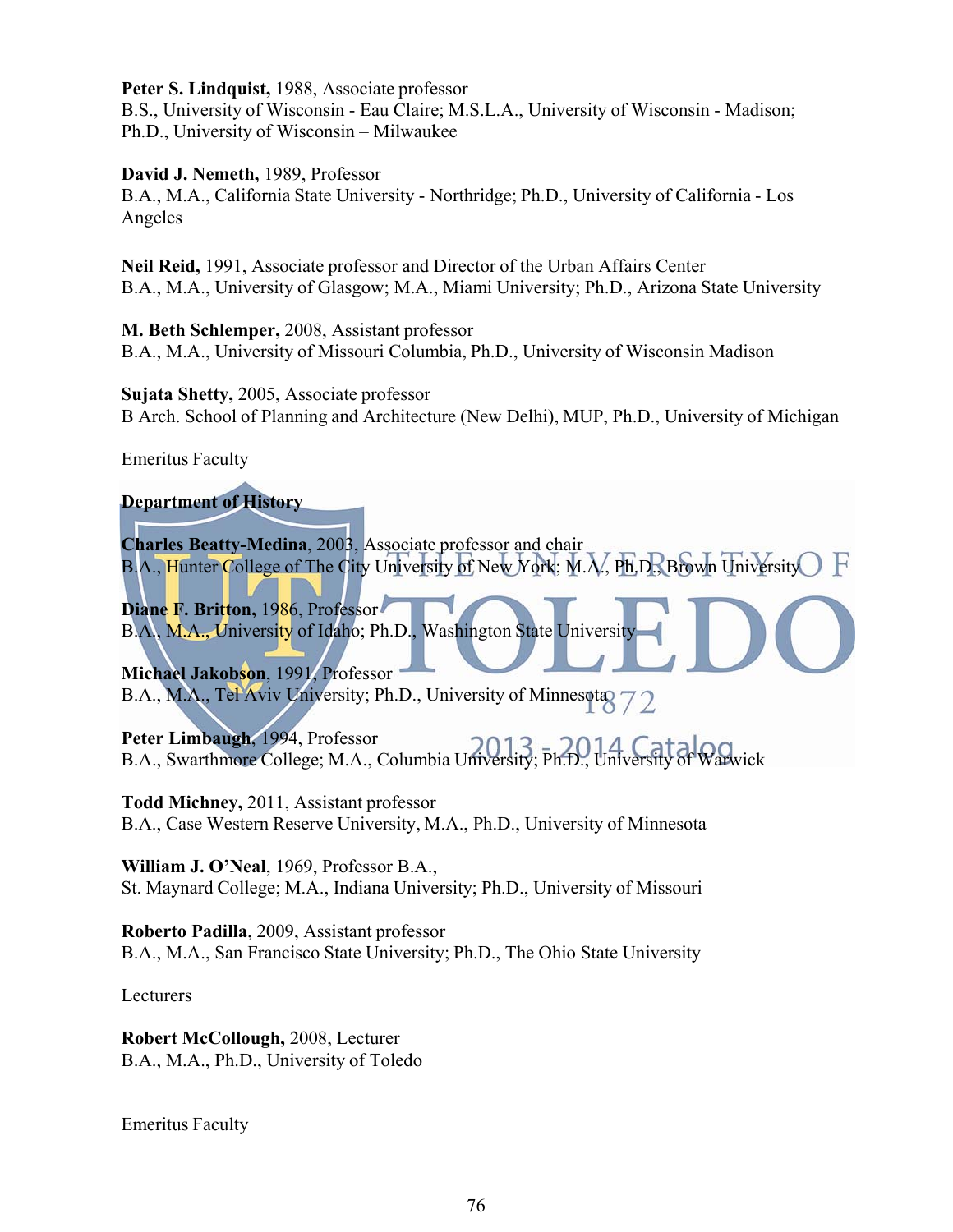**Peter S. Lindquist,** 1988, Associate professor

B.S., University of Wisconsin - Eau Claire; M.S.L.A., University of Wisconsin - Madison; Ph.D., University of Wisconsin – Milwaukee

#### **David J. Nemeth,** 1989, Professor

B.A., M.A., California State University - Northridge; Ph.D., University of California - Los Angeles

**Neil Reid,** 1991, Associate professor and Director of the Urban Affairs Center B.A., M.A., University of Glasgow; M.A., Miami University; Ph.D., Arizona State University

**M. Beth Schlemper,** 2008, Assistant professor B.A., M.A., University of Missouri Columbia, Ph.D., University of Wisconsin Madison

**Sujata Shetty,** 2005, Associate professor B Arch. School of Planning and Architecture (New Delhi), MUP, Ph.D., University of Michigan

Emeritus Faculty

## **Department of History**

**Charles Beatty-Medina**, 2003, Associate professor and chair B.A., Hunter College of The City University of New York; M.A., Ph.D., Brown University E

Diane F. Britton, 1986, Professor B.A., M.A., University of Idaho; Ph.D., Washington State University

**Michael Jakobson**, 1991, Professor B.A., M.A., Tel Aviv University; Ph.D., University of Minnesota 72

**Peter Limbaugh**, 1994, Professor B.A., Swarthmore College; M.A., Columbia University; Ph.D., University of Warwick

**Todd Michney,** 2011, Assistant professor B.A., Case Western Reserve University, M.A., Ph.D., University of Minnesota

**William J. O'Neal**, 1969, Professor B.A., St. Maynard College; M.A., Indiana University; Ph.D., University of Missouri

**Roberto Padilla**, 2009, Assistant professor B.A., M.A., San Francisco State University; Ph.D., The Ohio State University

Lecturers

**Robert McCollough,** 2008, Lecturer B.A., M.A., Ph.D., University of Toledo

Emeritus Faculty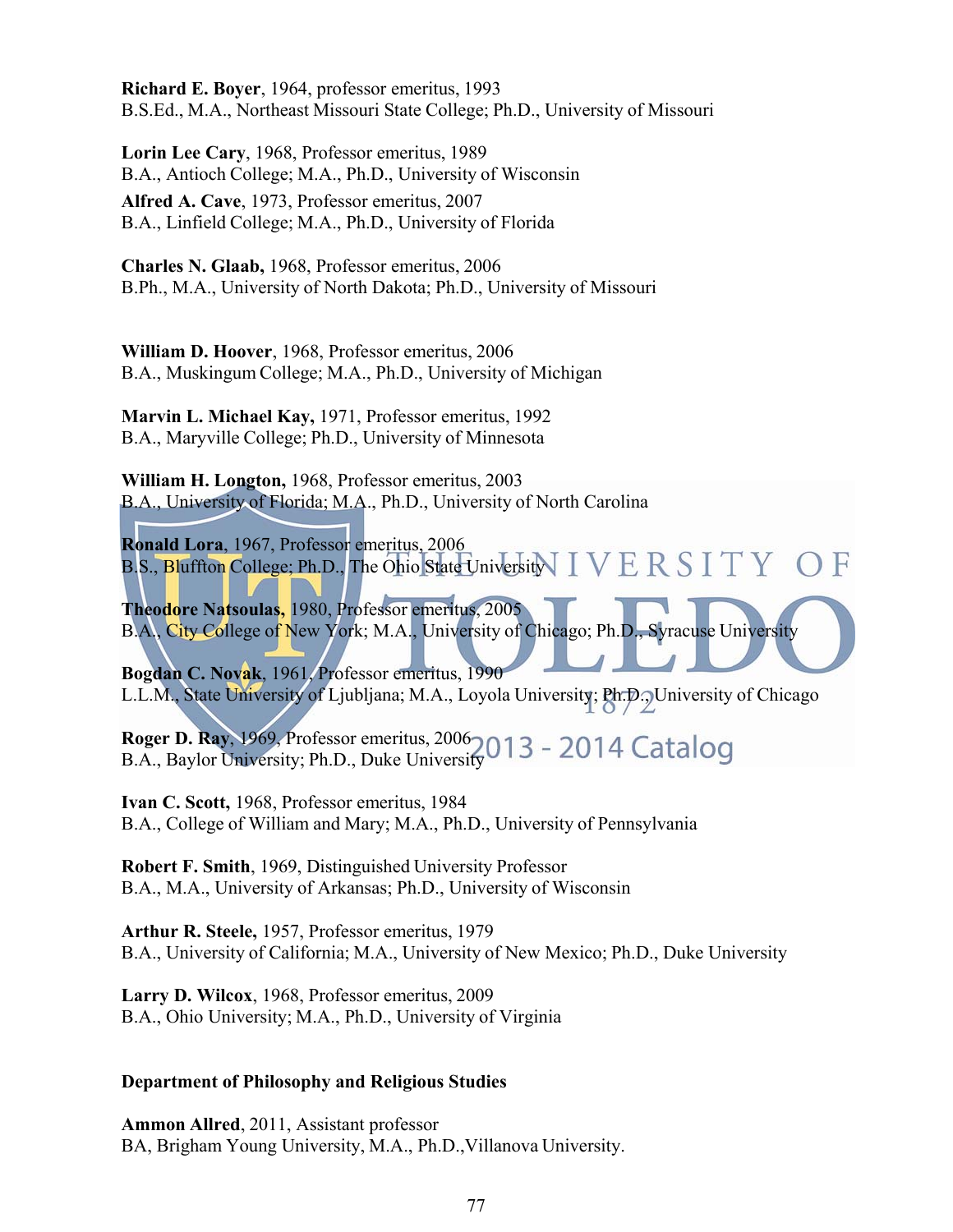**Richard E. Boyer**, 1964, professor emeritus, 1993 B.S.Ed., M.A., Northeast Missouri State College; Ph.D., University of Missouri

**Lorin Lee Cary**, 1968, Professor emeritus, 1989 B.A., Antioch College; M.A., Ph.D., University of Wisconsin **Alfred A. Cave**, 1973, Professor emeritus, 2007 B.A., Linfield College; M.A., Ph.D., University of Florida

**Charles N. Glaab,** 1968, Professor emeritus, 2006 B.Ph., M.A., University of North Dakota; Ph.D., University of Missouri

**William D. Hoover**, 1968, Professor emeritus, 2006 B.A., Muskingum College; M.A., Ph.D., University of Michigan

**Marvin L. Michael Kay,** 1971, Professor emeritus, 1992 B.A., Maryville College; Ph.D., University of Minnesota

**William H. Longton,** 1968, Professor emeritus, 2003 B.A., University of Florida; M.A., Ph.D., University of North Carolina

**Ronald Lora**, 1967, Professor emeritus, 2006 B.S., Bluffton College; Ph.D., The Ohio State University  $\text{IVER}$   $\text{SITY}$   $\text{OF}$ 

**Theodore Natsoulas,** 1980, Professor emeritus, 2005 B.A., City College of New York; M.A., University of Chicago; Ph.D., Syracuse University

**Bogdan C. Novak**, 1961, Professor emeritus, 1990 L.L.M., State University of Ljubljana; M.A., Loyola University; Ph.D., University of Chicago

**Roger D. Ray**, 1969, Professor emeritus, 2006 B.A., Baylor University; Ph.D., Duke University

**Ivan C. Scott,** 1968, Professor emeritus, 1984 B.A., College of William and Mary; M.A., Ph.D., University of Pennsylvania

**Robert F. Smith**, 1969, Distinguished University Professor B.A., M.A., University of Arkansas; Ph.D., University of Wisconsin

**Arthur R. Steele,** 1957, Professor emeritus, 1979 B.A., University of California; M.A., University of New Mexico; Ph.D., Duke University

**Larry D. Wilcox**, 1968, Professor emeritus, 2009 B.A., Ohio University; M.A., Ph.D., University of Virginia

## **Department of Philosophy and Religious Studies**

**Ammon Allred**, 2011, Assistant professor BA, Brigham Young University, M.A., Ph.D.,Villanova University.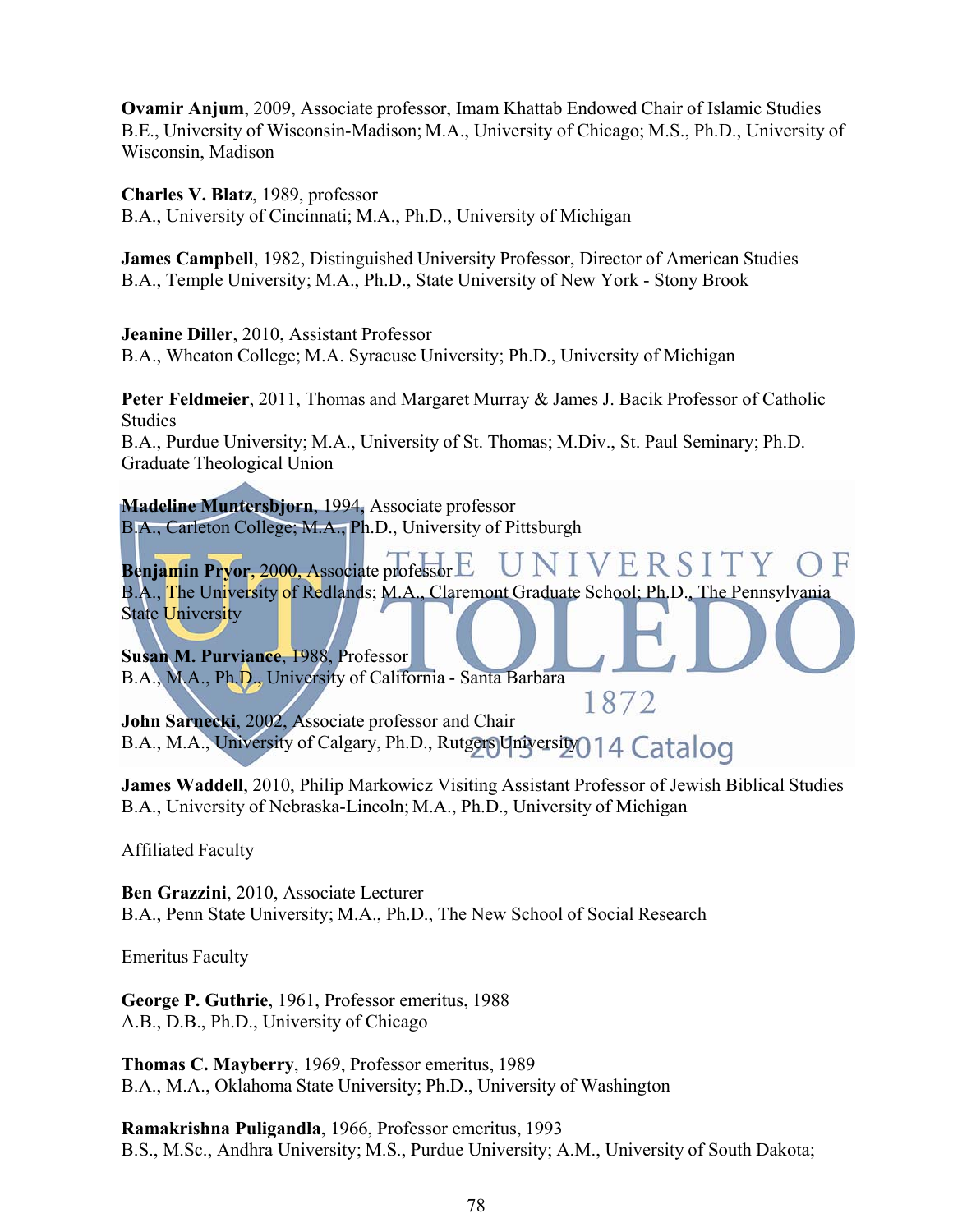**Ovamir Anjum**, 2009, Associate professor, Imam Khattab Endowed Chair of Islamic Studies B.E., University of Wisconsin-Madison; M.A., University of Chicago; M.S., Ph.D., University of Wisconsin, Madison

**Charles V. Blatz**, 1989, professor

B.A., University of Cincinnati; M.A., Ph.D., University of Michigan

**James Campbell**, 1982, Distinguished University Professor, Director of American Studies B.A., Temple University; M.A., Ph.D., State University of New York - Stony Brook

**Jeanine Diller**, 2010, Assistant Professor

B.A., Wheaton College; M.A. Syracuse University; Ph.D., University of Michigan

**Peter Feldmeier**, 2011, Thomas and Margaret Murray & James J. Bacik Professor of Catholic Studies

B.A., Purdue University; M.A., University of St. Thomas; M.Div., St. Paul Seminary; Ph.D. Graduate Theological Union

**Madeline Muntersbjorn**, 1994, Associate professor B.A., Carleton College; M.A., Ph.D., University of Pittsburgh

**Benjamin Pryor**, 2000, Associate professor VERSIT B.A., The University of Redlands; M.A., Claremont Graduate School; Ph.D., The Pennsylvania **State University** 

**Susan M. Purviance**, 1988, Professor B.A., M.A., Ph.D., University of California - Santa Barbara

1872 **John Sarnecki**, 2002, Associate professor and Chair B.A., M.A., University of Calgary, Ph.D., Rutgers University 014 Catalog

**James Waddell**, 2010, Philip Markowicz Visiting Assistant Professor of Jewish Biblical Studies B.A., University of Nebraska-Lincoln; M.A., Ph.D., University of Michigan

Affiliated Faculty

**Ben Grazzini**, 2010, Associate Lecturer B.A., Penn State University; M.A., Ph.D., The New School of Social Research

Emeritus Faculty

**George P. Guthrie**, 1961, Professor emeritus, 1988 A.B., D.B., Ph.D., University of Chicago

**Thomas C. Mayberry**, 1969, Professor emeritus, 1989 B.A., M.A., Oklahoma State University; Ph.D., University of Washington

**Ramakrishna Puligandla**, 1966, Professor emeritus, 1993 B.S., M.Sc., Andhra University; M.S., Purdue University; A.M., University of South Dakota;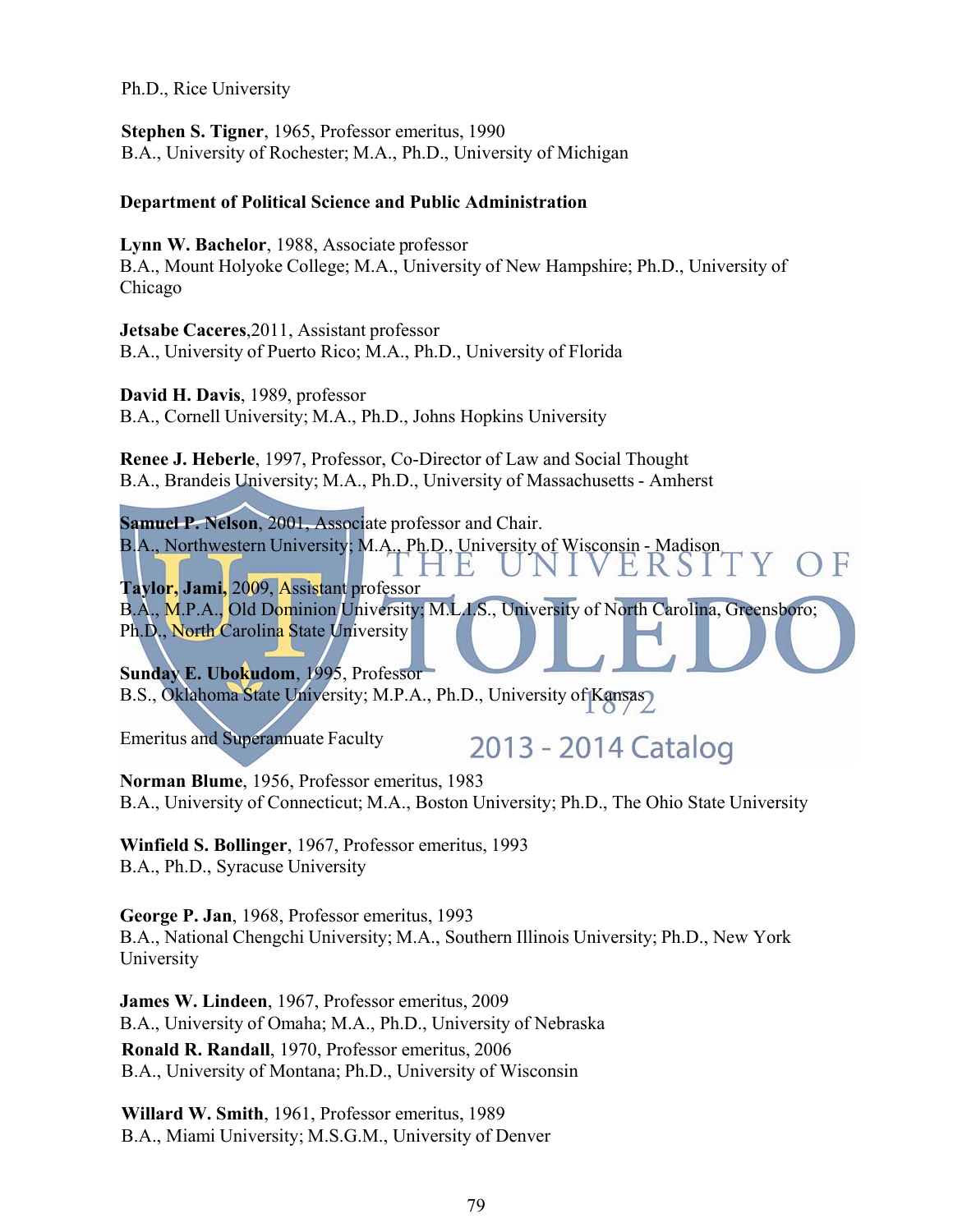Ph.D., Rice University

**Stephen S. Tigner**, 1965, Professor emeritus, 1990 B.A., University of Rochester; M.A., Ph.D., University of Michigan

#### **Department of Political Science and Public Administration**

**Lynn W. Bachelor**, 1988, Associate professor B.A., Mount Holyoke College; M.A., University of New Hampshire; Ph.D., University of Chicago

**Jetsabe Caceres**,2011, Assistant professor B.A., University of Puerto Rico; M.A., Ph.D., University of Florida

**David H. Davis**, 1989, professor B.A., Cornell University; M.A., Ph.D., Johns Hopkins University

**Renee J. Heberle**, 1997, Professor, Co-Director of Law and Social Thought B.A., Brandeis University; M.A., Ph.D., University of Massachusetts - Amherst

**Samuel P. Nelson**, 2001, Associate professor and Chair. B.A., Northwestern University; M.A., Ph.D., University of Wisconsin - Madison

1 H E.K.S. **Taylor, Jami,** 2009, Assistant professor B.A., M.P.A., Old Dominion University; M.L.I.S., University of North Carolina, Greensboro; Ph.D., North Carolina State University

**Sunday E. Ubokudom**, 1995, Professor B.S., Oklahoma State University; M.P.A., Ph.D., University of Kansas)

Emeritus and Superannuate Faculty

# 2013 - 2014 Catalog

**Norman Blume**, 1956, Professor emeritus, 1983 B.A., University of Connecticut; M.A., Boston University; Ph.D., The Ohio State University

**Winfield S. Bollinger**, 1967, Professor emeritus, 1993 B.A., Ph.D., Syracuse University

**George P. Jan**, 1968, Professor emeritus, 1993 B.A., National Chengchi University; M.A., Southern Illinois University; Ph.D., New York University

**James W. Lindeen**, 1967, Professor emeritus, 2009 B.A., University of Omaha; M.A., Ph.D., University of Nebraska **Ronald R. Randall**, 1970, Professor emeritus, 2006 B.A., University of Montana; Ph.D., University of Wisconsin

**Willard W. Smith**, 1961, Professor emeritus, 1989 B.A., Miami University; M.S.G.M., University of Denver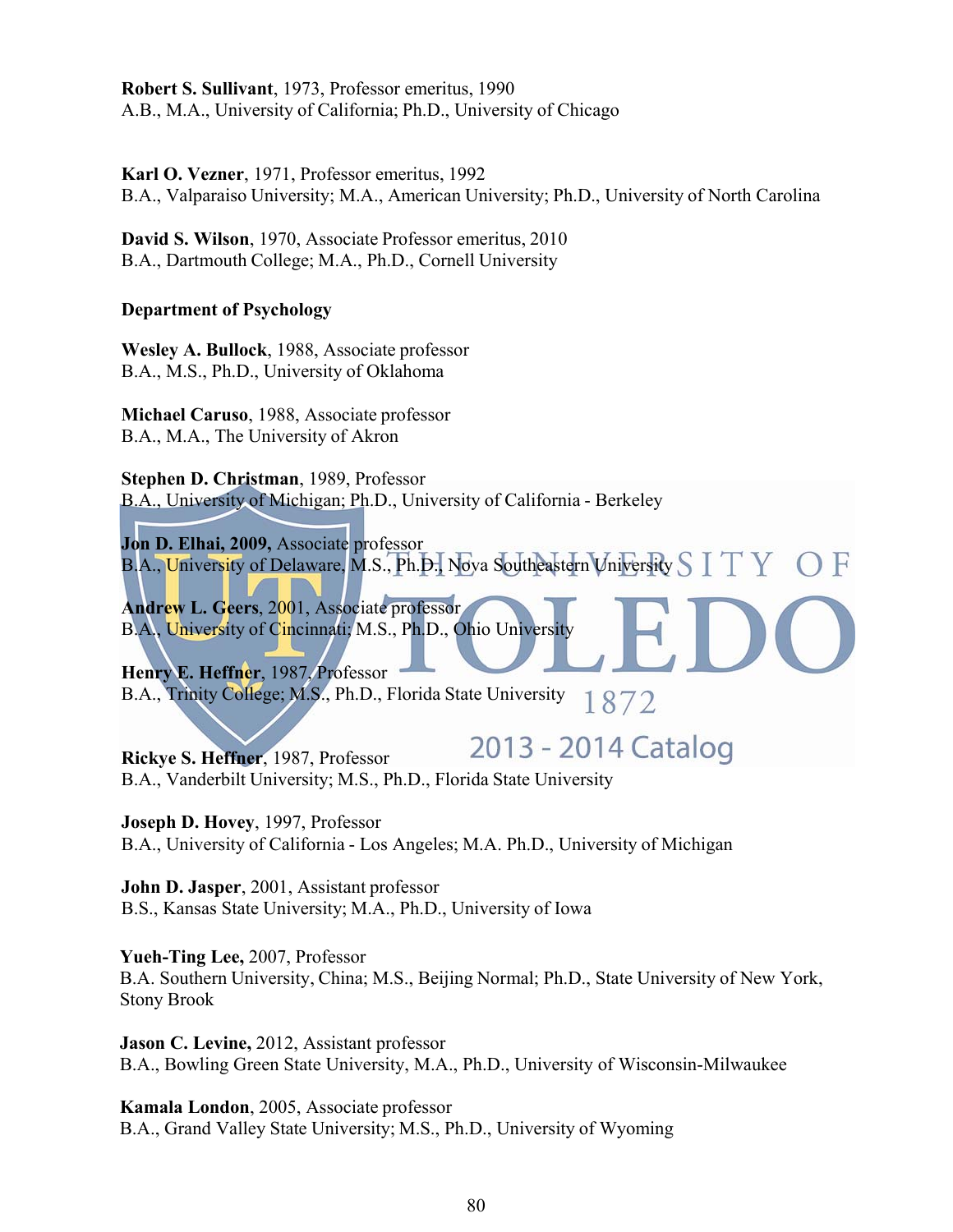**Robert S. Sullivant**, 1973, Professor emeritus, 1990 A.B., M.A., University of California; Ph.D., University of Chicago

**Karl O. Vezner**, 1971, Professor emeritus, 1992 B.A., Valparaiso University; M.A., American University; Ph.D., University of North Carolina

**David S. Wilson**, 1970, Associate Professor emeritus, 2010 B.A., Dartmouth College; M.A., Ph.D., Cornell University

## **Department of Psychology**

**Wesley A. Bullock**, 1988, Associate professor B.A., M.S., Ph.D., University of Oklahoma

**Michael Caruso**, 1988, Associate professor B.A., M.A., The University of Akron

**Stephen D. Christman**, 1989, Professor B.A., University of Michigan; Ph.D., University of California - Berkeley

**Jon D. Elhai, 2009,** Associate professor B.A., University of Delaware, M.S., Ph.D., Nova Southeastern University S I T Y

**Andrew L. Geers**, 2001, Associate professor B.A., University of Cincinnati; M.S., Ph.D., Ohio University

**Henry E. Heffner**, 1987, Professor B.A., Trinity College; M.S., Ph.D., Florida State University 1872

2013 - 2014 Catalog **Rickye S. Heffner**, 1987, Professor B.A., Vanderbilt University; M.S., Ph.D., Florida State University

**Joseph D. Hovey**, 1997, Professor B.A., University of California - Los Angeles; M.A. Ph.D., University of Michigan

**John D. Jasper**, 2001, Assistant professor B.S., Kansas State University; M.A., Ph.D., University of Iowa

**Yueh-Ting Lee,** 2007, Professor B.A. Southern University, China; M.S., Beijing Normal; Ph.D., State University of New York, Stony Brook

**Jason C. Levine,** 2012, Assistant professor B.A., Bowling Green State University, M.A., Ph.D., University of Wisconsin-Milwaukee

**Kamala London**, 2005, Associate professor B.A., Grand Valley State University; M.S., Ph.D., University of Wyoming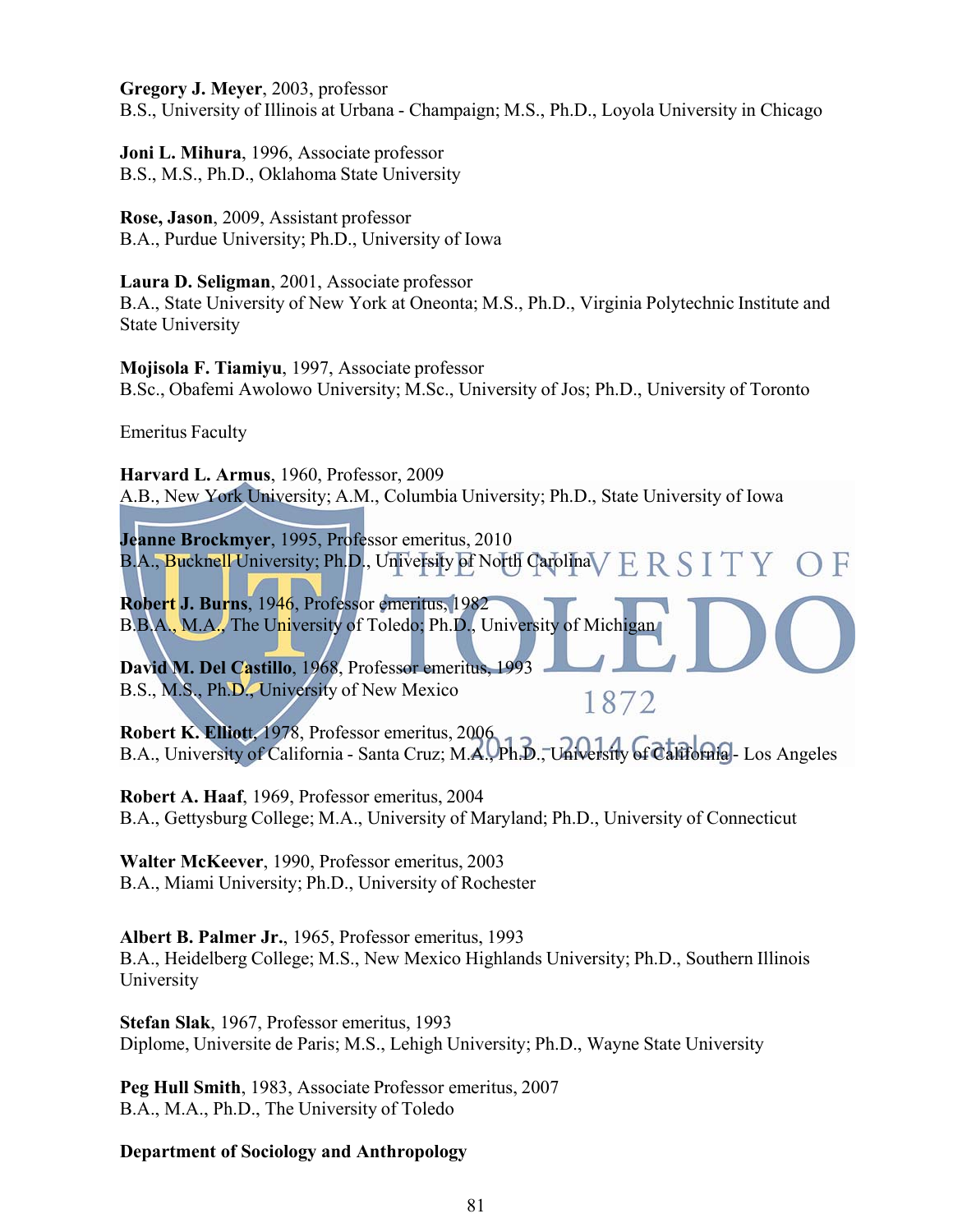**Gregory J. Meyer**, 2003, professor

B.S., University of Illinois at Urbana - Champaign; M.S., Ph.D., Loyola University in Chicago

**Joni L. Mihura**, 1996, Associate professor B.S., M.S., Ph.D., Oklahoma State University

**Rose, Jason**, 2009, Assistant professor B.A., Purdue University; Ph.D., University of Iowa

## **Laura D. Seligman**, 2001, Associate professor

B.A., State University of New York at Oneonta; M.S., Ph.D., Virginia Polytechnic Institute and State University

**Mojisola F. Tiamiyu**, 1997, Associate professor B.Sc., Obafemi Awolowo University; M.Sc., University of Jos; Ph.D., University of Toronto

Emeritus Faculty

**Harvard L. Armus**, 1960, Professor, 2009 A.B., New York University; A.M., Columbia University; Ph.D., State University of Iowa

**Jeanne Brockmyer**, 1995, Professor emeritus, 2010 B.A., Bucknell University; Ph.D., University of North Carolina V E R S I T Y

**Robert J. Burns**, 1946, Professor emeritus, 1982 B.B.A., M.A., The University of Toledo; Ph.D., University of Michigan

**David M. Del Castillo**, 1968, Professor emeritus, 1993 B.S., M.S., Ph.D., University of New Mexico

**Robert K. Elliot**t, 1978, Professor emeritus, 2006 B.A., University of California - Santa Cruz; M.A., Ph.D., University of California - Los Angeles

1872

**Robert A. Haaf**, 1969, Professor emeritus, 2004 B.A., Gettysburg College; M.A., University of Maryland; Ph.D., University of Connecticut

**Walter McKeever**, 1990, Professor emeritus, 2003 B.A., Miami University; Ph.D., University of Rochester

**Albert B. Palmer Jr.**, 1965, Professor emeritus, 1993 B.A., Heidelberg College; M.S., New Mexico Highlands University; Ph.D., Southern Illinois University

**Stefan Slak**, 1967, Professor emeritus, 1993 Diplome, Universite de Paris; M.S., Lehigh University; Ph.D., Wayne State University

**Peg Hull Smith**, 1983, Associate Professor emeritus, 2007 B.A., M.A., Ph.D., The University of Toledo

# **Department of Sociology and Anthropology**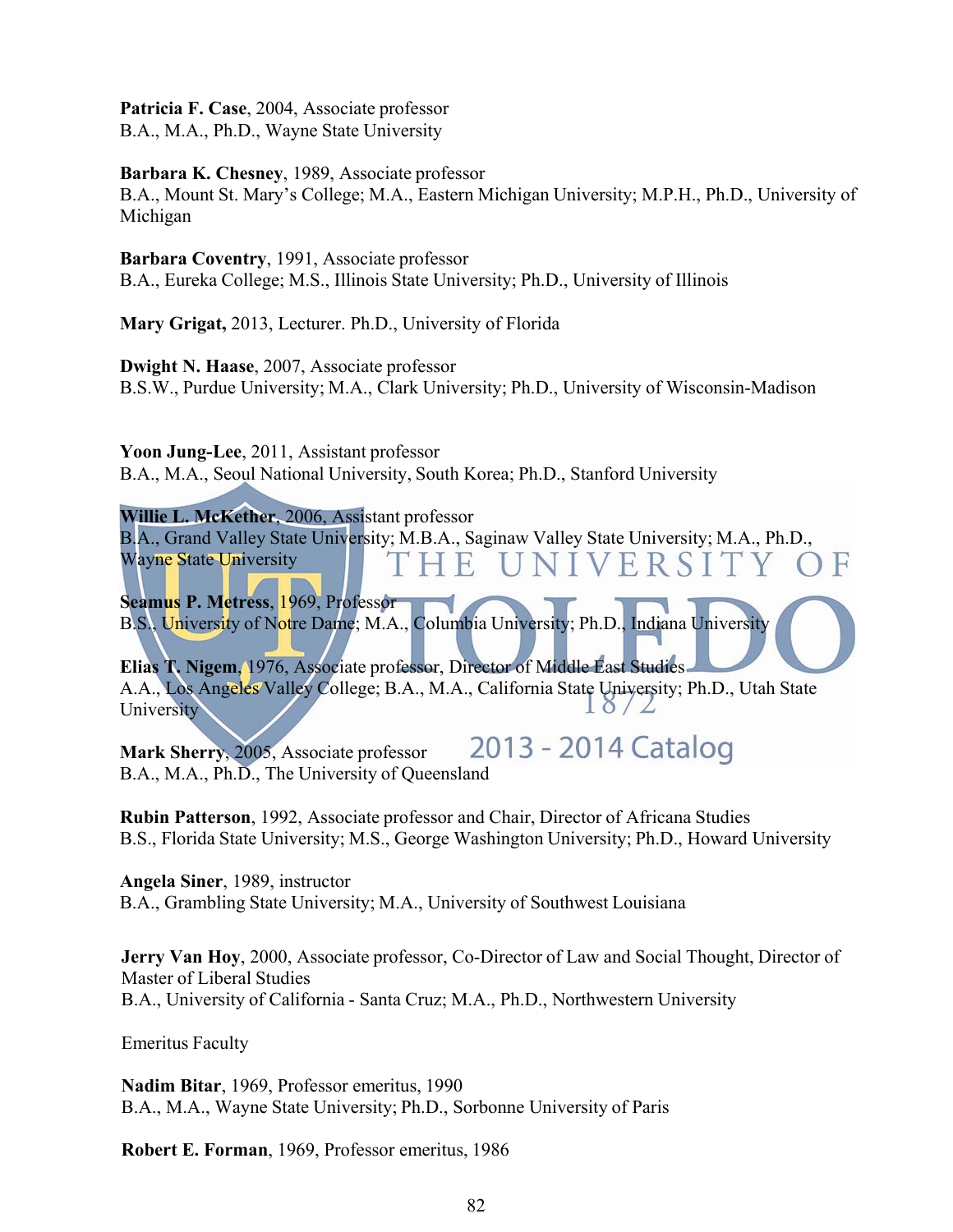**Patricia F. Case**, 2004, Associate professor B.A., M.A., Ph.D., Wayne State University

## **Barbara K. Chesney**, 1989, Associate professor

B.A., Mount St. Mary's College; M.A., Eastern Michigan University; M.P.H., Ph.D., University of Michigan

#### **Barbara Coventry**, 1991, Associate professor

B.A., Eureka College; M.S., Illinois State University; Ph.D., University of Illinois

**Mary Grigat,** 2013, Lecturer. Ph.D., University of Florida

**Dwight N. Haase**, 2007, Associate professor

B.S.W., Purdue University; M.A., Clark University; Ph.D., University of Wisconsin-Madison

**Yoon Jung-Lee**, 2011, Assistant professor

B.A., M.A., Seoul National University, South Korea; Ph.D., Stanford University

**Willie L. McKether**, 2006, Assistant professor

B.A., Grand Valley State University; M.B.A., Saginaw Valley State University; M.A., Ph.D., Wayne State University **IVERSIT** 

**Seamus P. Metress**, 1969, Professor B.S., University of Notre Dame; M.A., Columbia University; Ph.D., Indiana University

**Elias T. Nigem**, 1976, Associate professor, Director of Middle East Studies A.A., Los Angeles Valley College; B.A., M.A., California State University; Ph.D., Utah State University

2013 - 2014 Catalog **Mark Sherry**, 2005, Associate professor B.A., M.A., Ph.D., The University of Queensland

**Rubin Patterson**, 1992, Associate professor and Chair, Director of Africana Studies B.S., Florida State University; M.S., George Washington University; Ph.D., Howard University

**Angela Siner**, 1989, instructor B.A., Grambling State University; M.A., University of Southwest Louisiana

**Jerry Van Hoy**, 2000, Associate professor, Co-Director of Law and Social Thought, Director of Master of Liberal Studies B.A., University of California - Santa Cruz; M.A., Ph.D., Northwestern University

Emeritus Faculty

**Nadim Bitar**, 1969, Professor emeritus, 1990 B.A., M.A., Wayne State University; Ph.D., Sorbonne University of Paris

**Robert E. Forman**, 1969, Professor emeritus, 1986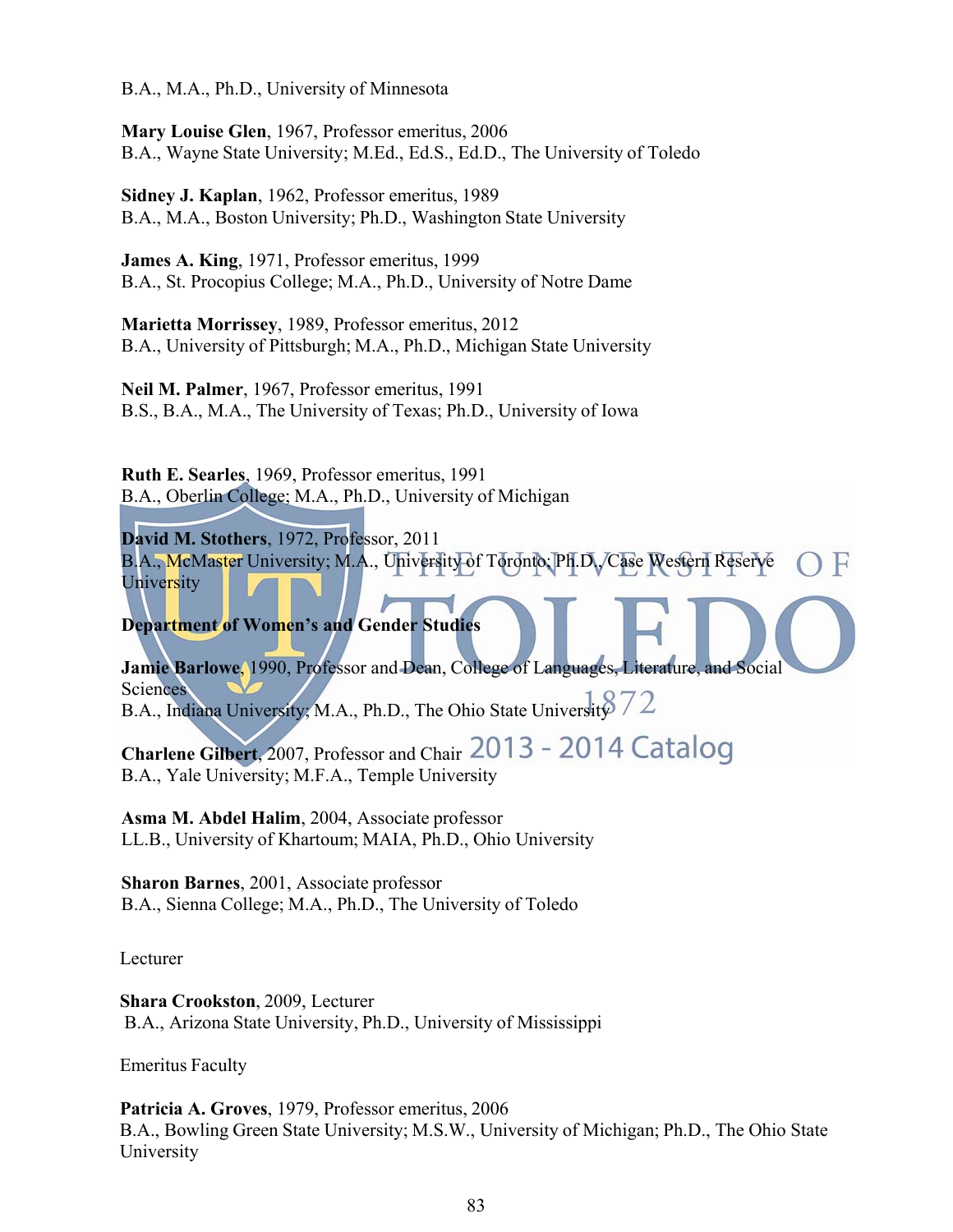B.A., M.A., Ph.D., University of Minnesota

**Mary Louise Glen**, 1967, Professor emeritus, 2006 B.A., Wayne State University; M.Ed., Ed.S., Ed.D., The University of Toledo

**Sidney J. Kaplan**, 1962, Professor emeritus, 1989 B.A., M.A., Boston University; Ph.D., Washington State University

**James A. King**, 1971, Professor emeritus, 1999 B.A., St. Procopius College; M.A., Ph.D., University of Notre Dame

**Marietta Morrissey**, 1989, Professor emeritus, 2012 B.A., University of Pittsburgh; M.A., Ph.D., Michigan State University

**Neil M. Palmer**, 1967, Professor emeritus, 1991 B.S., B.A., M.A., The University of Texas; Ph.D., University of Iowa

**Ruth E. Searles**, 1969, Professor emeritus, 1991 B.A., Oberlin College; M.A., Ph.D., University of Michigan

**David M. Stothers**, 1972, Professor, 2011 B.A., McMaster University; M.A., University of Toronto; Ph.D., Case Western Reserve University

**Department of Women's and Gender Studies**

**Jamie Barlowe**, 1990, Professor and Dean, College of Languages, Literature, and Social **Sciences** B.A., Indiana University; M.A., Ph.D., The Ohio State University  $72$ 

Charlene Gilbert, 2007, Professor and Chair 2013 - 2014 Catalog B.A., Yale University; M.F.A., Temple University

**Asma M. Abdel Halim**, 2004, Associate professor LL.B., University of Khartoum; MAIA, Ph.D., Ohio University

**Sharon Barnes**, 2001, Associate professor B.A., Sienna College; M.A., Ph.D., The University of Toledo

Lecturer

**Shara Crookston**, 2009, Lecturer B.A., Arizona State University, Ph.D., University of Mississippi

Emeritus Faculty

**Patricia A. Groves**, 1979, Professor emeritus, 2006 B.A., Bowling Green State University; M.S.W., University of Michigan; Ph.D., The Ohio State University